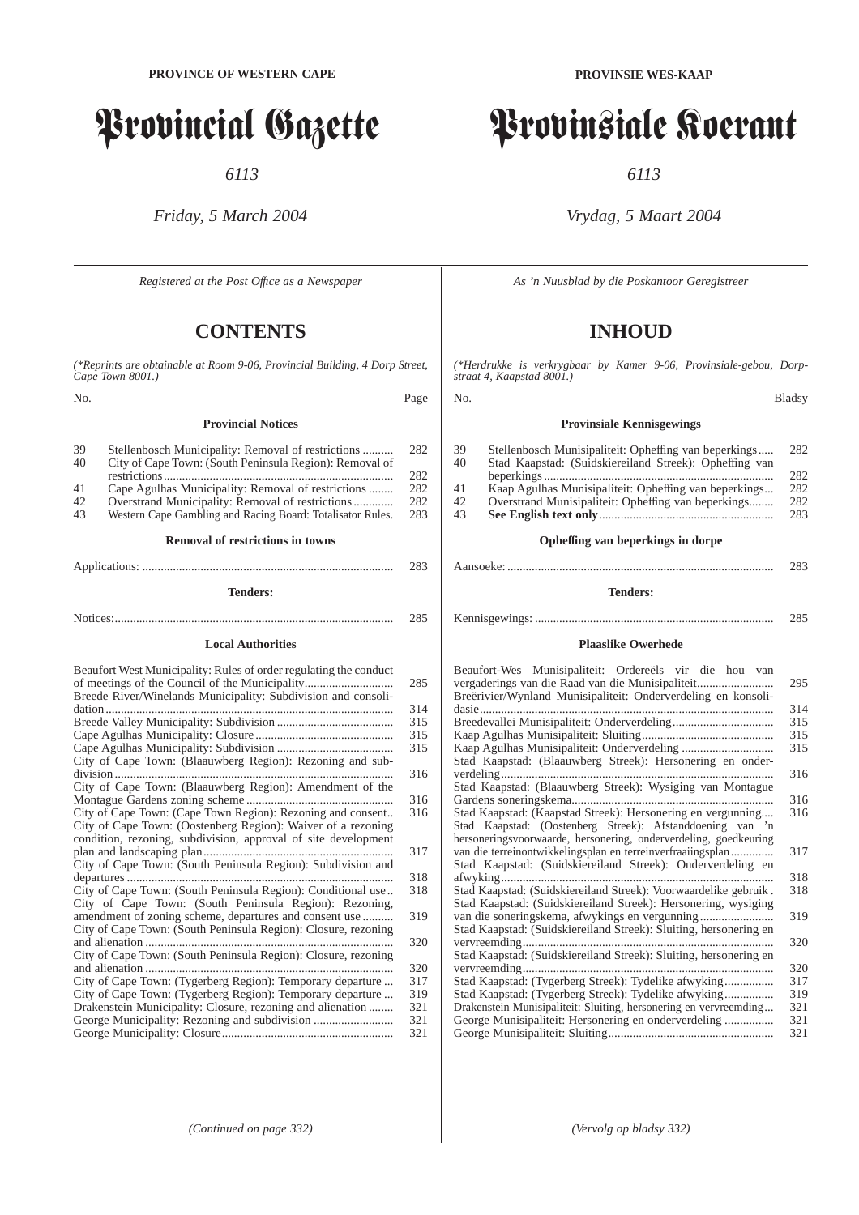# Provincial Gazette

*6113*

## *Friday, 5 March 2004*

*Registered at the Post Offıce as a Newspaper*

# **CONTENTS**

*(\*Reprints are obtainable at Room 9-06, Provincial Building, 4 Dorp Street, Cape Town 8001.)* No. Page

#### **Provincial Notices**

| 39<br>40                                | Stellenbosch Municipality: Removal of restrictions<br>City of Cape Town: (South Peninsula Region): Removal of |            |  |  |  |
|-----------------------------------------|---------------------------------------------------------------------------------------------------------------|------------|--|--|--|
| 41                                      | Cape Agulhas Municipality: Removal of restrictions                                                            | 282<br>282 |  |  |  |
| 42                                      | Overstrand Municipality: Removal of restrictions                                                              | 282        |  |  |  |
| 43                                      | Western Cape Gambling and Racing Board: Totalisator Rules.                                                    | 283        |  |  |  |
| <b>Removal of restrictions in towns</b> |                                                                                                               |            |  |  |  |
|                                         |                                                                                                               |            |  |  |  |

## **Tenders:**

Notices:........................................................................................... 285

## **Local Authorities**

| Beaufort West Municipality: Rules of order regulating the conduct<br>of meetings of the Council of the Municipality | 285 |
|---------------------------------------------------------------------------------------------------------------------|-----|
| Breede River/Winelands Municipality: Subdivision and consoli-                                                       |     |
| dation                                                                                                              | 314 |
|                                                                                                                     | 315 |
|                                                                                                                     | 315 |
|                                                                                                                     | 315 |
| City of Cape Town: (Blaauwberg Region): Rezoning and sub-                                                           |     |
| division                                                                                                            | 316 |
| City of Cape Town: (Blaauwberg Region): Amendment of the                                                            |     |
|                                                                                                                     | 316 |
| City of Cape Town: (Cape Town Region): Rezoning and consent                                                         | 316 |
| City of Cape Town: (Oostenberg Region): Waiver of a rezoning                                                        |     |
| condition, rezoning, subdivision, approval of site development                                                      |     |
|                                                                                                                     | 317 |
|                                                                                                                     |     |
| City of Cape Town: (South Peninsula Region): Subdivision and                                                        | 318 |
|                                                                                                                     |     |
| City of Cape Town: (South Peninsula Region): Conditional use                                                        | 318 |
| City of Cape Town: (South Peninsula Region): Rezoning,                                                              |     |
| amendment of zoning scheme, departures and consent use                                                              | 319 |
| City of Cape Town: (South Peninsula Region): Closure, rezoning                                                      |     |
|                                                                                                                     | 320 |
| City of Cape Town: (South Peninsula Region): Closure, rezoning                                                      |     |
| and alienation                                                                                                      | 320 |
| City of Cape Town: (Tygerberg Region): Temporary departure                                                          | 317 |
| City of Cape Town: (Tygerberg Region): Temporary departure                                                          | 319 |
| Drakenstein Municipality: Closure, rezoning and alienation                                                          | 321 |
|                                                                                                                     | 321 |
|                                                                                                                     | 321 |

# Provinsiale Koerant

*6113*

## *Vrydag, 5 Maart 2004*

*As 'n Nuusblad by die Poskantoor Geregistreer*

# **INHOUD**

*(\*Herdrukke is verkrygbaar by Kamer 9-06, Provinsiale-gebou, Dorpstraat 4, Kaapstad 8001.)*

### **Provinsiale Kennisgewings**

| Stellenbosch Munisipaliteit: Opheffing van beperkings  | 282 |
|--------------------------------------------------------|-----|
| Stad Kaapstad: (Suidskiereiland Streek): Opheffing van |     |
|                                                        | 282 |
| Kaap Agulhas Munisipaliteit: Opheffing van beperkings  | 282 |
| Overstrand Munisipaliteit: Opheffing van beperkings    | 282 |
|                                                        | 283 |
|                                                        |     |
|                                                        |     |

# **Opheffing van beperkings in dorpe**

## **Tenders:**

#### Kennisgewings: .............................................................................. 285

#### **Plaaslike Owerhede**

| Beaufort-Wes Munisipaliteit: Ordereëls vir die hou van            |     |
|-------------------------------------------------------------------|-----|
| vergaderings van die Raad van die Munisipaliteit                  | 295 |
| Breërivier/Wynland Munisipaliteit: Onderverdeling en konsoli-     |     |
| $dasic$                                                           | 314 |
|                                                                   | 315 |
|                                                                   | 315 |
|                                                                   | 315 |
| Stad Kaapstad: (Blaauwberg Streek): Hersonering en onder-         |     |
|                                                                   | 316 |
| Stad Kaapstad: (Blaauwberg Streek): Wysiging van Montague         |     |
|                                                                   | 316 |
| Stad Kaapstad: (Kaapstad Streek): Hersonering en vergunning       | 316 |
| Stad Kaapstad: (Oostenberg Streek): Afstanddoening van 'n         |     |
| hersoneringsvoorwaarde, hersonering, onderverdeling, goedkeuring  |     |
| van die terreinontwikkelingsplan en terreinverfraaiingsplan       | 317 |
| Stad Kaapstad: (Suidskiereiland Streek): Onderverdeling en        |     |
| afwyking                                                          | 318 |
| Stad Kaapstad: (Suidskiereiland Streek): Voorwaardelike gebruik.  | 318 |
| Stad Kaapstad: (Suidskiereiland Streek): Hersonering, wysiging    |     |
|                                                                   | 319 |
| Stad Kaapstad: (Suidskiereiland Streek): Sluiting, hersonering en |     |
|                                                                   | 320 |
| Stad Kaapstad: (Suidskiereiland Streek): Sluiting, hersonering en |     |
| vervreemding                                                      | 320 |
| Stad Kaapstad: (Tygerberg Streek): Tydelike afwyking              | 317 |
|                                                                   | 319 |
| Drakenstein Munisipaliteit: Sluiting, hersonering en vervreemding | 321 |
|                                                                   | 321 |
| George Munisipaliteit: Hersonering en onderverdeling              |     |
|                                                                   | 321 |

No. Bladsy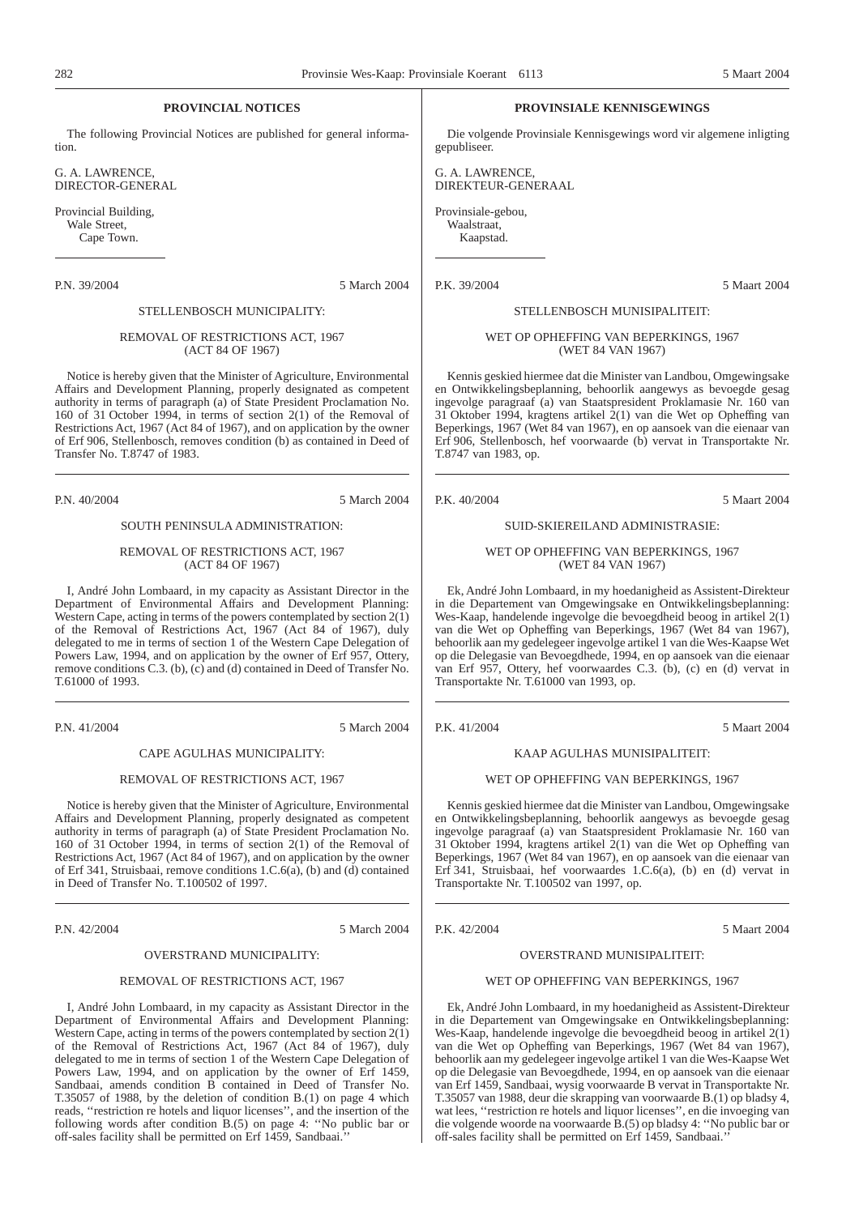#### **PROVINCIAL NOTICES**

The following Provincial Notices are published for general information.

G. A. LAWRENCE, DIRECTOR-GENERAL

Provincial Building, Wale Street, Cape Town.

P.N. 39/2004 5 March 2004

#### STELLENBOSCH MUNICIPALITY:

#### REMOVAL OF RESTRICTIONS ACT, 1967 (ACT 84 OF 1967)

Notice is hereby given that the Minister of Agriculture, Environmental Affairs and Development Planning, properly designated as competent authority in terms of paragraph (a) of State President Proclamation No. 160 of 31 October 1994, in terms of section 2(1) of the Removal of Restrictions Act, 1967 (Act 84 of 1967), and on application by the owner of Erf 906, Stellenbosch, removes condition (b) as contained in Deed of Transfer No. T.8747 of 1983.

P.N. 40/2004 5 March 2004

### SOUTH PENINSULA ADMINISTRATION:

#### REMOVAL OF RESTRICTIONS ACT, 1967 (ACT 84 OF 1967)

I, André John Lombaard, in my capacity as Assistant Director in the Department of Environmental Affairs and Development Planning: Western Cape, acting in terms of the powers contemplated by section  $2(\tilde{1})$ of the Removal of Restrictions Act, 1967 (Act 84 of 1967), duly delegated to me in terms of section 1 of the Western Cape Delegation of Powers Law, 1994, and on application by the owner of Erf 957, Ottery, remove conditions C.3. (b), (c) and (d) contained in Deed of Transfer No. T.61000 of 1993.

P.N. 41/2004 5 March 2004

## CAPE AGULHAS MUNICIPALITY:

#### REMOVAL OF RESTRICTIONS ACT, 1967

Notice is hereby given that the Minister of Agriculture, Environmental Affairs and Development Planning, properly designated as competent authority in terms of paragraph (a) of State President Proclamation No. 160 of 31 October 1994, in terms of section 2(1) of the Removal of Restrictions Act, 1967 (Act 84 of 1967), and on application by the owner of Erf 341, Struisbaai, remove conditions 1.C.6(a), (b) and (d) contained in Deed of Transfer No. T.100502 of 1997.

P.N. 42/2004 5 March 2004

#### OVERSTRAND MUNICIPALITY:

#### REMOVAL OF RESTRICTIONS ACT, 1967

I, André John Lombaard, in my capacity as Assistant Director in the Department of Environmental Affairs and Development Planning: Western Cape, acting in terms of the powers contemplated by section  $2(\tilde{1})$ of the Removal of Restrictions Act, 1967 (Act 84 of 1967), duly delegated to me in terms of section 1 of the Western Cape Delegation of Powers Law, 1994, and on application by the owner of Erf 1459, Sandbaai, amends condition B contained in Deed of Transfer No. T.35057 of 1988, by the deletion of condition B.(1) on page 4 which reads, ''restriction re hotels and liquor licenses'', and the insertion of the following words after condition B.(5) on page 4: ''No public bar or off-sales facility shall be permitted on Erf 1459, Sandbaai.

#### **PROVINSIALE KENNISGEWINGS**

Die volgende Provinsiale Kennisgewings word vir algemene inligting gepubliseer.

G. A. LAWRENCE, DIREKTEUR-GENERAAL

Provinsiale-gebou, Waalstraat,

Kaapstad.

P.K. 39/2004 5 Maart 2004

#### STELLENBOSCH MUNISIPALITEIT:

WET OP OPHEFFING VAN BEPERKINGS, 1967 (WET 84 VAN 1967)

Kennis geskied hiermee dat die Minister van Landbou, Omgewingsake en Ontwikkelingsbeplanning, behoorlik aangewys as bevoegde gesag ingevolge paragraaf (a) van Staatspresident Proklamasie Nr. 160 van 31 Oktober 1994, kragtens artikel 2(1) van die Wet op Opheffing van Beperkings, 1967 (Wet 84 van 1967), en op aansoek van die eienaar van Erf 906, Stellenbosch, hef voorwaarde (b) vervat in Transportakte Nr. T.8747 van 1983, op.

P.K. 40/2004 5 Maart 2004

#### SUID-SKIEREILAND ADMINISTRASIE:

#### WET OP OPHEFFING VAN BEPERKINGS, 1967 (WET 84 VAN 1967)

Ek, André John Lombaard, in my hoedanigheid as Assistent-Direkteur in die Departement van Omgewingsake en Ontwikkelingsbeplanning: Wes-Kaap, handelende ingevolge die bevoegdheid beoog in artikel 2(1) van die Wet op Opheffing van Beperkings, 1967 (Wet 84 van 1967), behoorlik aan my gedelegeer ingevolge artikel 1 van die Wes-Kaapse Wet op die Delegasie van Bevoegdhede, 1994, en op aansoek van die eienaar van Erf 957, Ottery, hef voorwaardes C.3. (b), (c) en (d) vervat in Transportakte Nr. T.61000 van 1993, op.

P.K. 41/2004 5 Maart 2004

#### KAAP AGULHAS MUNISIPALITEIT:

#### WET OP OPHEFFING VAN BEPERKINGS, 1967

Kennis geskied hiermee dat die Minister van Landbou, Omgewingsake en Ontwikkelingsbeplanning, behoorlik aangewys as bevoegde gesag ingevolge paragraaf (a) van Staatspresident Proklamasie Nr. 160 van 31 Oktober 1994, kragtens artikel 2(1) van die Wet op Opheffing van Beperkings, 1967 (Wet 84 van 1967), en op aansoek van die eienaar van Erf 341, Struisbaai, hef voorwaardes 1.C.6(a), (b) en (d) vervat in Transportakte Nr. T.100502 van 1997, op.

P.K. 42/2004 5 Maart 2004

#### OVERSTRAND MUNISIPALITEIT:

#### WET OP OPHEFFING VAN BEPERKINGS, 1967

Ek, André John Lombaard, in my hoedanigheid as Assistent-Direkteur in die Departement van Omgewingsake en Ontwikkelingsbeplanning: Wes-Kaap, handelende ingevolge die bevoegdheid beoog in artikel 2(1) van die Wet op Opheffing van Beperkings, 1967 (Wet 84 van 1967), behoorlik aan my gedelegeer ingevolge artikel 1 van die Wes-Kaapse Wet op die Delegasie van Bevoegdhede, 1994, en op aansoek van die eienaar van Erf 1459, Sandbaai, wysig voorwaarde B vervat in Transportakte Nr. T.35057 van 1988, deur die skrapping van voorwaarde B.(1) op bladsy 4, wat lees, ''restriction re hotels and liquor licenses'', en die invoeging van die volgende woorde na voorwaarde B.(5) op bladsy 4: ''No public bar or off-sales facility shall be permitted on Erf 1459, Sandbaai.''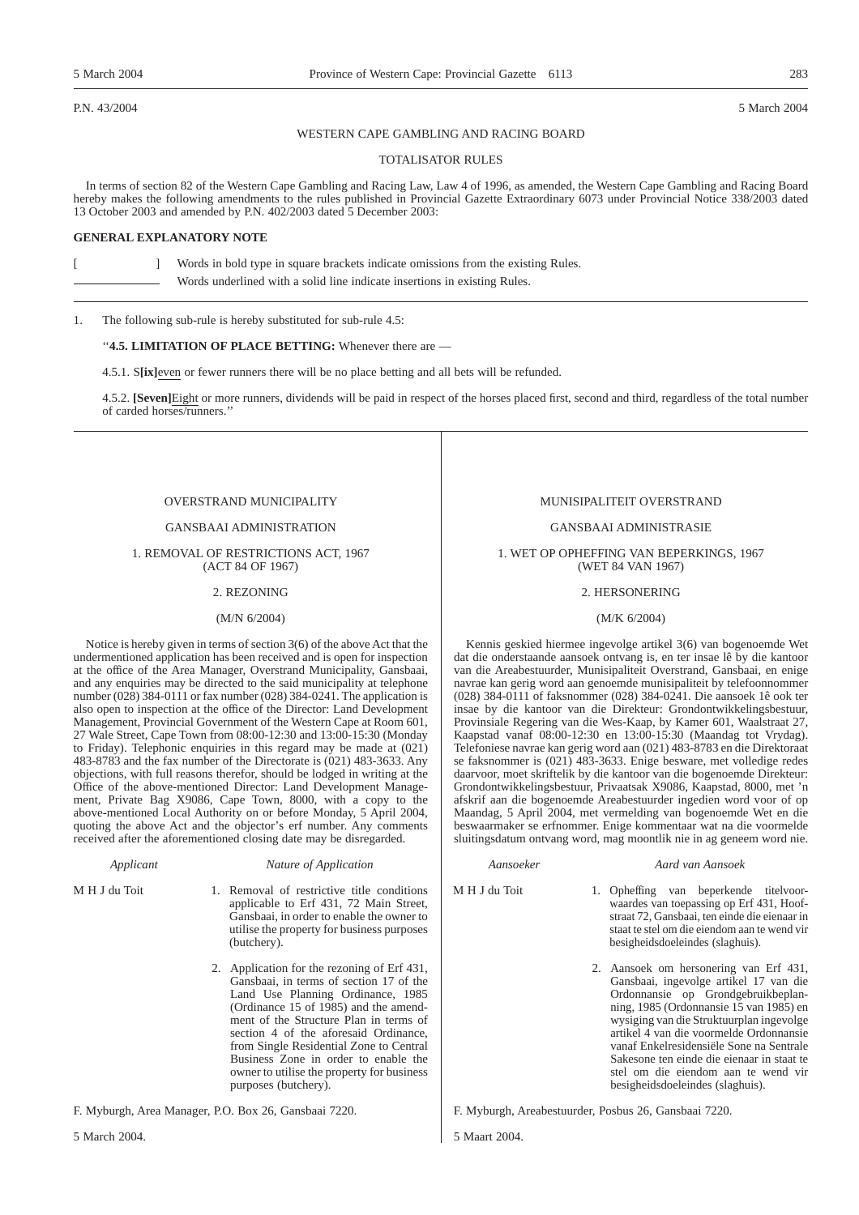P.N. 43/2004 5 March 2004

#### WESTERN CAPE GAMBLING AND RACING BOARD

#### TOTALISATOR RULES

In terms of section 82 of the Western Cape Gambling and Racing Law, Law 4 of 1996, as amended, the Western Cape Gambling and Racing Board hereby makes the following amendments to the rules published in Provincial Gazette Extraordinary 6073 under Provincial Notice 338/2003 dated 13 October 2003 and amended by P.N. 402/2003 dated 5 December 2003:

#### **GENERAL EXPLANATORY NOTE**

[ ] Words in bold type in square brackets indicate omissions from the existing Rules. Words underlined with a solid line indicate insertions in existing Rules.

1. The following sub-rule is hereby substituted for sub-rule 4.5:

#### ''**4.5. LIMITATION OF PLACE BETTING:** Whenever there are —

4.5.1. S**[ix]**even or fewer runners there will be no place betting and all bets will be refunded.

4.5.2. **[Seven]**Eight or more runners, dividends will be paid in respect of the horses placed first, second and third, regardless of the total number of carded horses/runners.''

#### OVERSTRAND MUNICIPALITY

#### GANSBAAI ADMINISTRATION

1. REMOVAL OF RESTRICTIONS ACT, 1967 (ACT 84 OF 1967)

#### 2. REZONING

#### (M/N 6/2004)

Notice is hereby given in terms of section 3(6) of the above Act that the undermentioned application has been received and is open for inspection at the office of the Area Manager, Overstrand Municipality, Gansbaai, and any enquiries may be directed to the said municipality at telephone number (028) 384-0111 or fax number (028) 384-0241. The application is also open to inspection at the office of the Director: Land Development Management, Provincial Government of the Western Cape at Room 601, 27 Wale Street, Cape Town from 08:00-12:30 and 13:00-15:30 (Monday to Friday). Telephonic enquiries in this regard may be made at (021) 483-8783 and the fax number of the Directorate is (021) 483-3633. Any objections, with full reasons therefor, should be lodged in writing at the Office of the above-mentioned Director: Land Development Management, Private Bag X9086, Cape Town, 8000, with a copy to the above-mentioned Local Authority on or before Monday, 5 April 2004, quoting the above Act and the objector's erf number. Any comments received after the aforementioned closing date may be disregarded.

#### *Applicant Nature of Application*

M H J du Toit 1. Removal of restrictive title conditions applicable to Erf 431, 72 Main Street,

- Gansbaai, in order to enable the owner to utilise the property for business purposes (butchery).
- 2. Application for the rezoning of Erf 431, Gansbaai, in terms of section 17 of the Land Use Planning Ordinance, 1985 (Ordinance 15 of 1985) and the amendment of the Structure Plan in terms of section 4 of the aforesaid Ordinance, from Single Residential Zone to Central Business Zone in order to enable the owner to utilise the property for business purposes (butchery).

F. Myburgh, Area Manager, P.O. Box 26, Gansbaai 7220.

#### MUNISIPALITEIT OVERSTRAND

GANSBAAI ADMINISTRASIE

1. WET OP OPHEFFING VAN BEPERKINGS, 1967 (WET 84 VAN 1967)

#### 2. HERSONERING

#### (M/K 6/2004)

Kennis geskied hiermee ingevolge artikel 3(6) van bogenoemde Wet dat die onderstaande aansoek ontvang is, en ter insae lê by die kantoor van die Areabestuurder, Munisipaliteit Overstrand, Gansbaai, en enige navrae kan gerig word aan genoemde munisipaliteit by telefoonnommer (028) 384-0111 of faksnommer (028) 384-0241. Die aansoek 1ê ook ter insae by die kantoor van die Direkteur: Grondontwikkelingsbestuur, Provinsiale Regering van die Wes-Kaap, by Kamer 601, Waalstraat 27, Kaapstad vanaf 08:00-12:30 en 13:00-15:30 (Maandag tot Vrydag). Telefoniese navrae kan gerig word aan (021) 483-8783 en die Direktoraat se faksnommer is (021) 483-3633. Enige besware, met volledige redes daarvoor, moet skriftelik by die kantoor van die bogenoemde Direkteur: Grondontwikkelingsbestuur, Privaatsak X9086, Kaapstad, 8000, met 'n afskrif aan die bogenoemde Areabestuurder ingedien word voor of op Maandag, 5 April 2004, met vermelding van bogenoemde Wet en die beswaarmaker se erfnommer. Enige kommentaar wat na die voormelde sluitingsdatum ontvang word, mag moontlik nie in ag geneem word nie.

#### *Aansoeker Aard van Aansoek*

M H J du Toit 1. Opheffing van beperkende titelvoorwaardes van toepassing op Erf 431, Hoofstraat 72, Gansbaai, ten einde die eienaar in staat te stel om die eiendom aan te wend vir besigheidsdoeleindes (slaghuis).

> 2. Aansoek om hersonering van Erf 431, Gansbaai, ingevolge artikel 17 van die Ordonnansie op Grondgebruikbeplanning, 1985 (Ordonnansie 15 van 1985) en wysiging van die Struktuurplan ingevolge artikel 4 van die voormelde Ordonnansie vanaf Enkelresidensiële Sone na Sentrale Sakesone ten einde die eienaar in staat te stel om die eiendom aan te wend vir besigheidsdoeleindes (slaghuis).

F. Myburgh, Areabestuurder, Posbus 26, Gansbaai 7220.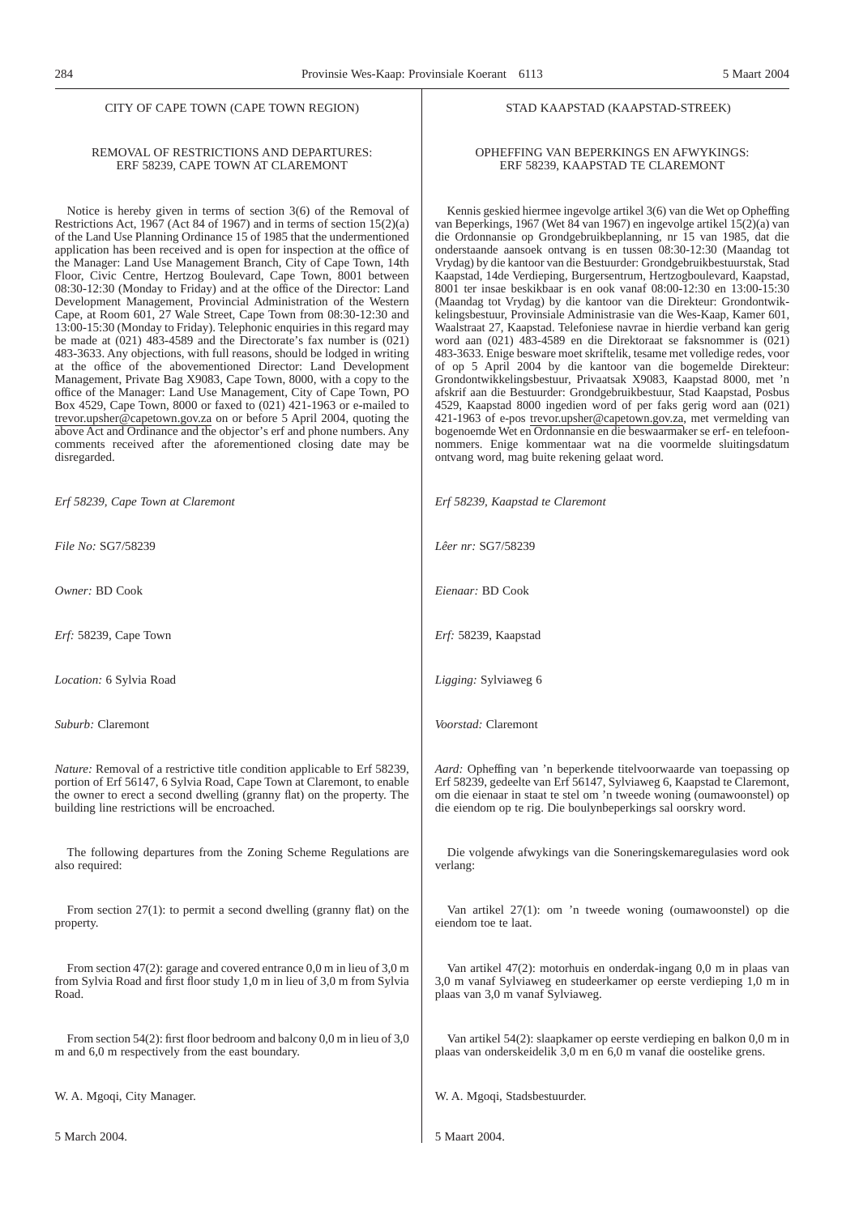#### CITY OF CAPE TOWN (CAPE TOWN REGION)

#### STAD KAAPSTAD (KAAPSTAD-STREEK)

#### REMOVAL OF RESTRICTIONS AND DEPARTURES: ERF 58239, CAPE TOWN AT CLAREMONT

Notice is hereby given in terms of section 3(6) of the Removal of Restrictions Act, 1967 (Act 84 of 1967) and in terms of section  $15(2)(a)$ of the Land Use Planning Ordinance 15 of 1985 that the undermentioned application has been received and is open for inspection at the office of the Manager: Land Use Management Branch, City of Cape Town, 14th Floor, Civic Centre, Hertzog Boulevard, Cape Town, 8001 between 08:30-12:30 (Monday to Friday) and at the office of the Director: Land Development Management, Provincial Administration of the Western Cape, at Room 601, 27 Wale Street, Cape Town from 08:30-12:30 and 13:00-15:30 (Monday to Friday). Telephonic enquiries in this regard may be made at (021) 483-4589 and the Directorate's fax number is (021) 483-3633. Any objections, with full reasons, should be lodged in writing at the office of the abovementioned Director: Land Development Management, Private Bag X9083, Cape Town, 8000, with a copy to the office of the Manager: Land Use Management, City of Cape Town, PO Box 4529, Cape Town, 8000 or faxed to (021) 421-1963 or e-mailed to trevor.upsher@capetown.gov.za on or before 5 April 2004, quoting the above Act and Ordinance and the objector's erf and phone numbers. Any comments received after the aforementioned closing date may be disregarded.

*Erf 58239, Cape Town at Claremont*

*File No:* SG7/58239

*Owner:* BD Cook

*Erf:* 58239, Cape Town

*Location:* 6 Sylvia Road

*Suburb:* Claremont

*Nature:* Removal of a restrictive title condition applicable to Erf 58239, portion of Erf 56147, 6 Sylvia Road, Cape Town at Claremont, to enable the owner to erect a second dwelling (granny flat) on the property. The building line restrictions will be encroached.

The following departures from the Zoning Scheme Regulations are also required:

From section 27(1): to permit a second dwelling (granny flat) on the property.

From section 47(2): garage and covered entrance 0,0 m in lieu of 3,0 m from Sylvia Road and first floor study 1,0 m in lieu of 3,0 m from Sylvia Road.

From section 54(2): first floor bedroom and balcony 0,0 m in lieu of 3,0 m and 6,0 m respectively from the east boundary.

W. A. Mgoqi, City Manager.

5 March 2004.

#### OPHEFFING VAN BEPERKINGS EN AFWYKINGS: ERF 58239, KAAPSTAD TE CLAREMONT

Kennis geskied hiermee ingevolge artikel 3(6) van die Wet op Opheffing van Beperkings, 1967 (Wet 84 van 1967) en ingevolge artikel 15(2)(a) van die Ordonnansie op Grondgebruikbeplanning, nr 15 van 1985, dat die onderstaande aansoek ontvang is en tussen 08:30-12:30 (Maandag tot Vrydag) by die kantoor van die Bestuurder: Grondgebruikbestuurstak, Stad Kaapstad, 14de Verdieping, Burgersentrum, Hertzogboulevard, Kaapstad, 8001 ter insae beskikbaar is en ook vanaf 08:00-12:30 en 13:00-15:30 (Maandag tot Vrydag) by die kantoor van die Direkteur: Grondontwikkelingsbestuur, Provinsiale Administrasie van die Wes-Kaap, Kamer 601, Waalstraat 27, Kaapstad. Telefoniese navrae in hierdie verband kan gerig word aan (021) 483-4589 en die Direktoraat se faksnommer is (021) 483-3633. Enige besware moet skriftelik, tesame met volledige redes, voor of op 5 April 2004 by die kantoor van die bogemelde Direkteur: Grondontwikkelingsbestuur, Privaatsak X9083, Kaapstad 8000, met 'n afskrif aan die Bestuurder: Grondgebruikbestuur, Stad Kaapstad, Posbus 4529, Kaapstad 8000 ingedien word of per faks gerig word aan (021) 421-1963 of e-pos trevor.upsher@capetown.gov.za, met vermelding van bogenoemde Wet en Ordonnansie en die beswaarmaker se erf- en telefoonnommers. Enige kommentaar wat na die voormelde sluitingsdatum ontvang word, mag buite rekening gelaat word.

*Erf 58239, Kaapstad te Claremont*

*Lêer nr:* SG7/58239

*Eienaar:* BD Cook

*Erf:* 58239, Kaapstad

*Ligging:* Sylviaweg 6

*Voorstad:* Claremont

*Aard:* Opheffing van 'n beperkende titelvoorwaarde van toepassing op Erf 58239, gedeelte van Erf 56147, Sylviaweg 6, Kaapstad te Claremont, om die eienaar in staat te stel om 'n tweede woning (oumawoonstel) op die eiendom op te rig. Die boulynbeperkings sal oorskry word.

Die volgende afwykings van die Soneringskemaregulasies word ook verlang:

Van artikel 27(1): om 'n tweede woning (oumawoonstel) op die eiendom toe te laat.

Van artikel 47(2): motorhuis en onderdak-ingang 0,0 m in plaas van 3,0 m vanaf Sylviaweg en studeerkamer op eerste verdieping 1,0 m in plaas van 3,0 m vanaf Sylviaweg.

Van artikel 54(2): slaapkamer op eerste verdieping en balkon 0,0 m in plaas van onderskeidelik 3,0 m en 6,0 m vanaf die oostelike grens.

W. A. Mgoqi, Stadsbestuurder.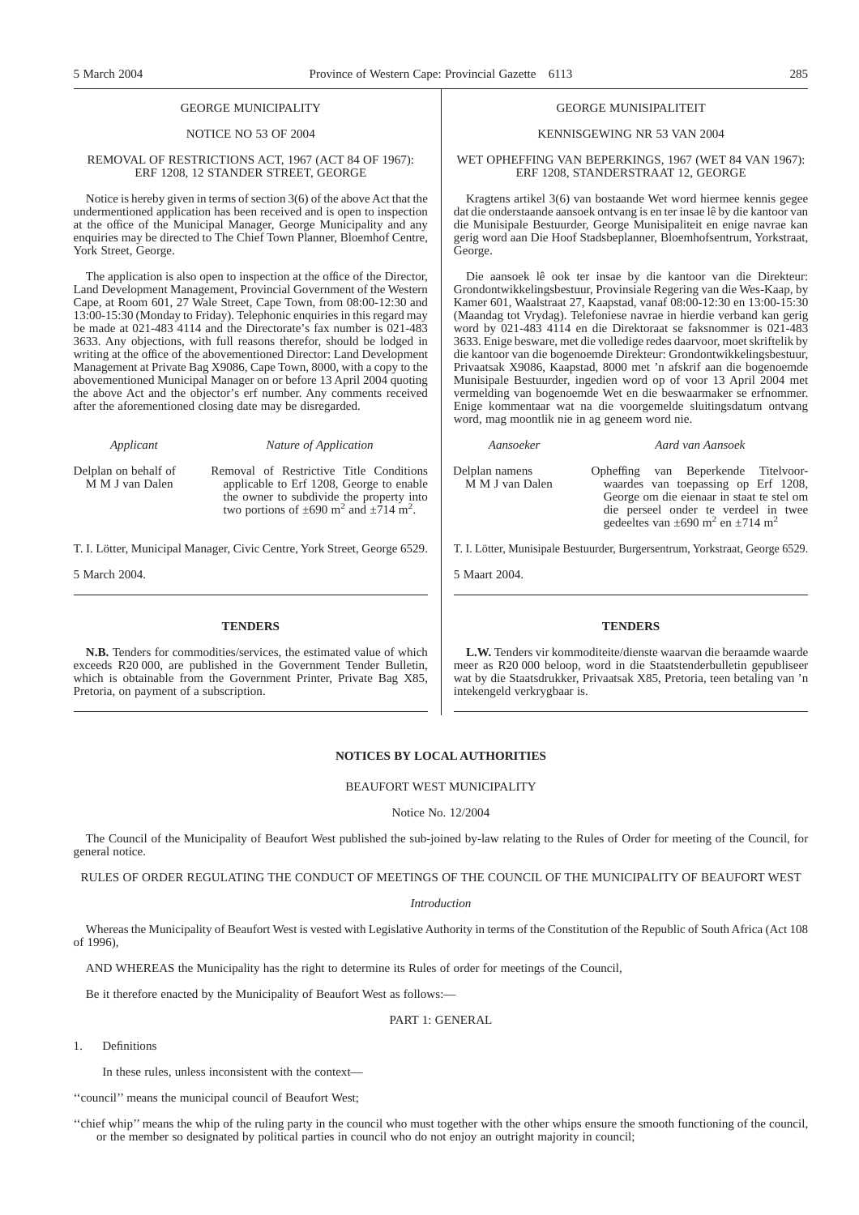#### GEORGE MUNICIPALITY

#### NOTICE NO 53 OF 2004

#### REMOVAL OF RESTRICTIONS ACT, 1967 (ACT 84 OF 1967): ERF 1208, 12 STANDER STREET, GEORGE

Notice is hereby given in terms of section 3(6) of the above Act that the undermentioned application has been received and is open to inspection at the office of the Municipal Manager, George Municipality and any enquiries may be directed to The Chief Town Planner, Bloemhof Centre, York Street, George.

The application is also open to inspection at the office of the Director, Land Development Management, Provincial Government of the Western Cape, at Room 601, 27 Wale Street, Cape Town, from 08:00-12:30 and 13:00-15:30 (Monday to Friday). Telephonic enquiries in this regard may be made at 021-483 4114 and the Directorate's fax number is 021-483 3633. Any objections, with full reasons therefor, should be lodged in writing at the office of the abovementioned Director: Land Development Management at Private Bag X9086, Cape Town, 8000, with a copy to the abovementioned Municipal Manager on or before 13 April 2004 quoting the above Act and the objector's erf number. Any comments received after the aforementioned closing date may be disregarded.

*Applicant Nature of Application*

Delplan on behalf of M M J van Dalen

Removal of Restrictive Title Conditions applicable to Erf 1208, George to enable the owner to subdivide the property into two portions of  $\pm 690$  m<sup>2</sup> and  $\pm 714$  m<sup>2</sup>.

T. I. Lötter, Municipal Manager, Civic Centre, York Street, George 6529.

5 March 2004.

#### **TENDERS**

**N.B.** Tenders for commodities/services, the estimated value of which exceeds R20 000, are published in the Government Tender Bulletin, which is obtainable from the Government Printer, Private Bag X85, Pretoria, on payment of a subscription.

#### GEORGE MUNISIPALITEIT

#### KENNISGEWING NR 53 VAN 2004

#### WET OPHEFFING VAN BEPERKINGS, 1967 (WET 84 VAN 1967): ERF 1208, STANDERSTRAAT 12, GEORGE

Kragtens artikel 3(6) van bostaande Wet word hiermee kennis gegee dat die onderstaande aansoek ontvang is en ter insae lê by die kantoor van die Munisipale Bestuurder, George Munisipaliteit en enige navrae kan gerig word aan Die Hoof Stadsbeplanner, Bloemhofsentrum, Yorkstraat, George.

Die aansoek lê ook ter insae by die kantoor van die Direkteur: Grondontwikkelingsbestuur, Provinsiale Regering van die Wes-Kaap, by Kamer 601, Waalstraat 27, Kaapstad, vanaf 08:00-12:30 en 13:00-15:30 (Maandag tot Vrydag). Telefoniese navrae in hierdie verband kan gerig word by 021-483 4114 en die Direktoraat se faksnommer is 021-483 3633. Enige besware, met die volledige redes daarvoor, moet skriftelik by die kantoor van die bogenoemde Direkteur: Grondontwikkelingsbestuur, Privaatsak X9086, Kaapstad, 8000 met 'n afskrif aan die bogenoemde Munisipale Bestuurder, ingedien word op of voor 13 April 2004 met vermelding van bogenoemde Wet en die beswaarmaker se erfnommer. Enige kommentaar wat na die voorgemelde sluitingsdatum ontvang word, mag moontlik nie in ag geneem word nie.

*Aansoeker Aard van Aansoek*

Delplan namens M M J van Dalen Opheffing van Beperkende Titelvoorwaardes van toepassing op Erf 1208, George om die eienaar in staat te stel om

die perseel onder te verdeel in twee gedeeltes van  $\pm 690$  m<sup>2</sup> en  $\pm 714$  m<sup>2</sup>

T. I. Lötter, Munisipale Bestuurder, Burgersentrum, Yorkstraat, George 6529.

5 Maart 2004.

#### **TENDERS**

**L.W.** Tenders vir kommoditeite/dienste waarvan die beraamde waarde meer as R20 000 beloop, word in die Staatstenderbulletin gepubliseer wat by die Staatsdrukker, Privaatsak X85, Pretoria, teen betaling van 'n intekengeld verkrygbaar is.

#### **NOTICES BY LOCAL AUTHORITIES**

#### BEAUFORT WEST MUNICIPALITY

#### Notice No. 12/2004

The Council of the Municipality of Beaufort West published the sub-joined by-law relating to the Rules of Order for meeting of the Council, for general notice.

RULES OF ORDER REGULATING THE CONDUCT OF MEETINGS OF THE COUNCIL OF THE MUNICIPALITY OF BEAUFORT WEST

#### *Introduction*

Whereas the Municipality of Beaufort West is vested with Legislative Authority in terms of the Constitution of the Republic of South Africa (Act 108 of 1996),

AND WHEREAS the Municipality has the right to determine its Rules of order for meetings of the Council,

Be it therefore enacted by the Municipality of Beaufort West as follows:—

PART 1: GENERAL

1. Definitions

In these rules, unless inconsistent with the context—

''council'' means the municipal council of Beaufort West;

''chief whip'' means the whip of the ruling party in the council who must together with the other whips ensure the smooth functioning of the council, or the member so designated by political parties in council who do not enjoy an outright majority in council;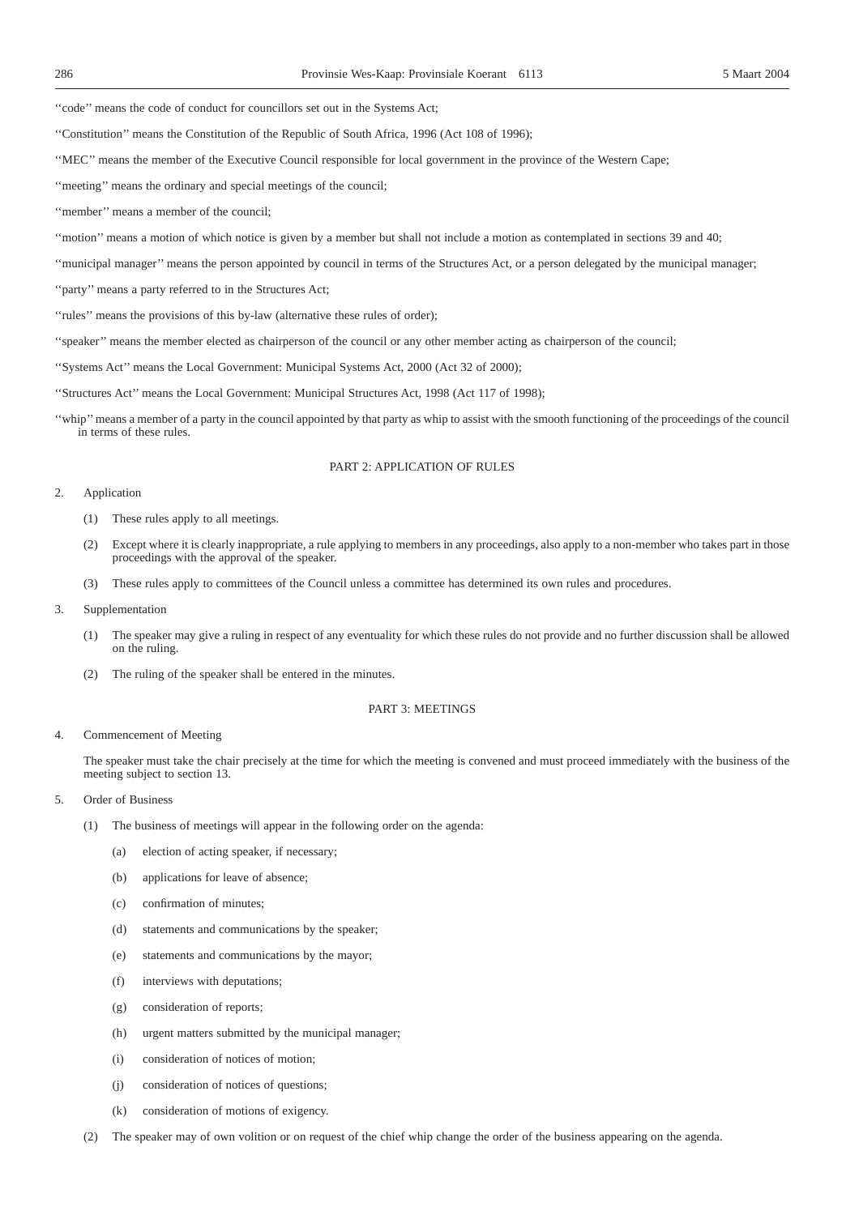''code'' means the code of conduct for councillors set out in the Systems Act;

- ''Constitution'' means the Constitution of the Republic of South Africa, 1996 (Act 108 of 1996);
- ''MEC'' means the member of the Executive Council responsible for local government in the province of the Western Cape;
- ''meeting'' means the ordinary and special meetings of the council;
- "member" means a member of the council;
- ''motion'' means a motion of which notice is given by a member but shall not include a motion as contemplated in sections 39 and 40;
- ''municipal manager'' means the person appointed by council in terms of the Structures Act, or a person delegated by the municipal manager;
- "party" means a party referred to in the Structures Act;
- "rules" means the provisions of this by-law (alternative these rules of order);
- ''speaker'' means the member elected as chairperson of the council or any other member acting as chairperson of the council;
- ''Systems Act'' means the Local Government: Municipal Systems Act, 2000 (Act 32 of 2000);
- ''Structures Act'' means the Local Government: Municipal Structures Act, 1998 (Act 117 of 1998);
- ''whip'' means a member of a party in the council appointed by that party as whip to assist with the smooth functioning of the proceedings of the council in terms of these rules.

#### PART 2: APPLICATION OF RULES

#### 2. Application

- (1) These rules apply to all meetings.
- (2) Except where it is clearly inappropriate, a rule applying to members in any proceedings, also apply to a non-member who takes part in those proceedings with the approval of the speaker.
- (3) These rules apply to committees of the Council unless a committee has determined its own rules and procedures.
- 3. Supplementation
	- (1) The speaker may give a ruling in respect of any eventuality for which these rules do not provide and no further discussion shall be allowed on the ruling.
	- (2) The ruling of the speaker shall be entered in the minutes.

#### PART 3: MEETINGS

#### 4. Commencement of Meeting

The speaker must take the chair precisely at the time for which the meeting is convened and must proceed immediately with the business of the meeting subject to section 13.

- 5. Order of Business
	- (1) The business of meetings will appear in the following order on the agenda:
		- (a) election of acting speaker, if necessary;
		- (b) applications for leave of absence;
		- (c) confirmation of minutes;
		- (d) statements and communications by the speaker;
		- (e) statements and communications by the mayor;
		- (f) interviews with deputations;
		- (g) consideration of reports;
		- (h) urgent matters submitted by the municipal manager;
		- (i) consideration of notices of motion;
		- (j) consideration of notices of questions;
		- (k) consideration of motions of exigency.
	- (2) The speaker may of own volition or on request of the chief whip change the order of the business appearing on the agenda.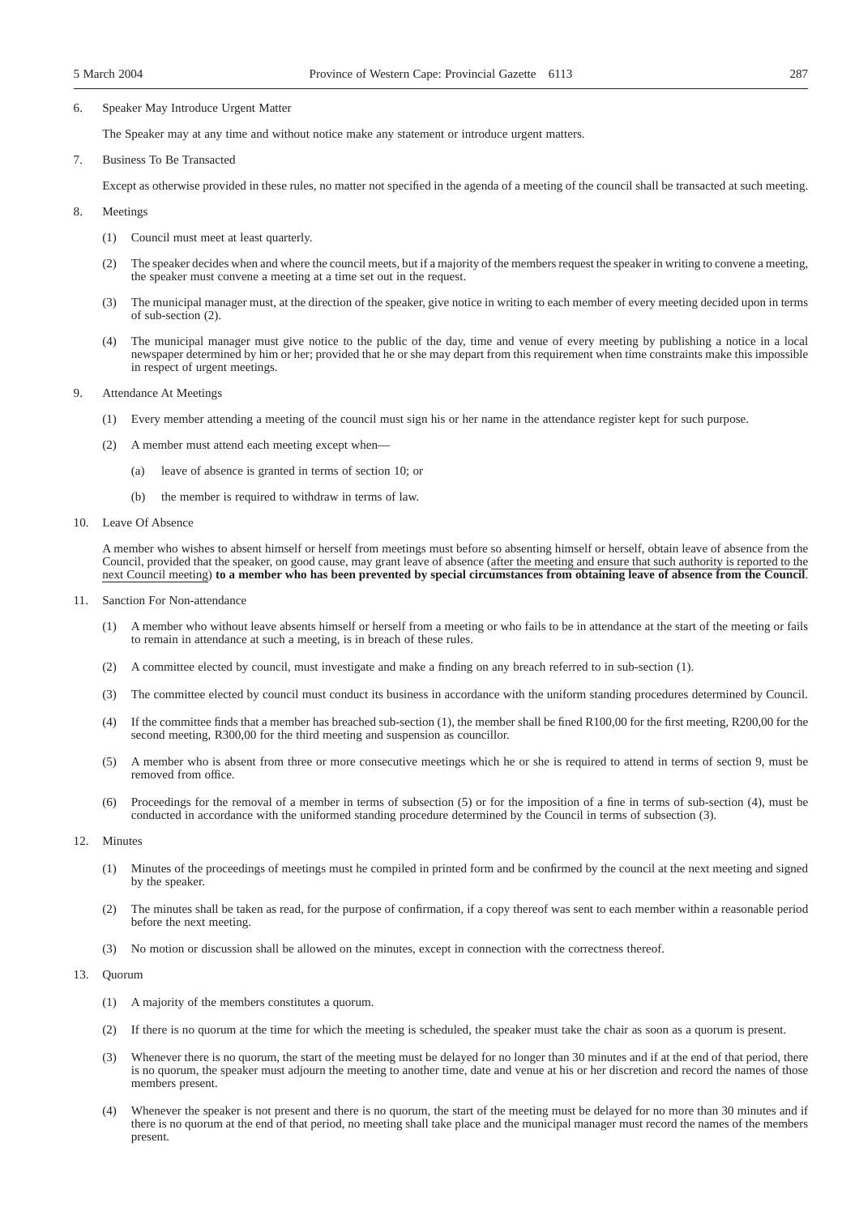#### 6. Speaker May Introduce Urgent Matter

The Speaker may at any time and without notice make any statement or introduce urgent matters.

7. Business To Be Transacted

Except as otherwise provided in these rules, no matter not specified in the agenda of a meeting of the council shall be transacted at such meeting.

8. Meetings

- (1) Council must meet at least quarterly.
- (2) The speaker decides when and where the council meets, but if a majority of the members request the speaker in writing to convene a meeting, the speaker must convene a meeting at a time set out in the request.
- (3) The municipal manager must, at the direction of the speaker, give notice in writing to each member of every meeting decided upon in terms of sub-section (2).
- (4) The municipal manager must give notice to the public of the day, time and venue of every meeting by publishing a notice in a local newspaper determined by him or her; provided that he or she may depart from this requirement when time constraints make this impossible in respect of urgent meetings.
- 9. Attendance At Meetings
	- (1) Every member attending a meeting of the council must sign his or her name in the attendance register kept for such purpose.
	- (2) A member must attend each meeting except when—
		- (a) leave of absence is granted in terms of section 10; or
		- (b) the member is required to withdraw in terms of law.
- 10. Leave Of Absence

A member who wishes to absent himself or herself from meetings must before so absenting himself or herself, obtain leave of absence from the Council, provided that the speaker, on good cause, may grant leave of absence (after the meeting and ensure that such authority is reported to the next Council meeting) **to a member who has been prevented by special circumstances from obtaining leave of absence from the Council**.

- 11. Sanction For Non-attendance
	- (1) A member who without leave absents himself or herself from a meeting or who fails to be in attendance at the start of the meeting or fails to remain in attendance at such a meeting, is in breach of these rules.
	- (2) A committee elected by council, must investigate and make a finding on any breach referred to in sub-section (1).
	- (3) The committee elected by council must conduct its business in accordance with the uniform standing procedures determined by Council.
	- (4) If the committee finds that a member has breached sub-section (1), the member shall be fined R100,00 for the first meeting, R200,00 for the second meeting, R300,00 for the third meeting and suspension as councillor.
	- (5) A member who is absent from three or more consecutive meetings which he or she is required to attend in terms of section 9, must be removed from office.
	- (6) Proceedings for the removal of a member in terms of subsection (5) or for the imposition of a fine in terms of sub-section (4), must be conducted in accordance with the uniformed standing procedure determined by the Council in terms of subsection (3).

#### 12. Minutes

- (1) Minutes of the proceedings of meetings must he compiled in printed form and be confirmed by the council at the next meeting and signed by the speaker.
- (2) The minutes shall be taken as read, for the purpose of confirmation, if a copy thereof was sent to each member within a reasonable period before the next meeting.
- (3) No motion or discussion shall be allowed on the minutes, except in connection with the correctness thereof.

#### 13. Quorum

- (1) A majority of the members constitutes a quorum.
- (2) If there is no quorum at the time for which the meeting is scheduled, the speaker must take the chair as soon as a quorum is present.
- (3) Whenever there is no quorum, the start of the meeting must be delayed for no longer than 30 minutes and if at the end of that period, there is no quorum, the speaker must adjourn the meeting to another time, date and venue at his or her discretion and record the names of those members present.
- (4) Whenever the speaker is not present and there is no quorum, the start of the meeting must be delayed for no more than 30 minutes and if there is no quorum at the end of that period, no meeting shall take place and the municipal manager must record the names of the members present.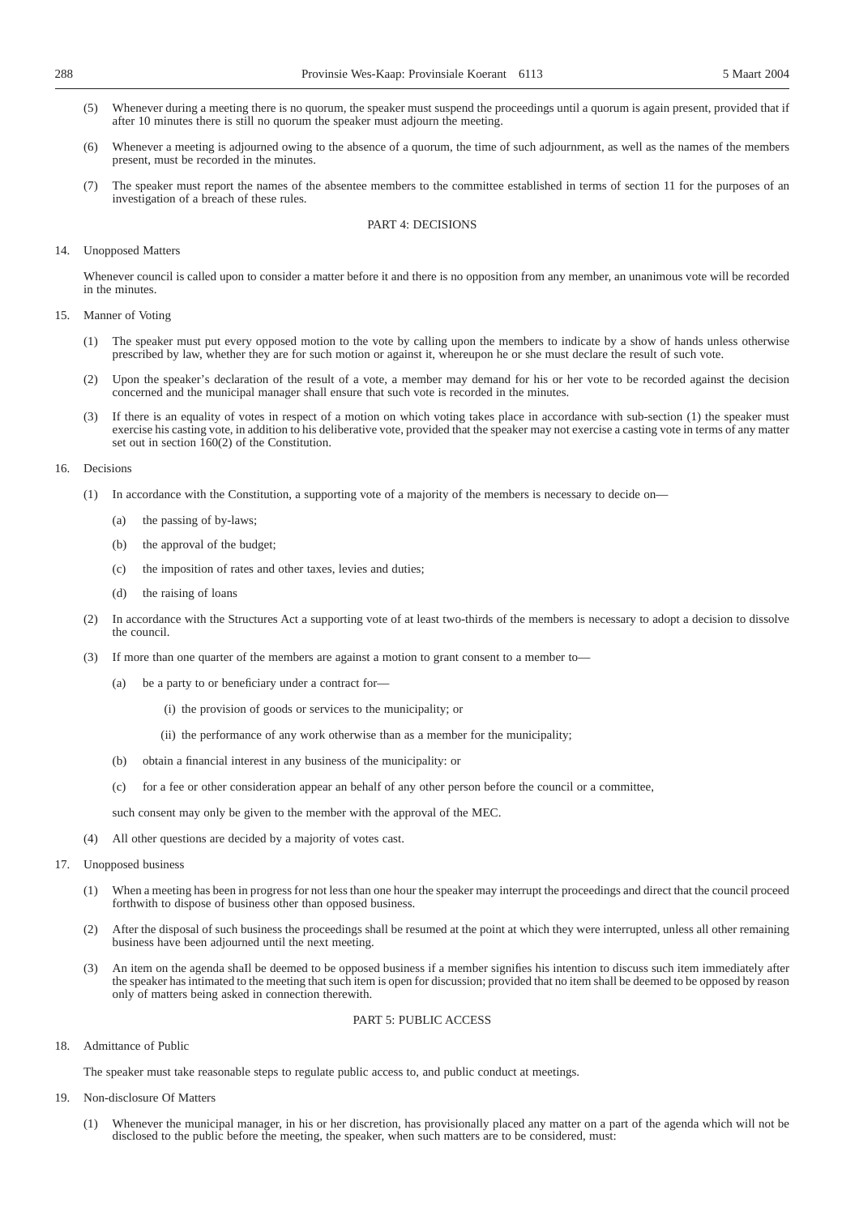- (5) Whenever during a meeting there is no quorum, the speaker must suspend the proceedings until a quorum is again present, provided that if after 10 minutes there is still no quorum the speaker must adjourn the meeting.
- (6) Whenever a meeting is adjourned owing to the absence of a quorum, the time of such adjournment, as well as the names of the members present, must be recorded in the minutes.
- (7) The speaker must report the names of the absentee members to the committee established in terms of section 11 for the purposes of an investigation of a breach of these rules.

#### PART 4: DECISIONS

#### 14. Unopposed Matters

Whenever council is called upon to consider a matter before it and there is no opposition from any member, an unanimous vote will be recorded in the minutes

- 15. Manner of Voting
	- (1) The speaker must put every opposed motion to the vote by calling upon the members to indicate by a show of hands unless otherwise prescribed by law, whether they are for such motion or against it, whereupon he or she must declare the result of such vote.
	- (2) Upon the speaker's declaration of the result of a vote, a member may demand for his or her vote to be recorded against the decision concerned and the municipal manager shall ensure that such vote is recorded in the minutes.
	- (3) If there is an equality of votes in respect of a motion on which voting takes place in accordance with sub-section (1) the speaker must exercise his casting vote, in addition to his deliberative vote, provided that the speaker may not exercise a casting vote in terms of any matter set out in section 160(2) of the Constitution.

#### 16. Decisions

- (1) In accordance with the Constitution, a supporting vote of a majority of the members is necessary to decide on—
	- (a) the passing of by-laws;
	- (b) the approval of the budget;
	- (c) the imposition of rates and other taxes, levies and duties;
	- (d) the raising of loans
- (2) In accordance with the Structures Act a supporting vote of at least two-thirds of the members is necessary to adopt a decision to dissolve the council.
- (3) If more than one quarter of the members are against a motion to grant consent to a member to—
	- (a) be a party to or beneficiary under a contract for—
		- (i) the provision of goods or services to the municipality; or
		- (ii) the performance of any work otherwise than as a member for the municipality;
	- (b) obtain a financial interest in any business of the municipality: or
	- (c) for a fee or other consideration appear an behalf of any other person before the council or a committee,

such consent may only be given to the member with the approval of the MEC.

- (4) All other questions are decided by a majority of votes cast.
- 17. Unopposed business
	- (1) When a meeting has been in progress for not less than one hour the speaker may interrupt the proceedings and direct that the council proceed forthwith to dispose of business other than opposed business.
	- (2) After the disposal of such business the proceedings shall be resumed at the point at which they were interrupted, unless all other remaining business have been adjourned until the next meeting.
	- (3) An item on the agenda shaIl be deemed to be opposed business if a member signifies his intention to discuss such item immediately after the speaker has intimated to the meeting that such item is open for discussion; provided that no item shall be deemed to be opposed by reason only of matters being asked in connection therewith.

#### PART 5: PUBLIC ACCESS

18. Admittance of Public

The speaker must take reasonable steps to regulate public access to, and public conduct at meetings.

- 19. Non-disclosure Of Matters
	- (1) Whenever the municipal manager, in his or her discretion, has provisionally placed any matter on a part of the agenda which will not be disclosed to the public before the meeting, the speaker, when such matters are to be considered, must: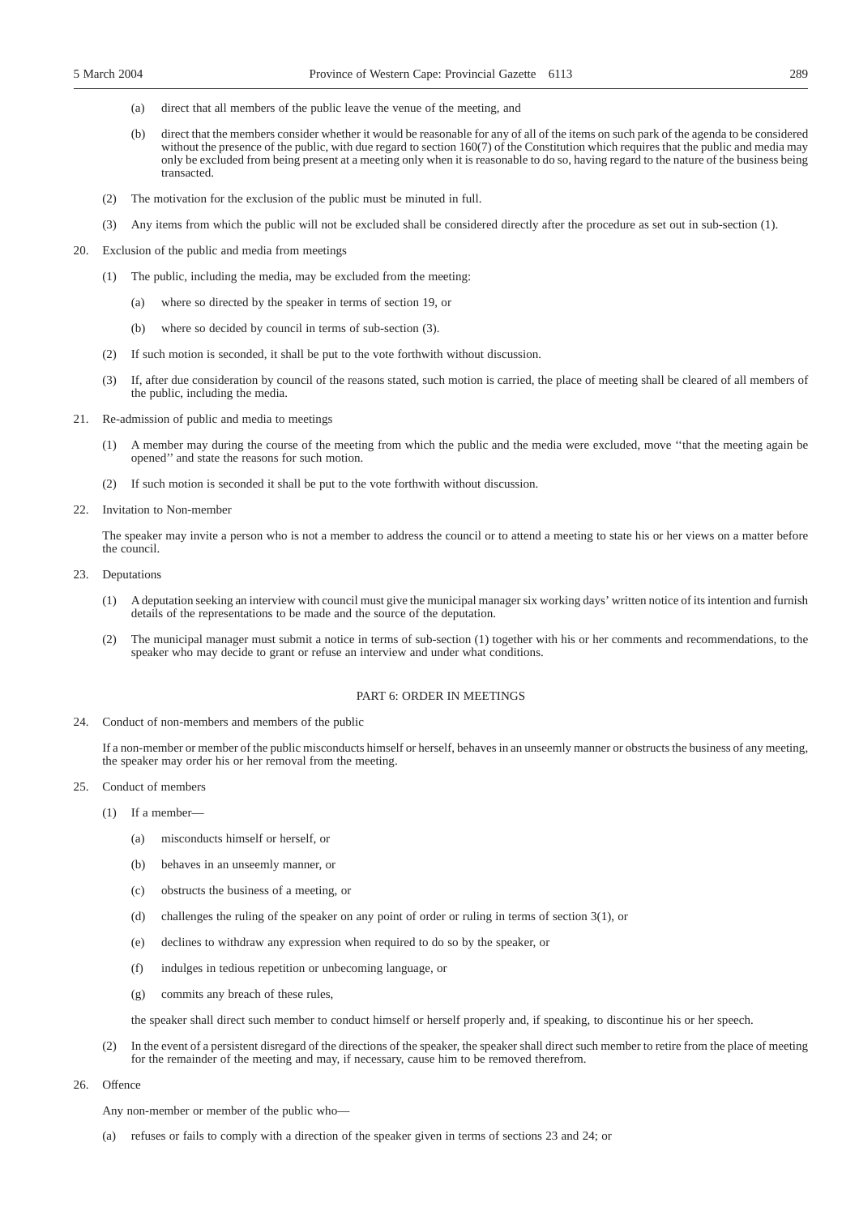- (a) direct that all members of the public leave the venue of the meeting, and
- (b) direct that the members consider whether it would be reasonable for any of all of the items on such park of the agenda to be considered without the presence of the public, with due regard to section 160(7) of the Constitution which requires that the public and media may only be excluded from being present at a meeting only when it is reasonable to do so, having regard to the nature of the business being transacted.
- (2) The motivation for the exclusion of the public must be minuted in full.
- (3) Any items from which the public will not be excluded shall be considered directly after the procedure as set out in sub-section (1).
- 20. Exclusion of the public and media from meetings
	- (1) The public, including the media, may be excluded from the meeting:
		- (a) where so directed by the speaker in terms of section 19, or
		- (b) where so decided by council in terms of sub-section (3).
	- (2) If such motion is seconded, it shall be put to the vote forthwith without discussion.
	- If, after due consideration by council of the reasons stated, such motion is carried, the place of meeting shall be cleared of all members of the public, including the media.
- 21. Re-admission of public and media to meetings
	- A member may during the course of the meeting from which the public and the media were excluded, move "that the meeting again be opened'' and state the reasons for such motion.
	- (2) If such motion is seconded it shall be put to the vote forthwith without discussion.
- 22. Invitation to Non-member

The speaker may invite a person who is not a member to address the council or to attend a meeting to state his or her views on a matter before the council.

- 23. Deputations
	- (1) A deputation seeking an interview with council must give the municipal manager six working days' written notice of its intention and furnish details of the representations to be made and the source of the deputation.
	- (2) The municipal manager must submit a notice in terms of sub-section (1) together with his or her comments and recommendations, to the speaker who may decide to grant or refuse an interview and under what conditions.

#### PART 6: ORDER IN MEETINGS

24. Conduct of non-members and members of the public

If a non-member or member of the public misconducts himself or herself, behaves in an unseemly manner or obstructs the business of any meeting, the speaker may order his or her removal from the meeting.

- 25. Conduct of members
	- (1) If a member—
		- (a) misconducts himself or herself, or
		- (b) behaves in an unseemly manner, or
		- (c) obstructs the business of a meeting, or
		- (d) challenges the ruling of the speaker on any point of order or ruling in terms of section 3(1), or
		- (e) declines to withdraw any expression when required to do so by the speaker, or
		- (f) indulges in tedious repetition or unbecoming language, or
		- (g) commits any breach of these rules,

the speaker shall direct such member to conduct himself or herself properly and, if speaking, to discontinue his or her speech.

- (2) In the event of a persistent disregard of the directions of the speaker, the speaker shall direct such member to retire from the place of meeting for the remainder of the meeting and may, if necessary, cause him to be removed therefrom.
- 26. Offence

Any non-member or member of the public who—

(a) refuses or fails to comply with a direction of the speaker given in terms of sections 23 and 24; or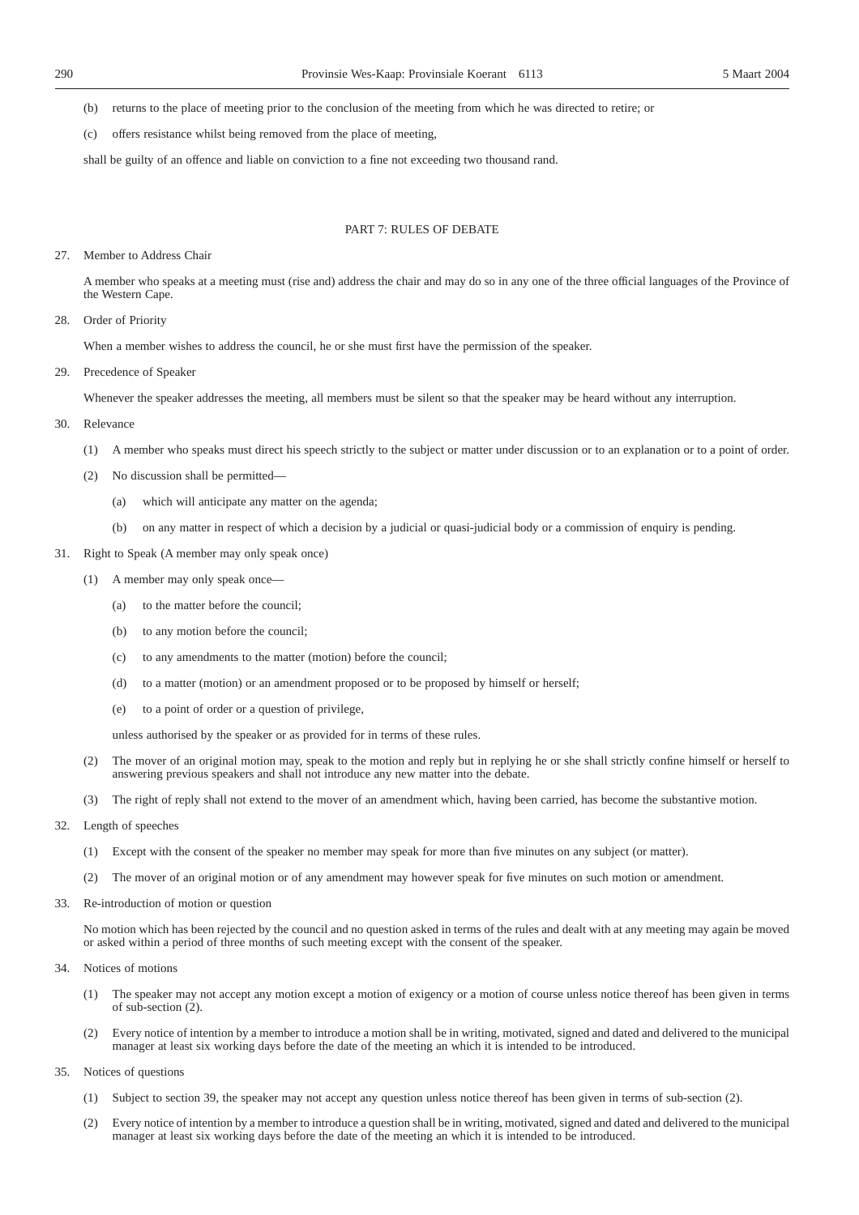(b) returns to the place of meeting prior to the conclusion of the meeting from which he was directed to retire; or

(c) offers resistance whilst being removed from the place of meeting,

shall be guilty of an offence and liable on conviction to a fine not exceeding two thousand rand.

#### PART 7: RULES OF DEBATE

#### 27. Member to Address Chair

A member who speaks at a meeting must (rise and) address the chair and may do so in any one of the three official languages of the Province of the Western Cape.

28. Order of Priority

When a member wishes to address the council, he or she must first have the permission of the speaker.

29. Precedence of Speaker

Whenever the speaker addresses the meeting, all members must be silent so that the speaker may be heard without any interruption.

- 30. Relevance
	- (1) A member who speaks must direct his speech strictly to the subject or matter under discussion or to an explanation or to a point of order.
	- (2) No discussion shall be permitted—
		- (a) which will anticipate any matter on the agenda;
		- (b) on any matter in respect of which a decision by a judicial or quasi-judicial body or a commission of enquiry is pending.
- 31. Right to Speak (A member may only speak once)
	- (1) A member may only speak once—
		- (a) to the matter before the council;
		- (b) to any motion before the council;
		- (c) to any amendments to the matter (motion) before the council;
		- (d) to a matter (motion) or an amendment proposed or to be proposed by himself or herself;
		- (e) to a point of order or a question of privilege,

unless authorised by the speaker or as provided for in terms of these rules.

- (2) The mover of an original motion may, speak to the motion and reply but in replying he or she shall strictly confine himself or herself to answering previous speakers and shall not introduce any new matter into the debate.
- (3) The right of reply shall not extend to the mover of an amendment which, having been carried, has become the substantive motion.
- 32. Length of speeches
	- (1) Except with the consent of the speaker no member may speak for more than five minutes on any subject (or matter).
	- (2) The mover of an original motion or of any amendment may however speak for five minutes on such motion or amendment.
- 33. Re-introduction of motion or question

No motion which has been rejected by the council and no question asked in terms of the rules and dealt with at any meeting may again be moved or asked within a period of three months of such meeting except with the consent of the speaker.

- 34. Notices of motions
	- (1) The speaker may not accept any motion except a motion of exigency or a motion of course unless notice thereof has been given in terms of sub-section (2).
	- (2) Every notice of intention by a member to introduce a motion shall be in writing, motivated, signed and dated and delivered to the municipal manager at least six working days before the date of the meeting an which it is intended to be introduced.
- 35. Notices of questions
	- (1) Subject to section 39, the speaker may not accept any question unless notice thereof has been given in terms of sub-section (2).
	- (2) Every notice of intention by a member to introduce a question shall be in writing, motivated, signed and dated and delivered to the municipal manager at least six working days before the date of the meeting an which it is intended to be introduced.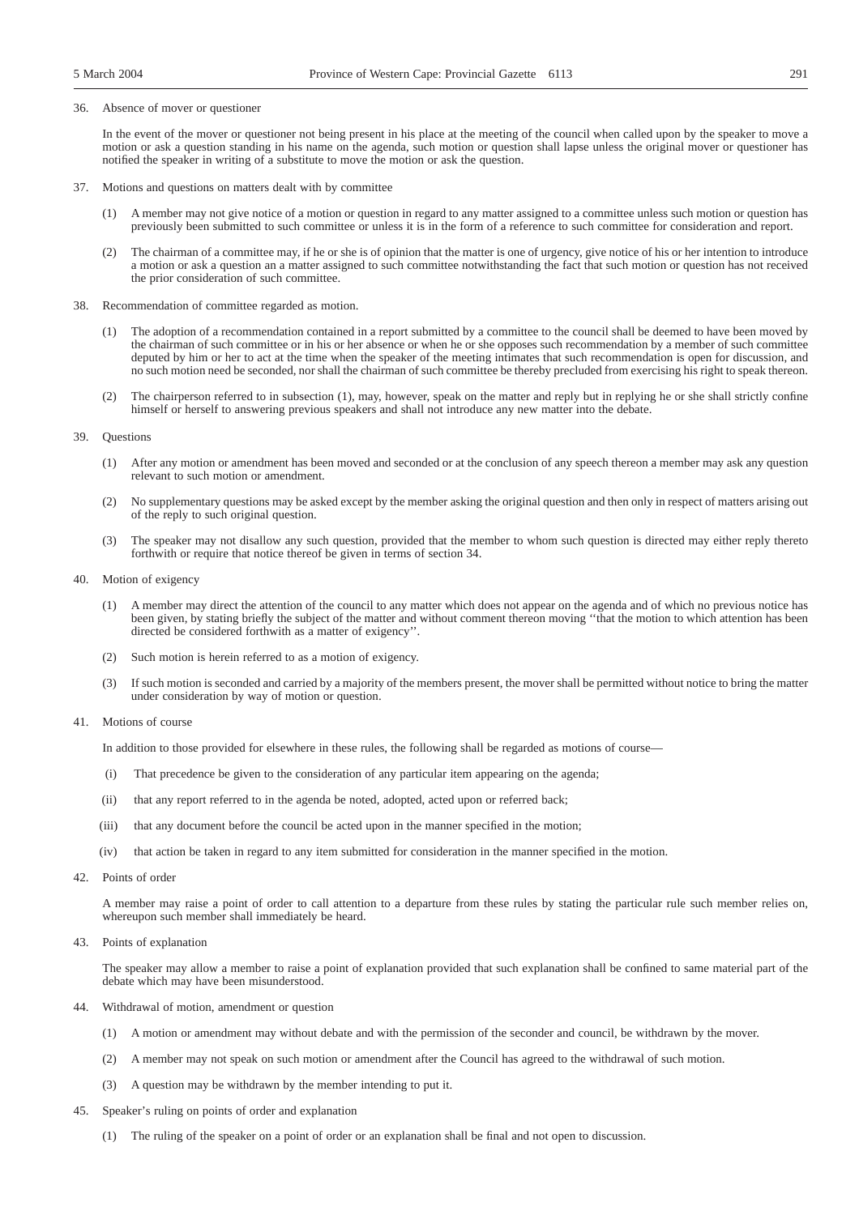#### 36. Absence of mover or questioner

In the event of the mover or questioner not being present in his place at the meeting of the council when called upon by the speaker to move a motion or ask a question standing in his name on the agenda, such motion or question shall lapse unless the original mover or questioner has notified the speaker in writing of a substitute to move the motion or ask the question.

- 37. Motions and questions on matters dealt with by committee
	- (1) A member may not give notice of a motion or question in regard to any matter assigned to a committee unless such motion or question has previously been submitted to such committee or unless it is in the form of a reference to such committee for consideration and report.
	- (2) The chairman of a committee may, if he or she is of opinion that the matter is one of urgency, give notice of his or her intention to introduce a motion or ask a question an a matter assigned to such committee notwithstanding the fact that such motion or question has not received the prior consideration of such committee.
- 38. Recommendation of committee regarded as motion.
	- (1) The adoption of a recommendation contained in a report submitted by a committee to the council shall be deemed to have been moved by the chairman of such committee or in his or her absence or when he or she opposes such recommendation by a member of such committee deputed by him or her to act at the time when the speaker of the meeting intimates that such recommendation is open for discussion, and no such motion need be seconded, nor shall the chairman of such committee be thereby precluded from exercising his right to speak thereon.
	- The chairperson referred to in subsection (1), may, however, speak on the matter and reply but in replying he or she shall strictly confine himself or herself to answering previous speakers and shall not introduce any new matter into the debate.

#### 39. Questions

- (1) After any motion or amendment has been moved and seconded or at the conclusion of any speech thereon a member may ask any question relevant to such motion or amendment.
- (2) No supplementary questions may be asked except by the member asking the original question and then only in respect of matters arising out of the reply to such original question.
- (3) The speaker may not disallow any such question, provided that the member to whom such question is directed may either reply thereto forthwith or require that notice thereof be given in terms of section 34.
- 40. Motion of exigency
	- (1) A member may direct the attention of the council to any matter which does not appear on the agenda and of which no previous notice has been given, by stating briefly the subject of the matter and without comment thereon moving ''that the motion to which attention has been directed be considered forthwith as a matter of exigency''.
	- (2) Such motion is herein referred to as a motion of exigency.
	- (3) If such motion is seconded and carried by a majority of the members present, the mover shall be permitted without notice to bring the matter under consideration by way of motion or question.
- 41. Motions of course

In addition to those provided for elsewhere in these rules, the following shall be regarded as motions of course—

- (i) That precedence be given to the consideration of any particular item appearing on the agenda;
- (ii) that any report referred to in the agenda be noted, adopted, acted upon or referred back;
- (iii) that any document before the council be acted upon in the manner specified in the motion;
- (iv) that action be taken in regard to any item submitted for consideration in the manner specified in the motion.
- 42. Points of order

A member may raise a point of order to call attention to a departure from these rules by stating the particular rule such member relies on, whereupon such member shall immediately be heard.

43. Points of explanation

The speaker may allow a member to raise a point of explanation provided that such explanation shall be confined to same material part of the debate which may have been misunderstood.

- 44. Withdrawal of motion, amendment or question
	- (1) A motion or amendment may without debate and with the permission of the seconder and council, be withdrawn by the mover.
	- (2) A member may not speak on such motion or amendment after the Council has agreed to the withdrawal of such motion.
	- (3) A question may be withdrawn by the member intending to put it.
- 45. Speaker's ruling on points of order and explanation
	- (1) The ruling of the speaker on a point of order or an explanation shall be final and not open to discussion.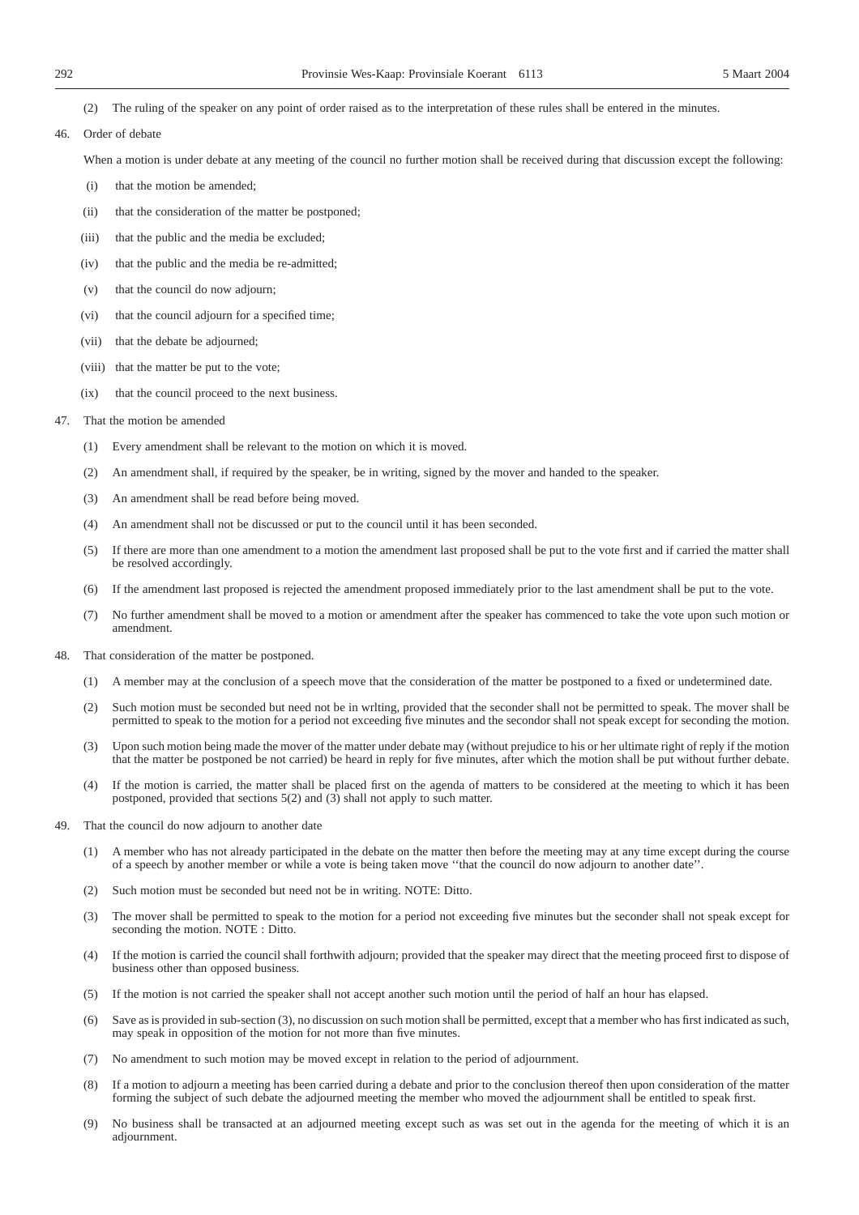- (2) The ruling of the speaker on any point of order raised as to the interpretation of these rules shall be entered in the minutes.
- 46. Order of debate

When a motion is under debate at any meeting of the council no further motion shall be received during that discussion except the following:

- (i) that the motion be amended;
- (ii) that the consideration of the matter be postponed;
- (iii) that the public and the media be excluded;
- (iv) that the public and the media be re-admitted;
- (v) that the council do now adjourn;
- (vi) that the council adjourn for a specified time;
- (vii) that the debate be adjourned;
- (viii) that the matter be put to the vote;
- (ix) that the council proceed to the next business.

#### 47. That the motion be amended

- (1) Every amendment shall be relevant to the motion on which it is moved.
- (2) An amendment shall, if required by the speaker, be in writing, signed by the mover and handed to the speaker.
- (3) An amendment shall be read before being moved.
- (4) An amendment shall not be discussed or put to the council until it has been seconded.
- (5) If there are more than one amendment to a motion the amendment last proposed shall be put to the vote first and if carried the matter shall be resolved accordingly.
- (6) If the amendment last proposed is rejected the amendment proposed immediately prior to the last amendment shall be put to the vote.
- (7) No further amendment shall be moved to a motion or amendment after the speaker has commenced to take the vote upon such motion or amendment.
- 48. That consideration of the matter be postponed.
	- (1) A member may at the conclusion of a speech move that the consideration of the matter be postponed to a fixed or undetermined date.
	- (2) Such motion must be seconded but need not be in wrlting, provided that the seconder shall not be permitted to speak. The mover shall be permitted to speak to the motion for a period not exceeding five minutes and the secondor shall not speak except for seconding the motion.
	- (3) Upon such motion being made the mover of the matter under debate may (without prejudice to his or her ultimate right of reply if the motion that the matter be postponed be not carried) be heard in reply for five minutes, after which the motion shall be put without further debate.
	- (4) If the motion is carried, the matter shall be placed first on the agenda of matters to be considered at the meeting to which it has been postponed, provided that sections  $5(2)$  and  $(3)$  shall not apply to such matter.
- 49. That the council do now adjourn to another date
	- (1) A member who has not already participated in the debate on the matter then before the meeting may at any time except during the course of a speech by another member or while a vote is being taken move ''that the council do now adjourn to another date''.
	- (2) Such motion must be seconded but need not be in writing. NOTE: Ditto.
	- (3) The mover shall be permitted to speak to the motion for a period not exceeding five minutes but the seconder shall not speak except for seconding the motion. NOTE : Ditto.
	- (4) If the motion is carried the council shall forthwith adjourn; provided that the speaker may direct that the meeting proceed first to dispose of business other than opposed business.
	- (5) If the motion is not carried the speaker shall not accept another such motion until the period of half an hour has elapsed.
	- (6) Save as is provided in sub-section (3), no discussion on such motion shall be permitted, except that a member who has first indicated as such, may speak in opposition of the motion for not more than five minutes.
	- (7) No amendment to such motion may be moved except in relation to the period of adjournment.
	- (8) If a motion to adjourn a meeting has been carried during a debate and prior to the conclusion thereof then upon consideration of the matter forming the subject of such debate the adjourned meeting the member who moved the adjournment shall be entitled to speak first.
	- (9) No business shall be transacted at an adjourned meeting except such as was set out in the agenda for the meeting of which it is an adjournment.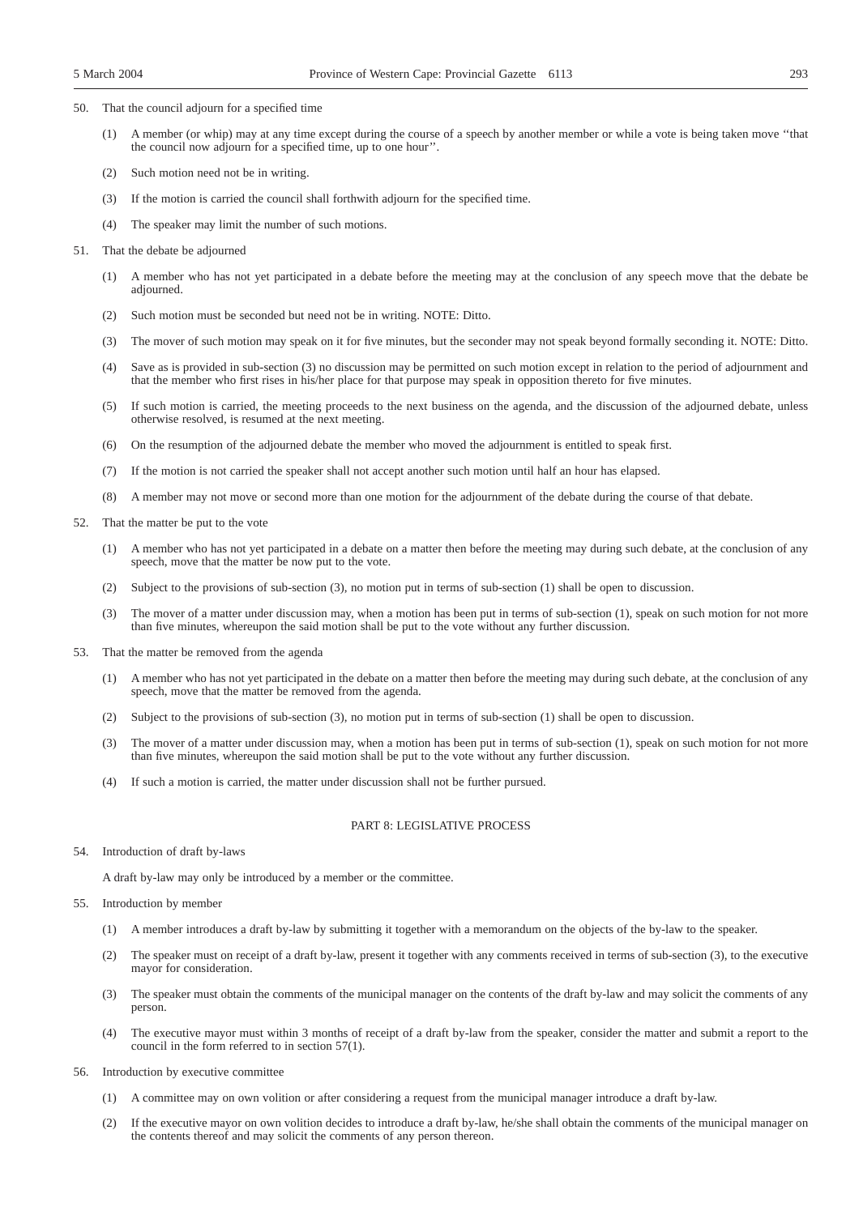- 50. That the council adjourn for a specified time
	- (1) A member (or whip) may at any time except during the course of a speech by another member or while a vote is being taken move ''that the council now adjourn for a specified time, up to one hour''.
	- (2) Such motion need not be in writing.
	- (3) If the motion is carried the council shall forthwith adjourn for the specified time.
	- (4) The speaker may limit the number of such motions.
- 51. That the debate be adjourned
	- (1) A member who has not yet participated in a debate before the meeting may at the conclusion of any speech move that the debate be adjourned.
	- (2) Such motion must be seconded but need not be in writing. NOTE: Ditto.
	- (3) The mover of such motion may speak on it for five minutes, but the seconder may not speak beyond formally seconding it. NOTE: Ditto.
	- (4) Save as is provided in sub-section (3) no discussion may be permitted on such motion except in relation to the period of adjournment and that the member who first rises in his/her place for that purpose may speak in opposition thereto for five minutes.
	- (5) If such motion is carried, the meeting proceeds to the next business on the agenda, and the discussion of the adjourned debate, unless otherwise resolved, is resumed at the next meeting.
	- (6) On the resumption of the adjourned debate the member who moved the adjournment is entitled to speak first.
	- (7) If the motion is not carried the speaker shall not accept another such motion until half an hour has elapsed.
	- (8) A member may not move or second more than one motion for the adjournment of the debate during the course of that debate.
- 52. That the matter be put to the vote
	- (1) A member who has not yet participated in a debate on a matter then before the meeting may during such debate, at the conclusion of any speech, move that the matter be now put to the vote.
	- (2) Subject to the provisions of sub-section (3), no motion put in terms of sub-section (1) shall be open to discussion.
	- (3) The mover of a matter under discussion may, when a motion has been put in terms of sub-section (1), speak on such motion for not more than five minutes, whereupon the said motion shall be put to the vote without any further discussion.
- 53. That the matter be removed from the agenda
	- (1) A member who has not yet participated in the debate on a matter then before the meeting may during such debate, at the conclusion of any speech, move that the matter be removed from the agenda.
	- (2) Subject to the provisions of sub-section (3), no motion put in terms of sub-section (1) shall be open to discussion.
	- (3) The mover of a matter under discussion may, when a motion has been put in terms of sub-section (1), speak on such motion for not more than five minutes, whereupon the said motion shall be put to the vote without any further discussion.
	- (4) If such a motion is carried, the matter under discussion shall not be further pursued.

#### PART 8: LEGISLATIVE PROCESS

54. Introduction of draft by-laws

A draft by-law may only be introduced by a member or the committee.

- 55. Introduction by member
	- (1) A member introduces a draft by-law by submitting it together with a memorandum on the objects of the by-law to the speaker.
	- (2) The speaker must on receipt of a draft by-law, present it together with any comments received in terms of sub-section (3), to the executive mayor for consideration.
	- (3) The speaker must obtain the comments of the municipal manager on the contents of the draft by-law and may solicit the comments of any person.
	- (4) The executive mayor must within 3 months of receipt of a draft by-law from the speaker, consider the matter and submit a report to the council in the form referred to in section 57(1).
- 56. Introduction by executive committee
	- (1) A committee may on own volition or after considering a request from the municipal manager introduce a draft by-law.
	- (2) If the executive mayor on own volition decides to introduce a draft by-law, he/she shall obtain the comments of the municipal manager on the contents thereof and may solicit the comments of any person thereon.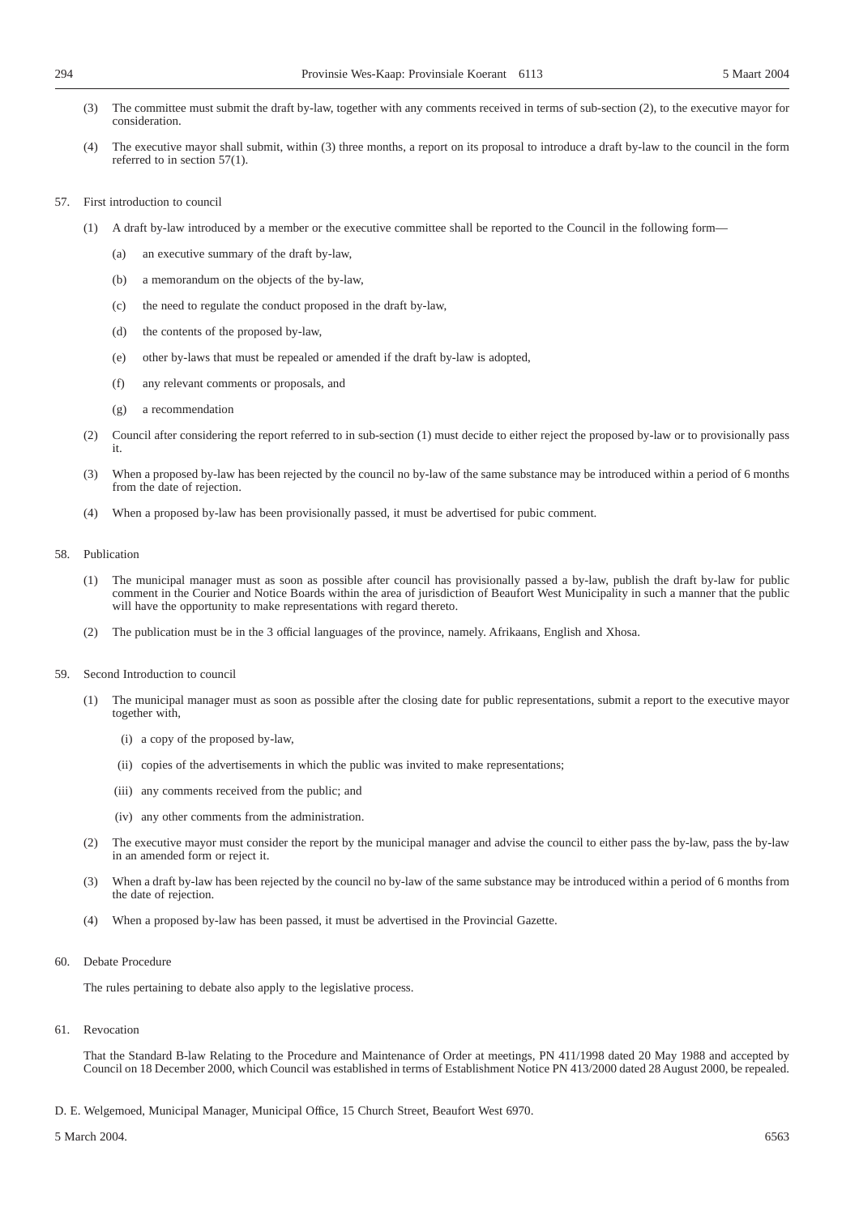- (3) The committee must submit the draft by-law, together with any comments received in terms of sub-section (2), to the executive mayor for consideration.
- (4) The executive mayor shall submit, within (3) three months, a report on its proposal to introduce a draft by-law to the council in the form referred to in section 57(1).
- 57. First introduction to council
	- (1) A draft by-law introduced by a member or the executive committee shall be reported to the Council in the following form—
		- (a) an executive summary of the draft by-law,
		- (b) a memorandum on the objects of the by-law,
		- (c) the need to regulate the conduct proposed in the draft by-law,
		- (d) the contents of the proposed by-law,
		- (e) other by-laws that must be repealed or amended if the draft by-law is adopted,
		- (f) any relevant comments or proposals, and
		- (g) a recommendation
	- (2) Council after considering the report referred to in sub-section (1) must decide to either reject the proposed by-law or to provisionally pass it.
	- (3) When a proposed by-law has been rejected by the council no by-law of the same substance may be introduced within a period of 6 months from the date of rejection.
	- (4) When a proposed by-law has been provisionally passed, it must be advertised for pubic comment.

#### 58. Publication

- (1) The municipal manager must as soon as possible after council has provisionally passed a by-law, publish the draft by-law for public comment in the Courier and Notice Boards within the area of jurisdiction of Beaufort West Municipality in such a manner that the public will have the opportunity to make representations with regard thereto.
- (2) The publication must be in the 3 official languages of the province, namely. Afrikaans, English and Xhosa.
- 59. Second Introduction to council
	- (1) The municipal manager must as soon as possible after the closing date for public representations, submit a report to the executive mayor together with,
		- (i) a copy of the proposed by-law,
		- (ii) copies of the advertisements in which the public was invited to make representations;
		- (iii) any comments received from the public; and
		- (iv) any other comments from the administration.
	- (2) The executive mayor must consider the report by the municipal manager and advise the council to either pass the by-law, pass the by-law in an amended form or reject it.
	- (3) When a draft by-law has been rejected by the council no by-law of the same substance may be introduced within a period of 6 months from the date of rejection.
	- (4) When a proposed by-law has been passed, it must be advertised in the Provincial Gazette.
- 60. Debate Procedure

The rules pertaining to debate also apply to the legislative process.

61. Revocation

That the Standard B-law Relating to the Procedure and Maintenance of Order at meetings, PN 411/1998 dated 20 May 1988 and accepted by Council on 18 December 2000, which Council was established in terms of Establishment Notice PN 413/2000 dated 28 August 2000, be repealed.

- D. E. Welgemoed, Municipal Manager, Municipal Office, 15 Church Street, Beaufort West 6970.
- 5 March 2004. 6563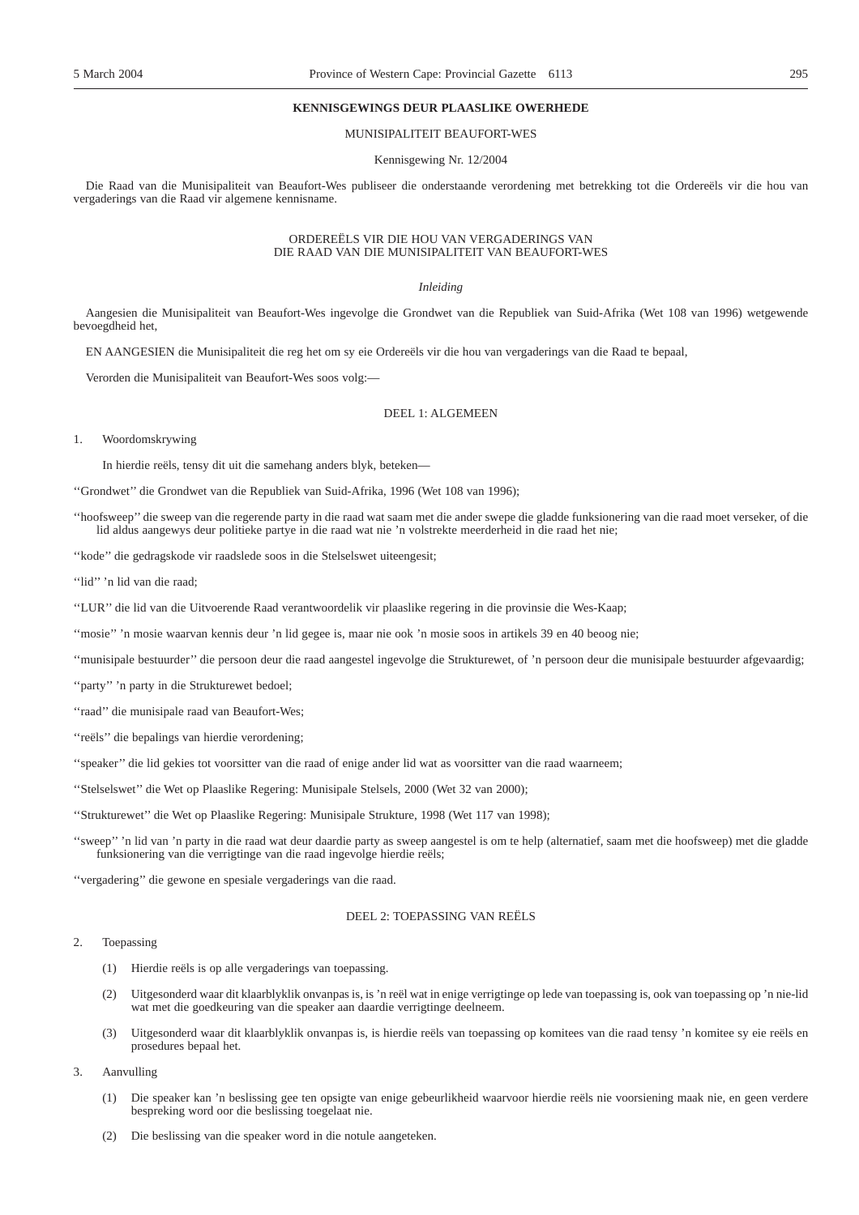#### **KENNISGEWINGS DEUR PLAASLIKE OWERHEDE**

#### MUNISIPALITEIT BEAUFORT-WES

#### Kennisgewing Nr. 12/2004

Die Raad van die Munisipaliteit van Beaufort-Wes publiseer die onderstaande verordening met betrekking tot die Ordereëls vir die hou van vergaderings van die Raad vir algemene kennisname.

#### ORDEREËLS VIR DIE HOU VAN VERGADERINGS VAN DIE RAAD VAN DIE MUNISIPALITEIT VAN BEAUFORT-WES

#### *Inleiding*

Aangesien die Munisipaliteit van Beaufort-Wes ingevolge die Grondwet van die Republiek van Suid-Afrika (Wet 108 van 1996) wetgewende bevoegdheid het,

EN AANGESIEN die Munisipaliteit die reg het om sy eie Ordereëls vir die hou van vergaderings van die Raad te bepaal,

Verorden die Munisipaliteit van Beaufort-Wes soos volg:—

#### DEEL 1: ALGEMEEN

1. Woordomskrywing

In hierdie reëls, tensy dit uit die samehang anders blyk, beteken—

''Grondwet'' die Grondwet van die Republiek van Suid-Afrika, 1996 (Wet 108 van 1996);

''hoofsweep'' die sweep van die regerende party in die raad wat saam met die ander swepe die gladde funksionering van die raad moet verseker, of die lid aldus aangewys deur politieke partye in die raad wat nie 'n volstrekte meerderheid in die raad het nie;

''kode'' die gedragskode vir raadslede soos in die Stelselswet uiteengesit;

"lid" 'n lid van die raad;

''LUR'' die lid van die Uitvoerende Raad verantwoordelik vir plaaslike regering in die provinsie die Wes-Kaap;

''mosie'' 'n mosie waarvan kennis deur 'n lid gegee is, maar nie ook 'n mosie soos in artikels 39 en 40 beoog nie;

''munisipale bestuurder'' die persoon deur die raad aangestel ingevolge die Strukturewet, of 'n persoon deur die munisipale bestuurder afgevaardig;

''party'' 'n party in die Strukturewet bedoel;

"raad" die munisipale raad van Beaufort-Wes;

''reëls'' die bepalings van hierdie verordening;

''speaker'' die lid gekies tot voorsitter van die raad of enige ander lid wat as voorsitter van die raad waarneem;

''Stelselswet'' die Wet op Plaaslike Regering: Munisipale Stelsels, 2000 (Wet 32 van 2000);

''Strukturewet'' die Wet op Plaaslike Regering: Munisipale Strukture, 1998 (Wet 117 van 1998);

''sweep'' 'n lid van 'n party in die raad wat deur daardie party as sweep aangestel is om te help (alternatief, saam met die hoofsweep) met die gladde funksionering van die verrigtinge van die raad ingevolge hierdie reëls;

''vergadering'' die gewone en spesiale vergaderings van die raad.

#### DEEL 2: TOEPASSING VAN REËLS

#### 2. Toepassing

- (1) Hierdie reëls is op alle vergaderings van toepassing.
- (2) Uitgesonderd waar dit klaarblyklik onvanpas is, is 'n reël wat in enige verrigtinge op lede van toepassing is, ook van toepassing op 'n nie-lid wat met die goedkeuring van die speaker aan daardie verrigtinge deelneem.
- Uitgesonderd waar dit klaarblyklik onvanpas is, is hierdie reëls van toepassing op komitees van die raad tensy 'n komitee sy eie reëls en prosedures bepaal het.
- 3. Aanvulling
	- (1) Die speaker kan 'n beslissing gee ten opsigte van enige gebeurlikheid waarvoor hierdie reëls nie voorsiening maak nie, en geen verdere bespreking word oor die beslissing toegelaat nie.
	- (2) Die beslissing van die speaker word in die notule aangeteken.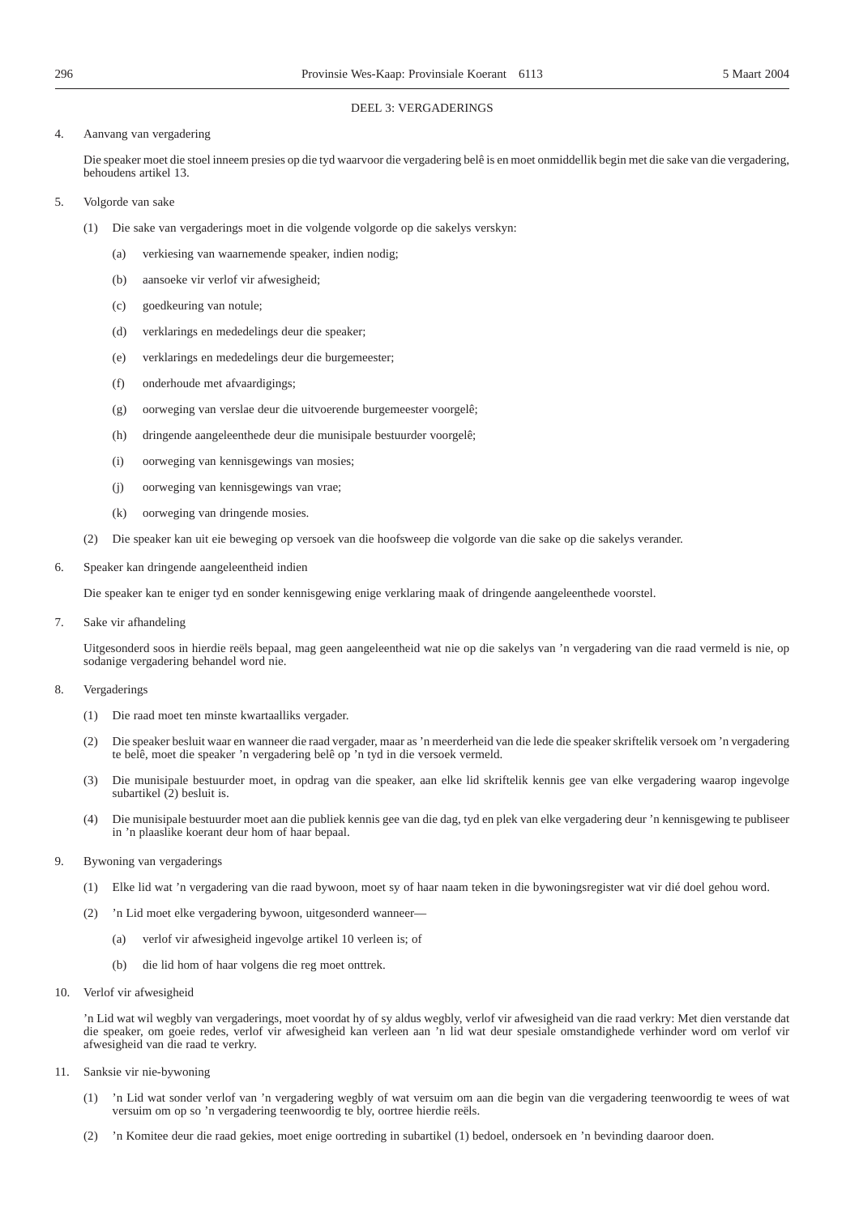#### DEEL 3: VERGADERINGS

#### 4. Aanvang van vergadering

Die speaker moet die stoel inneem presies op die tyd waarvoor die vergadering belê is en moet onmiddellik begin met die sake van die vergadering, behoudens artikel 13.

- 5. Volgorde van sake
	- (1) Die sake van vergaderings moet in die volgende volgorde op die sakelys verskyn:
		- (a) verkiesing van waarnemende speaker, indien nodig;
		- (b) aansoeke vir verlof vir afwesigheid;
		- (c) goedkeuring van notule;
		- (d) verklarings en mededelings deur die speaker;
		- (e) verklarings en mededelings deur die burgemeester;
		- (f) onderhoude met afvaardigings;
		- (g) oorweging van verslae deur die uitvoerende burgemeester voorgelê;
		- (h) dringende aangeleenthede deur die munisipale bestuurder voorgelê;
		- (i) oorweging van kennisgewings van mosies;
		- (j) oorweging van kennisgewings van vrae;
		- (k) oorweging van dringende mosies.
	- (2) Die speaker kan uit eie beweging op versoek van die hoofsweep die volgorde van die sake op die sakelys verander.
- 6. Speaker kan dringende aangeleentheid indien

Die speaker kan te eniger tyd en sonder kennisgewing enige verklaring maak of dringende aangeleenthede voorstel.

7. Sake vir afhandeling

Uitgesonderd soos in hierdie reëls bepaal, mag geen aangeleentheid wat nie op die sakelys van 'n vergadering van die raad vermeld is nie, op sodanige vergadering behandel word nie.

#### 8. Vergaderings

- (1) Die raad moet ten minste kwartaalliks vergader.
- (2) Die speaker besluit waar en wanneer die raad vergader, maar as 'n meerderheid van die lede die speaker skriftelik versoek om 'n vergadering te belê, moet die speaker 'n vergadering belê op 'n tyd in die versoek vermeld.
- (3) Die munisipale bestuurder moet, in opdrag van die speaker, aan elke lid skriftelik kennis gee van elke vergadering waarop ingevolge subartikel (2) besluit is.
- (4) Die munisipale bestuurder moet aan die publiek kennis gee van die dag, tyd en plek van elke vergadering deur 'n kennisgewing te publiseer in 'n plaaslike koerant deur hom of haar bepaal.
- 9. Bywoning van vergaderings
	- (1) Elke lid wat 'n vergadering van die raad bywoon, moet sy of haar naam teken in die bywoningsregister wat vir dié doel gehou word.
	- (2) 'n Lid moet elke vergadering bywoon, uitgesonderd wanneer—
		- (a) verlof vir afwesigheid ingevolge artikel 10 verleen is; of
		- (b) die lid hom of haar volgens die reg moet onttrek.
- 10. Verlof vir afwesigheid

'n Lid wat wil wegbly van vergaderings, moet voordat hy of sy aldus wegbly, verlof vir afwesigheid van die raad verkry: Met dien verstande dat die speaker, om goeie redes, verlof vir afwesigheid kan verleen aan 'n lid wat deur spesiale omstandighede verhinder word om verlof vir afwesigheid van die raad te verkry.

- 11. Sanksie vir nie-bywoning
	- (1) 'n Lid wat sonder verlof van 'n vergadering wegbly of wat versuim om aan die begin van die vergadering teenwoordig te wees of wat versuim om op so 'n vergadering teenwoordig te bly, oortree hierdie reëls.
	- (2) 'n Komitee deur die raad gekies, moet enige oortreding in subartikel (1) bedoel, ondersoek en 'n bevinding daaroor doen.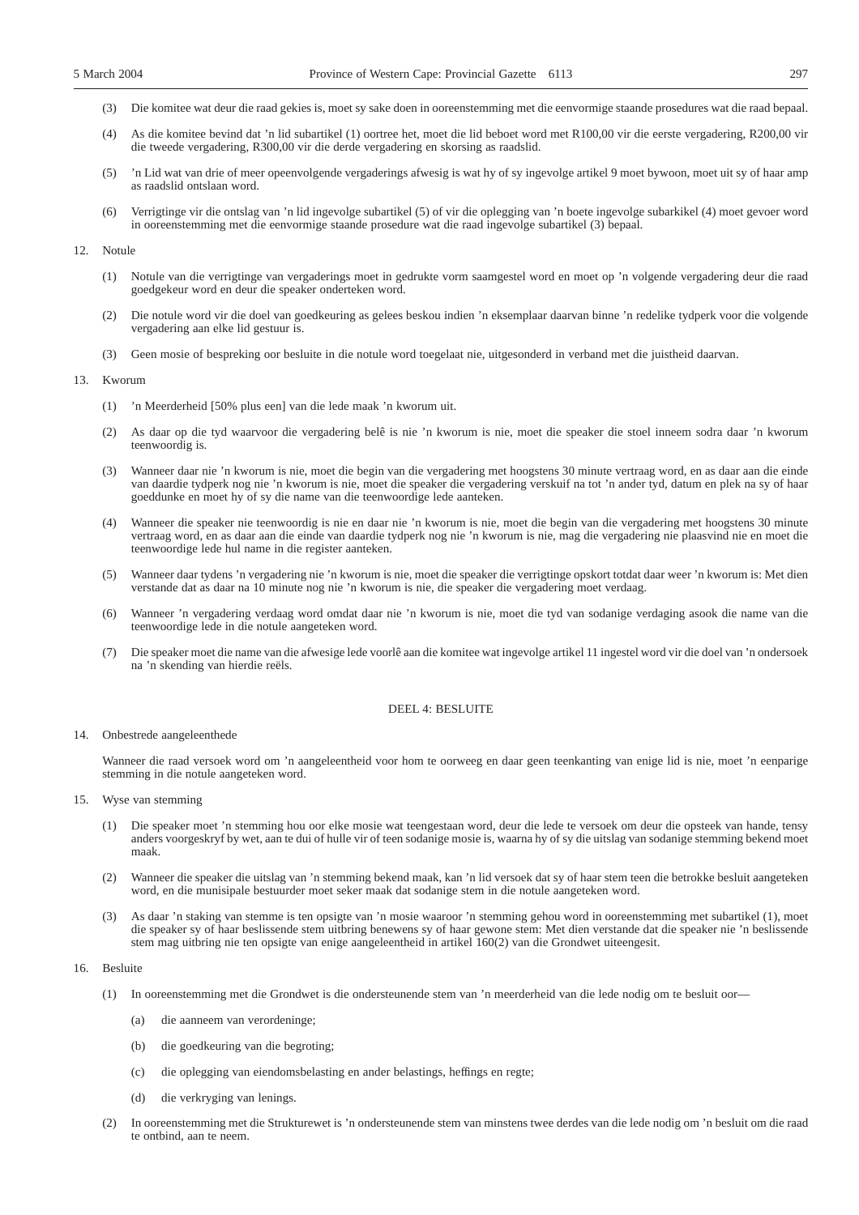- (3) Die komitee wat deur die raad gekies is, moet sy sake doen in ooreenstemming met die eenvormige staande prosedures wat die raad bepaal.
- (4) As die komitee bevind dat 'n lid subartikel (1) oortree het, moet die lid beboet word met R100,00 vir die eerste vergadering, R200,00 vir die tweede vergadering, R300,00 vir die derde vergadering en skorsing as raadslid.
- (5) 'n Lid wat van drie of meer opeenvolgende vergaderings afwesig is wat hy of sy ingevolge artikel 9 moet bywoon, moet uit sy of haar amp as raadslid ontslaan word.
- (6) Verrigtinge vir die ontslag van 'n lid ingevolge subartikel (5) of vir die oplegging van 'n boete ingevolge subarkikel (4) moet gevoer word in ooreenstemming met die eenvormige staande prosedure wat die raad ingevolge subartikel (3) bepaal.

#### 12. Notule

- (1) Notule van die verrigtinge van vergaderings moet in gedrukte vorm saamgestel word en moet op 'n volgende vergadering deur die raad goedgekeur word en deur die speaker onderteken word.
- (2) Die notule word vir die doel van goedkeuring as gelees beskou indien 'n eksemplaar daarvan binne 'n redelike tydperk voor die volgende vergadering aan elke lid gestuur is.
- (3) Geen mosie of bespreking oor besluite in die notule word toegelaat nie, uitgesonderd in verband met die juistheid daarvan.

#### 13. Kworum

- (1) 'n Meerderheid [50% plus een] van die lede maak 'n kworum uit.
- (2) As daar op die tyd waarvoor die vergadering belê is nie 'n kworum is nie, moet die speaker die stoel inneem sodra daar 'n kworum teenwoordig is.
- (3) Wanneer daar nie 'n kworum is nie, moet die begin van die vergadering met hoogstens 30 minute vertraag word, en as daar aan die einde van daardie tydperk nog nie 'n kworum is nie, moet die speaker die vergadering verskuif na tot 'n ander tyd, datum en plek na sy of haar goeddunke en moet hy of sy die name van die teenwoordige lede aanteken.
- (4) Wanneer die speaker nie teenwoordig is nie en daar nie 'n kworum is nie, moet die begin van die vergadering met hoogstens 30 minute vertraag word, en as daar aan die einde van daardie tydperk nog nie 'n kworum is nie, mag die vergadering nie plaasvind nie en moet die teenwoordige lede hul name in die register aanteken.
- (5) Wanneer daar tydens 'n vergadering nie 'n kworum is nie, moet die speaker die verrigtinge opskort totdat daar weer 'n kworum is: Met dien verstande dat as daar na 10 minute nog nie 'n kworum is nie, die speaker die vergadering moet verdaag.
- (6) Wanneer 'n vergadering verdaag word omdat daar nie 'n kworum is nie, moet die tyd van sodanige verdaging asook die name van die teenwoordige lede in die notule aangeteken word.
- (7) Die speaker moet die name van die afwesige lede voorlê aan die komitee wat ingevolge artikel 11 ingestel word vir die doel van 'n ondersoek na 'n skending van hierdie reëls.

#### DEEL 4: BESLUITE

#### 14. Onbestrede aangeleenthede

Wanneer die raad versoek word om 'n aangeleentheid voor hom te oorweeg en daar geen teenkanting van enige lid is nie, moet 'n eenparige stemming in die notule aangeteken word.

- 15. Wyse van stemming
	- (1) Die speaker moet 'n stemming hou oor elke mosie wat teengestaan word, deur die lede te versoek om deur die opsteek van hande, tensy anders voorgeskryf by wet, aan te dui of hulle vir of teen sodanige mosie is, waarna hy of sy die uitslag van sodanige stemming bekend moet maak.
	- (2) Wanneer die speaker die uitslag van 'n stemming bekend maak, kan 'n lid versoek dat sy of haar stem teen die betrokke besluit aangeteken word, en die munisipale bestuurder moet seker maak dat sodanige stem in die notule aangeteken word.
	- (3) As daar 'n staking van stemme is ten opsigte van 'n mosie waaroor 'n stemming gehou word in ooreenstemming met subartikel (1), moet die speaker sy of haar beslissende stem uitbring benewens sy of haar gewone stem: Met dien verstande dat die speaker nie 'n beslissende stem mag uitbring nie ten opsigte van enige aangeleentheid in artikel 160(2) van die Grondwet uiteengesit.

#### 16. Besluite

- (1) In ooreenstemming met die Grondwet is die ondersteunende stem van 'n meerderheid van die lede nodig om te besluit oor—
	- (a) die aanneem van verordeninge;
	- (b) die goedkeuring van die begroting;
	- (c) die oplegging van eiendomsbelasting en ander belastings, heffings en regte;
	- (d) die verkryging van lenings.
- (2) In ooreenstemming met die Strukturewet is 'n ondersteunende stem van minstens twee derdes van die lede nodig om 'n besluit om die raad te ontbind, aan te neem.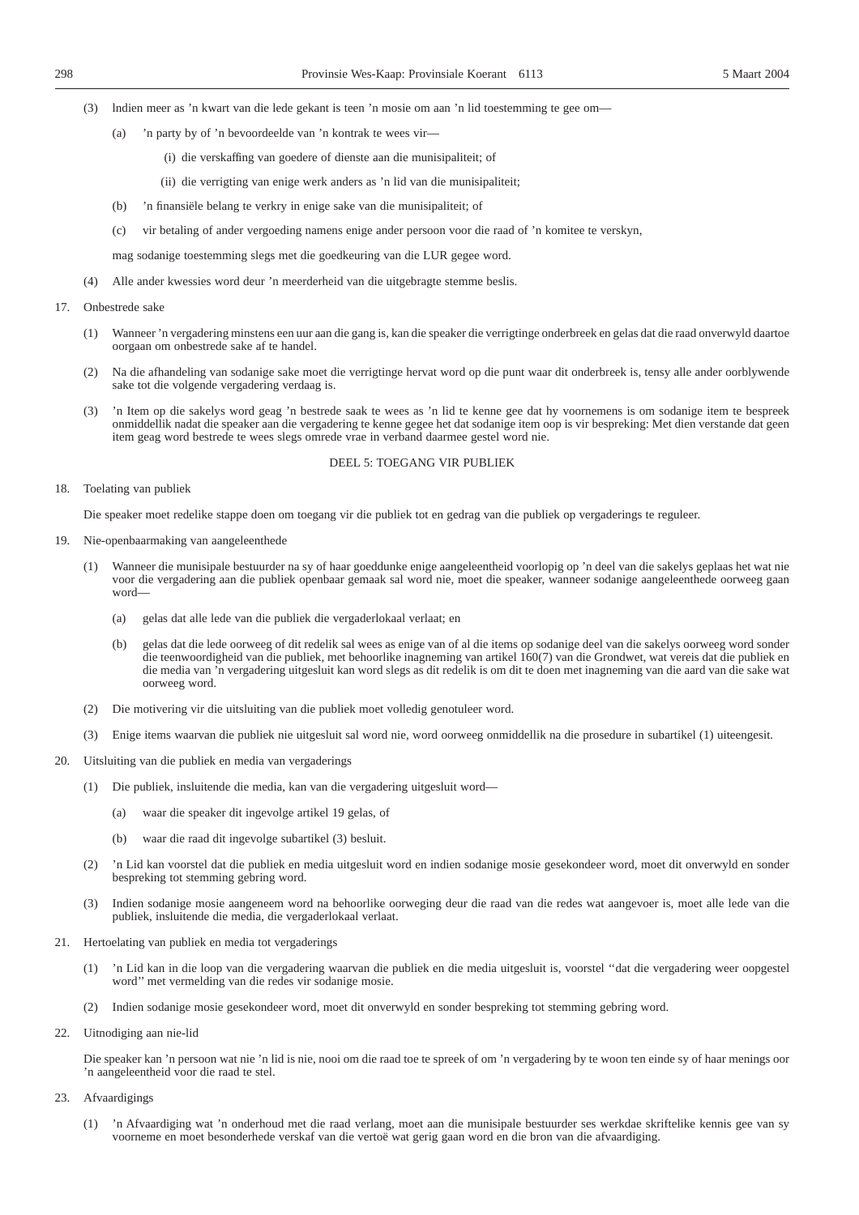- (3) lndien meer as 'n kwart van die lede gekant is teen 'n mosie om aan 'n lid toestemming te gee om—
	- (a) 'n party by of 'n bevoordeelde van 'n kontrak te wees vir—
		- (i) die verskaffing van goedere of dienste aan die munisipaliteit; of
		- (ii) die verrigting van enige werk anders as 'n lid van die munisipaliteit;
	- (b) 'n finansiële belang te verkry in enige sake van die munisipaliteit; of
	- (c) vir betaling of ander vergoeding namens enige ander persoon voor die raad of 'n komitee te verskyn,

mag sodanige toestemming slegs met die goedkeuring van die LUR gegee word.

- (4) Alle ander kwessies word deur 'n meerderheid van die uitgebragte stemme beslis.
- 17. Onbestrede sake
	- (1) Wanneer 'n vergadering minstens een uur aan die gang is, kan die speaker die verrigtinge onderbreek en gelas dat die raad onverwyld daartoe oorgaan om onbestrede sake af te handel.
	- (2) Na die afhandeling van sodanige sake moet die verrigtinge hervat word op die punt waar dit onderbreek is, tensy alle ander oorblywende sake tot die volgende vergadering verdaag is.
	- (3) 'n Item op die sakelys word geag 'n bestrede saak te wees as 'n lid te kenne gee dat hy voornemens is om sodanige item te bespreek onmiddellik nadat die speaker aan die vergadering te kenne gegee het dat sodanige item oop is vir bespreking: Met dien verstande dat geen item geag word bestrede te wees slegs omrede vrae in verband daarmee gestel word nie.

#### DEEL 5: TOEGANG VIR PUBLIEK

18. Toelating van publiek

Die speaker moet redelike stappe doen om toegang vir die publiek tot en gedrag van die publiek op vergaderings te reguleer.

- 19. Nie-openbaarmaking van aangeleenthede
	- (1) Wanneer die munisipale bestuurder na sy of haar goeddunke enige aangeleentheid voorlopig op 'n deel van die sakelys geplaas het wat nie voor die vergadering aan die publiek openbaar gemaak sal word nie, moet die speaker, wanneer sodanige aangeleenthede oorweeg gaan word—
		- (a) gelas dat alle lede van die publiek die vergaderlokaal verlaat; en
		- (b) gelas dat die lede oorweeg of dit redelik sal wees as enige van of al die items op sodanige deel van die sakelys oorweeg word sonder die teenwoordigheid van die publiek, met behoorlike inagneming van artikel 160(7) van die Grondwet, wat vereis dat die publiek en die media van 'n vergadering uitgesluit kan word slegs as dit redelik is om dit te doen met inagneming van die aard van die sake wat oorweeg word.
	- (2) Die motivering vir die uitsluiting van die publiek moet volledig genotuleer word.
	- (3) Enige items waarvan die publiek nie uitgesluit sal word nie, word oorweeg onmiddellik na die prosedure in subartikel (1) uiteengesit.
- 20. Uitsluiting van die publiek en media van vergaderings
	- (1) Die publiek, insluitende die media, kan van die vergadering uitgesluit word—
		- (a) waar die speaker dit ingevolge artikel 19 gelas, of
		- (b) waar die raad dit ingevolge subartikel (3) besluit.
	- (2) 'n Lid kan voorstel dat die publiek en media uitgesluit word en indien sodanige mosie gesekondeer word, moet dit onverwyld en sonder bespreking tot stemming gebring word.
	- (3) Indien sodanige mosie aangeneem word na behoorlike oorweging deur die raad van die redes wat aangevoer is, moet alle lede van die publiek, insluitende die media, die vergaderlokaal verlaat.
- 21. Hertoelating van publiek en media tot vergaderings
	- (1) 'n Lid kan in die loop van die vergadering waarvan die publiek en die media uitgesluit is, voorstel ''dat die vergadering weer oopgestel word'' met vermelding van die redes vir sodanige mosie.
	- (2) Indien sodanige mosie gesekondeer word, moet dit onverwyld en sonder bespreking tot stemming gebring word.
- 22. Uitnodiging aan nie-lid

Die speaker kan 'n persoon wat nie 'n lid is nie, nooi om die raad toe te spreek of om 'n vergadering by te woon ten einde sy of haar menings oor 'n aangeleentheid voor die raad te stel.

- 23. Afvaardigings
	- (1) 'n Afvaardiging wat 'n onderhoud met die raad verlang, moet aan die munisipale bestuurder ses werkdae skriftelike kennis gee van sy voorneme en moet besonderhede verskaf van die vertoë wat gerig gaan word en die bron van die afvaardiging.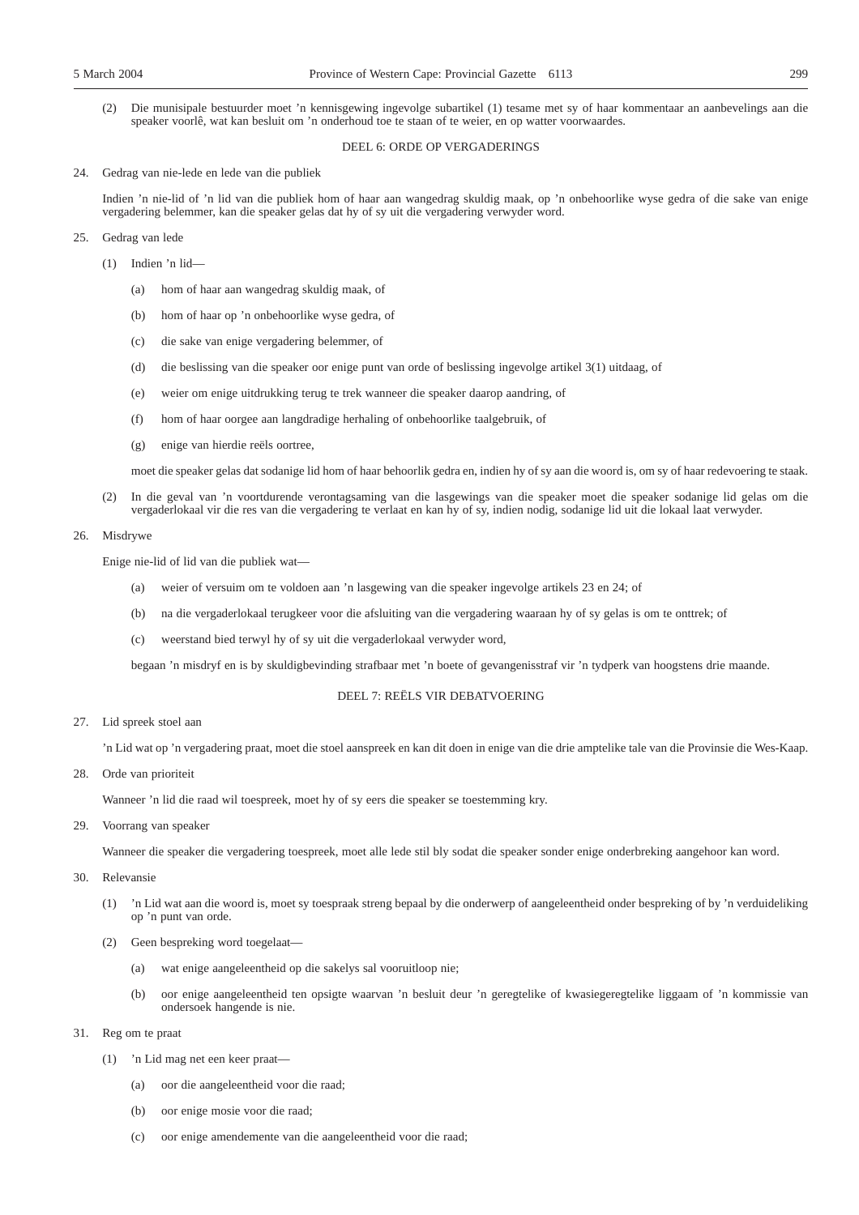(2) Die munisipale bestuurder moet 'n kennisgewing ingevolge subartikel (1) tesame met sy of haar kommentaar an aanbevelings aan die speaker voorlê, wat kan besluit om 'n onderhoud toe te staan of te weier, en op watter voorwaardes.

#### DEEL 6: ORDE OP VERGADERINGS

24. Gedrag van nie-lede en lede van die publiek

Indien 'n nie-lid of 'n lid van die publiek hom of haar aan wangedrag skuldig maak, op 'n onbehoorlike wyse gedra of die sake van enige vergadering belemmer, kan die speaker gelas dat hy of sy uit die vergadering verwyder word.

#### 25. Gedrag van lede

- (1) Indien 'n lid—
	- (a) hom of haar aan wangedrag skuldig maak, of
	- (b) hom of haar op 'n onbehoorlike wyse gedra, of
	- (c) die sake van enige vergadering belemmer, of
	- (d) die beslissing van die speaker oor enige punt van orde of beslissing ingevolge artikel 3(1) uitdaag, of
	- (e) weier om enige uitdrukking terug te trek wanneer die speaker daarop aandring, of
	- (f) hom of haar oorgee aan langdradige herhaling of onbehoorlike taalgebruik, of
	- (g) enige van hierdie reëls oortree,

moet die speaker gelas dat sodanige lid hom of haar behoorlik gedra en, indien hy of sy aan die woord is, om sy of haar redevoering te staak.

In die geval van 'n voortdurende verontagsaming van die lasgewings van die speaker moet die speaker sodanige lid gelas om die vergaderlokaal vir die res van die vergadering te verlaat en kan hy of sy, indien nodig, sodanige lid uit die lokaal laat verwyder.

#### 26. Misdrywe

Enige nie-lid of lid van die publiek wat—

- (a) weier of versuim om te voldoen aan 'n lasgewing van die speaker ingevolge artikels 23 en 24; of
- (b) na die vergaderlokaal terugkeer voor die afsluiting van die vergadering waaraan hy of sy gelas is om te onttrek; of
- (c) weerstand bied terwyl hy of sy uit die vergaderlokaal verwyder word,

begaan 'n misdryf en is by skuldigbevinding strafbaar met 'n boete of gevangenisstraf vir 'n tydperk van hoogstens drie maande.

#### DEEL 7: REËLS VIR DEBATVOERING

### 27. Lid spreek stoel aan

'n Lid wat op 'n vergadering praat, moet die stoel aanspreek en kan dit doen in enige van die drie amptelike tale van die Provinsie die Wes-Kaap.

28. Orde van prioriteit

Wanneer 'n lid die raad wil toespreek, moet hy of sy eers die speaker se toestemming kry.

29. Voorrang van speaker

Wanneer die speaker die vergadering toespreek, moet alle lede stil bly sodat die speaker sonder enige onderbreking aangehoor kan word.

- 30. Relevansie
	- (1) 'n Lid wat aan die woord is, moet sy toespraak streng bepaal by die onderwerp of aangeleentheid onder bespreking of by 'n verduideliking op 'n punt van orde.
	- (2) Geen bespreking word toegelaat—
		- (a) wat enige aangeleentheid op die sakelys sal vooruitloop nie;
		- (b) oor enige aangeleentheid ten opsigte waarvan 'n besluit deur 'n geregtelike of kwasiegeregtelike liggaam of 'n kommissie van ondersoek hangende is nie.
- 31. Reg om te praat
	- (1) 'n Lid mag net een keer praat—
		- (a) oor die aangeleentheid voor die raad;
		- (b) oor enige mosie voor die raad;
		- (c) oor enige amendemente van die aangeleentheid voor die raad;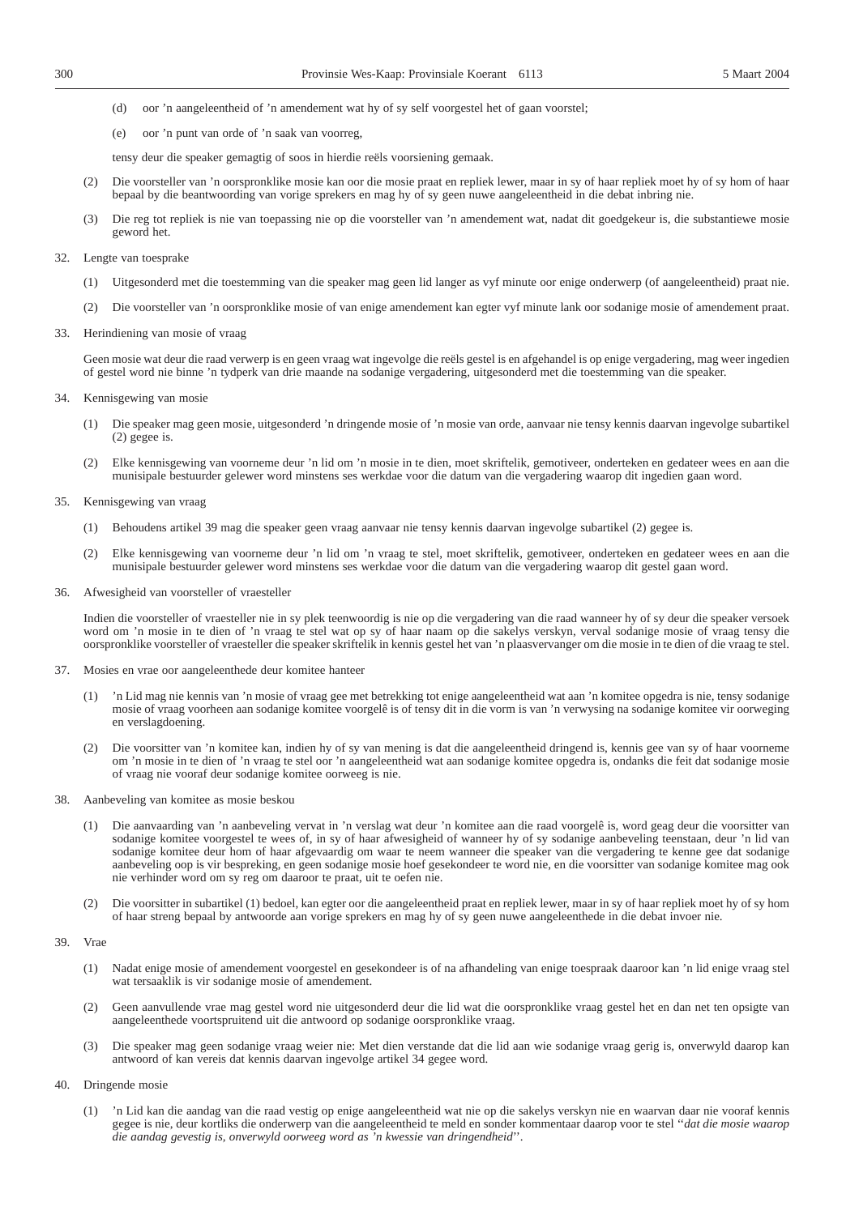- (d) oor 'n aangeleentheid of 'n amendement wat hy of sy self voorgestel het of gaan voorstel;
- (e) oor 'n punt van orde of 'n saak van voorreg,
- tensy deur die speaker gemagtig of soos in hierdie reëls voorsiening gemaak.
- (2) Die voorsteller van 'n oorspronklike mosie kan oor die mosie praat en repliek lewer, maar in sy of haar repliek moet hy of sy hom of haar bepaal by die beantwoording van vorige sprekers en mag hy of sy geen nuwe aangeleentheid in die debat inbring nie.
- (3) Die reg tot repliek is nie van toepassing nie op die voorsteller van 'n amendement wat, nadat dit goedgekeur is, die substantiewe mosie geword het.
- 32. Lengte van toesprake
	- (1) Uitgesonderd met die toestemming van die speaker mag geen lid langer as vyf minute oor enige onderwerp (of aangeleentheid) praat nie.
	- (2) Die voorsteller van 'n oorspronklike mosie of van enige amendement kan egter vyf minute lank oor sodanige mosie of amendement praat.
- 33. Herindiening van mosie of vraag

Geen mosie wat deur die raad verwerp is en geen vraag wat ingevolge die reëls gestel is en afgehandel is op enige vergadering, mag weer ingedien of gestel word nie binne 'n tydperk van drie maande na sodanige vergadering, uitgesonderd met die toestemming van die speaker.

- 34. Kennisgewing van mosie
	- (1) Die speaker mag geen mosie, uitgesonderd 'n dringende mosie of 'n mosie van orde, aanvaar nie tensy kennis daarvan ingevolge subartikel (2) gegee is.
	- (2) Elke kennisgewing van voorneme deur 'n lid om 'n mosie in te dien, moet skriftelik, gemotiveer, onderteken en gedateer wees en aan die munisipale bestuurder gelewer word minstens ses werkdae voor die datum van die vergadering waarop dit ingedien gaan word.
- 35. Kennisgewing van vraag
	- (1) Behoudens artikel 39 mag die speaker geen vraag aanvaar nie tensy kennis daarvan ingevolge subartikel (2) gegee is.
	- (2) Elke kennisgewing van voorneme deur 'n lid om 'n vraag te stel, moet skriftelik, gemotiveer, onderteken en gedateer wees en aan die munisipale bestuurder gelewer word minstens ses werkdae voor die datum van die vergadering waarop dit gestel gaan word.
- 36. Afwesigheid van voorsteller of vraesteller

Indien die voorsteller of vraesteller nie in sy plek teenwoordig is nie op die vergadering van die raad wanneer hy of sy deur die speaker versoek word om 'n mosie in te dien of 'n vraag te stel wat op sy of haar naam op die sakelys verskyn, verval sodanige mosie of vraag tensy die oorspronklike voorsteller of vraesteller die speaker skriftelik in kennis gestel het van 'n plaasvervanger om die mosie in te dien of die vraag te stel.

- 37. Mosies en vrae oor aangeleenthede deur komitee hanteer
	- (1) 'n Lid mag nie kennis van 'n mosie of vraag gee met betrekking tot enige aangeleentheid wat aan 'n komitee opgedra is nie, tensy sodanige mosie of vraag voorheen aan sodanige komitee voorgelê is of tensy dit in die vorm is van 'n verwysing na sodanige komitee vir oorweging en verslagdoening.
	- (2) Die voorsitter van 'n komitee kan, indien hy of sy van mening is dat die aangeleentheid dringend is, kennis gee van sy of haar voorneme om 'n mosie in te dien of 'n vraag te stel oor 'n aangeleentheid wat aan sodanige komitee opgedra is, ondanks die feit dat sodanige mosie of vraag nie vooraf deur sodanige komitee oorweeg is nie.
- 38. Aanbeveling van komitee as mosie beskou
	- (1) Die aanvaarding van 'n aanbeveling vervat in 'n verslag wat deur 'n komitee aan die raad voorgelê is, word geag deur die voorsitter van sodanige komitee voorgestel te wees of, in sy of haar afwesigheid of wanneer hy of sy sodanige aanbeveling teenstaan, deur 'n lid van sodanige komitee deur hom of haar afgevaardig om waar te neem wanneer die speaker van die vergadering te kenne gee dat sodanige aanbeveling oop is vir bespreking, en geen sodanige mosie hoef gesekondeer te word nie, en die voorsitter van sodanige komitee mag ook nie verhinder word om sy reg om daaroor te praat, uit te oefen nie.
	- (2) Die voorsitter in subartikel (1) bedoel, kan egter oor die aangeleentheid praat en repliek lewer, maar in sy of haar repliek moet hy of sy hom of haar streng bepaal by antwoorde aan vorige sprekers en mag hy of sy geen nuwe aangeleenthede in die debat invoer nie.
- 39. Vrae
	- (1) Nadat enige mosie of amendement voorgestel en gesekondeer is of na afhandeling van enige toespraak daaroor kan 'n lid enige vraag stel wat tersaaklik is vir sodanige mosie of amendement.
	- (2) Geen aanvullende vrae mag gestel word nie uitgesonderd deur die lid wat die oorspronklike vraag gestel het en dan net ten opsigte van aangeleenthede voortspruitend uit die antwoord op sodanige oorspronklike vraag.
	- (3) Die speaker mag geen sodanige vraag weier nie: Met dien verstande dat die lid aan wie sodanige vraag gerig is, onverwyld daarop kan antwoord of kan vereis dat kennis daarvan ingevolge artikel 34 gegee word.
- 40. Dringende mosie
	- (1) 'n Lid kan die aandag van die raad vestig op enige aangeleentheid wat nie op die sakelys verskyn nie en waarvan daar nie vooraf kennis gegee is nie, deur kortliks die onderwerp van die aangeleentheid te meld en sonder kommentaar daarop voor te stel ''*dat die mosie waarop die aandag gevestig is, onverwyld oorweeg word as 'n kwessie van dringendheid*''.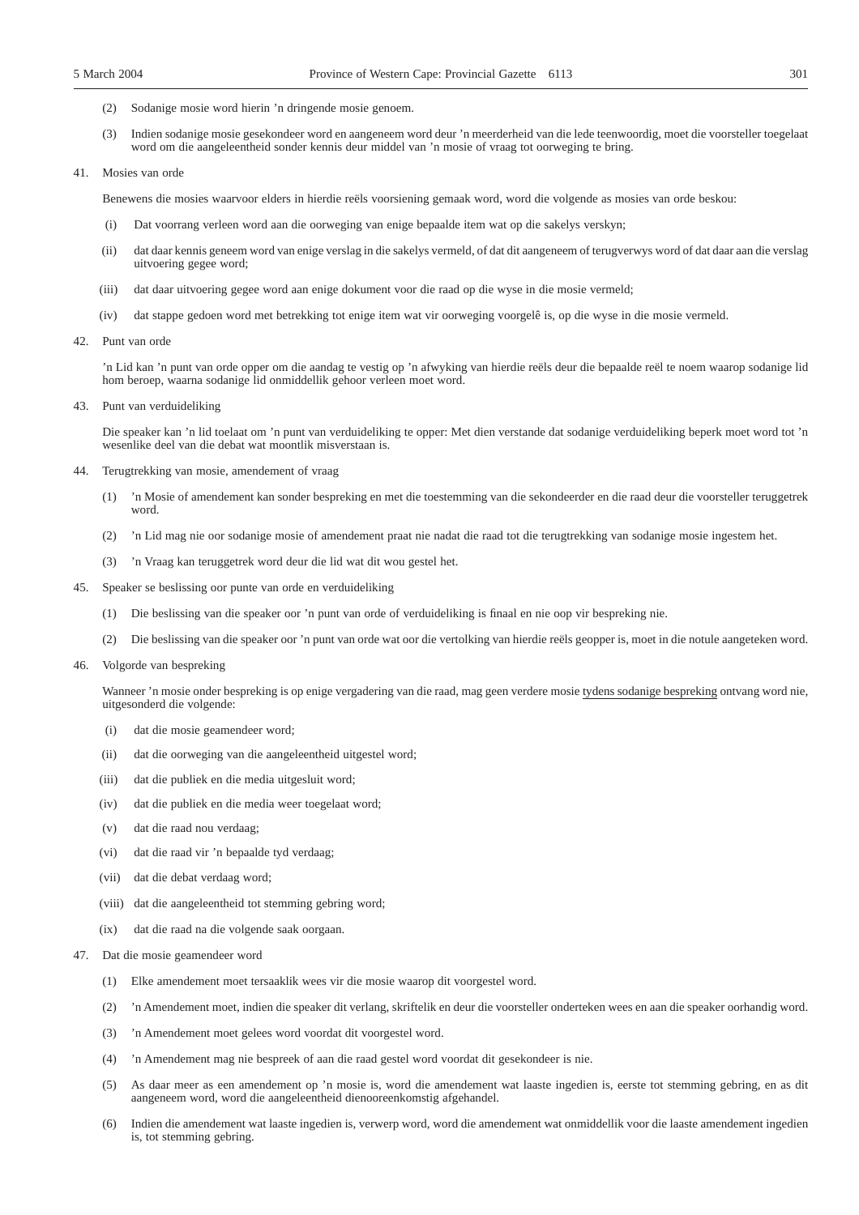- (2) Sodanige mosie word hierin 'n dringende mosie genoem.
- (3) Indien sodanige mosie gesekondeer word en aangeneem word deur 'n meerderheid van die lede teenwoordig, moet die voorsteller toegelaat word om die aangeleentheid sonder kennis deur middel van 'n mosie of vraag tot oorweging te bring.
- 41. Mosies van orde

Benewens die mosies waarvoor elders in hierdie reëls voorsiening gemaak word, word die volgende as mosies van orde beskou:

- (i) Dat voorrang verleen word aan die oorweging van enige bepaalde item wat op die sakelys verskyn;
- (ii) dat daar kennis geneem word van enige verslag in die sakelys vermeld, of dat dit aangeneem of terugverwys word of dat daar aan die verslag uitvoering gegee word;
- (iii) dat daar uitvoering gegee word aan enige dokument voor die raad op die wyse in die mosie vermeld;
- (iv) dat stappe gedoen word met betrekking tot enige item wat vir oorweging voorgelê is, op die wyse in die mosie vermeld.
- 42. Punt van orde

'n Lid kan 'n punt van orde opper om die aandag te vestig op 'n afwyking van hierdie reëls deur die bepaalde reël te noem waarop sodanige lid hom beroep, waarna sodanige lid onmiddellik gehoor verleen moet word.

43. Punt van verduideliking

Die speaker kan 'n lid toelaat om 'n punt van verduideliking te opper: Met dien verstande dat sodanige verduideliking beperk moet word tot 'n wesenlike deel van die debat wat moontlik misverstaan is.

- 44. Terugtrekking van mosie, amendement of vraag
	- (1) 'n Mosie of amendement kan sonder bespreking en met die toestemming van die sekondeerder en die raad deur die voorsteller teruggetrek word.
	- (2) 'n Lid mag nie oor sodanige mosie of amendement praat nie nadat die raad tot die terugtrekking van sodanige mosie ingestem het.
	- (3) 'n Vraag kan teruggetrek word deur die lid wat dit wou gestel het.
- 45. Speaker se beslissing oor punte van orde en verduideliking
	- (1) Die beslissing van die speaker oor 'n punt van orde of verduideliking is finaal en nie oop vir bespreking nie.
	- (2) Die beslissing van die speaker oor 'n punt van orde wat oor die vertolking van hierdie reëls geopper is, moet in die notule aangeteken word.
- 46. Volgorde van bespreking

Wanneer 'n mosie onder bespreking is op enige vergadering van die raad, mag geen verdere mosie tydens sodanige bespreking ontvang word nie, uitgesonderd die volgende:

- (i) dat die mosie geamendeer word;
- (ii) dat die oorweging van die aangeleentheid uitgestel word;
- (iii) dat die publiek en die media uitgesluit word;
- (iv) dat die publiek en die media weer toegelaat word;
- (v) dat die raad nou verdaag;
- (vi) dat die raad vir 'n bepaalde tyd verdaag;
- (vii) dat die debat verdaag word;
- (viii) dat die aangeleentheid tot stemming gebring word;
- (ix) dat die raad na die volgende saak oorgaan.
- 47. Dat die mosie geamendeer word
	- (1) Elke amendement moet tersaaklik wees vir die mosie waarop dit voorgestel word.
	- (2) 'n Amendement moet, indien die speaker dit verlang, skriftelik en deur die voorsteller onderteken wees en aan die speaker oorhandig word.
	- (3) 'n Amendement moet gelees word voordat dit voorgestel word.
	- (4) 'n Amendement mag nie bespreek of aan die raad gestel word voordat dit gesekondeer is nie.
	- (5) As daar meer as een amendement op 'n mosie is, word die amendement wat laaste ingedien is, eerste tot stemming gebring, en as dit aangeneem word, word die aangeleentheid dienooreenkomstig afgehandel.
	- (6) Indien die amendement wat laaste ingedien is, verwerp word, word die amendement wat onmiddellik voor die laaste amendement ingedien is, tot stemming gebring.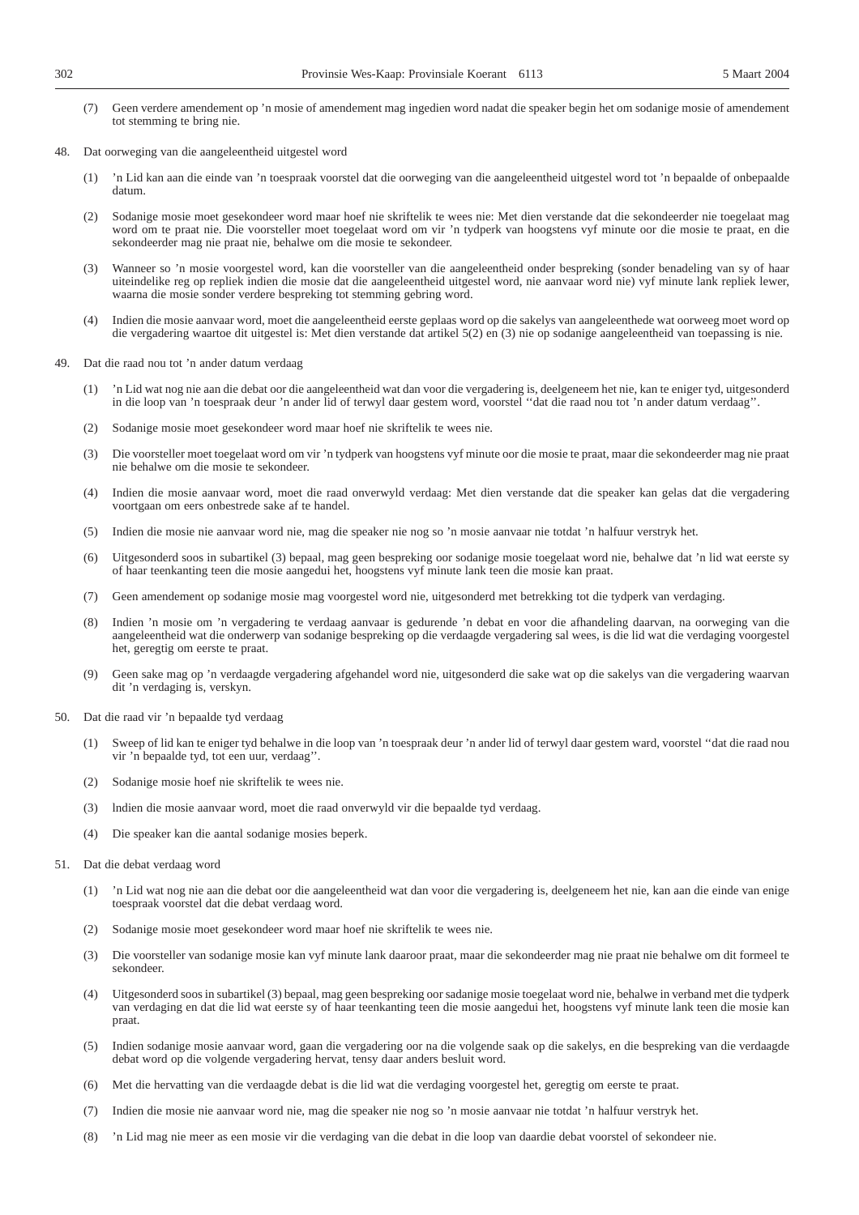- (7) Geen verdere amendement op 'n mosie of amendement mag ingedien word nadat die speaker begin het om sodanige mosie of amendement tot stemming te bring nie.
- 48. Dat oorweging van die aangeleentheid uitgestel word
	- (1) 'n Lid kan aan die einde van 'n toespraak voorstel dat die oorweging van die aangeleentheid uitgestel word tot 'n bepaalde of onbepaalde datum.
	- (2) Sodanige mosie moet gesekondeer word maar hoef nie skriftelik te wees nie: Met dien verstande dat die sekondeerder nie toegelaat mag word om te praat nie. Die voorsteller moet toegelaat word om vir 'n tydperk van hoogstens vyf minute oor die mosie te praat, en die sekondeerder mag nie praat nie, behalwe om die mosie te sekondeer.
	- (3) Wanneer so 'n mosie voorgestel word, kan die voorsteller van die aangeleentheid onder bespreking (sonder benadeling van sy of haar uiteindelike reg op repliek indien die mosie dat die aangeleentheid uitgestel word, nie aanvaar word nie) vyf minute lank repliek lewer, waarna die mosie sonder verdere bespreking tot stemming gebring word.
	- (4) Indien die mosie aanvaar word, moet die aangeleentheid eerste geplaas word op die sakelys van aangeleenthede wat oorweeg moet word op die vergadering waartoe dit uitgestel is: Met dien verstande dat artikel 5(2) en (3) nie op sodanige aangeleentheid van toepassing is nie.
- 49. Dat die raad nou tot 'n ander datum verdaag
	- (1) 'n Lid wat nog nie aan die debat oor die aangeleentheid wat dan voor die vergadering is, deelgeneem het nie, kan te eniger tyd, uitgesonderd in die loop van 'n toespraak deur 'n ander lid of terwyl daar gestem word, voorstel ''dat die raad nou tot 'n ander datum verdaag''.
	- (2) Sodanige mosie moet gesekondeer word maar hoef nie skriftelik te wees nie.
	- (3) Die voorsteller moet toegelaat word om vir 'n tydperk van hoogstens vyf minute oor die mosie te praat, maar die sekondeerder mag nie praat nie behalwe om die mosie te sekondeer.
	- (4) Indien die mosie aanvaar word, moet die raad onverwyld verdaag: Met dien verstande dat die speaker kan gelas dat die vergadering voortgaan om eers onbestrede sake af te handel.
	- (5) Indien die mosie nie aanvaar word nie, mag die speaker nie nog so 'n mosie aanvaar nie totdat 'n halfuur verstryk het.
	- (6) Uitgesonderd soos in subartikel (3) bepaal, mag geen bespreking oor sodanige mosie toegelaat word nie, behalwe dat 'n lid wat eerste sy of haar teenkanting teen die mosie aangedui het, hoogstens vyf minute lank teen die mosie kan praat.
	- (7) Geen amendement op sodanige mosie mag voorgestel word nie, uitgesonderd met betrekking tot die tydperk van verdaging.
	- (8) Indien 'n mosie om 'n vergadering te verdaag aanvaar is gedurende 'n debat en voor die afhandeling daarvan, na oorweging van die aangeleentheid wat die onderwerp van sodanige bespreking op die verdaagde vergadering sal wees, is die lid wat die verdaging voorgestel het, geregtig om eerste te praat.
	- (9) Geen sake mag op 'n verdaagde vergadering afgehandel word nie, uitgesonderd die sake wat op die sakelys van die vergadering waarvan dit 'n verdaging is, verskyn.
- 50. Dat die raad vir 'n bepaalde tyd verdaag
	- (1) Sweep of lid kan te eniger tyd behalwe in die loop van 'n toespraak deur 'n ander lid of terwyl daar gestem ward, voorstel ''dat die raad nou vir 'n bepaalde tyd, tot een uur, verdaag''.
	- (2) Sodanige mosie hoef nie skriftelik te wees nie.
	- (3) lndien die mosie aanvaar word, moet die raad onverwyld vir die bepaalde tyd verdaag.
	- (4) Die speaker kan die aantal sodanige mosies beperk.
- 51. Dat die debat verdaag word
	- (1) 'n Lid wat nog nie aan die debat oor die aangeleentheid wat dan voor die vergadering is, deelgeneem het nie, kan aan die einde van enige toespraak voorstel dat die debat verdaag word.
	- (2) Sodanige mosie moet gesekondeer word maar hoef nie skriftelik te wees nie.
	- (3) Die voorsteller van sodanige mosie kan vyf minute lank daaroor praat, maar die sekondeerder mag nie praat nie behalwe om dit formeel te sekondeer.
	- (4) Uitgesonderd soos in subartikel (3) bepaal, mag geen bespreking oor sadanige mosie toegelaat word nie, behalwe in verband met die tydperk van verdaging en dat die lid wat eerste sy of haar teenkanting teen die mosie aangedui het, hoogstens vyf minute lank teen die mosie kan praat.
	- (5) Indien sodanige mosie aanvaar word, gaan die vergadering oor na die volgende saak op die sakelys, en die bespreking van die verdaagde debat word op die volgende vergadering hervat, tensy daar anders besluit word.
	- (6) Met die hervatting van die verdaagde debat is die lid wat die verdaging voorgestel het, geregtig om eerste te praat.
	- (7) Indien die mosie nie aanvaar word nie, mag die speaker nie nog so 'n mosie aanvaar nie totdat 'n halfuur verstryk het.
	- (8) 'n Lid mag nie meer as een mosie vir die verdaging van die debat in die loop van daardie debat voorstel of sekondeer nie.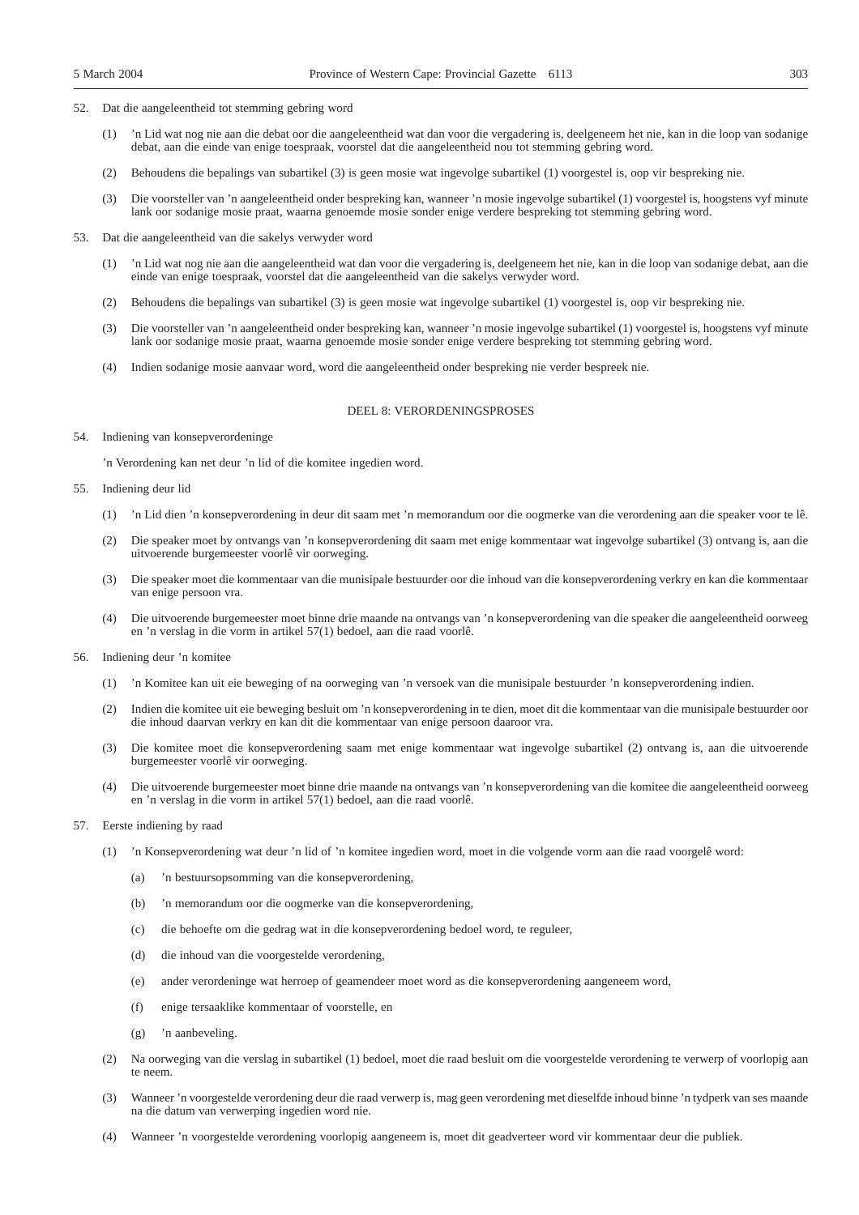- 52. Dat die aangeleentheid tot stemming gebring word
	- (1) 'n Lid wat nog nie aan die debat oor die aangeleentheid wat dan voor die vergadering is, deelgeneem het nie, kan in die loop van sodanige debat, aan die einde van enige toespraak, voorstel dat die aangeleentheid nou tot stemming gebring word.
	- (2) Behoudens die bepalings van subartikel (3) is geen mosie wat ingevolge subartikel (1) voorgestel is, oop vir bespreking nie.
	- (3) Die voorsteller van 'n aangeleentheid onder bespreking kan, wanneer 'n mosie ingevolge subartikel (1) voorgestel is, hoogstens vyf minute lank oor sodanige mosie praat, waarna genoemde mosie sonder enige verdere bespreking tot stemming gebring word.
- 53. Dat die aangeleentheid van die sakelys verwyder word
	- (1) 'n Lid wat nog nie aan die aangeleentheid wat dan voor die vergadering is, deelgeneem het nie, kan in die loop van sodanige debat, aan die einde van enige toespraak, voorstel dat die aangeleentheid van die sakelys verwyder word.
	- (2) Behoudens die bepalings van subartikel (3) is geen mosie wat ingevolge subartikel (1) voorgestel is, oop vir bespreking nie.
	- (3) Die voorsteller van 'n aangeleentheid onder bespreking kan, wanneer 'n mosie ingevolge subartikel (1) voorgestel is, hoogstens vyf minute lank oor sodanige mosie praat, waarna genoemde mosie sonder enige verdere bespreking tot stemming gebring word.
	- (4) Indien sodanige mosie aanvaar word, word die aangeleentheid onder bespreking nie verder bespreek nie.

#### DEEL 8: VERORDENINGSPROSES

54. Indiening van konsepverordeninge

'n Verordening kan net deur 'n lid of die komitee ingedien word.

- 55. Indiening deur lid
	- (1) 'n Lid dien 'n konsepverordening in deur dit saam met 'n memorandum oor die oogmerke van die verordening aan die speaker voor te lê.
	- (2) Die speaker moet by ontvangs van 'n konsepverordening dit saam met enige kommentaar wat ingevolge subartikel (3) ontvang is, aan die uitvoerende burgemeester voorlê vir oorweging.
	- (3) Die speaker moet die kommentaar van die munisipale bestuurder oor die inhoud van die konsepverordening verkry en kan die kommentaar van enige persoon vra.
	- (4) Die uitvoerende burgemeester moet binne drie maande na ontvangs van 'n konsepverordening van die speaker die aangeleentheid oorweeg en 'n verslag in die vorm in artikel 57(1) bedoel, aan die raad voorlê.
- 56. Indiening deur 'n komitee
	- (1) 'n Komitee kan uit eie beweging of na oorweging van 'n versoek van die munisipale bestuurder 'n konsepverordening indien.
	- (2) Indien die komitee uit eie beweging besluit om 'n konsepverordening in te dien, moet dit die kommentaar van die munisipale bestuurder oor die inhoud daarvan verkry en kan dit die kommentaar van enige persoon daaroor vra.
	- (3) Die komitee moet die konsepverordening saam met enige kommentaar wat ingevolge subartikel (2) ontvang is, aan die uitvoerende burgemeester voorlê vir oorweging.
	- (4) Die uitvoerende burgemeester moet binne drie maande na ontvangs van 'n konsepverordening van die komitee die aangeleentheid oorweeg en 'n verslag in die vorm in artikel 57(1) bedoel, aan die raad voorlê.
- 57. Eerste indiening by raad
	- (1) 'n Konsepverordening wat deur 'n lid of 'n komitee ingedien word, moet in die volgende vorm aan die raad voorgelê word:
		- (a) 'n bestuursopsomming van die konsepverordening,
		- (b) 'n memorandum oor die oogmerke van die konsepverordening,
		- (c) die behoefte om die gedrag wat in die konsepverordening bedoel word, te reguleer,
		- (d) die inhoud van die voorgestelde verordening,
		- (e) ander verordeninge wat herroep of geamendeer moet word as die konsepverordening aangeneem word,
		- (f) enige tersaaklike kommentaar of voorstelle, en
		- (g) 'n aanbeveling.
	- (2) Na oorweging van die verslag in subartikel (1) bedoel, moet die raad besluit om die voorgestelde verordening te verwerp of voorlopig aan te neem.
	- (3) Wanneer 'n voorgestelde verordening deur die raad verwerp is, mag geen verordening met dieselfde inhoud binne 'n tydperk van ses maande na die datum van verwerping ingedien word nie.
	- (4) Wanneer 'n voorgestelde verordening voorlopig aangeneem is, moet dit geadverteer word vir kommentaar deur die publiek.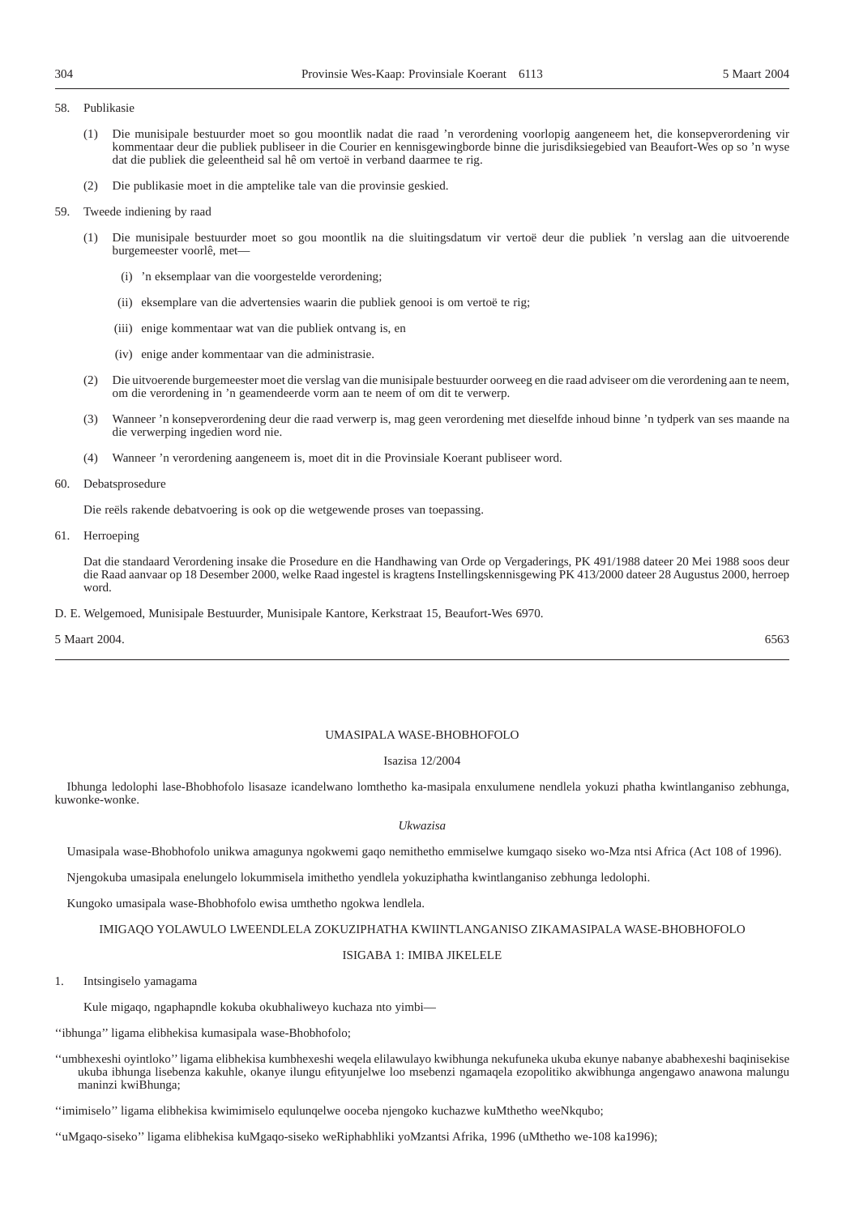#### 58. Publikasie

- (1) Die munisipale bestuurder moet so gou moontlik nadat die raad 'n verordening voorlopig aangeneem het, die konsepverordening vir kommentaar deur die publiek publiseer in die Courier en kennisgewingborde binne die jurisdiksiegebied van Beaufort-Wes op so 'n wyse dat die publiek die geleentheid sal hê om vertoë in verband daarmee te rig.
- (2) Die publikasie moet in die amptelike tale van die provinsie geskied.

#### 59. Tweede indiening by raad

- (1) Die munisipale bestuurder moet so gou moontlik na die sluitingsdatum vir vertoë deur die publiek 'n verslag aan die uitvoerende burgemeester voorlê, met—
	- (i) 'n eksemplaar van die voorgestelde verordening;
	- (ii) eksemplare van die advertensies waarin die publiek genooi is om vertoë te rig;
	- (iii) enige kommentaar wat van die publiek ontvang is, en
	- (iv) enige ander kommentaar van die administrasie.
- (2) Die uitvoerende burgemeester moet die verslag van die munisipale bestuurder oorweeg en die raad adviseer om die verordening aan te neem, om die verordening in 'n geamendeerde vorm aan te neem of om dit te verwerp.
- (3) Wanneer 'n konsepverordening deur die raad verwerp is, mag geen verordening met dieselfde inhoud binne 'n tydperk van ses maande na die verwerping ingedien word nie.
- (4) Wanneer 'n verordening aangeneem is, moet dit in die Provinsiale Koerant publiseer word.

#### 60. Debatsprosedure

Die reëls rakende debatvoering is ook op die wetgewende proses van toepassing.

61. Herroeping

Dat die standaard Verordening insake die Prosedure en die Handhawing van Orde op Vergaderings, PK 491/1988 dateer 20 Mei 1988 soos deur die Raad aanvaar op 18 Desember 2000, welke Raad ingestel is kragtens Instellingskennisgewing PK 413/2000 dateer 28 Augustus 2000, herroep word.

D. E. Welgemoed, Munisipale Bestuurder, Munisipale Kantore, Kerkstraat 15, Beaufort-Wes 6970.

5 Maart 2004. 6563

### UMASIPALA WASE-BHOBHOFOLO

#### Isazisa 12/2004

Ibhunga ledolophi lase-Bhobhofolo lisasaze icandelwano lomthetho ka-masipala enxulumene nendlela yokuzi phatha kwintlanganiso zebhunga, kuwonke-wonke.

#### *Ukwazisa*

Umasipala wase-Bhobhofolo unikwa amagunya ngokwemi gaqo nemithetho emmiselwe kumgaqo siseko wo-Mza ntsi Africa (Act 108 of 1996).

Njengokuba umasipala enelungelo lokummisela imithetho yendlela yokuziphatha kwintlanganiso zebhunga ledolophi.

Kungoko umasipala wase-Bhobhofolo ewisa umthetho ngokwa lendlela.

IMIGAQO YOLAWULO LWEENDLELA ZOKUZIPHATHA KWIINTLANGANISO ZIKAMASIPALA WASE-BHOBHOFOLO

#### ISIGABA 1: IMIBA JIKELELE

1. Intsingiselo yamagama

Kule migaqo, ngaphapndle kokuba okubhaliweyo kuchaza nto yimbi—

''ibhunga'' ligama elibhekisa kumasipala wase-Bhobhofolo;

''umbhexeshi oyintloko'' ligama elibhekisa kumbhexeshi weqela elilawulayo kwibhunga nekufuneka ukuba ekunye nabanye ababhexeshi baqinisekise ukuba ibhunga lisebenza kakuhle, okanye ilungu efityunjelwe loo msebenzi ngamaqela ezopolitiko akwibhunga angengawo anawona malungu maninzi kwiBhunga;

''imimiselo'' ligama elibhekisa kwimimiselo equlunqelwe ooceba njengoko kuchazwe kuMthetho weeNkqubo;

''uMgaqo-siseko'' ligama elibhekisa kuMgaqo-siseko weRiphabhliki yoMzantsi Afrika, 1996 (uMthetho we-108 ka1996);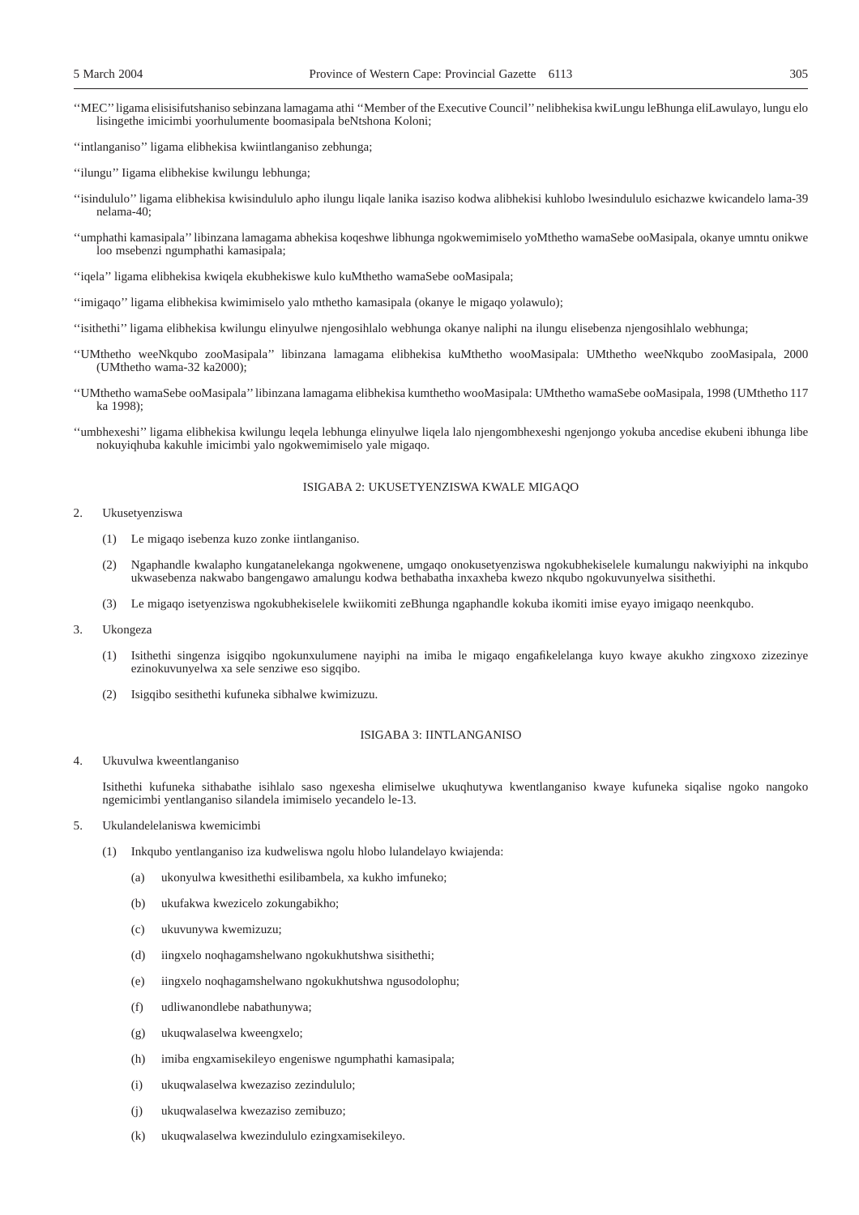- ''MEC''ligama elisisifutshaniso sebinzana lamagama athi ''Member of the Executive Council''nelibhekisa kwiLungu leBhunga eliLawulayo, lungu elo lisingethe imicimbi yoorhulumente boomasipala beNtshona Koloni;
- ''intlanganiso'' ligama elibhekisa kwiintlanganiso zebhunga;
- ''ilungu'' Iigama elibhekise kwilungu lebhunga;
- ''isindululo'' ligama elibhekisa kwisindululo apho ilungu liqale lanika isaziso kodwa alibhekisi kuhlobo lwesindululo esichazwe kwicandelo lama-39 nelama-40;
- ''umphathi kamasipala'' libinzana lamagama abhekisa koqeshwe libhunga ngokwemimiselo yoMthetho wamaSebe ooMasipala, okanye umntu onikwe loo msebenzi ngumphathi kamasipala;
- ''iqela'' ligama elibhekisa kwiqela ekubhekiswe kulo kuMthetho wamaSebe ooMasipala;
- ''imigaqo'' ligama elibhekisa kwimimiselo yalo mthetho kamasipala (okanye le migaqo yolawulo);
- ''isithethi'' ligama elibhekisa kwilungu elinyulwe njengosihlalo webhunga okanye naliphi na ilungu elisebenza njengosihlalo webhunga;
- ''UMthetho weeNkqubo zooMasipala'' libinzana lamagama elibhekisa kuMthetho wooMasipala: UMthetho weeNkqubo zooMasipala, 2000 (UMthetho wama-32 ka2000);
- ''UMthetho wamaSebe ooMasipala'' libinzana lamagama elibhekisa kumthetho wooMasipala: UMthetho wamaSebe ooMasipala, 1998 (UMthetho 117 ka 1998);
- ''umbhexeshi'' ligama elibhekisa kwilungu leqela lebhunga elinyulwe liqela lalo njengombhexeshi ngenjongo yokuba ancedise ekubeni ibhunga libe nokuyiqhuba kakuhle imicimbi yalo ngokwemimiselo yale migaqo.

#### ISIGABA 2: UKUSETYENZISWA KWALE MIGAQO

- 2. Ukusetyenziswa
	- (1) Le migaqo isebenza kuzo zonke iintlanganiso.
	- (2) Ngaphandle kwalapho kungatanelekanga ngokwenene, umgaqo onokusetyenziswa ngokubhekiselele kumalungu nakwiyiphi na inkqubo ukwasebenza nakwabo bangengawo amalungu kodwa bethabatha inxaxheba kwezo nkqubo ngokuvunyelwa sisithethi.
	- (3) Le migaqo isetyenziswa ngokubhekiselele kwiikomiti zeBhunga ngaphandle kokuba ikomiti imise eyayo imigaqo neenkqubo.
- 3. Ukongeza
	- (1) Isithethi singenza isigqibo ngokunxulumene nayiphi na imiba le migaqo engafikelelanga kuyo kwaye akukho zingxoxo zizezinye ezinokuvunyelwa xa sele senziwe eso sigqibo.
	- (2) Isigqibo sesithethi kufuneka sibhalwe kwimizuzu.

#### ISIGABA 3: IINTLANGANISO

4. Ukuvulwa kweentlanganiso

Isithethi kufuneka sithabathe isihlalo saso ngexesha elimiselwe ukuqhutywa kwentlanganiso kwaye kufuneka siqalise ngoko nangoko ngemicimbi yentlanganiso silandela imimiselo yecandelo le-13.

- 5. Ukulandelelaniswa kwemicimbi
	- (1) Inkqubo yentlanganiso iza kudweliswa ngolu hlobo lulandelayo kwiajenda:
		- (a) ukonyulwa kwesithethi esilibambela, xa kukho imfuneko;
		- (b) ukufakwa kwezicelo zokungabikho;
		- (c) ukuvunywa kwemizuzu;
		- (d) iingxelo noqhagamshelwano ngokukhutshwa sisithethi;
		- (e) iingxelo noqhagamshelwano ngokukhutshwa ngusodolophu;
		- (f) udliwanondlebe nabathunywa;
		- (g) ukuqwalaselwa kweengxelo;
		- (h) imiba engxamisekileyo engeniswe ngumphathi kamasipala;
		- (i) ukuqwalaselwa kwezaziso zezindululo;
		- (j) ukuqwalaselwa kwezaziso zemibuzo;
		- (k) ukuqwalaselwa kwezindululo ezingxamisekileyo.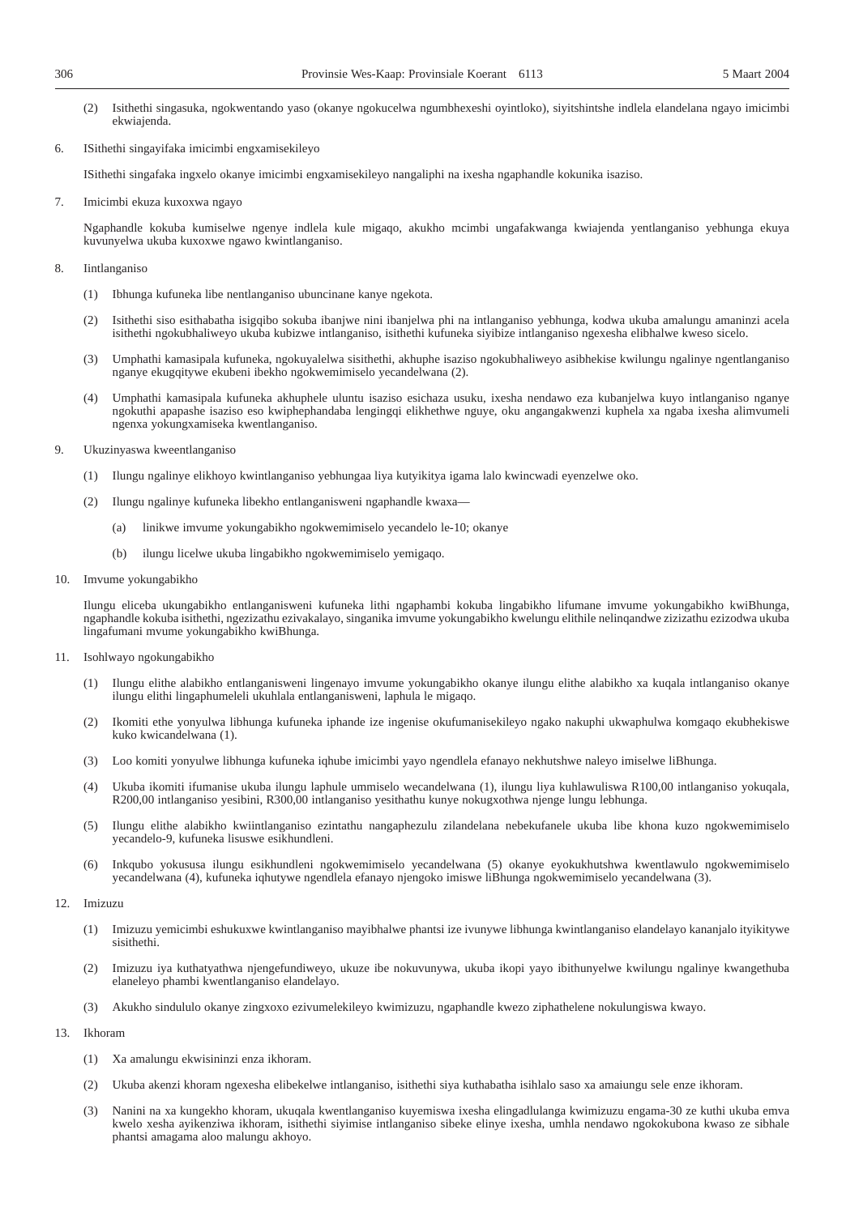- (2) Isithethi singasuka, ngokwentando yaso (okanye ngokucelwa ngumbhexeshi oyintloko), siyitshintshe indlela elandelana ngayo imicimbi ekwiajenda.
- 6. ISithethi singayifaka imicimbi engxamisekileyo

ISithethi singafaka ingxelo okanye imicimbi engxamisekileyo nangaliphi na ixesha ngaphandle kokunika isaziso.

7. Imicimbi ekuza kuxoxwa ngayo

Ngaphandle kokuba kumiselwe ngenye indlela kule migaqo, akukho mcimbi ungafakwanga kwiajenda yentlanganiso yebhunga ekuya kuvunyelwa ukuba kuxoxwe ngawo kwintlanganiso.

- 8. Iintlanganiso
	- (1) Ibhunga kufuneka libe nentlanganiso ubuncinane kanye ngekota.
	- (2) Isithethi siso esithabatha isigqibo sokuba ibanjwe nini ibanjelwa phi na intlanganiso yebhunga, kodwa ukuba amalungu amaninzi acela isithethi ngokubhaliweyo ukuba kubizwe intlanganiso, isithethi kufuneka siyibize intlanganiso ngexesha elibhalwe kweso sicelo.
	- (3) Umphathi kamasipala kufuneka, ngokuyalelwa sisithethi, akhuphe isaziso ngokubhaliweyo asibhekise kwilungu ngalinye ngentlanganiso nganye ekugqitywe ekubeni ibekho ngokwemimiselo yecandelwana (2).
	- (4) Umphathi kamasipala kufuneka akhuphele uluntu isaziso esichaza usuku, ixesha nendawo eza kubanjelwa kuyo intlanganiso nganye ngokuthi apapashe isaziso eso kwiphephandaba lengingqi elikhethwe nguye, oku angangakwenzi kuphela xa ngaba ixesha alimvumeli ngenxa yokungxamiseka kwentlanganiso.
- 9. Ukuzinyaswa kweentlanganiso
	- (1) Ilungu ngalinye elikhoyo kwintlanganiso yebhungaa liya kutyikitya igama lalo kwincwadi eyenzelwe oko.
	- (2) Ilungu ngalinye kufuneka libekho entlanganisweni ngaphandle kwaxa—
		- (a) linikwe imvume yokungabikho ngokwemimiselo yecandelo le-10; okanye
		- (b) ilungu licelwe ukuba lingabikho ngokwemimiselo yemigaqo.
- 10. Imvume yokungabikho

Ilungu eliceba ukungabikho entlanganisweni kufuneka lithi ngaphambi kokuba lingabikho lifumane imvume yokungabikho kwiBhunga, ngaphandle kokuba isithethi, ngezizathu ezivakalayo, singanika imvume yokungabikho kwelungu elithile nelinqandwe zizizathu ezizodwa ukuba lingafumani mvume yokungabikho kwiBhunga.

- 11. Isohlwayo ngokungabikho
	- (1) Ilungu elithe alabikho entlanganisweni lingenayo imvume yokungabikho okanye ilungu elithe alabikho xa kuqala intlanganiso okanye ilungu elithi lingaphumeleli ukuhlala entlanganisweni, laphula le migaqo.
	- (2) Ikomiti ethe yonyulwa libhunga kufuneka iphande ize ingenise okufumanisekileyo ngako nakuphi ukwaphulwa komgaqo ekubhekiswe kuko kwicandelwana (1).
	- (3) Loo komiti yonyulwe libhunga kufuneka iqhube imicimbi yayo ngendlela efanayo nekhutshwe naleyo imiselwe liBhunga.
	- (4) Ukuba ikomiti ifumanise ukuba ilungu laphule ummiselo wecandelwana (1), ilungu liya kuhlawuliswa R100,00 intlanganiso yokuqala, R200,00 intlanganiso yesibini, R300,00 intlanganiso yesithathu kunye nokugxothwa njenge lungu lebhunga.
	- (5) Ilungu elithe alabikho kwiintlanganiso ezintathu nangaphezulu zilandelana nebekufanele ukuba libe khona kuzo ngokwemimiselo yecandelo-9, kufuneka lisuswe esikhundleni.
	- (6) Inkqubo yokususa ilungu esikhundleni ngokwemimiselo yecandelwana (5) okanye eyokukhutshwa kwentlawulo ngokwemimiselo yecandelwana (4), kufuneka iqhutywe ngendlela efanayo njengoko imiswe liBhunga ngokwemimiselo yecandelwana (3).
- 12. Imizuzu
	- (1) Imizuzu yemicimbi eshukuxwe kwintlanganiso mayibhalwe phantsi ize ivunywe libhunga kwintlanganiso elandelayo kananjalo ityikitywe sisithethi.
	- (2) Imizuzu iya kuthatyathwa njengefundiweyo, ukuze ibe nokuvunywa, ukuba ikopi yayo ibithunyelwe kwilungu ngalinye kwangethuba elaneleyo phambi kwentlanganiso elandelayo.
	- (3) Akukho sindululo okanye zingxoxo ezivumelekileyo kwimizuzu, ngaphandle kwezo ziphathelene nokulungiswa kwayo.
- 13. Ikhoram
	- (1) Xa amalungu ekwisininzi enza ikhoram.
	- (2) Ukuba akenzi khoram ngexesha elibekelwe intlanganiso, isithethi siya kuthabatha isihlalo saso xa amaiungu sele enze ikhoram.
	- (3) Nanini na xa kungekho khoram, ukuqala kwentlanganiso kuyemiswa ixesha elingadlulanga kwimizuzu engama-30 ze kuthi ukuba emva kwelo xesha ayikenziwa ikhoram, isithethi siyimise intlanganiso sibeke elinye ixesha, umhla nendawo ngokokubona kwaso ze sibhale phantsi amagama aloo malungu akhoyo.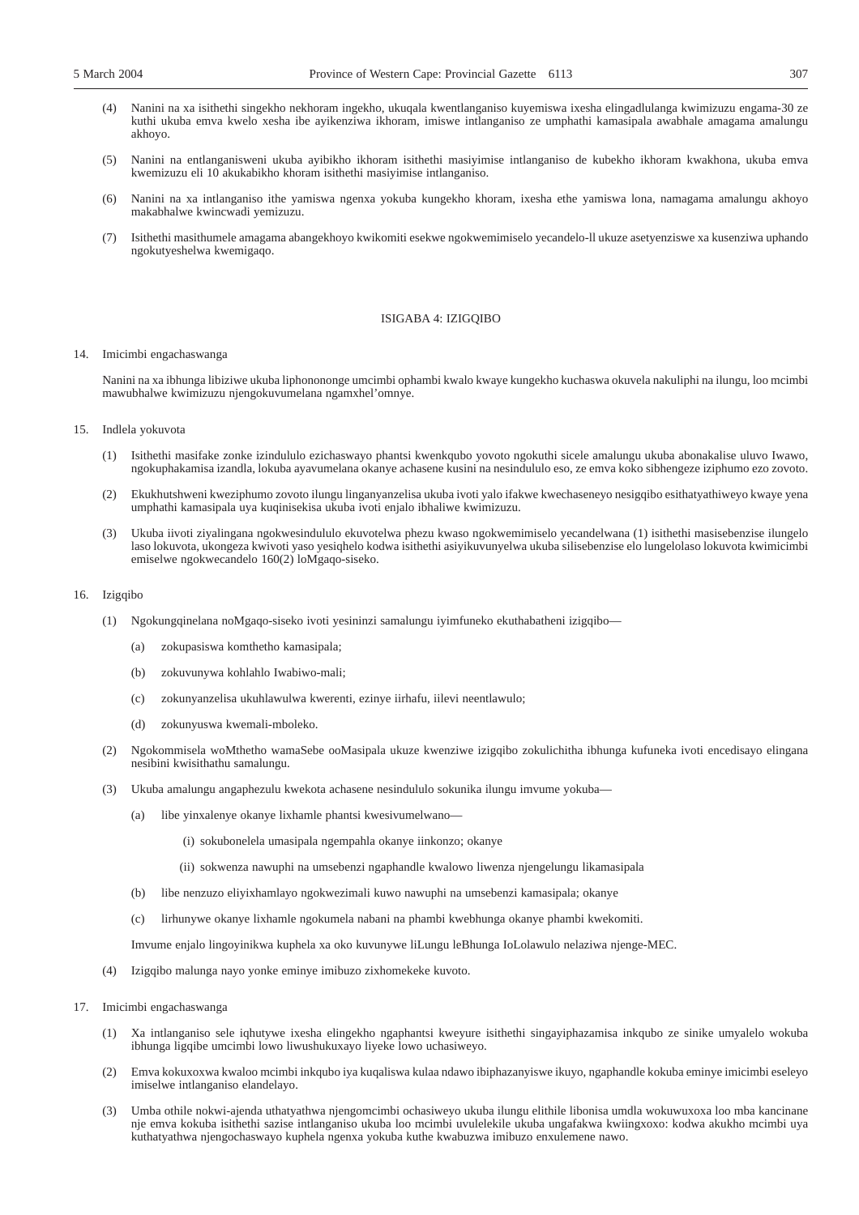- 
- (4) Nanini na xa isithethi singekho nekhoram ingekho, ukuqala kwentlanganiso kuyemiswa ixesha elingadlulanga kwimizuzu engama-30 ze kuthi ukuba emva kwelo xesha ibe ayikenziwa ikhoram, imiswe intlanganiso ze umphathi kamasipala awabhale amagama amalungu akhoyo.
- (5) Nanini na entlanganisweni ukuba ayibikho ikhoram isithethi masiyimise intlanganiso de kubekho ikhoram kwakhona, ukuba emva kwemizuzu eli 10 akukabikho khoram isithethi masiyimise intlanganiso.
- (6) Nanini na xa intlanganiso ithe yamiswa ngenxa yokuba kungekho khoram, ixesha ethe yamiswa lona, namagama amalungu akhoyo makabhalwe kwincwadi yemizuzu.
- (7) Isithethi masithumele amagama abangekhoyo kwikomiti esekwe ngokwemimiselo yecandelo-ll ukuze asetyenziswe xa kusenziwa uphando ngokutyeshelwa kwemigaqo.

#### ISIGABA 4: IZIGQIBO

#### 14. Imicimbi engachaswanga

Nanini na xa ibhunga libiziwe ukuba liphonononge umcimbi ophambi kwalo kwaye kungekho kuchaswa okuvela nakuliphi na ilungu, loo mcimbi mawubhalwe kwimizuzu njengokuvumelana ngamxhel'omnye.

- 15. Indlela yokuvota
	- (1) Isithethi masifake zonke izindululo ezichaswayo phantsi kwenkqubo yovoto ngokuthi sicele amalungu ukuba abonakalise uluvo Iwawo, ngokuphakamisa izandla, lokuba ayavumelana okanye achasene kusini na nesindululo eso, ze emva koko sibhengeze iziphumo ezo zovoto.
	- (2) Ekukhutshweni kweziphumo zovoto ilungu linganyanzelisa ukuba ivoti yalo ifakwe kwechaseneyo nesigqibo esithatyathiweyo kwaye yena umphathi kamasipala uya kuqinisekisa ukuba ivoti enjalo ibhaliwe kwimizuzu.
	- (3) Ukuba iivoti ziyalingana ngokwesindululo ekuvotelwa phezu kwaso ngokwemimiselo yecandelwana (1) isithethi masisebenzise ilungelo laso lokuvota, ukongeza kwivoti yaso yesiqhelo kodwa isithethi asiyikuvunyelwa ukuba silisebenzise elo lungelolaso lokuvota kwimicimbi emiselwe ngokwecandelo 160(2) loMgaqo-siseko.

#### 16. Izigqibo

- (1) Ngokungqinelana noMgaqo-siseko ivoti yesininzi samalungu iyimfuneko ekuthabatheni izigqibo—
	- (a) zokupasiswa komthetho kamasipala;
	- (b) zokuvunywa kohlahlo Iwabiwo-mali;
	- (c) zokunyanzelisa ukuhlawulwa kwerenti, ezinye iirhafu, iilevi neentlawulo;
	- (d) zokunyuswa kwemali-mboleko.
- (2) Ngokommisela woMthetho wamaSebe ooMasipala ukuze kwenziwe izigqibo zokulichitha ibhunga kufuneka ivoti encedisayo elingana nesibini kwisithathu samalungu.
- (3) Ukuba amalungu angaphezulu kwekota achasene nesindululo sokunika ilungu imvume yokuba—
	- (a) libe yinxalenye okanye lixhamle phantsi kwesivumelwano—
		- (i) sokubonelela umasipala ngempahla okanye iinkonzo; okanye
		- (ii) sokwenza nawuphi na umsebenzi ngaphandle kwalowo liwenza njengelungu likamasipala
	- (b) libe nenzuzo eliyixhamlayo ngokwezimali kuwo nawuphi na umsebenzi kamasipala; okanye
	- (c) lirhunywe okanye lixhamle ngokumela nabani na phambi kwebhunga okanye phambi kwekomiti.

Imvume enjalo lingoyinikwa kuphela xa oko kuvunywe liLungu leBhunga IoLolawulo nelaziwa njenge-MEC.

- (4) Izigqibo malunga nayo yonke eminye imibuzo zixhomekeke kuvoto.
- 17. Imicimbi engachaswanga
	- (1) Xa intlanganiso sele iqhutywe ixesha elingekho ngaphantsi kweyure isithethi singayiphazamisa inkqubo ze sinike umyalelo wokuba ibhunga ligqibe umcimbi lowo liwushukuxayo liyeke lowo uchasiweyo.
	- (2) Emva kokuxoxwa kwaloo mcimbi inkqubo iya kuqaliswa kulaa ndawo ibiphazanyiswe ikuyo, ngaphandle kokuba eminye imicimbi eseleyo imiselwe intlanganiso elandelayo.
	- (3) Umba othile nokwi-ajenda uthatyathwa njengomcimbi ochasiweyo ukuba ilungu elithile libonisa umdla wokuwuxoxa loo mba kancinane nje emva kokuba isithethi sazise intlanganiso ukuba loo mcimbi uvulelekile ukuba ungafakwa kwiingxoxo: kodwa akukho mcimbi uya kuthatyathwa njengochaswayo kuphela ngenxa yokuba kuthe kwabuzwa imibuzo enxulemene nawo.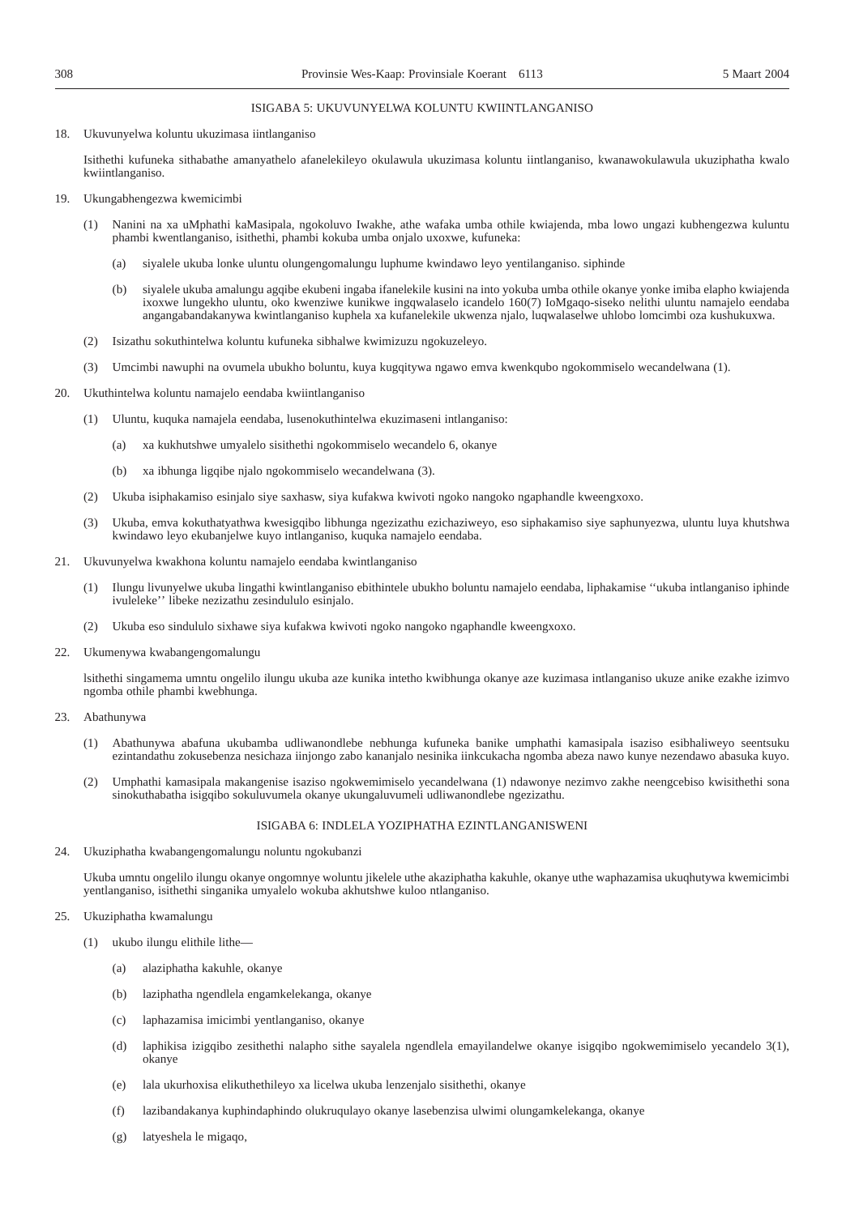18. Ukuvunyelwa koluntu ukuzimasa iintlanganiso

Isithethi kufuneka sithabathe amanyathelo afanelekileyo okulawula ukuzimasa koluntu iintlanganiso, kwanawokulawula ukuziphatha kwalo kwiintlanganiso.

- 19. Ukungabhengezwa kwemicimbi
	- (1) Nanini na xa uMphathi kaMasipala, ngokoluvo Iwakhe, athe wafaka umba othile kwiajenda, mba lowo ungazi kubhengezwa kuluntu phambi kwentlanganiso, isithethi, phambi kokuba umba onjalo uxoxwe, kufuneka:
		- (a) siyalele ukuba lonke uluntu olungengomalungu luphume kwindawo leyo yentilanganiso. siphinde
		- (b) siyalele ukuba amalungu agqibe ekubeni ingaba ifanelekile kusini na into yokuba umba othile okanye yonke imiba elapho kwiajenda ixoxwe lungekho uluntu, oko kwenziwe kunikwe ingqwalaselo icandelo 160(7) IoMgaqo-siseko nelithi uluntu namajelo eendaba angangabandakanywa kwintlanganiso kuphela xa kufanelekile ukwenza njalo, luqwalaselwe uhlobo lomcimbi oza kushukuxwa.
	- (2) Isizathu sokuthintelwa koluntu kufuneka sibhalwe kwimizuzu ngokuzeleyo.
	- (3) Umcimbi nawuphi na ovumela ubukho boluntu, kuya kugqitywa ngawo emva kwenkqubo ngokommiselo wecandelwana (1).
- 20. Ukuthintelwa koluntu namajelo eendaba kwiintlanganiso
	- (1) Uluntu, kuquka namajela eendaba, lusenokuthintelwa ekuzimaseni intlanganiso:
		- (a) xa kukhutshwe umyalelo sisithethi ngokommiselo wecandelo 6, okanye
		- (b) xa ibhunga ligqibe njalo ngokommiselo wecandelwana (3).
	- (2) Ukuba isiphakamiso esinjalo siye saxhasw, siya kufakwa kwivoti ngoko nangoko ngaphandle kweengxoxo.
	- (3) Ukuba, emva kokuthatyathwa kwesigqibo libhunga ngezizathu ezichaziweyo, eso siphakamiso siye saphunyezwa, uluntu luya khutshwa kwindawo leyo ekubanjelwe kuyo intlanganiso, kuquka namajelo eendaba.
- 21. Ukuvunyelwa kwakhona koluntu namajelo eendaba kwintlanganiso
	- (1) Ilungu livunyelwe ukuba lingathi kwintlanganiso ebithintele ubukho boluntu namajelo eendaba, liphakamise ''ukuba intlanganiso iphinde ivuleleke'' libeke nezizathu zesindululo esinjalo.
	- (2) Ukuba eso sindululo sixhawe siya kufakwa kwivoti ngoko nangoko ngaphandle kweengxoxo.
- 22. Ukumenywa kwabangengomalungu

lsithethi singamema umntu ongelilo ilungu ukuba aze kunika intetho kwibhunga okanye aze kuzimasa intlanganiso ukuze anike ezakhe izimvo ngomba othile phambi kwebhunga.

- 23. Abathunywa
	- (1) Abathunywa abafuna ukubamba udliwanondlebe nebhunga kufuneka banike umphathi kamasipala isaziso esibhaliweyo seentsuku ezintandathu zokusebenza nesichaza iinjongo zabo kananjalo nesinika iinkcukacha ngomba abeza nawo kunye nezendawo abasuka kuyo.
	- (2) Umphathi kamasipala makangenise isaziso ngokwemimiselo yecandelwana (1) ndawonye nezimvo zakhe neengcebiso kwisithethi sona sinokuthabatha isigqibo sokuluvumela okanye ukungaluvumeli udliwanondlebe ngezizathu.

#### ISIGABA 6: INDLELA YOZIPHATHA EZINTLANGANISWENI

24. Ukuziphatha kwabangengomalungu noluntu ngokubanzi

Ukuba umntu ongelilo ilungu okanye ongomnye woluntu jikelele uthe akaziphatha kakuhle, okanye uthe waphazamisa ukuqhutywa kwemicimbi yentlanganiso, isithethi singanika umyalelo wokuba akhutshwe kuloo ntlanganiso.

25. Ukuziphatha kwamalungu

- (1) ukubo ilungu elithile lithe—
	- (a) alaziphatha kakuhle, okanye
	- (b) laziphatha ngendlela engamkelekanga, okanye
	- (c) laphazamisa imicimbi yentlanganiso, okanye
	- (d) laphikisa izigqibo zesithethi nalapho sithe sayalela ngendlela emayilandelwe okanye isigqibo ngokwemimiselo yecandelo 3(1), okanye
	- (e) lala ukurhoxisa elikuthethileyo xa licelwa ukuba lenzenjalo sisithethi, okanye
	- (f) lazibandakanya kuphindaphindo olukruqulayo okanye lasebenzisa ulwimi olungamkelekanga, okanye
	- (g) latyeshela le migaqo,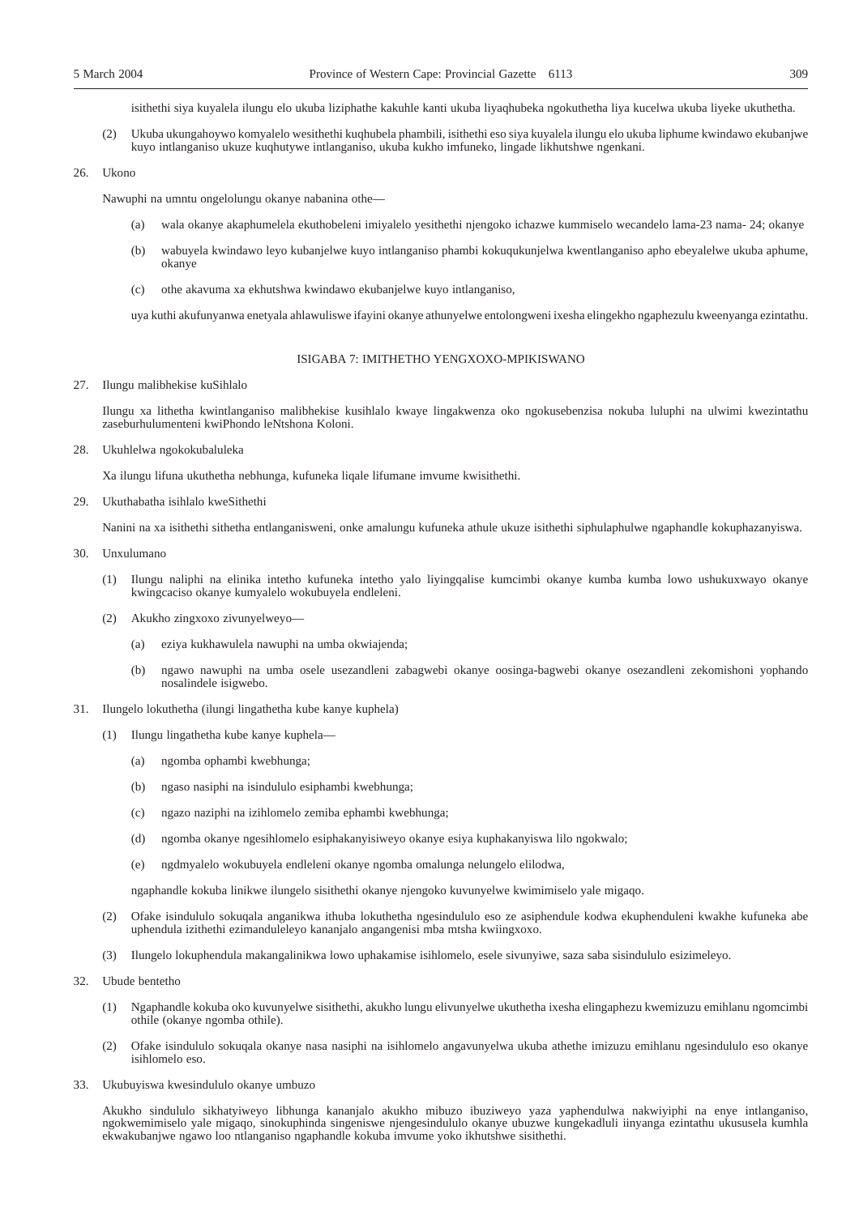isithethi siya kuyalela ilungu elo ukuba liziphathe kakuhle kanti ukuba liyaqhubeka ngokuthetha liya kucelwa ukuba liyeke ukuthetha.

(2) Ukuba ukungahoywo komyalelo wesithethi kuqhubela phambili, isithethi eso siya kuyalela ilungu elo ukuba liphume kwindawo ekubanjwe kuyo intlanganiso ukuze kuqhutywe intlanganiso, ukuba kukho imfuneko, lingade likhutshwe ngenkani.

26. Ukono

Nawuphi na umntu ongelolungu okanye nabanina othe—

- (a) wala okanye akaphumelela ekuthobeleni imiyalelo yesithethi njengoko ichazwe kummiselo wecandelo lama-23 nama- 24; okanye
- (b) wabuyela kwindawo leyo kubanjelwe kuyo intlanganiso phambi kokuqukunjelwa kwentlanganiso apho ebeyalelwe ukuba aphume, okanye
- (c) othe akavuma xa ekhutshwa kwindawo ekubanjelwe kuyo intlanganiso,

uya kuthi akufunyanwa enetyala ahlawuliswe ifayini okanye athunyelwe entolongweni ixesha elingekho ngaphezulu kweenyanga ezintathu.

#### ISIGABA 7: IMITHETHO YENGXOXO-MPIKISWANO

27. Ilungu malibhekise kuSihlalo

Ilungu xa lithetha kwintlanganiso malibhekise kusihlalo kwaye lingakwenza oko ngokusebenzisa nokuba luluphi na ulwimi kwezintathu zaseburhulumenteni kwiPhondo leNtshona Koloni.

28. Ukuhlelwa ngokokubaluleka

Xa ilungu lifuna ukuthetha nebhunga, kufuneka liqale lifumane imvume kwisithethi.

29. Ukuthabatha isihlalo kweSithethi

Nanini na xa isithethi sithetha entlanganisweni, onke amalungu kufuneka athule ukuze isithethi siphulaphulwe ngaphandle kokuphazanyiswa.

- 30. Unxulumano
	- (1) Ilungu naliphi na elinika intetho kufuneka intetho yalo liyingqalise kumcimbi okanye kumba kumba lowo ushukuxwayo okanye kwingcaciso okanye kumyalelo wokubuyela endleleni.
	- (2) Akukho zingxoxo zivunyelweyo—
		- (a) eziya kukhawulela nawuphi na umba okwiajenda;
		- (b) ngawo nawuphi na umba osele usezandleni zabagwebi okanye oosinga-bagwebi okanye osezandleni zekomishoni yophando nosalindele isigwebo.
- 31. Ilungelo lokuthetha (ilungi lingathetha kube kanye kuphela)
	- (1) Ilungu lingathetha kube kanye kuphela—
		- (a) ngomba ophambi kwebhunga;
		- (b) ngaso nasiphi na isindululo esiphambi kwebhunga;
		- (c) ngazo naziphi na izihlomelo zemiba ephambi kwebhunga;
		- (d) ngomba okanye ngesihlomelo esiphakanyisiweyo okanye esiya kuphakanyiswa lilo ngokwalo;
		- (e) ngdmyalelo wokubuyela endleleni okanye ngomba omalunga nelungelo elilodwa,

ngaphandle kokuba linikwe ilungelo sisithethi okanye njengoko kuvunyelwe kwimimiselo yale migaqo.

- (2) Ofake isindululo sokuqala anganikwa ithuba lokuthetha ngesindululo eso ze asiphendule kodwa ekuphenduleni kwakhe kufuneka abe uphendula izithethi ezimanduleleyo kananjalo angangenisi mba mtsha kwiingxoxo.
- (3) Ilungelo lokuphendula makangalinikwa lowo uphakamise isihlomelo, esele sivunyiwe, saza saba sisindululo esizimeleyo.
- 32. Ubude bentetho
	- (1) Ngaphandle kokuba oko kuvunyelwe sisithethi, akukho lungu elivunyelwe ukuthetha ixesha elingaphezu kwemizuzu emihlanu ngomcimbi othile (okanye ngomba othile).
	- (2) Ofake isindululo sokuqala okanye nasa nasiphi na isihlomelo angavunyelwa ukuba athethe imizuzu emihlanu ngesindululo eso okanye isihlomelo eso.
- 33. Ukubuyiswa kwesindululo okanye umbuzo

Akukho sindululo sikhatyiweyo libhunga kananjalo akukho mibuzo ibuziweyo yaza yaphendulwa nakwiyiphi na enye intlanganiso, ngokwemimiselo yale migaqo, sinokuphinda singeniswe njengesindululo okanye ubuzwe kungekadluli iinyanga ezintathu ukususela kumhla ekwakubanjwe ngawo loo ntlanganiso ngaphandle kokuba imvume yoko ikhutshwe sisithethi.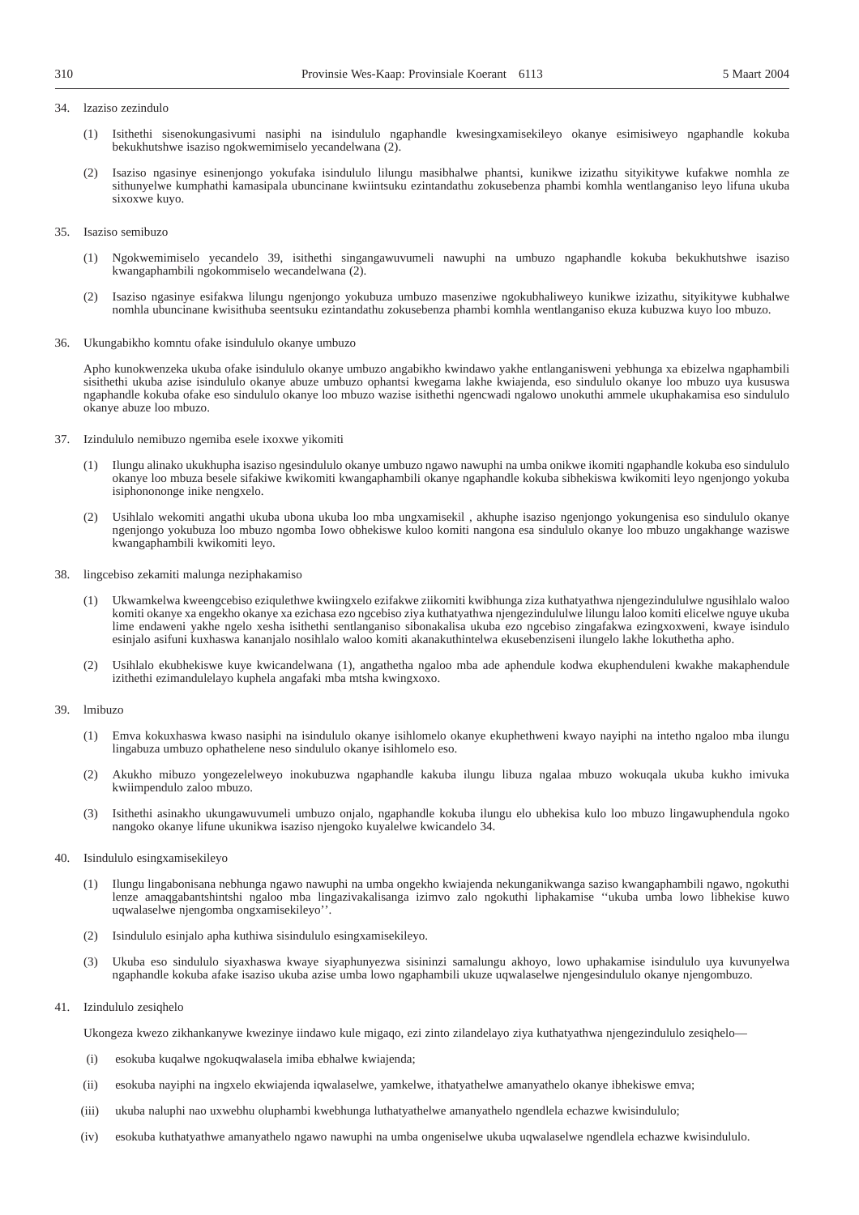#### 34. lzaziso zezindulo

- (1) Isithethi sisenokungasivumi nasiphi na isindululo ngaphandle kwesingxamisekileyo okanye esimisiweyo ngaphandle kokuba bekukhutshwe isaziso ngokwemimiselo yecandelwana (2).
- (2) Isaziso ngasinye esinenjongo yokufaka isindululo lilungu masibhalwe phantsi, kunikwe izizathu sityikitywe kufakwe nomhla ze sithunyelwe kumphathi kamasipala ubuncinane kwiintsuku ezintandathu zokusebenza phambi komhla wentlanganiso leyo lifuna ukuba sixoxwe kuyo.
- 35. Isaziso semibuzo
	- (1) Ngokwemimiselo yecandelo 39, isithethi singangawuvumeli nawuphi na umbuzo ngaphandle kokuba bekukhutshwe isaziso kwangaphambili ngokommiselo wecandelwana (2).
	- (2) Isaziso ngasinye esifakwa lilungu ngenjongo yokubuza umbuzo masenziwe ngokubhaliweyo kunikwe izizathu, sityikitywe kubhalwe nomhla ubuncinane kwisithuba seentsuku ezintandathu zokusebenza phambi komhla wentlanganiso ekuza kubuzwa kuyo loo mbuzo.
- 36. Ukungabikho komntu ofake isindululo okanye umbuzo

Apho kunokwenzeka ukuba ofake isindululo okanye umbuzo angabikho kwindawo yakhe entlanganisweni yebhunga xa ebizelwa ngaphambili sisithethi ukuba azise isindululo okanye abuze umbuzo ophantsi kwegama lakhe kwiajenda, eso sindululo okanye loo mbuzo uya kususwa ngaphandle kokuba ofake eso sindululo okanye loo mbuzo wazise isithethi ngencwadi ngalowo unokuthi ammele ukuphakamisa eso sindululo okanye abuze loo mbuzo.

- 37. Izindululo nemibuzo ngemiba esele ixoxwe yikomiti
	- (1) Ilungu alinako ukukhupha isaziso ngesindululo okanye umbuzo ngawo nawuphi na umba onikwe ikomiti ngaphandle kokuba eso sindululo okanye loo mbuza besele sifakiwe kwikomiti kwangaphambili okanye ngaphandle kokuba sibhekiswa kwikomiti leyo ngenjongo yokuba isiphonononge inike nengxelo.
	- (2) Usihlalo wekomiti angathi ukuba ubona ukuba loo mba ungxamisekil , akhuphe isaziso ngenjongo yokungenisa eso sindululo okanye ngenjongo yokubuza loo mbuzo ngomba Iowo obhekiswe kuloo komiti nangona esa sindululo okanye loo mbuzo ungakhange waziswe kwangaphambili kwikomiti leyo.
- 38. lingcebiso zekamiti malunga neziphakamiso
	- (1) Ukwamkelwa kweengcebiso eziqulethwe kwiingxelo ezifakwe ziikomiti kwibhunga ziza kuthatyathwa njengezindululwe ngusihlalo waloo komiti okanye xa engekho okanye xa ezichasa ezo ngcebiso ziya kuthatyathwa njengezindululwe lilungu laloo komiti elicelwe nguye ukuba lime endaweni yakhe ngelo xesha isithethi sentlanganiso sibonakalisa ukuba ezo ngcebiso zingafakwa ezingxoxweni, kwaye isindulo esinjalo asifuni kuxhaswa kananjalo nosihlalo waloo komiti akanakuthintelwa ekusebenziseni ilungelo lakhe lokuthetha apho.
	- (2) Usihlalo ekubhekiswe kuye kwicandelwana (1), angathetha ngaloo mba ade aphendule kodwa ekuphenduleni kwakhe makaphendule izithethi ezimandulelayo kuphela angafaki mba mtsha kwingxoxo.

#### 39. lmibuzo

- (1) Emva kokuxhaswa kwaso nasiphi na isindululo okanye isihlomelo okanye ekuphethweni kwayo nayiphi na intetho ngaloo mba ilungu lingabuza umbuzo ophathelene neso sindululo okanye isihlomelo eso.
- (2) Akukho mibuzo yongezelelweyo inokubuzwa ngaphandle kakuba ilungu libuza ngalaa mbuzo wokuqala ukuba kukho imivuka kwiimpendulo zaloo mbuzo.
- (3) Isithethi asinakho ukungawuvumeli umbuzo onjalo, ngaphandle kokuba ilungu elo ubhekisa kulo loo mbuzo lingawuphendula ngoko nangoko okanye lifune ukunikwa isaziso njengoko kuyalelwe kwicandelo 34.
- 40. Isindululo esingxamisekileyo
	- (1) Ilungu lingabonisana nebhunga ngawo nawuphi na umba ongekho kwiajenda nekunganikwanga saziso kwangaphambili ngawo, ngokuthi lenze amaqgabantshintshi ngaloo mba lingazivakalisanga izimvo zalo ngokuthi liphakamise ''ukuba umba lowo libhekise kuwo uqwalaselwe njengomba ongxamisekileyo''.
	- (2) Isindululo esinjalo apha kuthiwa sisindululo esingxamisekileyo.
	- (3) Ukuba eso sindululo siyaxhaswa kwaye siyaphunyezwa sisininzi samalungu akhoyo, lowo uphakamise isindululo uya kuvunyelwa ngaphandle kokuba afake isaziso ukuba azise umba lowo ngaphambili ukuze uqwalaselwe njengesindululo okanye njengombuzo.

#### 41. Izindululo zesiqhelo

Ukongeza kwezo zikhankanywe kwezinye iindawo kule migaqo, ezi zinto zilandelayo ziya kuthatyathwa njengezindululo zesiqhelo—

- (i) esokuba kuqalwe ngokuqwalasela imiba ebhalwe kwiajenda;
- (ii) esokuba nayiphi na ingxelo ekwiajenda iqwalaselwe, yamkelwe, ithatyathelwe amanyathelo okanye ibhekiswe emva;
- (iii) ukuba naluphi nao uxwebhu oluphambi kwebhunga luthatyathelwe amanyathelo ngendlela echazwe kwisindululo;
- (iv) esokuba kuthatyathwe amanyathelo ngawo nawuphi na umba ongeniselwe ukuba uqwalaselwe ngendlela echazwe kwisindululo.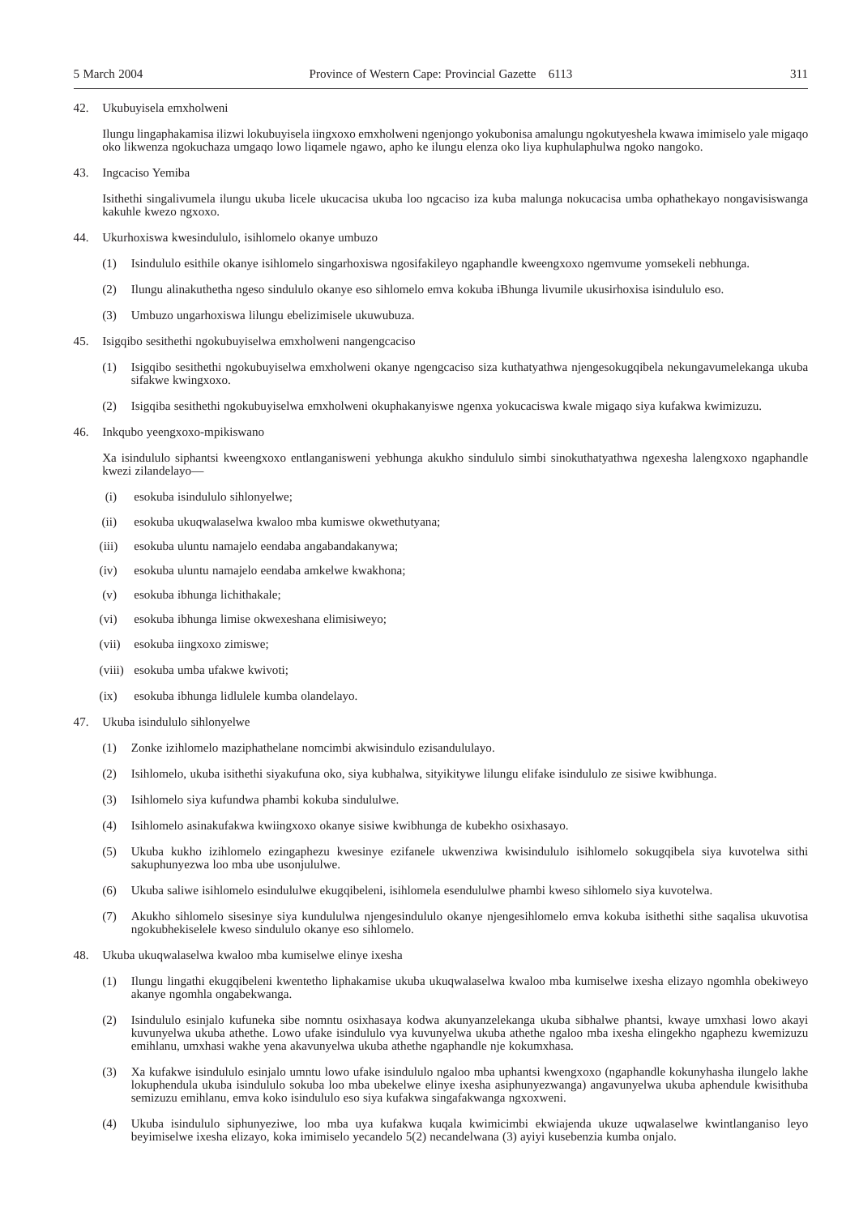#### 42. Ukubuyisela emxholweni

Ilungu lingaphakamisa ilizwi lokubuyisela iingxoxo emxholweni ngenjongo yokubonisa amalungu ngokutyeshela kwawa imimiselo yale migaqo oko likwenza ngokuchaza umgaqo lowo liqamele ngawo, apho ke ilungu elenza oko liya kuphulaphulwa ngoko nangoko.

43. Ingcaciso Yemiba

Isithethi singalivumela ilungu ukuba licele ukucacisa ukuba loo ngcaciso iza kuba malunga nokucacisa umba ophathekayo nongavisiswanga kakuhle kwezo ngxoxo.

- Ukurhoxiswa kwesindululo, isihlomelo okanye umbuzo
	- (1) Isindululo esithile okanye isihlomelo singarhoxiswa ngosifakileyo ngaphandle kweengxoxo ngemvume yomsekeli nebhunga.
	- (2) Ilungu alinakuthetha ngeso sindululo okanye eso sihlomelo emva kokuba iBhunga livumile ukusirhoxisa isindululo eso.
	- (3) Umbuzo ungarhoxiswa lilungu ebelizimisele ukuwubuza.
- 45. Isigqibo sesithethi ngokubuyiselwa emxholweni nangengcaciso
	- (1) Isigqibo sesithethi ngokubuyiselwa emxholweni okanye ngengcaciso siza kuthatyathwa njengesokugqibela nekungavumelekanga ukuba sifakwe kwingxoxo.
	- (2) Isigqiba sesithethi ngokubuyiselwa emxholweni okuphakanyiswe ngenxa yokucaciswa kwale migaqo siya kufakwa kwimizuzu.
- 46. Inkqubo yeengxoxo-mpikiswano

Xa isindululo siphantsi kweengxoxo entlanganisweni yebhunga akukho sindululo simbi sinokuthatyathwa ngexesha lalengxoxo ngaphandle kwezi zilandelayo—

- (i) esokuba isindululo sihlonyelwe;
- (ii) esokuba ukuqwalaselwa kwaloo mba kumiswe okwethutyana;
- (iii) esokuba uluntu namajelo eendaba angabandakanywa;
- (iv) esokuba uluntu namajelo eendaba amkelwe kwakhona;
- (v) esokuba ibhunga lichithakale;
- (vi) esokuba ibhunga limise okwexeshana elimisiweyo;
- (vii) esokuba iingxoxo zimiswe;
- (viii) esokuba umba ufakwe kwivoti;
- (ix) esokuba ibhunga lidlulele kumba olandelayo.
- 47. Ukuba isindululo sihlonyelwe
	- (1) Zonke izihlomelo maziphathelane nomcimbi akwisindulo ezisandululayo.
	- (2) Isihlomelo, ukuba isithethi siyakufuna oko, siya kubhalwa, sityikitywe lilungu elifake isindululo ze sisiwe kwibhunga.
	- (3) Isihlomelo siya kufundwa phambi kokuba sindululwe.
	- (4) Isihlomelo asinakufakwa kwiingxoxo okanye sisiwe kwibhunga de kubekho osixhasayo.
	- (5) Ukuba kukho izihlomelo ezingaphezu kwesinye ezifanele ukwenziwa kwisindululo isihlomelo sokugqibela siya kuvotelwa sithi sakuphunyezwa loo mba ube usonjululwe.
	- (6) Ukuba saliwe isihlomelo esindululwe ekugqibeleni, isihlomela esendululwe phambi kweso sihlomelo siya kuvotelwa.
	- (7) Akukho sihlomelo sisesinye siya kundululwa njengesindululo okanye njengesihlomelo emva kokuba isithethi sithe saqalisa ukuvotisa ngokubhekiselele kweso sindululo okanye eso sihlomelo.
- 48. Ukuba ukuqwalaselwa kwaloo mba kumiselwe elinye ixesha
	- (1) Ilungu lingathi ekugqibeleni kwentetho liphakamise ukuba ukuqwalaselwa kwaloo mba kumiselwe ixesha elizayo ngomhla obekiweyo akanye ngomhla ongabekwanga.
	- (2) Isindululo esinjalo kufuneka sibe nomntu osixhasaya kodwa akunyanzelekanga ukuba sibhalwe phantsi, kwaye umxhasi lowo akayi kuvunyelwa ukuba athethe. Lowo ufake isindululo vya kuvunyelwa ukuba athethe ngaloo mba ixesha elingekho ngaphezu kwemizuzu emihlanu, umxhasi wakhe yena akavunyelwa ukuba athethe ngaphandle nje kokumxhasa.
	- (3) Xa kufakwe isindululo esinjalo umntu lowo ufake isindululo ngaloo mba uphantsi kwengxoxo (ngaphandle kokunyhasha ilungelo lakhe lokuphendula ukuba isindululo sokuba loo mba ubekelwe elinye ixesha asiphunyezwanga) angavunyelwa ukuba aphendule kwisithuba semizuzu emihlanu, emva koko isindululo eso siya kufakwa singafakwanga ngxoxweni.
	- (4) Ukuba isindululo siphunyeziwe, loo mba uya kufakwa kuqala kwimicimbi ekwiajenda ukuze uqwalaselwe kwintlanganiso leyo beyimiselwe ixesha elizayo, koka imimiselo yecandelo 5(2) necandelwana (3) ayiyi kusebenzia kumba onjalo.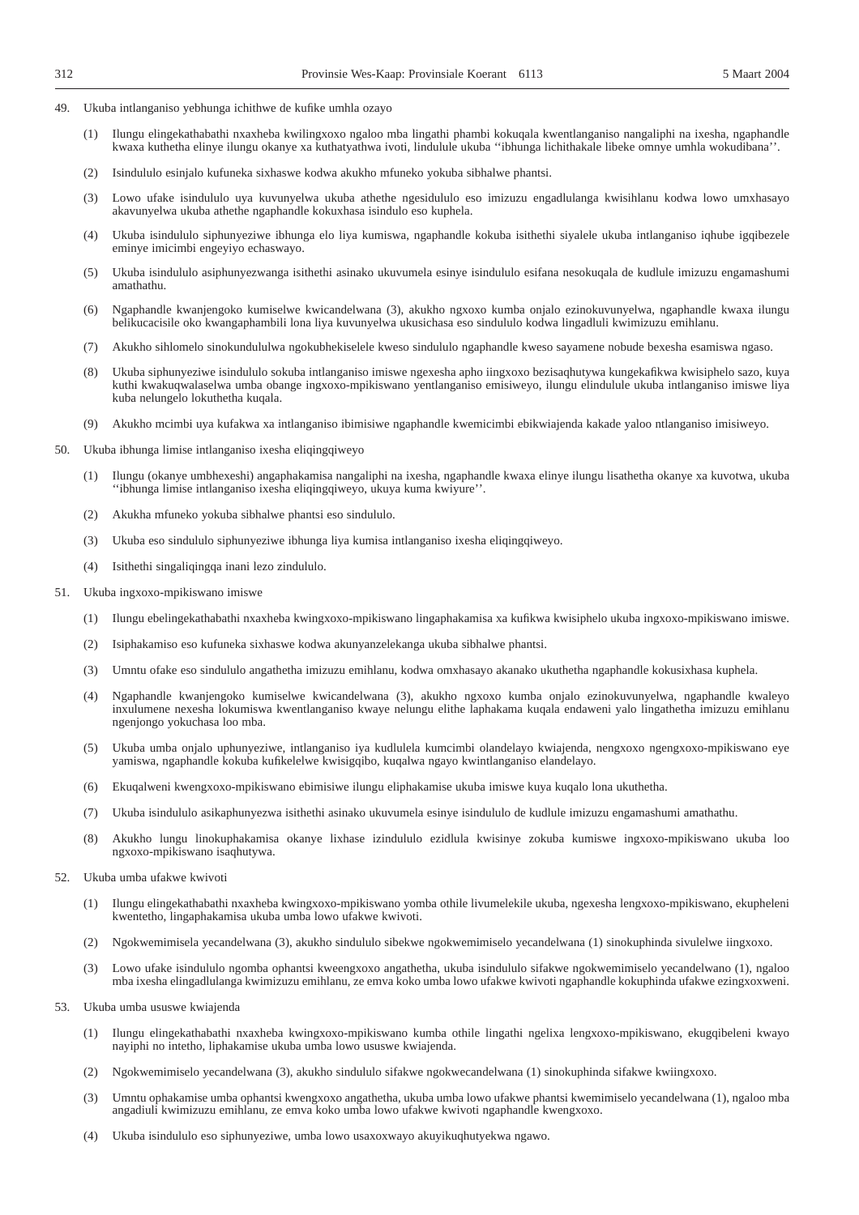- 49. Ukuba intlanganiso yebhunga ichithwe de kufike umhla ozayo
	- (1) Ilungu elingekathabathi nxaxheba kwilingxoxo ngaloo mba lingathi phambi kokuqala kwentlanganiso nangaliphi na ixesha, ngaphandle kwaxa kuthetha elinye ilungu okanye xa kuthatyathwa ivoti, lindulule ukuba ''ibhunga lichithakale libeke omnye umhla wokudibana''.
	- (2) Isindululo esinjalo kufuneka sixhaswe kodwa akukho mfuneko yokuba sibhalwe phantsi.
	- (3) Lowo ufake isindululo uya kuvunyelwa ukuba athethe ngesidululo eso imizuzu engadlulanga kwisihlanu kodwa lowo umxhasayo akavunyelwa ukuba athethe ngaphandle kokuxhasa isindulo eso kuphela.
	- (4) Ukuba isindululo siphunyeziwe ibhunga elo liya kumiswa, ngaphandle kokuba isithethi siyalele ukuba intlanganiso iqhube igqibezele eminye imicimbi engeyiyo echaswayo.
	- (5) Ukuba isindululo asiphunyezwanga isithethi asinako ukuvumela esinye isindululo esifana nesokuqala de kudlule imizuzu engamashumi amathathu.
	- (6) Ngaphandle kwanjengoko kumiselwe kwicandelwana (3), akukho ngxoxo kumba onjalo ezinokuvunyelwa, ngaphandle kwaxa ilungu belikucacisile oko kwangaphambili lona liya kuvunyelwa ukusichasa eso sindululo kodwa lingadluli kwimizuzu emihlanu.
	- (7) Akukho sihlomelo sinokundululwa ngokubhekiselele kweso sindululo ngaphandle kweso sayamene nobude bexesha esamiswa ngaso.
	- (8) Ukuba siphunyeziwe isindululo sokuba intlanganiso imiswe ngexesha apho iingxoxo bezisaqhutywa kungekafikwa kwisiphelo sazo, kuya kuthi kwakuqwalaselwa umba obange ingxoxo-mpikiswano yentlanganiso emisiweyo, ilungu elindulule ukuba intlanganiso imiswe liya kuba nelungelo lokuthetha kuqala.
	- (9) Akukho mcimbi uya kufakwa xa intlanganiso ibimisiwe ngaphandle kwemicimbi ebikwiajenda kakade yaloo ntlanganiso imisiweyo.
- 50. Ukuba ibhunga limise intlanganiso ixesha eliqingqiweyo
	- (1) Ilungu (okanye umbhexeshi) angaphakamisa nangaliphi na ixesha, ngaphandle kwaxa elinye ilungu lisathetha okanye xa kuvotwa, ukuba ''ibhunga limise intlanganiso ixesha eliqingqiweyo, ukuya kuma kwiyure''.
	- (2) Akukha mfuneko yokuba sibhalwe phantsi eso sindululo.
	- (3) Ukuba eso sindululo siphunyeziwe ibhunga liya kumisa intlanganiso ixesha eliqingqiweyo.
	- (4) Isithethi singaliqingqa inani lezo zindululo.
- 51. Ukuba ingxoxo-mpikiswano imiswe
	- (1) Ilungu ebelingekathabathi nxaxheba kwingxoxo-mpikiswano lingaphakamisa xa kufikwa kwisiphelo ukuba ingxoxo-mpikiswano imiswe.
	- (2) Isiphakamiso eso kufuneka sixhaswe kodwa akunyanzelekanga ukuba sibhalwe phantsi.
	- (3) Umntu ofake eso sindululo angathetha imizuzu emihlanu, kodwa omxhasayo akanako ukuthetha ngaphandle kokusixhasa kuphela.
	- (4) Ngaphandle kwanjengoko kumiselwe kwicandelwana (3), akukho ngxoxo kumba onjalo ezinokuvunyelwa, ngaphandle kwaleyo inxulumene nexesha lokumiswa kwentlanganiso kwaye nelungu elithe laphakama kuqala endaweni yalo lingathetha imizuzu emihlanu ngenjongo yokuchasa loo mba.
	- (5) Ukuba umba onjalo uphunyeziwe, intlanganiso iya kudlulela kumcimbi olandelayo kwiajenda, nengxoxo ngengxoxo-mpikiswano eye yamiswa, ngaphandle kokuba kufikelelwe kwisigqibo, kuqalwa ngayo kwintlanganiso elandelayo.
	- (6) Ekuqalweni kwengxoxo-mpikiswano ebimisiwe ilungu eliphakamise ukuba imiswe kuya kuqalo lona ukuthetha.
	- (7) Ukuba isindululo asikaphunyezwa isithethi asinako ukuvumela esinye isindululo de kudlule imizuzu engamashumi amathathu.
	- (8) Akukho lungu linokuphakamisa okanye lixhase izindululo ezidlula kwisinye zokuba kumiswe ingxoxo-mpikiswano ukuba loo ngxoxo-mpikiswano isaqhutywa.
- 52. Ukuba umba ufakwe kwivoti
	- (1) Ilungu elingekathabathi nxaxheba kwingxoxo-mpikiswano yomba othile livumelekile ukuba, ngexesha lengxoxo-mpikiswano, ekupheleni kwentetho, lingaphakamisa ukuba umba lowo ufakwe kwivoti.
	- (2) Ngokwemimisela yecandelwana (3), akukho sindululo sibekwe ngokwemimiselo yecandelwana (1) sinokuphinda sivulelwe iingxoxo.
	- (3) Lowo ufake isindululo ngomba ophantsi kweengxoxo angathetha, ukuba isindululo sifakwe ngokwemimiselo yecandelwano (1), ngaloo mba ixesha elingadlulanga kwimizuzu emihlanu, ze emva koko umba lowo ufakwe kwivoti ngaphandle kokuphinda ufakwe ezingxoxweni.
- 53. Ukuba umba ususwe kwiajenda
	- (1) Ilungu elingekathabathi nxaxheba kwingxoxo-mpikiswano kumba othile lingathi ngelixa lengxoxo-mpikiswano, ekugqibeleni kwayo nayiphi no intetho, liphakamise ukuba umba lowo ususwe kwiajenda.
	- (2) Ngokwemimiselo yecandelwana (3), akukho sindululo sifakwe ngokwecandelwana (1) sinokuphinda sifakwe kwiingxoxo.
	- (3) Umntu ophakamise umba ophantsi kwengxoxo angathetha, ukuba umba lowo ufakwe phantsi kwemimiselo yecandelwana (1), ngaloo mba angadiuli kwimizuzu emihlanu, ze emva koko umba lowo ufakwe kwivoti ngaphandle kwengxoxo.
	- (4) Ukuba isindululo eso siphunyeziwe, umba lowo usaxoxwayo akuyikuqhutyekwa ngawo.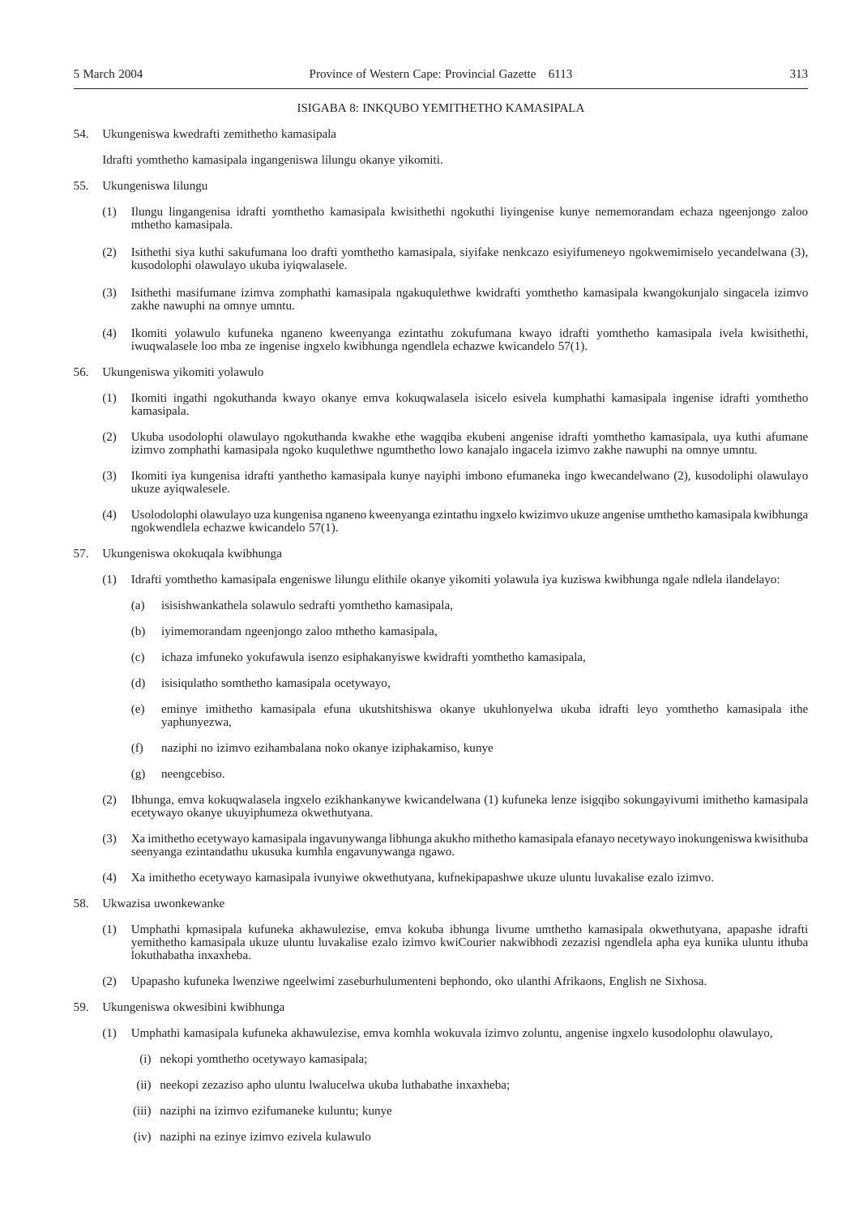#### ISIGABA 8: INKQUBO YEMITHETHO KAMASIPALA

54. Ukungeniswa kwedrafti zemithetho kamasipala

Idrafti yomthetho kamasipala ingangeniswa lilungu okanye yikomiti.

- 55. Ukungeniswa lilungu
	- (1) Ilungu lingangenisa idrafti yomthetho kamasipala kwisithethi ngokuthi liyingenise kunye nememorandam echaza ngeenjongo zaloo mthetho kamasipala.
	- (2) Isithethi siya kuthi sakufumana loo drafti yomthetho kamasipala, siyifake nenkcazo esiyifumeneyo ngokwemimiselo yecandelwana (3), kusodolophi olawulayo ukuba iyiqwalasele.
	- (3) Isithethi masifumane izimva zomphathi kamasipala ngakuqulethwe kwidrafti yomthetho kamasipala kwangokunjalo singacela izimvo zakhe nawuphi na omnye umntu.
	- (4) Ikomiti yolawulo kufuneka nganeno kweenyanga ezintathu zokufumana kwayo idrafti yomthetho kamasipala ivela kwisithethi, iwuqwalasele loo mba ze ingenise ingxelo kwibhunga ngendlela echazwe kwicandelo 57(1).
- 56. Ukungeniswa yikomiti yolawulo
	- (1) Ikomiti ingathi ngokuthanda kwayo okanye emva kokuqwalasela isicelo esivela kumphathi kamasipala ingenise idrafti yomthetho kamasipala.
	- (2) Ukuba usodolophi olawulayo ngokuthanda kwakhe ethe wagqiba ekubeni angenise idrafti yomthetho kamasipala, uya kuthi afumane izimvo zomphathi kamasipala ngoko kuqulethwe ngumthetho lowo kanajalo ingacela izimvo zakhe nawuphi na omnye umntu.
	- (3) Ikomiti iya kungenisa idrafti yanthetho kamasipala kunye nayiphi imbono efumaneka ingo kwecandelwano (2), kusodoliphi olawulayo ukuze ayiqwalesele.
	- (4) Usolodolophi olawulayo uza kungenisa nganeno kweenyanga ezintathu ingxelo kwizimvo ukuze angenise umthetho kamasipala kwibhunga ngokwendlela echazwe kwicandelo 57(1).
- 57. Ukungeniswa okokuqala kwibhunga
	- (1) Idrafti yomthetho kamasipala engeniswe lilungu elithile okanye yikomiti yolawula iya kuziswa kwibhunga ngale ndlela ilandelayo:
		- (a) isisishwankathela solawulo sedrafti yomthetho kamasipala,
		- (b) iyimemorandam ngeenjongo zaloo mthetho kamasipala,
		- (c) ichaza imfuneko yokufawula isenzo esiphakanyiswe kwidrafti yomthetho kamasipala,
		- (d) isisiqulatho somthetho kamasipala ocetywayo,
		- (e) eminye imithetho kamasipala efuna ukutshitshiswa okanye ukuhlonyelwa ukuba idrafti leyo yomthetho kamasipala ithe yaphunyezwa,
		- (f) naziphi no izimvo ezihambalana noko okanye iziphakamiso, kunye
		- (g) neengcebiso.
	- (2) Ibhunga, emva kokuqwalasela ingxelo ezikhankanywe kwicandelwana (1) kufuneka lenze isigqibo sokungayivumi imithetho kamasipala ecetywayo okanye ukuyiphumeza okwethutyana.
	- (3) Xa imithetho ecetywayo kamasipala ingavunywanga libhunga akukho mithetho kamasipala efanayo necetywayo inokungeniswa kwisithuba seenyanga ezintandathu ukusuka kumhla engavunywanga ngawo.
	- (4) Xa imithetho ecetywayo kamasipala ivunyiwe okwethutyana, kufnekipapashwe ukuze uluntu luvakalise ezalo izimvo.
- 58. Ukwazisa uwonkewanke
	- (1) Umphathi kpmasipala kufuneka akhawulezise, emva kokuba ibhunga livume umthetho kamasipala okwethutyana, apapashe idrafti yemithetho kamasipala ukuze uluntu luvakalise ezalo izimvo kwiCourier nakwibhodi zezazisi ngendlela apha eya kunika uluntu ithuba lokuthabatha inxaxheba.
	- (2) Upapasho kufuneka lwenziwe ngeelwimi zaseburhulumenteni bephondo, oko ulanthi Afrikaons, English ne Sixhosa.
- 59. Ukungeniswa okwesibini kwibhunga
	- (1) Umphathi kamasipala kufuneka akhawulezise, emva komhla wokuvala izimvo zoluntu, angenise ingxelo kusodolophu olawulayo,
		- (i) nekopi yomthetho ocetywayo kamasipala;
		- (ii) neekopi zezaziso apho uluntu lwalucelwa ukuba luthabathe inxaxheba;
		- (iii) naziphi na izimvo ezifumaneke kuluntu; kunye
		- (iv) naziphi na ezinye izimvo ezivela kulawulo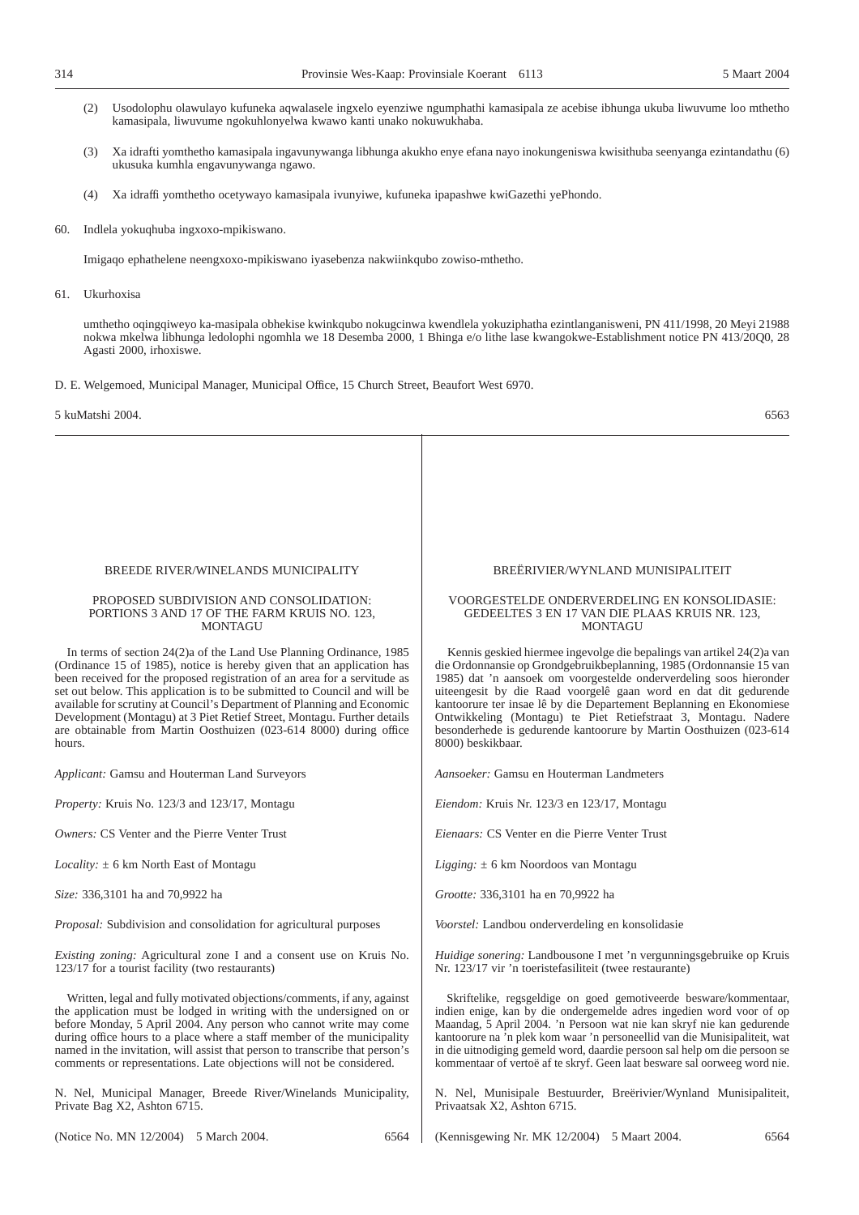- (2) Usodolophu olawulayo kufuneka aqwalasele ingxelo eyenziwe ngumphathi kamasipala ze acebise ibhunga ukuba liwuvume loo mthetho kamasipala, liwuvume ngokuhlonyelwa kwawo kanti unako nokuwukhaba.
- (3) Xa idrafti yomthetho kamasipala ingavunywanga libhunga akukho enye efana nayo inokungeniswa kwisithuba seenyanga ezintandathu (6) ukusuka kumhla engavunywanga ngawo.
- (4) Xa idraffi yomthetho ocetywayo kamasipala ivunyiwe, kufuneka ipapashwe kwiGazethi yePhondo.
- 60. Indlela yokuqhuba ingxoxo-mpikiswano.

Imigaqo ephathelene neengxoxo-mpikiswano iyasebenza nakwiinkqubo zowiso-mthetho.

#### 61. Ukurhoxisa

umthetho oqingqiweyo ka-masipala obhekise kwinkqubo nokugcinwa kwendlela yokuziphatha ezintlanganisweni, PN 411/1998, 20 Meyi 21988 nokwa mkelwa libhunga ledolophi ngomhla we 18 Desemba 2000, 1 Bhinga e/o lithe lase kwangokwe-Establishment notice PN 413/20Q0, 28 Agasti 2000, irhoxiswe.

D. E. Welgemoed, Municipal Manager, Municipal Office, 15 Church Street, Beaufort West 6970.

5 kuMatshi 2004. 6563

#### BREEDE RIVER/WINELANDS MUNICIPALITY

#### PROPOSED SUBDIVISION AND CONSOLIDATION: PORTIONS 3 AND 17 OF THE FARM KRUIS NO. 123, MONTAGU

In terms of section 24(2)a of the Land Use Planning Ordinance, 1985 (Ordinance 15 of 1985), notice is hereby given that an application has been received for the proposed registration of an area for a servitude as set out below. This application is to be submitted to Council and will be available for scrutiny at Council's Department of Planning and Economic Development (Montagu) at 3 Piet Retief Street, Montagu. Further details are obtainable from Martin Oosthuizen (023-614 8000) during office hours.

*Applicant:* Gamsu and Houterman Land Surveyors

*Property:* Kruis No. 123/3 and 123/17, Montagu

*Owners:* CS Venter and the Pierre Venter Trust

*Locality:* ± 6 km North East of Montagu

*Size:* 336,3101 ha and 70,9922 ha

*Proposal:* Subdivision and consolidation for agricultural purposes

*Existing zoning:* Agricultural zone I and a consent use on Kruis No. 123/17 for a tourist facility (two restaurants)

Written, legal and fully motivated objections/comments, if any, against the application must be lodged in writing with the undersigned on or before Monday, 5 April 2004. Any person who cannot write may come during office hours to a place where a staff member of the municipality named in the invitation, will assist that person to transcribe that person's comments or representations. Late objections will not be considered.

N. Nel, Municipal Manager, Breede River/Winelands Municipality, Private Bag X2, Ashton 6715.

(Notice No. MN 12/2004) 5 March 2004. 6564

BREËRIVIER/WYNLAND MUNISIPALITEIT

#### VOORGESTELDE ONDERVERDELING EN KONSOLIDASIE: GEDEELTES 3 EN 17 VAN DIE PLAAS KRUIS NR. 123, MONTAGU

Kennis geskied hiermee ingevolge die bepalings van artikel 24(2)a van die Ordonnansie op Grondgebruikbeplanning, 1985 (Ordonnansie 15 van 1985) dat 'n aansoek om voorgestelde onderverdeling soos hieronder uiteengesit by die Raad voorgelê gaan word en dat dit gedurende kantoorure ter insae lê by die Departement Beplanning en Ekonomiese Ontwikkeling (Montagu) te Piet Retiefstraat 3, Montagu. Nadere besonderhede is gedurende kantoorure by Martin Oosthuizen (023-614 8000) beskikbaar.

*Aansoeker:* Gamsu en Houterman Landmeters

*Eiendom:* Kruis Nr. 123/3 en 123/17, Montagu

*Eienaars:* CS Venter en die Pierre Venter Trust

*Ligging:* ± 6 km Noordoos van Montagu

*Grootte:* 336,3101 ha en 70,9922 ha

*Voorstel:* Landbou onderverdeling en konsolidasie

*Huidige sonering:* Landbousone I met 'n vergunningsgebruike op Kruis Nr. 123/17 vir 'n toeristefasiliteit (twee restaurante)

Skriftelike, regsgeldige on goed gemotiveerde besware/kommentaar, indien enige, kan by die ondergemelde adres ingedien word voor of op Maandag, 5 April 2004. 'n Persoon wat nie kan skryf nie kan gedurende kantoorure na 'n plek kom waar 'n personeellid van die Munisipaliteit, wat in die uitnodiging gemeld word, daardie persoon sal help om die persoon se kommentaar of vertoë af te skryf. Geen laat besware sal oorweeg word nie.

N. Nel, Munisipale Bestuurder, Breërivier/Wynland Munisipaliteit, Privaatsak X2, Ashton 6715.

(Kennisgewing Nr. MK 12/2004) 5 Maart 2004. 6564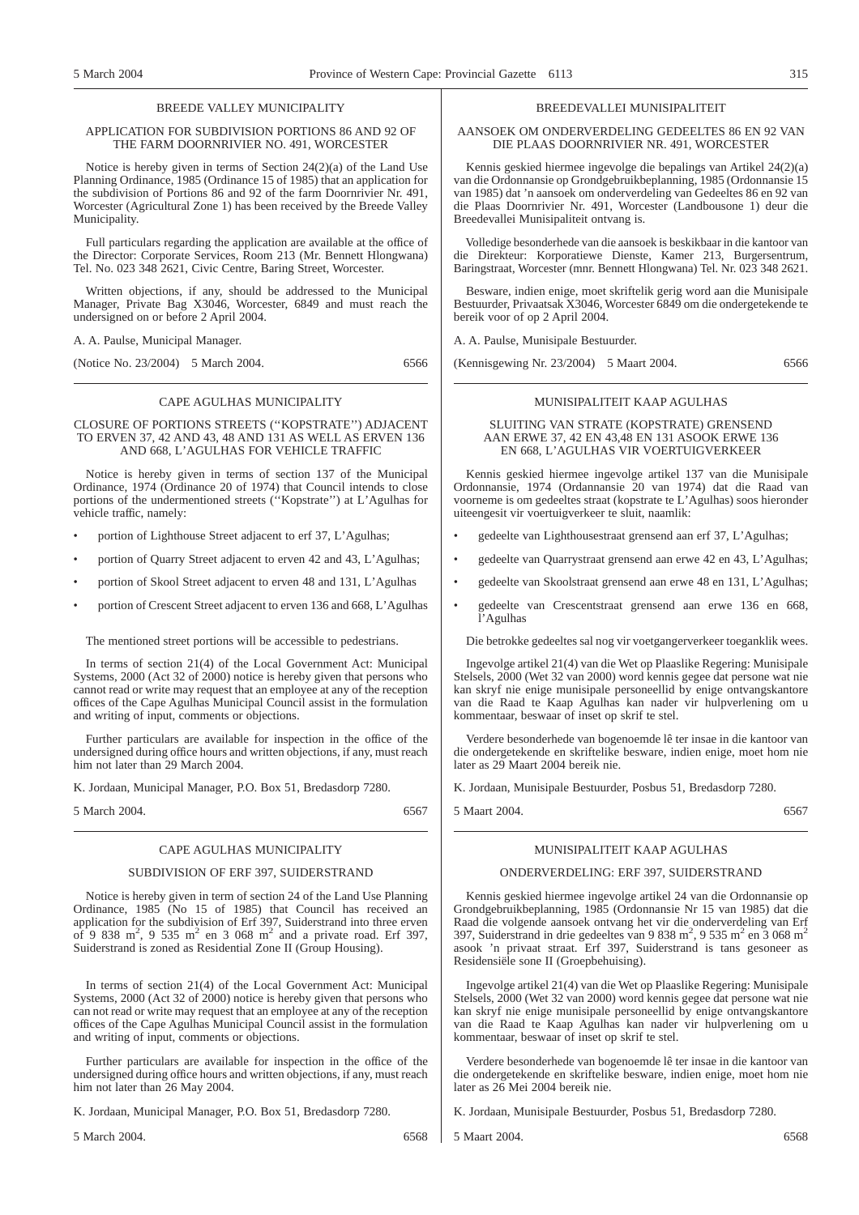#### BREEDE VALLEY MUNICIPALITY

#### APPLICATION FOR SUBDIVISION PORTIONS 86 AND 92 OF THE FARM DOORNRIVIER NO. 491, WORCESTER

Notice is hereby given in terms of Section 24(2)(a) of the Land Use Planning Ordinance, 1985 (Ordinance 15 of 1985) that an application for the subdivision of Portions 86 and 92 of the farm Doornrivier Nr. 491, Worcester (Agricultural Zone 1) has been received by the Breede Valley Municipality.

Full particulars regarding the application are available at the office of the Director: Corporate Services, Room 213 (Mr. Bennett Hlongwana) Tel. No. 023 348 2621, Civic Centre, Baring Street, Worcester.

Written objections, if any, should be addressed to the Municipal Manager, Private Bag X3046, Worcester, 6849 and must reach the undersigned on or before 2 April 2004.

A. A. Paulse, Municipal Manager.

(Notice No. 23/2004) 5 March 2004. 6566

#### CAPE AGULHAS MUNICIPALITY

#### CLOSURE OF PORTIONS STREETS (''KOPSTRATE'') ADJACENT TO ERVEN 37, 42 AND 43, 48 AND 131 AS WELL AS ERVEN 136 AND 668, L'AGULHAS FOR VEHICLE TRAFFIC

Notice is hereby given in terms of section 137 of the Municipal Ordinance, 1974 (Ordinance 20 of 1974) that Council intends to close portions of the undermentioned streets (''Kopstrate'') at L'Agulhas for vehicle traffic, namely:

- portion of Lighthouse Street adjacent to erf 37, L'Agulhas;
- portion of Quarry Street adjacent to erven 42 and 43, L'Agulhas;
- portion of Skool Street adjacent to erven 48 and 131, L'Agulhas
- portion of Crescent Street adjacent to erven 136 and 668, L'Agulhas

The mentioned street portions will be accessible to pedestrians.

In terms of section 21(4) of the Local Government Act: Municipal Systems, 2000 (Act 32 of 2000) notice is hereby given that persons who cannot read or write may request that an employee at any of the reception offices of the Cape Agulhas Municipal Council assist in the formulation and writing of input, comments or objections.

Further particulars are available for inspection in the office of the undersigned during office hours and written objections, if any, must reach him not later than 29 March 2004.

K. Jordaan, Municipal Manager, P.O. Box 51, Bredasdorp 7280.

5 March 2004. 6567

#### CAPE AGULHAS MUNICIPALITY

#### SUBDIVISION OF ERF 397, SUIDERSTRAND

Notice is hereby given in term of section 24 of the Land Use Planning Ordinance, 1985 (No 15 of 1985) that Council has received an application for the subdivision of Erf 397, Suiderstrand into three erven of 9 838 m<sup>2</sup>, 9 535 m<sup>2</sup> en 3 068 m<sup>2</sup> and a private road. Erf 397, Suiderstrand is zoned as Residential Zone II (Group Housing).

In terms of section 21(4) of the Local Government Act: Municipal Systems, 2000 (Act 32 of 2000) notice is hereby given that persons who can not read or write may request that an employee at any of the reception offices of the Cape Agulhas Municipal Council assist in the formulation and writing of input, comments or objections.

Further particulars are available for inspection in the office of the undersigned during office hours and written objections, if any, must reach him not later than 26 May 2004.

K. Jordaan, Municipal Manager, P.O. Box 51, Bredasdorp 7280.

5 March 2004. 6568

#### BREEDEVALLEI MUNISIPALITEIT

AANSOEK OM ONDERVERDELING GEDEELTES 86 EN 92 VAN DIE PLAAS DOORNRIVIER NR. 491, WORCESTER

Kennis geskied hiermee ingevolge die bepalings van Artikel 24(2)(a) van die Ordonnansie op Grondgebruikbeplanning, 1985 (Ordonnansie 15 van 1985) dat 'n aansoek om onderverdeling van Gedeeltes 86 en 92 van die Plaas Doornrivier Nr. 491, Worcester (Landbousone 1) deur die Breedevallei Munisipaliteit ontvang is.

Volledige besonderhede van die aansoek is beskikbaar in die kantoor van die Direkteur: Korporatiewe Dienste, Kamer 213, Burgersentrum, Baringstraat, Worcester (mnr. Bennett Hlongwana) Tel. Nr. 023 348 2621.

Besware, indien enige, moet skriftelik gerig word aan die Munisipale Bestuurder, Privaatsak X3046, Worcester 6849 om die ondergetekende te bereik voor of op 2 April 2004.

A. A. Paulse, Munisipale Bestuurder.

(Kennisgewing Nr. 23/2004) 5 Maart 2004. 6566

#### MUNISIPALITEIT KAAP AGULHAS

#### SLUITING VAN STRATE (KOPSTRATE) GRENSEND AAN ERWE 37, 42 EN 43,48 EN 131 ASOOK ERWE 136 EN 668, L'AGULHAS VIR VOERTUIGVERKEER

Kennis geskied hiermee ingevolge artikel 137 van die Munisipale Ordonnansie, 1974 (Ordannansie 20 van 1974) dat die Raad van voorneme is om gedeeltes straat (kopstrate te L'Agulhas) soos hieronder uiteengesit vir voertuigverkeer te sluit, naamlik:

- gedeelte van Lighthousestraat grensend aan erf 37, L'Agulhas;
- gedeelte van Quarrystraat grensend aan erwe 42 en 43, L'Agulhas;
- gedeelte van Skoolstraat grensend aan erwe 48 en 131, L'Agulhas;
- gedeelte van Crescentstraat grensend aan erwe 136 en 668, l'Agulhas

Die betrokke gedeeltes sal nog vir voetgangerverkeer toeganklik wees.

Ingevolge artikel 21(4) van die Wet op Plaaslike Regering: Munisipale Stelsels, 2000 (Wet 32 van 2000) word kennis gegee dat persone wat nie kan skryf nie enige munisipale personeellid by enige ontvangskantore van die Raad te Kaap Agulhas kan nader vir hulpverlening om u kommentaar, beswaar of inset op skrif te stel.

Verdere besonderhede van bogenoemde lê ter insae in die kantoor van die ondergetekende en skriftelike besware, indien enige, moet hom nie later as 29 Maart 2004 bereik nie.

K. Jordaan, Munisipale Bestuurder, Posbus 51, Bredasdorp 7280.

5 Maart 2004. 6567

#### MUNISIPALITEIT KAAP AGULHAS

#### ONDERVERDELING: ERF 397, SUIDERSTRAND

Kennis geskied hiermee ingevolge artikel 24 van die Ordonnansie op Grondgebruikbeplanning, 1985 (Ordonnansie Nr 15 van 1985) dat die Raad die volgende aansoek ontvang het vir die onderverdeling van Erf 397, Suiderstrand in drie gedeeltes van 9 838 m<sup>2</sup>, 9 535 m<sup>2</sup> en 3 068 m<sup>2</sup> asook 'n privaat straat. Erf 397, Suiderstrand is tans gesoneer as Residensiële sone II (Groepbehuising).

Ingevolge artikel 21(4) van die Wet op Plaaslike Regering: Munisipale Stelsels, 2000 (Wet 32 van 2000) word kennis gegee dat persone wat nie kan skryf nie enige munisipale personeellid by enige ontvangskantore van die Raad te Kaap Agulhas kan nader vir hulpverlening om u kommentaar, beswaar of inset op skrif te stel.

Verdere besonderhede van bogenoemde lê ter insae in die kantoor van die ondergetekende en skriftelike besware, indien enige, moet hom nie later as 26 Mei 2004 bereik nie.

K. Jordaan, Munisipale Bestuurder, Posbus 51, Bredasdorp 7280.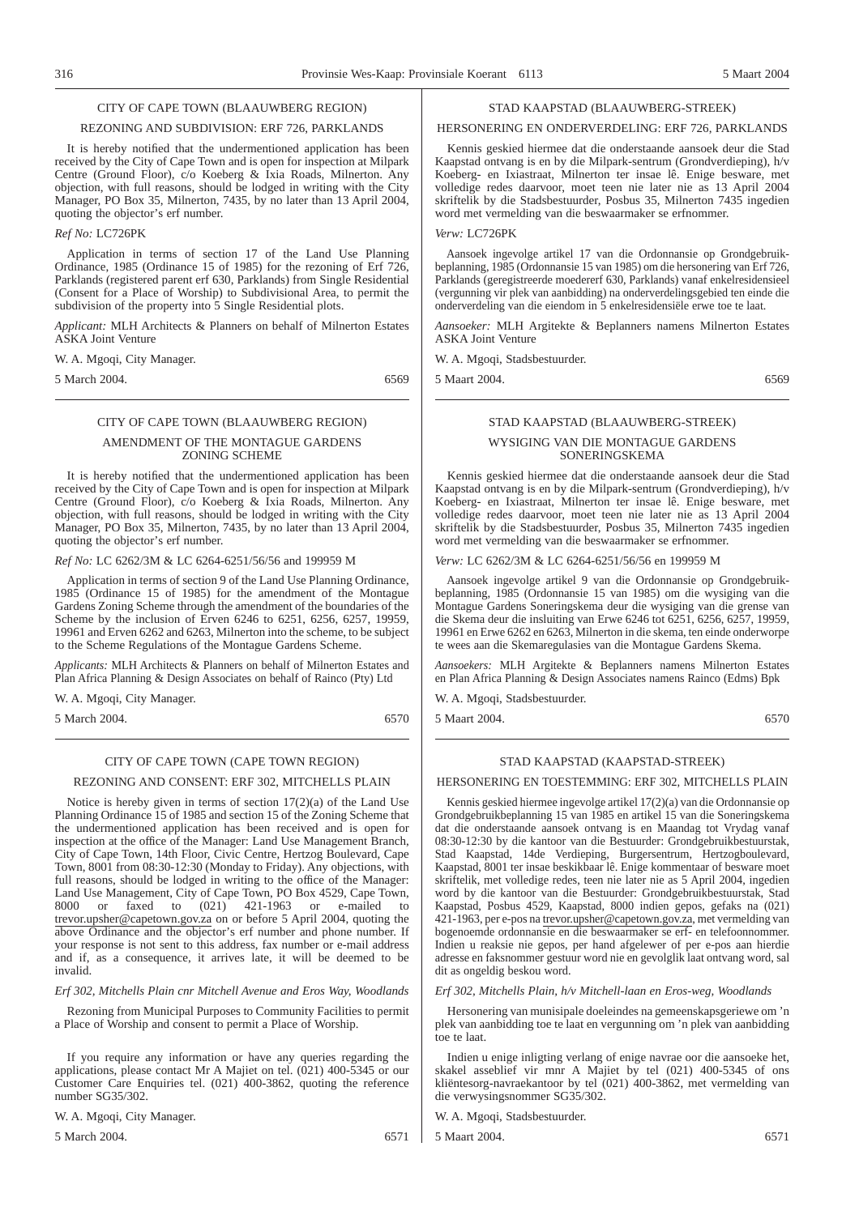#### CITY OF CAPE TOWN (BLAAUWBERG REGION)

#### REZONING AND SUBDIVISION: ERF 726, PARKLANDS

It is hereby notified that the undermentioned application has been received by the City of Cape Town and is open for inspection at Milpark Centre (Ground Floor), c/o Koeberg & Ixia Roads, Milnerton. Any objection, with full reasons, should be lodged in writing with the City Manager, PO Box 35, Milnerton, 7435, by no later than 13 April 2004, quoting the objector's erf number.

#### *Ref No:* LC726PK

Application in terms of section 17 of the Land Use Planning Ordinance, 1985 (Ordinance 15 of 1985) for the rezoning of Erf 726, Parklands (registered parent erf 630, Parklands) from Single Residential (Consent for a Place of Worship) to Subdivisional Area, to permit the subdivision of the property into 5 Single Residential plots.

*Applicant:* MLH Architects & Planners on behalf of Milnerton Estates ASKA Joint Venture

W. A. Mgoqi, City Manager.

5 March 2004. 6569

#### CITY OF CAPE TOWN (BLAAUWBERG REGION) AMENDMENT OF THE MONTAGUE GARDENS ZONING SCHEME

It is hereby notified that the undermentioned application has been received by the City of Cape Town and is open for inspection at Milpark Centre (Ground Floor), c/o Koeberg & Ixia Roads, Milnerton. Any objection, with full reasons, should be lodged in writing with the City Manager, PO Box 35, Milnerton, 7435, by no later than 13 April 2004, quoting the objector's erf number.

#### *Ref No:* LC 6262/3M & LC 6264-6251/56/56 and 199959 M

Application in terms of section 9 of the Land Use Planning Ordinance, 1985 (Ordinance 15 of 1985) for the amendment of the Montague Gardens Zoning Scheme through the amendment of the boundaries of the Scheme by the inclusion of Erven 6246 to 6251, 6256, 6257, 19959, 19961 and Erven 6262 and 6263, Milnerton into the scheme, to be subject to the Scheme Regulations of the Montague Gardens Scheme.

*Applicants:* MLH Architects & Planners on behalf of Milnerton Estates and Plan Africa Planning & Design Associates on behalf of Rainco (Pty) Ltd

W. A. Mgoqi, City Manager.

5 March 2004. 6570

#### CITY OF CAPE TOWN (CAPE TOWN REGION)

#### REZONING AND CONSENT: ERF 302, MITCHELLS PLAIN

Notice is hereby given in terms of section 17(2)(a) of the Land Use Planning Ordinance 15 of 1985 and section 15 of the Zoning Scheme that the undermentioned application has been received and is open for inspection at the office of the Manager: Land Use Management Branch, City of Cape Town, 14th Floor, Civic Centre, Hertzog Boulevard, Cape Town, 8001 from 08:30-12:30 (Monday to Friday). Any objections, with full reasons, should be lodged in writing to the office of the Manager: Land Use Management, City of Cape Town, PO Box 4529, Cape Town, 8000 or faxed to (021) 421-1963 or e-mailed to  $(021)$  421-1963 or e-mailed to trevor.upsher@capetown.gov.za on or before 5 April 2004, quoting the above Ordinance and the objector's erf number and phone number. If your response is not sent to this address, fax number or e-mail address and if, as a consequence, it arrives late, it will be deemed to be invalid.

*Erf 302, Mitchells Plain cnr Mitchell Avenue and Eros Way, Woodlands*

Rezoning from Municipal Purposes to Community Facilities to permit a Place of Worship and consent to permit a Place of Worship.

If you require any information or have any queries regarding the applications, please contact Mr A Majiet on tel. (021) 400-5345 or our Customer Care Enquiries tel. (021) 400-3862, quoting the reference number SG35/302.

W. A. Mgoqi, City Manager.

5 March 2004. 6571

#### STAD KAAPSTAD (BLAAUWBERG-STREEK)

#### HERSONERING EN ONDERVERDELING: ERF 726, PARKLANDS

Kennis geskied hiermee dat die onderstaande aansoek deur die Stad Kaapstad ontvang is en by die Milpark-sentrum (Grondverdieping), h/v Koeberg- en Ixiastraat, Milnerton ter insae lê. Enige besware, met volledige redes daarvoor, moet teen nie later nie as 13 April 2004 skriftelik by die Stadsbestuurder, Posbus 35, Milnerton 7435 ingedien word met vermelding van die beswaarmaker se erfnommer.

#### *Verw:* LC726PK

Aansoek ingevolge artikel 17 van die Ordonnansie op Grondgebruikbeplanning, 1985 (Ordonnansie 15 van 1985) om die hersonering van Erf 726, Parklands (geregistreerde moedererf 630, Parklands) vanaf enkelresidensieel (vergunning vir plek van aanbidding) na onderverdelingsgebied ten einde die onderverdeling van die eiendom in 5 enkelresidensiële erwe toe te laat.

*Aansoeker:* MLH Argitekte & Beplanners namens Milnerton Estates ASKA Joint Venture

W. A. Mgoqi, Stadsbestuurder.

5 Maart 2004. 6569

## STAD KAAPSTAD (BLAAUWBERG-STREEK) WYSIGING VAN DIE MONTAGUE GARDENS

# SONERINGSKEMA

Kennis geskied hiermee dat die onderstaande aansoek deur die Stad Kaapstad ontvang is en by die Milpark-sentrum (Grondverdieping), h/v Koeberg- en Ixiastraat, Milnerton ter insae lê. Enige besware, met volledige redes daarvoor, moet teen nie later nie as 13 April 2004 skriftelik by die Stadsbestuurder, Posbus 35, Milnerton 7435 ingedien word met vermelding van die beswaarmaker se erfnommer.

#### *Verw:* LC 6262/3M & LC 6264-6251/56/56 en 199959 M

Aansoek ingevolge artikel 9 van die Ordonnansie op Grondgebruikbeplanning, 1985 (Ordonnansie 15 van 1985) om die wysiging van die Montague Gardens Soneringskema deur die wysiging van die grense van die Skema deur die insluiting van Erwe 6246 tot 6251, 6256, 6257, 19959, 19961 en Erwe 6262 en 6263, Milnerton in die skema, ten einde onderworpe te wees aan die Skemaregulasies van die Montague Gardens Skema.

*Aansoekers:* MLH Argitekte & Beplanners namens Milnerton Estates en Plan Africa Planning & Design Associates namens Rainco (Edms) Bpk

W. A. Mgoqi, Stadsbestuurder.

5 Maart 2004. 6570

#### STAD KAAPSTAD (KAAPSTAD-STREEK)

#### HERSONERING EN TOESTEMMING: ERF 302, MITCHELLS PLAIN

Kennis geskied hiermee ingevolge artikel 17(2)(a) van die Ordonnansie op Grondgebruikbeplanning 15 van 1985 en artikel 15 van die Soneringskema dat die onderstaande aansoek ontvang is en Maandag tot Vrydag vanaf 08:30-12:30 by die kantoor van die Bestuurder: Grondgebruikbestuurstak, Stad Kaapstad, 14de Verdieping, Burgersentrum, Hertzogboulevard, Kaapstad, 8001 ter insae beskikbaar lê. Enige kommentaar of besware moet skriftelik, met volledige redes, teen nie later nie as 5 April 2004, ingedien word by die kantoor van die Bestuurder: Grondgebruikbestuurstak, Stad Kaapstad, Posbus 4529, Kaapstad, 8000 indien gepos, gefaks na (021) 421-1963, per e-pos na trevor.upsher@capetown.gov.za, met vermelding van bogenoemde ordonnansie en die beswaarmaker se erf- en telefoonnommer. Indien u reaksie nie gepos, per hand afgelewer of per e-pos aan hierdie adresse en faksnommer gestuur word nie en gevolglik laat ontvang word, sal dit as ongeldig beskou word.

#### *Erf 302, Mitchells Plain, h/v Mitchell-laan en Eros-weg, Woodlands*

Hersonering van munisipale doeleindes na gemeenskapsgeriewe om 'n plek van aanbidding toe te laat en vergunning om 'n plek van aanbidding toe te laat.

Indien u enige inligting verlang of enige navrae oor die aansoeke het, skakel asseblief vir mnr A Majiet by tel (021) 400-5345 of ons kliëntesorg-navraekantoor by tel (021) 400-3862, met vermelding van die verwysingsnommer SG35/302.

W. A. Mgoqi, Stadsbestuurder.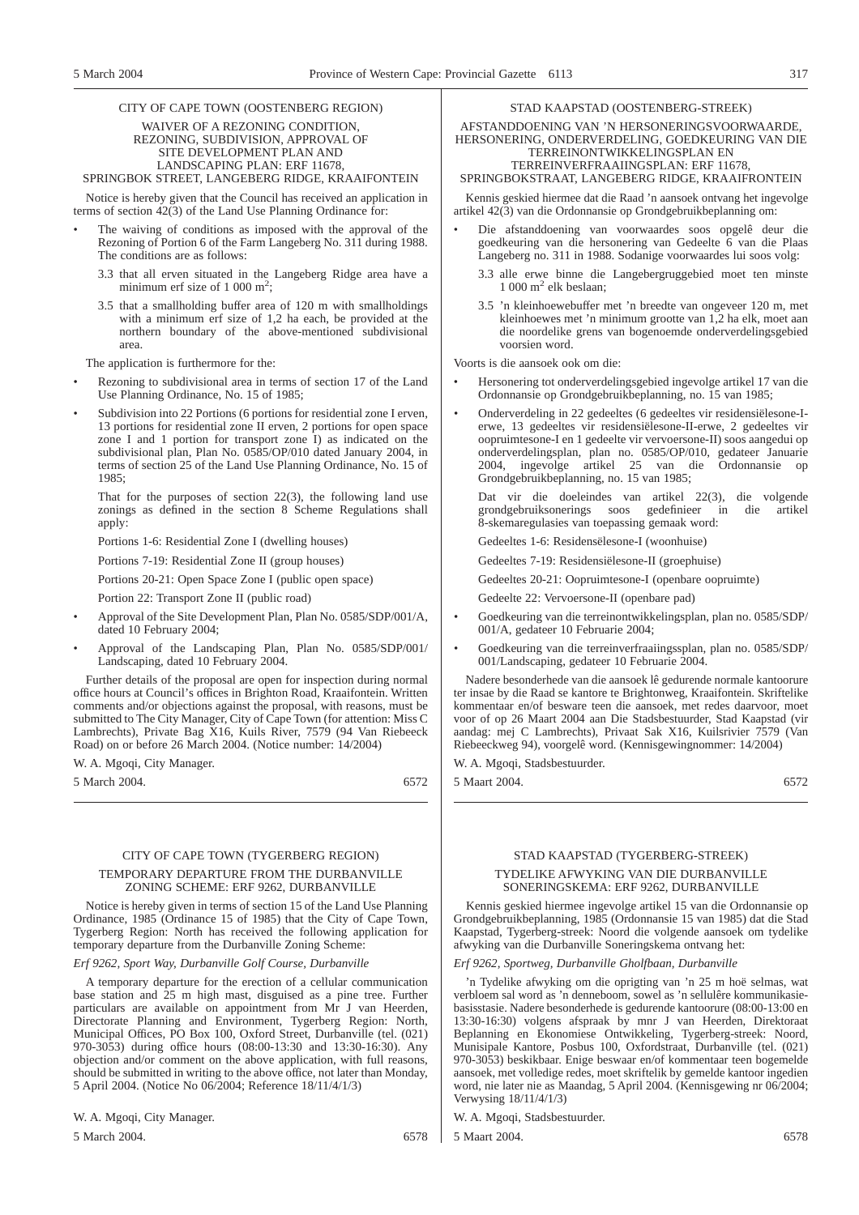#### CITY OF CAPE TOWN (OOSTENBERG REGION) WAIVER OF A REZONING CONDITION, REZONING, SUBDIVISION, APPROVAL OF SITE DEVELOPMENT PLAN AND LANDSCAPING PLAN: ERF 11678, SPRINGBOK STREET, LANGEBERG RIDGE, KRAAIFONTEIN

Notice is hereby given that the Council has received an application in terms of section  $42(3)$  of the Land Use Planning Ordinance for:

- The waiving of conditions as imposed with the approval of the Rezoning of Portion 6 of the Farm Langeberg No. 311 during 1988. The conditions are as follows:
	- 3.3 that all erven situated in the Langeberg Ridge area have a minimum erf size of 1 000 m<sup>2</sup>;
	- 3.5 that a smallholding buffer area of 120 m with smallholdings with a minimum erf size of 1,2 ha each, be provided at the northern boundary of the above-mentioned subdivisional area.

The application is furthermore for the:

- Rezoning to subdivisional area in terms of section 17 of the Land Use Planning Ordinance, No. 15 of 1985;
- Subdivision into 22 Portions (6 portions for residential zone I erven, 13 portions for residential zone II erven, 2 portions for open space zone I and 1 portion for transport zone I) as indicated on the subdivisional plan, Plan No. 0585/OP/010 dated January 2004, in terms of section 25 of the Land Use Planning Ordinance, No. 15 of 1985;

That for the purposes of section 22(3), the following land use zonings as defined in the section 8 Scheme Regulations shall apply:

Portions 1-6: Residential Zone I (dwelling houses)

Portions 7-19: Residential Zone II (group houses)

Portions 20-21: Open Space Zone I (public open space)

Portion 22: Transport Zone II (public road)

- Approval of the Site Development Plan, Plan No. 0585/SDP/001/A, dated 10 February 2004;
- Approval of the Landscaping Plan, Plan No. 0585/SDP/001/ Landscaping, dated 10 February 2004.

Further details of the proposal are open for inspection during normal office hours at Council's offices in Brighton Road, Kraaifontein. Written comments and/or objections against the proposal, with reasons, must be submitted to The City Manager, City of Cape Town (for attention: Miss C Lambrechts), Private Bag X16, Kuils River, 7579 (94 Van Riebeeck Road) on or before 26 March 2004. (Notice number: 14/2004)

W. A. Mgoqi, City Manager.

5 March 2004. 6572

## CITY OF CAPE TOWN (TYGERBERG REGION)

#### TEMPORARY DEPARTURE FROM THE DURBANVILLE ZONING SCHEME: ERF 9262, DURBANVILLE

Notice is hereby given in terms of section 15 of the Land Use Planning Ordinance, 1985 (Ordinance 15 of 1985) that the City of Cape Town, Tygerberg Region: North has received the following application for temporary departure from the Durbanville Zoning Scheme:

*Erf 9262, Sport Way, Durbanville Golf Course, Durbanville*

A temporary departure for the erection of a cellular communication base station and 25 m high mast, disguised as a pine tree. Further particulars are available on appointment from Mr J van Heerden, Directorate Planning and Environment, Tygerberg Region: North, Municipal Offices, PO Box 100, Oxford Street, Durbanville (tel. (021) 970-3053) during office hours (08:00-13:30 and 13:30-16:30). Any objection and/or comment on the above application, with full reasons, should be submitted in writing to the above office, not later than Monday, 5 April 2004. (Notice No 06/2004; Reference 18/11/4/1/3)

#### W. A. Mgoqi, City Manager.

5 March 2004. 6578

Verwysing 18/11/4/1/3)

W. A. Mgoqi, Stadsbestuurder.

5 Maart 2004. 6578

### STAD KAAPSTAD (OOSTENBERG-STREEK)

AFSTANDDOENING VAN 'N HERSONERINGSVOORWAARDE, HERSONERING, ONDERVERDELING, GOEDKEURING VAN DIE TERREINONTWIKKELINGSPLAN EN TERREINVERFRAAIINGSPLAN: ERF 11678,

#### SPRINGBOKSTRAAT, LANGEBERG RIDGE, KRAAIFRONTEIN

Kennis geskied hiermee dat die Raad 'n aansoek ontvang het ingevolge artikel 42(3) van die Ordonnansie op Grondgebruikbeplanning om:

- Die afstanddoening van voorwaardes soos opgelê deur die goedkeuring van die hersonering van Gedeelte 6 van die Plaas Langeberg no. 311 in 1988. Sodanige voorwaardes lui soos volg:
	- 3.3 alle erwe binne die Langebergruggebied moet ten minste  $1000 \text{ m}^2$  elk beslaan;
	- 3.5 'n kleinhoewebuffer met 'n breedte van ongeveer 120 m, met kleinhoewes met 'n minimum grootte van 1,2 ha elk, moet aan die noordelike grens van bogenoemde onderverdelingsgebied voorsien word.

Voorts is die aansoek ook om die:

- Hersonering tot onderverdelingsgebied ingevolge artikel 17 van die Ordonnansie op Grondgebruikbeplanning, no. 15 van 1985;
- Onderverdeling in 22 gedeeltes (6 gedeeltes vir residensiëlesone-Ierwe, 13 gedeeltes vir residensiëlesone-II-erwe, 2 gedeeltes vir oopruimtesone-I en 1 gedeelte vir vervoersone-II) soos aangedui op onderverdelingsplan, plan no. 0585/OP/010, gedateer Januarie 2004, ingevolge artikel 25 van die Ordonnansie op Grondgebruikbeplanning, no. 15 van 1985;

Dat vir die doeleindes van artikel 22(3), die volgende grondgebruiksonerings soos gedefinieer in 8-skemaregulasies van toepassing gemaak word:

Gedeeltes 1-6: Residensëlesone-I (woonhuise)

Gedeeltes 7-19: Residensiëlesone-II (groephuise)

Gedeeltes 20-21: Oopruimtesone-I (openbare oopruimte)

Gedeelte 22: Vervoersone-II (openbare pad)

- Goedkeuring van die terreinontwikkelingsplan, plan no. 0585/SDP/ 001/A, gedateer 10 Februarie 2004;
- Goedkeuring van die terreinverfraaiingssplan, plan no. 0585/SDP/ 001/Landscaping, gedateer 10 Februarie 2004.

Nadere besonderhede van die aansoek lê gedurende normale kantoorure ter insae by die Raad se kantore te Brightonweg, Kraaifontein. Skriftelike kommentaar en/of besware teen die aansoek, met redes daarvoor, moet voor of op 26 Maart 2004 aan Die Stadsbestuurder, Stad Kaapstad (vir aandag: mej C Lambrechts), Privaat Sak X16, Kuilsrivier 7579 (Van Riebeeckweg 94), voorgelê word. (Kennisgewingnommer: 14/2004)

W. A. Mgoqi, Stadsbestuurder.

5 Maart 2004. 6572

#### STAD KAAPSTAD (TYGERBERG-STREEK) TYDELIKE AFWYKING VAN DIE DURBANVILLE SONERINGSKEMA: ERF 9262, DURBANVILLE

Kennis geskied hiermee ingevolge artikel 15 van die Ordonnansie op Grondgebruikbeplanning, 1985 (Ordonnansie 15 van 1985) dat die Stad Kaapstad, Tygerberg-streek: Noord die volgende aansoek om tydelike afwyking van die Durbanville Soneringskema ontvang het:

#### *Erf 9262, Sportweg, Durbanville Gholfbaan, Durbanville*

'n Tydelike afwyking om die oprigting van 'n 25 m hoë selmas, wat verbloem sal word as 'n denneboom, sowel as 'n sellulêre kommunikasiebasisstasie. Nadere besonderhede is gedurende kantoorure (08:00-13:00 en 13:30-16:30) volgens afspraak by mnr J van Heerden, Direktoraat Beplanning en Ekonomiese Ontwikkeling, Tygerberg-streek: Noord, Munisipale Kantore, Posbus 100, Oxfordstraat, Durbanville (tel. (021) 970-3053) beskikbaar. Enige beswaar en/of kommentaar teen bogemelde aansoek, met volledige redes, moet skriftelik by gemelde kantoor ingedien word, nie later nie as Maandag, 5 April 2004. (Kennisgewing nr 06/2004;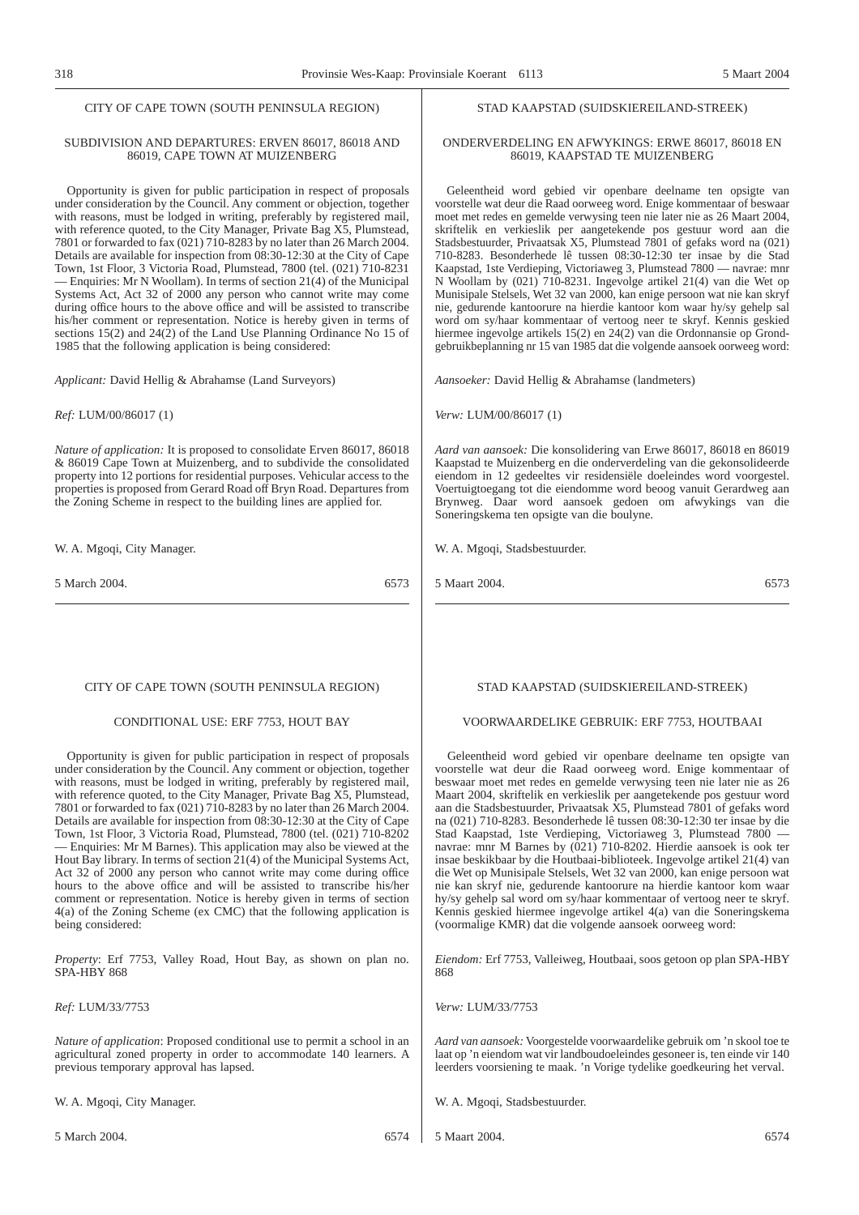#### CITY OF CAPE TOWN (SOUTH PENINSULA REGION)

#### SUBDIVISION AND DEPARTURES: ERVEN 86017, 86018 AND 86019, CAPE TOWN AT MUIZENBERG

Opportunity is given for public participation in respect of proposals under consideration by the Council. Any comment or objection, together with reasons, must be lodged in writing, preferably by registered mail, with reference quoted, to the City Manager, Private Bag X5, Plumstead, 7801 or forwarded to fax (021) 710-8283 by no later than 26 March 2004. Details are available for inspection from 08:30-12:30 at the City of Cape Town, 1st Floor, 3 Victoria Road, Plumstead, 7800 (tel. (021) 710-8231 — Enquiries: Mr N Woollam). In terms of section 21(4) of the Municipal Systems Act, Act 32 of 2000 any person who cannot write may come during office hours to the above office and will be assisted to transcribe his/her comment or representation. Notice is hereby given in terms of sections 15(2) and 24(2) of the Land Use Planning Ordinance No 15 of 1985 that the following application is being considered:

*Applicant:* David Hellig & Abrahamse (Land Surveyors)

*Ref:* LUM/00/86017 (1)

*Nature of application:* It is proposed to consolidate Erven 86017, 86018 & 86019 Cape Town at Muizenberg, and to subdivide the consolidated property into 12 portions for residential purposes. Vehicular access to the properties is proposed from Gerard Road off Bryn Road. Departures from the Zoning Scheme in respect to the building lines are applied for.

W. A. Mgoqi, City Manager.

5 March 2004. 6573

#### CITY OF CAPE TOWN (SOUTH PENINSULA REGION)

#### CONDITIONAL USE: ERF 7753, HOUT BAY

Opportunity is given for public participation in respect of proposals under consideration by the Council. Any comment or objection, together with reasons, must be lodged in writing, preferably by registered mail, with reference quoted, to the City Manager, Private Bag X5, Plumstead, 7801 or forwarded to fax (021) 710-8283 by no later than 26 March 2004. Details are available for inspection from 08:30-12:30 at the City of Cape Town, 1st Floor, 3 Victoria Road, Plumstead, 7800 (tel. (021) 710-8202 — Enquiries: Mr M Barnes). This application may also be viewed at the Hout Bay library. In terms of section 21(4) of the Municipal Systems Act, Act 32 of 2000 any person who cannot write may come during office hours to the above office and will be assisted to transcribe his/her comment or representation. Notice is hereby given in terms of section 4(a) of the Zoning Scheme (ex CMC) that the following application is being considered:

*Property*: Erf 7753, Valley Road, Hout Bay, as shown on plan no. SPA-HBY 868

*Ref:* LUM/33/7753

*Nature of application*: Proposed conditional use to permit a school in an agricultural zoned property in order to accommodate 140 learners. A previous temporary approval has lapsed.

W. A. Mgoqi, City Manager.

#### STAD KAAPSTAD (SUIDSKIEREILAND-STREEK)

#### ONDERVERDELING EN AFWYKINGS: ERWE 86017, 86018 EN 86019, KAAPSTAD TE MUIZENBERG

Geleentheid word gebied vir openbare deelname ten opsigte van voorstelle wat deur die Raad oorweeg word. Enige kommentaar of beswaar moet met redes en gemelde verwysing teen nie later nie as 26 Maart 2004, skriftelik en verkieslik per aangetekende pos gestuur word aan die Stadsbestuurder, Privaatsak X5, Plumstead 7801 of gefaks word na (021) 710-8283. Besonderhede lê tussen 08:30-12:30 ter insae by die Stad Kaapstad, 1ste Verdieping, Victoriaweg 3, Plumstead 7800 — navrae: mnr N Woollam by (021) 710-8231. Ingevolge artikel 21(4) van die Wet op Munisipale Stelsels, Wet 32 van 2000, kan enige persoon wat nie kan skryf nie, gedurende kantoorure na hierdie kantoor kom waar hy/sy gehelp sal word om sy/haar kommentaar of vertoog neer te skryf. Kennis geskied hiermee ingevolge artikels 15(2) en 24(2) van die Ordonnansie op Grondgebruikbeplanning nr 15 van 1985 dat die volgende aansoek oorweeg word:

*Aansoeker:* David Hellig & Abrahamse (landmeters)

*Verw:* LUM/00/86017 (1)

*Aard van aansoek:* Die konsolidering van Erwe 86017, 86018 en 86019 Kaapstad te Muizenberg en die onderverdeling van die gekonsolideerde eiendom in 12 gedeeltes vir residensiële doeleindes word voorgestel. Voertuigtoegang tot die eiendomme word beoog vanuit Gerardweg aan Brynweg. Daar word aansoek gedoen om afwykings van die Soneringskema ten opsigte van die boulyne.

W. A. Mgoqi, Stadsbestuurder.

5 Maart 2004. 6573

#### STAD KAAPSTAD (SUIDSKIEREILAND-STREEK)

#### VOORWAARDELIKE GEBRUIK: ERF 7753, HOUTBAAI

Geleentheid word gebied vir openbare deelname ten opsigte van voorstelle wat deur die Raad oorweeg word. Enige kommentaar of beswaar moet met redes en gemelde verwysing teen nie later nie as 26 Maart 2004, skriftelik en verkieslik per aangetekende pos gestuur word aan die Stadsbestuurder, Privaatsak X5, Plumstead 7801 of gefaks word na (021) 710-8283. Besonderhede lê tussen 08:30-12:30 ter insae by die Stad Kaapstad, 1ste Verdieping, Victoriaweg 3, Plumstead 7800 navrae: mnr M Barnes by (021) 710-8202. Hierdie aansoek is ook ter insae beskikbaar by die Houtbaai-biblioteek. Ingevolge artikel 21(4) van die Wet op Munisipale Stelsels, Wet 32 van 2000, kan enige persoon wat nie kan skryf nie, gedurende kantoorure na hierdie kantoor kom waar hy/sy gehelp sal word om sy/haar kommentaar of vertoog neer te skryf. Kennis geskied hiermee ingevolge artikel 4(a) van die Soneringskema (voormalige KMR) dat die volgende aansoek oorweeg word:

*Eiendom:* Erf 7753, Valleiweg, Houtbaai, soos getoon op plan SPA-HBY 868

*Verw:* LUM/33/7753

*Aard van aansoek:* Voorgestelde voorwaardelike gebruik om 'n skool toe te laat op 'n eiendom wat vir landboudoeleindes gesoneer is, ten einde vir 140 leerders voorsiening te maak. 'n Vorige tydelike goedkeuring het verval.

W. A. Mgoqi, Stadsbestuurder.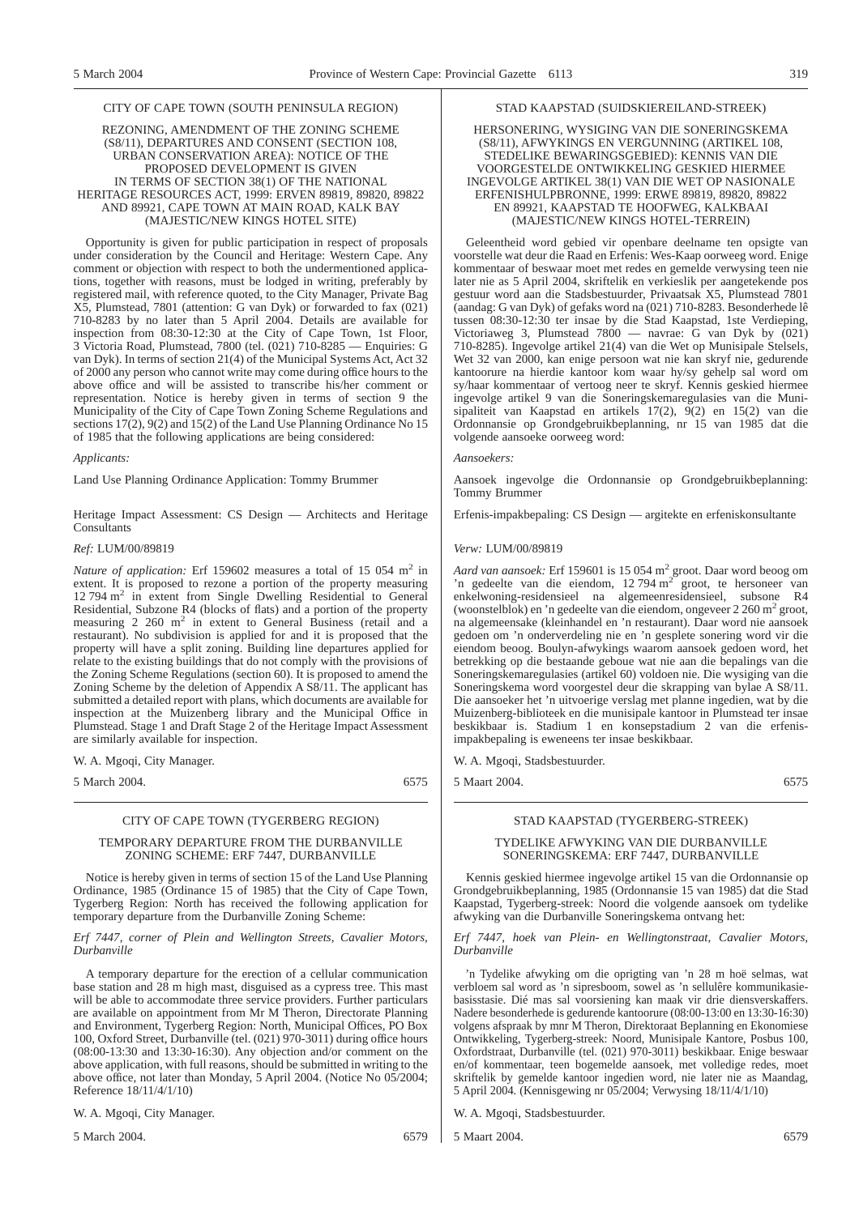#### CITY OF CAPE TOWN (SOUTH PENINSULA REGION)

#### REZONING, AMENDMENT OF THE ZONING SCHEME (S8/11), DEPARTURES AND CONSENT (SECTION 108, URBAN CONSERVATION AREA): NOTICE OF THE PROPOSED DEVELOPMENT IS GIVEN IN TERMS OF SECTION 38(1) OF THE NATIONAL HERITAGE RESOURCES ACT, 1999: ERVEN 89819, 89820, 89822 AND 89921, CAPE TOWN AT MAIN ROAD, KALK BAY (MAJESTIC/NEW KINGS HOTEL SITE)

Opportunity is given for public participation in respect of proposals under consideration by the Council and Heritage: Western Cape. Any comment or objection with respect to both the undermentioned applications, together with reasons, must be lodged in writing, preferably by registered mail, with reference quoted, to the City Manager, Private Bag X5, Plumstead, 7801 (attention: G van Dyk) or forwarded to fax (021) 710-8283 by no later than 5 April 2004. Details are available for inspection from 08:30-12:30 at the City of Cape Town, 1st Floor, 3 Victoria Road, Plumstead, 7800 (tel. (021) 710-8285 — Enquiries: G van Dyk). In terms of section 21(4) of the Municipal Systems Act, Act 32 of 2000 any person who cannot write may come during office hours to the above office and will be assisted to transcribe his/her comment or representation. Notice is hereby given in terms of section 9 the Municipality of the City of Cape Town Zoning Scheme Regulations and sections  $17(2)$ ,  $9(2)$  and  $15(2)$  of the Land Use Planning Ordinance No 15 of 1985 that the following applications are being considered:

#### *Applicants:*

Land Use Planning Ordinance Application: Tommy Brummer

Heritage Impact Assessment: CS Design — Architects and Heritage Consultants

#### *Ref:* LUM/00/89819

*Nature of application:* Erf 159602 measures a total of 15 054 m<sup>2</sup> in extent. It is proposed to rezone a portion of the property measuring 12 794 m<sup>2</sup> in extent from Single Dwelling Residential to General Residential, Subzone R4 (blocks of flats) and a portion of the property measuring 2 260 m<sup>2</sup> in extent to General Business (retail and a restaurant). No subdivision is applied for and it is proposed that the property will have a split zoning. Building line departures applied for relate to the existing buildings that do not comply with the provisions of the Zoning Scheme Regulations (section 60). It is proposed to amend the Zoning Scheme by the deletion of Appendix A  $S_2/11$ . The applicant has submitted a detailed report with plans, which documents are available for inspection at the Muizenberg library and the Municipal Office in Plumstead. Stage 1 and Draft Stage 2 of the Heritage Impact Assessment are similarly available for inspection.

W. A. Mgoqi, City Manager.

5 March 2004. 6575

#### CITY OF CAPE TOWN (TYGERBERG REGION)

#### TEMPORARY DEPARTURE FROM THE DURBANVILLE ZONING SCHEME: ERF 7447, DURBANVILLE

Notice is hereby given in terms of section 15 of the Land Use Planning Ordinance, 1985 (Ordinance 15 of 1985) that the City of Cape Town, Tygerberg Region: North has received the following application for temporary departure from the Durbanville Zoning Scheme:

#### *Erf 7447, corner of Plein and Wellington Streets, Cavalier Motors, Durbanville*

A temporary departure for the erection of a cellular communication base station and 28 m high mast, disguised as a cypress tree. This mast will be able to accommodate three service providers. Further particulars are available on appointment from Mr M Theron, Directorate Planning and Environment, Tygerberg Region: North, Municipal Offices, PO Box 100, Oxford Street, Durbanville (tel. (021) 970-3011) during office hours (08:00-13:30 and 13:30-16:30). Any objection and/or comment on the above application, with full reasons, should be submitted in writing to the above office, not later than Monday, 5 April 2004. (Notice No 05/2004; Reference 18/11/4/1/10)

#### W. A. Mgoqi, City Manager.

5 March 2004. 6579

#### STAD KAAPSTAD (SUIDSKIEREILAND-STREEK)

#### HERSONERING, WYSIGING VAN DIE SONERINGSKEMA (S8/11), AFWYKINGS EN VERGUNNING (ARTIKEL 108, STEDELIKE BEWARINGSGEBIED): KENNIS VAN DIE VOORGESTELDE ONTWIKKELING GESKIED HIERMEE INGEVOLGE ARTIKEL 38(1) VAN DIE WET OP NASIONALE ERFENISHULPBRONNE, 1999: ERWE 89819, 89820, 89822 EN 89921, KAAPSTAD TE HOOFWEG, KALKBAAI (MAJESTIC/NEW KINGS HOTEL-TERREIN)

Geleentheid word gebied vir openbare deelname ten opsigte van voorstelle wat deur die Raad en Erfenis: Wes-Kaap oorweeg word. Enige kommentaar of beswaar moet met redes en gemelde verwysing teen nie later nie as 5 April 2004, skriftelik en verkieslik per aangetekende pos gestuur word aan die Stadsbestuurder, Privaatsak X5, Plumstead 7801 (aandag: G van Dyk) of gefaks word na (021) 710-8283. Besonderhede lê tussen 08:30-12:30 ter insae by die Stad Kaapstad, 1ste Verdieping, Victoriaweg 3, Plumstead 7800 — navrae: G van Dyk by (021) 710-8285). Ingevolge artikel 21(4) van die Wet op Munisipale Stelsels, Wet 32 van 2000, kan enige persoon wat nie kan skryf nie, gedurende kantoorure na hierdie kantoor kom waar hy/sy gehelp sal word om sy/haar kommentaar of vertoog neer te skryf. Kennis geskied hiermee ingevolge artikel 9 van die Soneringskemaregulasies van die Munisipaliteit van Kaapstad en artikels 17(2), 9(2) en 15(2) van die Ordonnansie op Grondgebruikbeplanning, nr 15 van 1985 dat die volgende aansoeke oorweeg word:

#### *Aansoekers:*

Aansoek ingevolge die Ordonnansie op Grondgebruikbeplanning: Tommy Brummer

Erfenis-impakbepaling: CS Design — argitekte en erfeniskonsultante

#### *Verw:* LUM/00/89819

*Aard van aansoek:* Erf 159601 is 15 054 m<sup>2</sup> groot. Daar word beoog om 'n gedeelte van die eiendom,  $12\,794\,\mathrm{m}^2$  groot, te hersoneer van enkelwoning-residensieel na algemeenresidensieel, subsone R4 (woonstelblok) en 'n gedeelte van die eiendom, ongeveer 2 260 m2 groot, na algemeensake (kleinhandel en 'n restaurant). Daar word nie aansoek gedoen om 'n onderverdeling nie en 'n gesplete sonering word vir die eiendom beoog. Boulyn-afwykings waarom aansoek gedoen word, het betrekking op die bestaande geboue wat nie aan die bepalings van die Soneringskemaregulasies (artikel 60) voldoen nie. Die wysiging van die Soneringskema word voorgestel deur die skrapping van bylae A S8/11. Die aansoeker het 'n uitvoerige verslag met planne ingedien, wat by die Muizenberg-biblioteek en die munisipale kantoor in Plumstead ter insae beskikbaar is. Stadium 1 en konsepstadium 2 van die erfenisimpakbepaling is eweneens ter insae beskikbaar.

W. A. Mgoqi, Stadsbestuurder.

5 Maart 2004. 6575

#### STAD KAAPSTAD (TYGERBERG-STREEK)

#### TYDELIKE AFWYKING VAN DIE DURBANVILLE SONERINGSKEMA: ERF 7447, DURBANVILLE

Kennis geskied hiermee ingevolge artikel 15 van die Ordonnansie op Grondgebruikbeplanning, 1985 (Ordonnansie 15 van 1985) dat die Stad Kaapstad, Tygerberg-streek: Noord die volgende aansoek om tydelike afwyking van die Durbanville Soneringskema ontvang het:

*Erf 7447, hoek van Plein- en Wellingtonstraat, Cavalier Motors, Durbanville*

'n Tydelike afwyking om die oprigting van 'n 28 m hoë selmas, wat verbloem sal word as 'n sipresboom, sowel as 'n sellulêre kommunikasiebasisstasie. Dié mas sal voorsiening kan maak vir drie diensverskaffers. Nadere besonderhede is gedurende kantoorure (08:00-13:00 en 13:30-16:30) volgens afspraak by mnr M Theron, Direktoraat Beplanning en Ekonomiese Ontwikkeling, Tygerberg-streek: Noord, Munisipale Kantore, Posbus 100, Oxfordstraat, Durbanville (tel. (021) 970-3011) beskikbaar. Enige beswaar en/of kommentaar, teen bogemelde aansoek, met volledige redes, moet skriftelik by gemelde kantoor ingedien word, nie later nie as Maandag, 5 April 2004. (Kennisgewing nr 05/2004; Verwysing 18/11/4/1/10)

W. A. Mgoqi, Stadsbestuurder.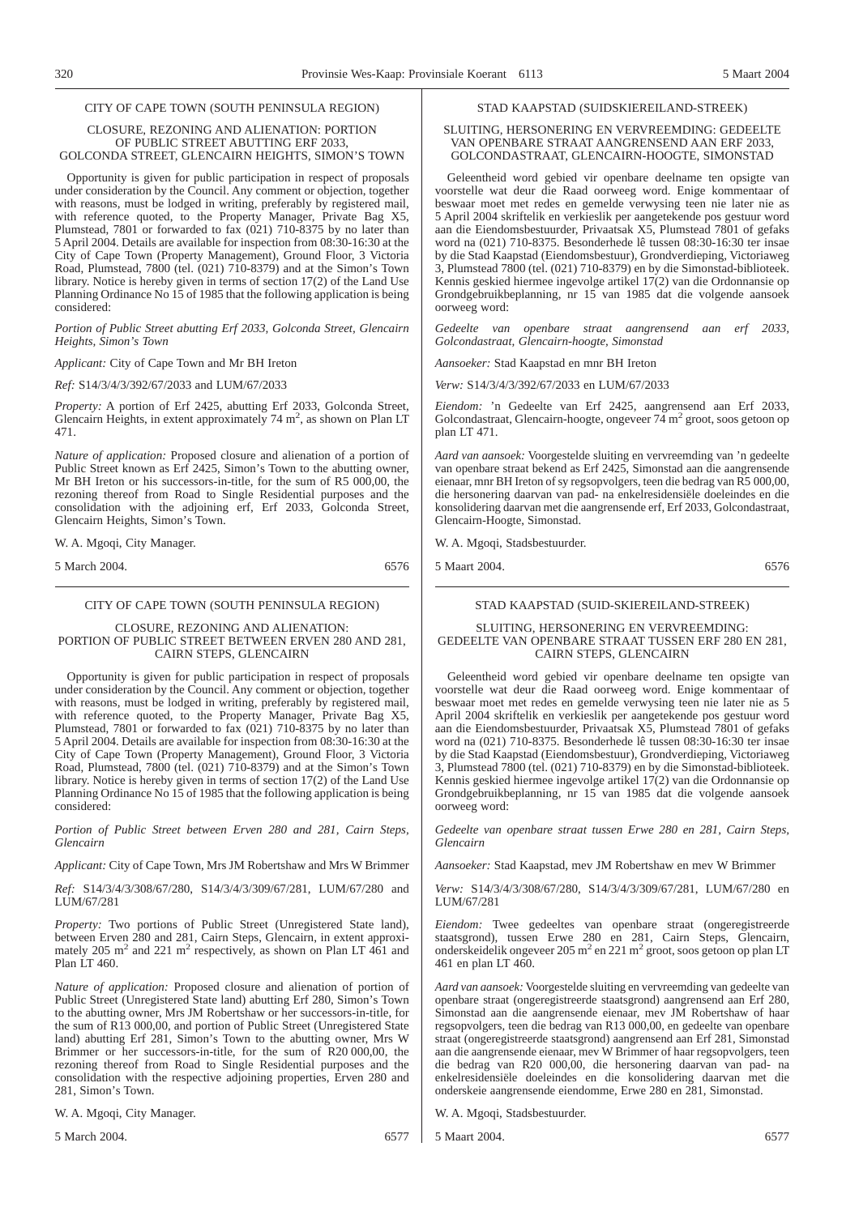#### CITY OF CAPE TOWN (SOUTH PENINSULA REGION)

#### CLOSURE, REZONING AND ALIENATION: PORTION OF PUBLIC STREET ABUTTING ERF 2033, GOLCONDA STREET, GLENCAIRN HEIGHTS, SIMON'S TOWN

Opportunity is given for public participation in respect of proposals under consideration by the Council. Any comment or objection, together with reasons, must be lodged in writing, preferably by registered mail, with reference quoted, to the Property Manager, Private Bag X5, Plumstead, 7801 or forwarded to fax  $(021)$  710-8375 by no later than 5 April 2004. Details are available for inspection from 08:30-16:30 at the City of Cape Town (Property Management), Ground Floor, 3 Victoria Road, Plumstead, 7800 (tel. (021) 710-8379) and at the Simon's Town library. Notice is hereby given in terms of section 17(2) of the Land Use Planning Ordinance No 15 of 1985 that the following application is being considered:

*Portion of Public Street abutting Erf 2033, Golconda Street, Glencairn Heights, Simon's Town*

*Applicant:* City of Cape Town and Mr BH Ireton

*Ref:* S14/3/4/3/392/67/2033 and LUM/67/2033

*Property:* A portion of Erf 2425, abutting Erf 2033, Golconda Street, Glencairn Heights, in extent approximately  $74 \text{ m}^2$ , as shown on Plan LT 471.

*Nature of application:* Proposed closure and alienation of a portion of Public Street known as Erf 2425, Simon's Town to the abutting owner, Mr BH Ireton or his successors-in-title, for the sum of R5 000,00, the rezoning thereof from Road to Single Residential purposes and the consolidation with the adjoining erf, Erf 2033, Golconda Street, Glencairn Heights, Simon's Town.

W. A. Mgoqi, City Manager.

5 March 2004. 6576

#### CITY OF CAPE TOWN (SOUTH PENINSULA REGION)

CLOSURE, REZONING AND ALIENATION: PORTION OF PUBLIC STREET BETWEEN ERVEN 280 AND 281, CAIRN STEPS, GLENCAIRN

Opportunity is given for public participation in respect of proposals under consideration by the Council. Any comment or objection, together with reasons, must be lodged in writing, preferably by registered mail, with reference quoted, to the Property Manager, Private Bag X5, Plumstead, 7801 or forwarded to fax (021) 710-8375 by no later than 5 April 2004. Details are available for inspection from 08:30-16:30 at the City of Cape Town (Property Management), Ground Floor, 3 Victoria Road, Plumstead, 7800 (tel. (021) 710-8379) and at the Simon's Town library. Notice is hereby given in terms of section 17(2) of the Land Use Planning Ordinance No 15 of 1985 that the following application is being considered:

*Portion of Public Street between Erven 280 and 281, Cairn Steps, Glencairn*

*Applicant:* City of Cape Town, Mrs JM Robertshaw and Mrs W Brimmer

*Ref:* S14/3/4/3/308/67/280, S14/3/4/3/309/67/281, LUM/67/280 and LUM/67/281

*Property:* Two portions of Public Street (Unregistered State land), between Erven 280 and 281, Cairn Steps, Glencairn, in extent approximately 205 m<sup>2</sup> and 221 m<sup>2</sup> respectively, as shown on Plan LT 461 and Plan LT 460.

*Nature of application:* Proposed closure and alienation of portion of Public Street (Unregistered State land) abutting Erf 280, Simon's Town to the abutting owner, Mrs JM Robertshaw or her successors-in-title, for the sum of R13 000,00, and portion of Public Street (Unregistered State land) abutting Erf 281, Simon's Town to the abutting owner, Mrs W Brimmer or her successors-in-title, for the sum of R20 000,00, the rezoning thereof from Road to Single Residential purposes and the consolidation with the respective adjoining properties, Erven 280 and 281, Simon's Town.

W. A. Mgoqi, City Manager.

5 March 2004. 6577

STAD KAAPSTAD (SUIDSKIEREILAND-STREEK)

#### SLUITING, HERSONERING EN VERVREEMDING: GEDEELTE VAN OPENBARE STRAAT AANGRENSEND AAN ERF 2033, GOLCONDASTRAAT, GLENCAIRN-HOOGTE, SIMONSTAD

Geleentheid word gebied vir openbare deelname ten opsigte van voorstelle wat deur die Raad oorweeg word. Enige kommentaar of beswaar moet met redes en gemelde verwysing teen nie later nie as 5 April 2004 skriftelik en verkieslik per aangetekende pos gestuur word aan die Eiendomsbestuurder, Privaatsak X5, Plumstead 7801 of gefaks word na (021) 710-8375. Besonderhede lê tussen 08:30-16:30 ter insae by die Stad Kaapstad (Eiendomsbestuur), Grondverdieping, Victoriaweg 3, Plumstead 7800 (tel. (021) 710-8379) en by die Simonstad-biblioteek. Kennis geskied hiermee ingevolge artikel 17(2) van die Ordonnansie op Grondgebruikbeplanning, nr 15 van 1985 dat die volgende aansoek oorweeg word:

*Gedeelte van openbare straat aangrensend aan erf 2033, Golcondastraat, Glencairn-hoogte, Simonstad*

*Aansoeker:* Stad Kaapstad en mnr BH Ireton

*Verw:* S14/3/4/3/392/67/2033 en LUM/67/2033

*Eiendom:* 'n Gedeelte van Erf 2425, aangrensend aan Erf 2033, Golcondastraat, Glencairn-hoogte, ongeveer  $74 \text{ m}^2$  groot, soos getoon op plan LT 471.

*Aard van aansoek:* Voorgestelde sluiting en vervreemding van 'n gedeelte van openbare straat bekend as Erf 2425, Simonstad aan die aangrensende eienaar, mnr BH Ireton of sy regsopvolgers, teen die bedrag van R5 000,00, die hersonering daarvan van pad- na enkelresidensiële doeleindes en die konsolidering daarvan met die aangrensende erf, Erf 2033, Golcondastraat, Glencairn-Hoogte, Simonstad.

W. A. Mgoqi, Stadsbestuurder.

5 Maart 2004. 6576

#### STAD KAAPSTAD (SUID-SKIEREILAND-STREEK)

SLUITING, HERSONERING EN VERVREEMDING: GEDEELTE VAN OPENBARE STRAAT TUSSEN ERF 280 EN 281, CAIRN STEPS, GLENCAIRN

Geleentheid word gebied vir openbare deelname ten opsigte van voorstelle wat deur die Raad oorweeg word. Enige kommentaar of beswaar moet met redes en gemelde verwysing teen nie later nie as 5 April 2004 skriftelik en verkieslik per aangetekende pos gestuur word aan die Eiendomsbestuurder, Privaatsak X5, Plumstead 7801 of gefaks word na (021) 710-8375. Besonderhede lê tussen 08:30-16:30 ter insae by die Stad Kaapstad (Eiendomsbestuur), Grondverdieping, Victoriaweg 3, Plumstead 7800 (tel. (021) 710-8379) en by die Simonstad-biblioteek. Kennis geskied hiermee ingevolge artikel 17(2) van die Ordonnansie op Grondgebruikbeplanning, nr 15 van 1985 dat die volgende aansoek oorweeg word:

*Gedeelte van openbare straat tussen Erwe 280 en 281, Cairn Steps, Glencairn*

*Aansoeker:* Stad Kaapstad, mev JM Robertshaw en mev W Brimmer

*Verw:* S14/3/4/3/308/67/280, S14/3/4/3/309/67/281, LUM/67/280 en LUM/67/281

*Eiendom:* Twee gedeeltes van openbare straat (ongeregistreerde staatsgrond), tussen Erwe 280 en 281, Cairn Steps, Glencairn, onderskeidelik ongeveer 205 m<sup>2</sup> en 221 m<sup>2</sup> groot, soos getoon op plan LT 461 en plan LT 460.

*Aard van aansoek:* Voorgestelde sluiting en vervreemding van gedeelte van openbare straat (ongeregistreerde staatsgrond) aangrensend aan Erf 280, Simonstad aan die aangrensende eienaar, mev JM Robertshaw of haar regsopvolgers, teen die bedrag van R13 000,00, en gedeelte van openbare straat (ongeregistreerde staatsgrond) aangrensend aan Erf 281, Simonstad aan die aangrensende eienaar, mev W Brimmer of haar regsopvolgers, teen die bedrag van R20 000,00, die hersonering daarvan van pad- na enkelresidensiële doeleindes en die konsolidering daarvan met die onderskeie aangrensende eiendomme, Erwe 280 en 281, Simonstad.

W. A. Mgoqi, Stadsbestuurder.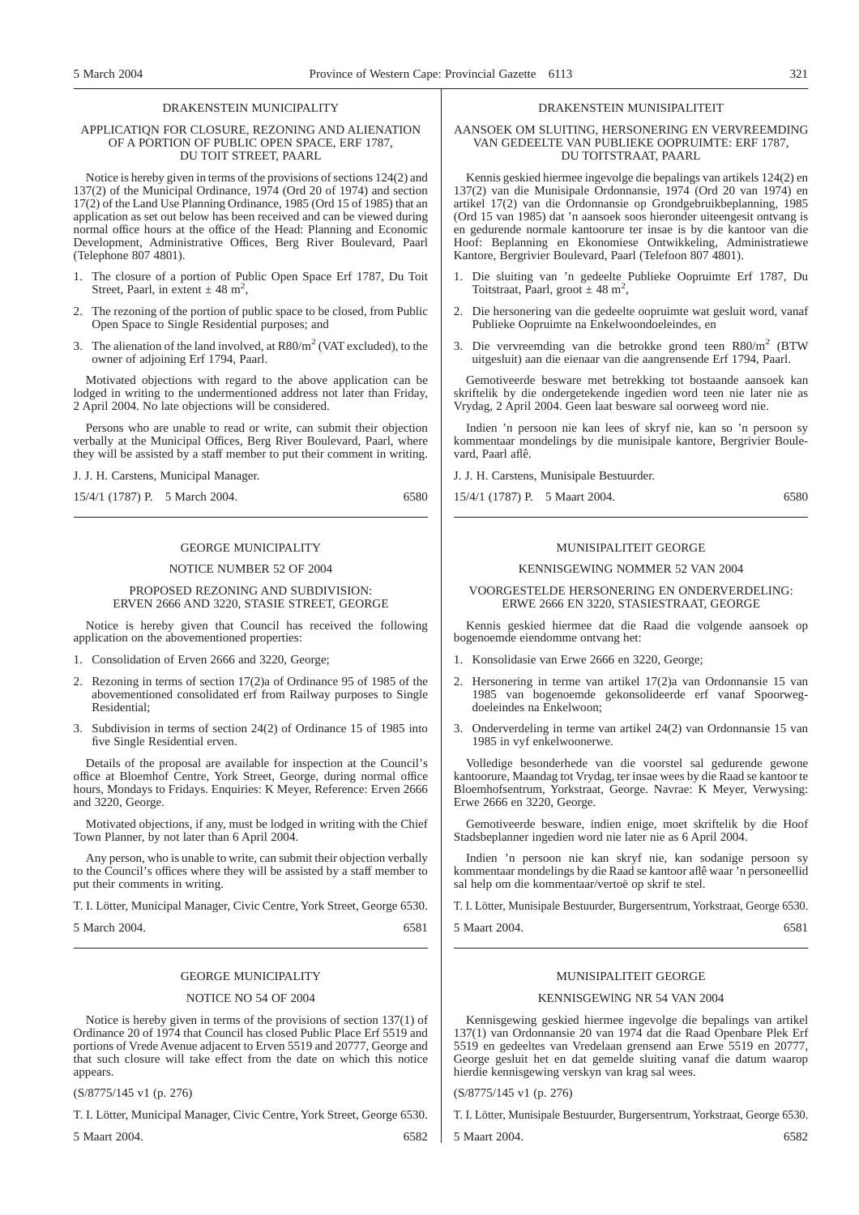#### DRAKENSTEIN MUNICIPALITY

#### APPLICATIQN FOR CLOSURE, REZONING AND ALIENATION OF A PORTION OF PUBLIC OPEN SPACE, ERF 1787, DU TOIT STREET, PAARL

Notice is hereby given in terms of the provisions of sections 124(2) and 137(2) of the Municipal Ordinance, 1974 (Ord 20 of 1974) and section 17(2) of the Land Use Planning Ordinance, 1985 (Ord 15 of 1985) that an application as set out below has been received and can be viewed during normal office hours at the office of the Head: Planning and Economic Development, Administrative Offices, Berg River Boulevard, Paarl (Telephone 807 4801).

- 1. The closure of a portion of Public Open Space Erf 1787, Du Toit Street, Paarl, in extent  $\pm$  48 m<sup>2</sup>,
- 2. The rezoning of the portion of public space to be closed, from Public Open Space to Single Residential purposes; and
- 3. The alienation of the land involved, at  $R80/m^2$  (VAT excluded), to the owner of adjoining Erf 1794, Paarl.

Motivated objections with regard to the above application can be lodged in writing to the undermentioned address not later than Friday. 2 April 2004. No late objections will be considered.

Persons who are unable to read or write, can submit their objection verbally at the Municipal Offices, Berg River Boulevard, Paarl, where they will be assisted by a staff member to put their comment in writing.

J. J. H. Carstens, Municipal Manager.

15/4/1 (1787) P. 5 March 2004. 6580

#### GEORGE MUNICIPALITY

#### NOTICE NUMBER 52 OF 2004

#### PROPOSED REZONING AND SUBDIVISION: ERVEN 2666 AND 3220, STASIE STREET, GEORGE

Notice is hereby given that Council has received the following application on the abovementioned properties:

- 1. Consolidation of Erven 2666 and 3220, George;
- 2. Rezoning in terms of section 17(2)a of Ordinance 95 of 1985 of the abovementioned consolidated erf from Railway purposes to Single Residential;
- 3. Subdivision in terms of section 24(2) of Ordinance 15 of 1985 into five Single Residential erven.

Details of the proposal are available for inspection at the Council's office at Bloemhof Centre, York Street, George, during normal office hours, Mondays to Fridays. Enquiries: K Meyer, Reference: Erven 2666 and 3220, George.

Motivated objections, if any, must be lodged in writing with the Chief Town Planner, by not later than 6 April 2004.

Any person, who is unable to write, can submit their objection verbally to the Council's offices where they will be assisted by a staff member to put their comments in writing.

T. I. Lötter, Municipal Manager, Civic Centre, York Street, George 6530.

5 March 2004. 6581

#### GEORGE MUNICIPALITY

#### NOTICE NO 54 OF 2004

Notice is hereby given in terms of the provisions of section 137(1) of Ordinance 20 of 1974 that Council has closed Public Place Erf 5519 and portions of Vrede Avenue adjacent to Erven 5519 and 20777, George and that such closure will take effect from the date on which this notice appears.

(S/8775/145 v1 (p. 276)

T. I. Lötter, Municipal Manager, Civic Centre, York Street, George 6530.

5 Maart 2004. 6582

#### DRAKENSTEIN MUNISIPALITEIT

#### AANSOEK OM SLUITING, HERSONERING EN VERVREEMDING VAN GEDEELTE VAN PUBLIEKE OOPRUIMTE: ERF 1787, DU TOITSTRAAT, PAARL

Kennis geskied hiermee ingevolge die bepalings van artikels 124(2) en 137(2) van die Munisipale Ordonnansie, 1974 (Ord 20 van 1974) en artikel 17(2) van die Ordonnansie op Grondgebruikbeplanning, 1985 (Ord 15 van 1985) dat 'n aansoek soos hieronder uiteengesit ontvang is en gedurende normale kantoorure ter insae is by die kantoor van die Hoof: Beplanning en Ekonomiese Ontwikkeling, Administratiewe Kantore, Bergrivier Boulevard, Paarl (Telefoon 807 4801).

- 1. Die sluiting van 'n gedeelte Publieke Oopruimte Erf 1787, Du Toitstraat, Paarl, groot  $\pm$  48 m<sup>2</sup>,
- 2. Die hersonering van die gedeelte oopruimte wat gesluit word, vanaf Publieke Oopruimte na Enkelwoondoeleindes, en
- 3. Die vervreemding van die betrokke grond teen R80/m2 (BTW uitgesluit) aan die eienaar van die aangrensende Erf 1794, Paarl.

Gemotiveerde besware met betrekking tot bostaande aansoek kan skriftelik by die ondergetekende ingedien word teen nie later nie as Vrydag, 2 April 2004. Geen laat besware sal oorweeg word nie.

Indien 'n persoon nie kan lees of skryf nie, kan so 'n persoon sy kommentaar mondelings by die munisipale kantore, Bergrivier Boulevard, Paarl aflê.

J. J. H. Carstens, Munisipale Bestuurder.

15/4/1 (1787) P. 5 Maart 2004. 6580

#### MUNISIPALITEIT GEORGE

#### KENNISGEWING NOMMER 52 VAN 2004

#### VOORGESTELDE HERSONERING EN ONDERVERDELING: ERWE 2666 EN 3220, STASIESTRAAT, GEORGE

Kennis geskied hiermee dat die Raad die volgende aansoek op bogenoemde eiendomme ontvang het:

- 1. Konsolidasie van Erwe 2666 en 3220, George;
- 2. Hersonering in terme van artikel 17(2)a van Ordonnansie 15 van 1985 van bogenoemde gekonsolideerde erf vanaf Spoorwegdoeleindes na Enkelwoon;
- 3. Onderverdeling in terme van artikel 24(2) van Ordonnansie 15 van 1985 in vyf enkelwoonerwe.

Volledige besonderhede van die voorstel sal gedurende gewone kantoorure, Maandag tot Vrydag, ter insae wees by die Raad se kantoor te Bloemhofsentrum, Yorkstraat, George. Navrae: K Meyer, Verwysing: Erwe 2666 en 3220, George.

Gemotiveerde besware, indien enige, moet skriftelik by die Hoof Stadsbeplanner ingedien word nie later nie as 6 April 2004.

Indien 'n persoon nie kan skryf nie, kan sodanige persoon sy kommentaar mondelings by die Raad se kantoor aflê waar 'n personeellid sal help om die kommentaar/vertoë op skrif te stel.

T. I. Lötter, Munisipale Bestuurder, Burgersentrum, Yorkstraat, George 6530.

5 Maart 2004. 6581

## MUNISIPALITEIT GEORGE

#### KENNISGEWlNG NR 54 VAN 2004

Kennisgewing geskied hiermee ingevolge die bepalings van artikel 137(1) van Ordonnansie 20 van 1974 dat die Raad Openbare Plek Erf 5519 en gedeeltes van Vredelaan grensend aan Erwe 5519 en 20777, George gesluit het en dat gemelde sluiting vanaf die datum waarop hierdie kennisgewing verskyn van krag sal wees.

(S/8775/145 v1 (p. 276)

T. I. Lötter, Munisipale Bestuurder, Burgersentrum, Yorkstraat, George 6530.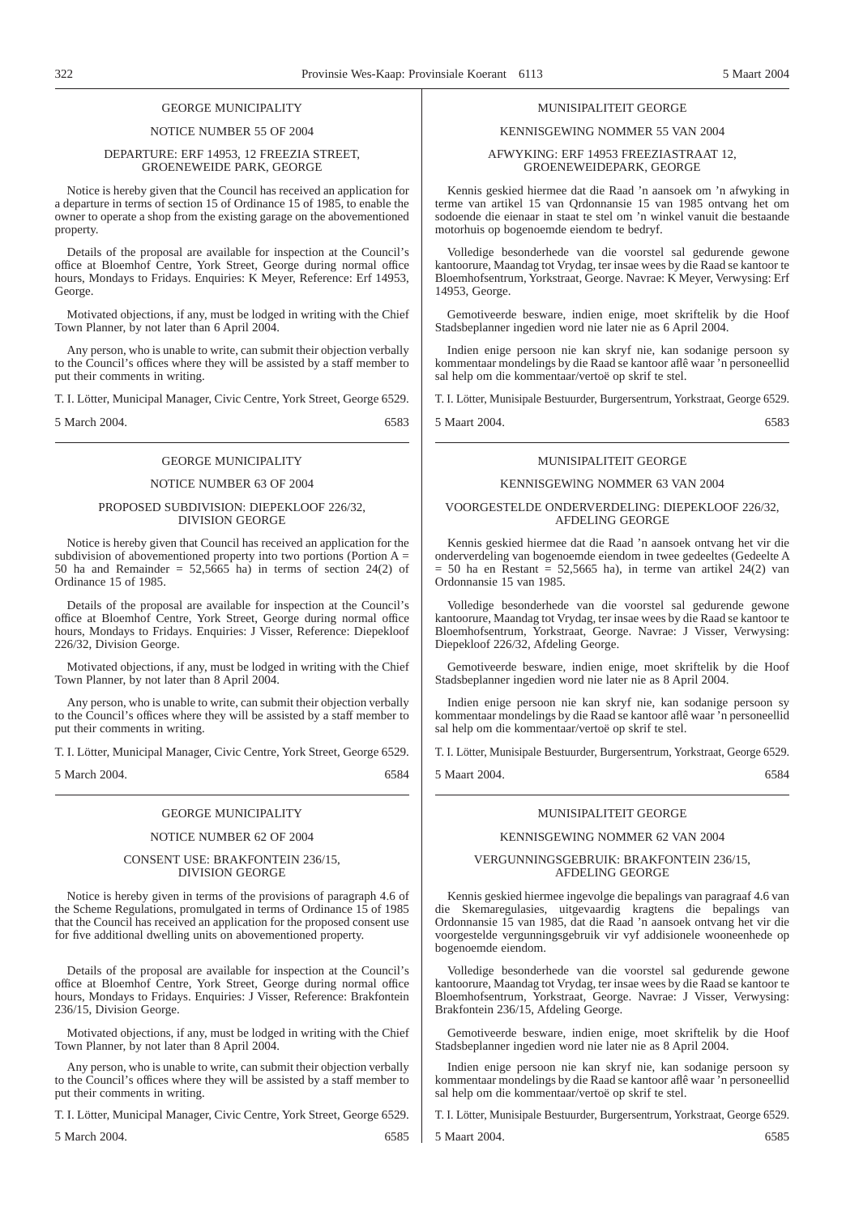#### GEORGE MUNICIPALITY

#### NOTICE NUMBER 55 OF 2004

#### DEPARTURE: ERF 14953, 12 FREEZIA STREET, GROENEWEIDE PARK, GEORGE

Notice is hereby given that the Council has received an application for a departure in terms of section 15 of Ordinance 15 of 1985, to enable the owner to operate a shop from the existing garage on the abovementioned property.

Details of the proposal are available for inspection at the Council's office at Bloemhof Centre, York Street, George during normal office hours, Mondays to Fridays. Enquiries: K Meyer, Reference: Erf 14953, George.

Motivated objections, if any, must be lodged in writing with the Chief Town Planner, by not later than 6 April 2004.

Any person, who is unable to write, can submit their objection verbally to the Council's offices where they will be assisted by a staff member to put their comments in writing.

T. I. Lötter, Municipal Manager, Civic Centre, York Street, George 6529.

5 March 2004. 6583

#### GEORGE MUNICIPALITY

#### NOTICE NUMBER 63 OF 2004

#### PROPOSED SUBDIVISION: DIEPEKLOOF 226/32, DIVISION GEORGE

Notice is hereby given that Council has received an application for the subdivision of abovementioned property into two portions (Portion  $A =$ 50 ha and Remainder =  $52,5665$  ha) in terms of section  $24(2)$  of Ordinance 15 of 1985.

Details of the proposal are available for inspection at the Council's office at Bloemhof Centre, York Street, George during normal office hours, Mondays to Fridays. Enquiries: J Visser, Reference: Diepekloof 226/32, Division George.

Motivated objections, if any, must be lodged in writing with the Chief Town Planner, by not later than 8 April 2004.

Any person, who is unable to write, can submit their objection verbally to the Council's offices where they will be assisted by a staff member to put their comments in writing.

T. I. Lötter, Municipal Manager, Civic Centre, York Street, George 6529.

5 March 2004. 6584

#### GEORGE MUNICIPALITY

#### NOTICE NUMBER 62 OF 2004

#### CONSENT USE: BRAKFONTEIN 236/15, DIVISION GEORGE

Notice is hereby given in terms of the provisions of paragraph 4.6 of the Scheme Regulations, promulgated in terms of Ordinance 15 of 1985 that the Council has received an application for the proposed consent use for five additional dwelling units on abovementioned property.

Details of the proposal are available for inspection at the Council's office at Bloemhof Centre, York Street, George during normal office hours, Mondays to Fridays. Enquiries: J Visser, Reference: Brakfontein 236/15, Division George.

Motivated objections, if any, must be lodged in writing with the Chief Town Planner, by not later than 8 April 2004.

Any person, who is unable to write, can submit their objection verbally to the Council's offices where they will be assisted by a staff member to put their comments in writing.

T. I. Lötter, Municipal Manager, Civic Centre, York Street, George 6529.

5 March 2004. 6585

#### MUNISIPALITEIT GEORGE

#### KENNISGEWING NOMMER 55 VAN 2004

#### AFWYKING: ERF 14953 FREEZIASTRAAT 12, GROENEWEIDEPARK, GEORGE

Kennis geskied hiermee dat die Raad 'n aansoek om 'n afwyking in terme van artikel 15 van Qrdonnansie 15 van 1985 ontvang het om sodoende die eienaar in staat te stel om 'n winkel vanuit die bestaande motorhuis op bogenoemde eiendom te bedryf.

Volledige besonderhede van die voorstel sal gedurende gewone kantoorure, Maandag tot Vrydag, ter insae wees by die Raad se kantoor te Bloemhofsentrum, Yorkstraat, George. Navrae: K Meyer, Verwysing: Erf 14953, George.

Gemotiveerde besware, indien enige, moet skriftelik by die Hoof Stadsbeplanner ingedien word nie later nie as 6 April 2004.

Indien enige persoon nie kan skryf nie, kan sodanige persoon sy kommentaar mondelings by die Raad se kantoor aflê waar 'n personeellid sal help om die kommentaar/vertoë op skrif te stel.

T. I. Lötter, Munisipale Bestuurder, Burgersentrum, Yorkstraat, George 6529.

5 Maart 2004. 6583

#### MUNISIPALITEIT GEORGE

#### KENNISGEWlNG NOMMER 63 VAN 2004

#### VOORGESTELDE ONDERVERDELING: DIEPEKLOOF 226/32, AFDELING GEORGE

Kennis geskied hiermee dat die Raad 'n aansoek ontvang het vir die onderverdeling van bogenoemde eiendom in twee gedeeltes (Gedeelte A  $= 50$  ha en Restant  $= 52,5665$  ha), in terme van artikel 24(2) van Ordonnansie 15 van 1985.

Volledige besonderhede van die voorstel sal gedurende gewone kantoorure, Maandag tot Vrydag, ter insae wees by die Raad se kantoor te Bloemhofsentrum, Yorkstraat, George. Navrae: J Visser, Verwysing: Diepekloof 226/32, Afdeling George.

Gemotiveerde besware, indien enige, moet skriftelik by die Hoof Stadsbeplanner ingedien word nie later nie as 8 April 2004.

Indien enige persoon nie kan skryf nie, kan sodanige persoon sy kommentaar mondelings by die Raad se kantoor aflê waar 'n personeellid sal help om die kommentaar/vertoë op skrif te stel.

T. I. Lötter, Munisipale Bestuurder, Burgersentrum, Yorkstraat, George 6529.

5 Maart 2004. 6584

#### MUNISIPALITEIT GEORGE

#### KENNISGEWING NOMMER 62 VAN 2004

#### VERGUNNINGSGEBRUIK: BRAKFONTEIN 236/15, AFDELING GEORGE

Kennis geskied hiermee ingevolge die bepalings van paragraaf 4.6 van die Skemaregulasies, uitgevaardig kragtens die bepalings van Ordonnansie 15 van 1985, dat die Raad 'n aansoek ontvang het vir die voorgestelde vergunningsgebruik vir vyf addisionele wooneenhede op bogenoemde eiendom.

Volledige besonderhede van die voorstel sal gedurende gewone kantoorure, Maandag tot Vrydag, ter insae wees by die Raad se kantoor te Bloemhofsentrum, Yorkstraat, George. Navrae: J Visser, Verwysing: Brakfontein 236/15, Afdeling George.

Gemotiveerde besware, indien enige, moet skriftelik by die Hoof Stadsbeplanner ingedien word nie later nie as 8 April 2004.

Indien enige persoon nie kan skryf nie, kan sodanige persoon sy kommentaar mondelings by die Raad se kantoor aflê waar 'n personeellid sal help om die kommentaar/vertoë op skrif te stel.

T. I. Lötter, Munisipale Bestuurder, Burgersentrum, Yorkstraat, George 6529.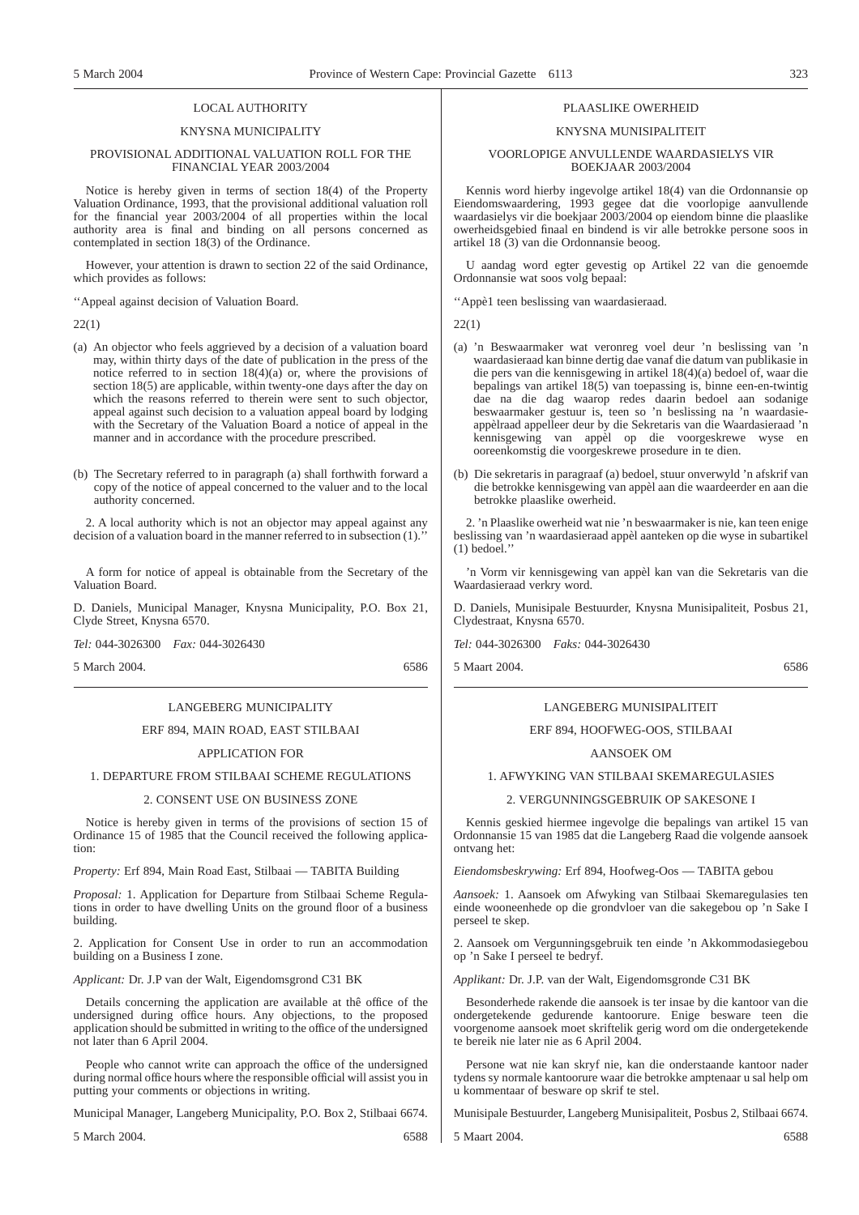#### LOCAL AUTHORITY

#### KNYSNA MUNICIPALITY

#### PROVISIONAL ADDITIONAL VALUATION ROLL FOR THE FINANCIAL YEAR 2003/2004

Notice is hereby given in terms of section 18(4) of the Property Valuation Ordinance, 1993, that the provisional additional valuation roll for the financial year 2003/2004 of all properties within the local authority area is final and binding on all persons concerned as contemplated in section 18(3) of the Ordinance.

However, your attention is drawn to section 22 of the said Ordinance, which provides as follows:

''Appeal against decision of Valuation Board.

22(1)

- (a) An objector who feels aggrieved by a decision of a valuation board may, within thirty days of the date of publication in the press of the notice referred to in section  $18(4)(a)$  or, where the provisions of section 18(5) are applicable, within twenty-one days after the day on which the reasons referred to therein were sent to such objector, appeal against such decision to a valuation appeal board by lodging with the Secretary of the Valuation Board a notice of appeal in the manner and in accordance with the procedure prescribed.
- (b) The Secretary referred to in paragraph (a) shall forthwith forward a copy of the notice of appeal concerned to the valuer and to the local authority concerned.

2. A local authority which is not an objector may appeal against any decision of a valuation board in the manner referred to in subsection (1).

A form for notice of appeal is obtainable from the Secretary of the Valuation Board.

D. Daniels, Municipal Manager, Knysna Municipality, P.O. Box 21, Clyde Street, Knysna 6570.

*Tel:* 044-3026300 *Fax:* 044-3026430

5 March 2004. 6586

#### LANGEBERG MUNICIPALITY

#### ERF 894, MAIN ROAD, EAST STILBAAI

### APPLICATION FOR

#### 1. DEPARTURE FROM STILBAAI SCHEME REGULATIONS

#### 2. CONSENT USE ON BUSINESS ZONE

Notice is hereby given in terms of the provisions of section 15 of Ordinance 15 of 1985 that the Council received the following application:

*Property:* Erf 894, Main Road East, Stilbaai — TABITA Building

*Proposal:* 1. Application for Departure from Stilbaai Scheme Regulations in order to have dwelling Units on the ground floor of a business building.

2. Application for Consent Use in order to run an accommodation building on a Business I zone.

*Applicant:* Dr. J.P van der Walt, Eigendomsgrond C31 BK

Details concerning the application are available at thê office of the undersigned during office hours. Any objections, to the proposed application should be submitted in writing to the office of the undersigned not later than 6 April 2004.

People who cannot write can approach the office of the undersigned during normal office hours where the responsible official will assist you in putting your comments or objections in writing.

Municipal Manager, Langeberg Municipality, P.O. Box 2, Stilbaai 6674.

5 March 2004. 6588

#### PLAASLIKE OWERHEID

#### KNYSNA MUNISIPALITEIT

#### VOORLOPIGE ANVULLENDE WAARDASIELYS VIR BOEKJAAR 2003/2004

Kennis word hierby ingevolge artikel 18(4) van die Ordonnansie op Eiendomswaardering, 1993 gegee dat die voorlopige aanvullende waardasielys vir die boekjaar 2003/2004 op eiendom binne die plaaslike owerheidsgebied finaal en bindend is vir alle betrokke persone soos in artikel 18 (3) van die Ordonnansie beoog.

U aandag word egter gevestig op Artikel 22 van die genoemde Ordonnansie wat soos volg bepaal:

''Appè1 teen beslissing van waardasieraad.

22(1)

- (a) 'n Beswaarmaker wat veronreg voel deur 'n beslissing van 'n waardasieraad kan binne dertig dae vanaf die datum van publikasie in die pers van die kennisgewing in artikel 18(4)(a) bedoel of, waar die bepalings van artikel 18(5) van toepassing is, binne een-en-twintig dae na die dag waarop redes daarin bedoel aan sodanige beswaarmaker gestuur is, teen so 'n beslissing na 'n waardasieappèlraad appelleer deur by die Sekretaris van die Waardasieraad 'n kennisgewing van appèl op die voorgeskrewe wyse en ooreenkomstig die voorgeskrewe prosedure in te dien.
- (b) Die sekretaris in paragraaf (a) bedoel, stuur onverwyld 'n afskrif van die betrokke kennisgewing van appèl aan die waardeerder en aan die betrokke plaaslike owerheid.

2. 'n Plaaslike owerheid wat nie 'n beswaarmaker is nie, kan teen enige beslissing van 'n waardasieraad appèl aanteken op die wyse in subartikel (1) bedoel.''

'n Vorm vir kennisgewing van appèl kan van die Sekretaris van die Waardasieraad verkry word.

D. Daniels, Munisipale Bestuurder, Knysna Munisipaliteit, Posbus 21, Clydestraat, Knysna 6570.

*Tel:* 044-3026300 *Faks:* 044-3026430

5 Maart 2004. 6586

## LANGEBERG MUNISIPALITEIT

## ERF 894, HOOFWEG-OOS, STILBAAI

#### AANSOEK OM

#### 1. AFWYKING VAN STILBAAI SKEMAREGULASIES

#### 2. VERGUNNINGSGEBRUIK OP SAKESONE I

Kennis geskied hiermee ingevolge die bepalings van artikel 15 van Ordonnansie 15 van 1985 dat die Langeberg Raad die volgende aansoek ontvang het:

*Eiendomsbeskrywing:* Erf 894, Hoofweg-Oos — TABITA gebou

*Aansoek:* 1. Aansoek om Afwyking van Stilbaai Skemaregulasies ten einde wooneenhede op die grondvloer van die sakegebou op 'n Sake I perseel te skep.

2. Aansoek om Vergunningsgebruik ten einde 'n Akkommodasiegebou op 'n Sake I perseel te bedryf.

*Applikant:* Dr. J.P. van der Walt, Eigendomsgronde C31 BK

Besonderhede rakende die aansoek is ter insae by die kantoor van die ondergetekende gedurende kantoorure. Enige besware teen die voorgenome aansoek moet skriftelik gerig word om die ondergetekende te bereik nie later nie as 6 April 2004.

Persone wat nie kan skryf nie, kan die onderstaande kantoor nader tydens sy normale kantoorure waar die betrokke amptenaar u sal help om u kommentaar of besware op skrif te stel.

Munisipale Bestuurder, Langeberg Munisipaliteit, Posbus 2, Stilbaai 6674.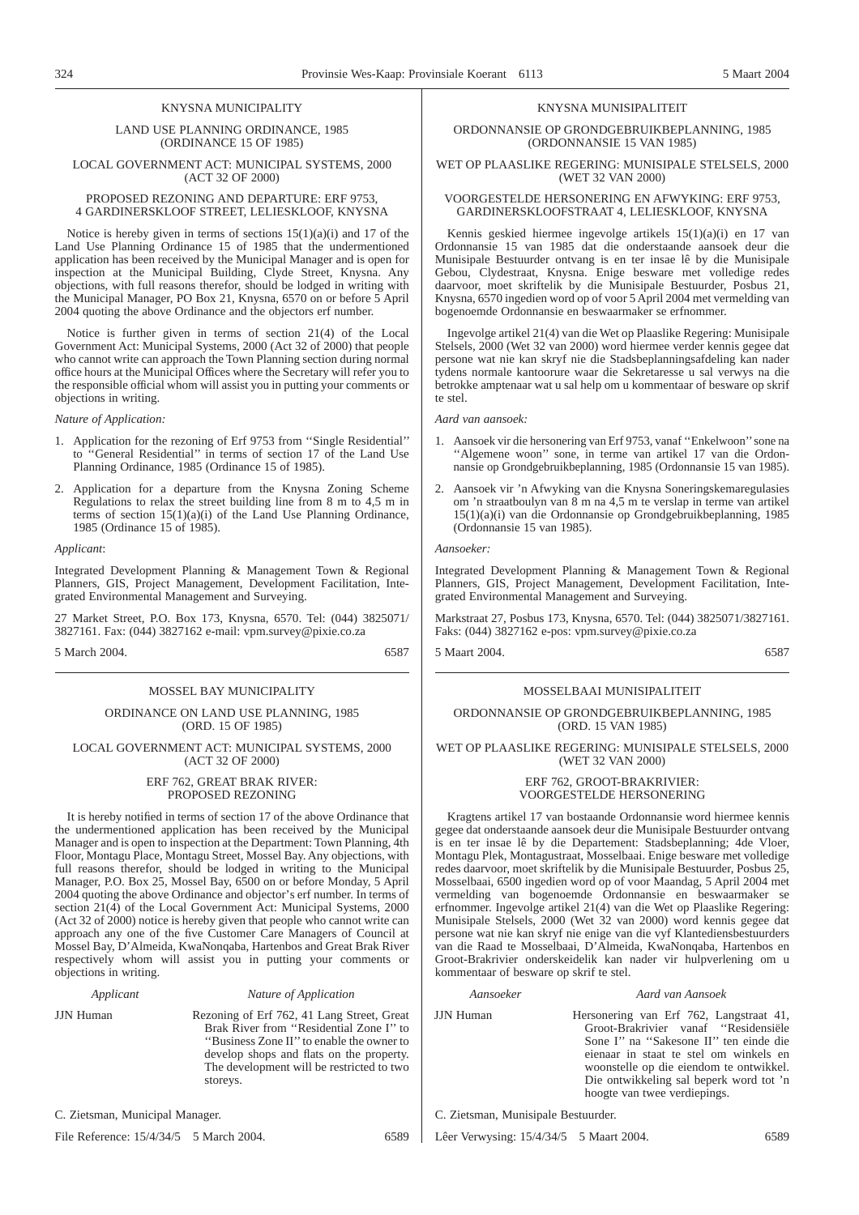#### KNYSNA MUNICIPALITY

#### LAND USE PLANNING ORDINANCE, 1985 (ORDINANCE 15 OF 1985)

#### LOCAL GOVERNMENT ACT: MUNICIPAL SYSTEMS, 2000 (ACT 32 OF 2000)

#### PROPOSED REZONING AND DEPARTURE: ERF 9753, 4 GARDINERSKLOOF STREET, LELIESKLOOF, KNYSNA

Notice is hereby given in terms of sections  $15(1)(a)(i)$  and 17 of the Land Use Planning Ordinance 15 of 1985 that the undermentioned application has been received by the Municipal Manager and is open for inspection at the Municipal Building, Clyde Street, Knysna. Any objections, with full reasons therefor, should be lodged in writing with the Municipal Manager, PO Box 21, Knysna, 6570 on or before 5 April 2004 quoting the above Ordinance and the objectors erf number.

Notice is further given in terms of section 21(4) of the Local Government Act: Municipal Systems, 2000 (Act 32 of 2000) that people who cannot write can approach the Town Planning section during normal office hours at the Municipal Offices where the Secretary will refer you to the responsible official whom will assist you in putting your comments or objections in writing.

#### *Nature of Application:*

- 1. Application for the rezoning of Erf 9753 from ''Single Residential'' to ''General Residential'' in terms of section 17 of the Land Use Planning Ordinance, 1985 (Ordinance 15 of 1985).
- 2. Application for a departure from the Knysna Zoning Scheme Regulations to relax the street building line from 8 m to 4,5 m in terms of section  $15(1)(a)(i)$  of the Land Use Planning Ordinance, 1985 (Ordinance 15 of 1985).

#### *Applicant*:

Integrated Development Planning & Management Town & Regional Planners, GIS, Project Management, Development Facilitation, Integrated Environmental Management and Surveying.

27 Market Street, P.O. Box 173, Knysna, 6570. Tel: (044) 3825071/ 3827161. Fax: (044) 3827162 e-mail: vpm.survey@pixie.co.za

5 March 2004. 6587

#### MOSSEL BAY MUNICIPALITY

#### ORDINANCE ON LAND USE PLANNING, 1985 (ORD. 15 OF 1985)

#### LOCAL GOVERNMENT ACT: MUNICIPAL SYSTEMS, 2000 (ACT 32 OF 2000)

#### ERF 762, GREAT BRAK RIVER: PROPOSED REZONING

It is hereby notified in terms of section 17 of the above Ordinance that the undermentioned application has been received by the Municipal Manager and is open to inspection at the Department: Town Planning, 4th Floor, Montagu Place, Montagu Street, Mossel Bay. Any objections, with full reasons therefor, should be lodged in writing to the Municipal Manager, P.O. Box 25, Mossel Bay, 6500 on or before Monday, 5 April 2004 quoting the above Ordinance and objector's erf number. In terms of section 21(4) of the Local Government Act: Municipal Systems, 2000 (Act 32 of 2000) notice is hereby given that people who cannot write can approach any one of the five Customer Care Managers of Council at Mossel Bay, D'Almeida, KwaNonqaba, Hartenbos and Great Brak River respectively whom will assist you in putting your comments or objections in writing.

#### *Applicant Nature of Application*

JJN Human Rezoning of Erf 762, 41 Lang Street, Great Brak River from ''Residential Zone I'' to ''Business Zone II'' to enable the owner to develop shops and flats on the property. The development will be restricted to two storeys.

C. Zietsman, Municipal Manager.

File Reference:  $15/4/34/5$  5 March 2004. 6589

#### KNYSNA MUNISIPALITEIT

#### ORDONNANSIE OP GRONDGEBRUIKBEPLANNING, 1985 (ORDONNANSIE 15 VAN 1985)

#### WET OP PLAASLIKE REGERING: MUNISIPALE STELSELS, 2000 (WET 32 VAN 2000)

#### VOORGESTELDE HERSONERING EN AFWYKING: ERF 9753, GARDINERSKLOOFSTRAAT 4, LELIESKLOOF, KNYSNA

Kennis geskied hiermee ingevolge artikels 15(1)(a)(i) en 17 van Ordonnansie 15 van 1985 dat die onderstaande aansoek deur die Munisipale Bestuurder ontvang is en ter insae lê by die Munisipale Gebou, Clydestraat, Knysna. Enige besware met volledige redes daarvoor, moet skriftelik by die Munisipale Bestuurder, Posbus 21, Knysna, 6570 ingedien word op of voor 5 April 2004 met vermelding van bogenoemde Ordonnansie en beswaarmaker se erfnommer.

Ingevolge artikel 21(4) van die Wet op Plaaslike Regering: Munisipale Stelsels, 2000 (Wet 32 van 2000) word hiermee verder kennis gegee dat persone wat nie kan skryf nie die Stadsbeplanningsafdeling kan nader tydens normale kantoorure waar die Sekretaresse u sal verwys na die betrokke amptenaar wat u sal help om u kommentaar of besware op skrif te stel.

#### *Aard van aansoek:*

- 1. Aansoek vir die hersonering van Erf 9753, vanaf ''Enkelwoon''sone na ''Algemene woon'' sone, in terme van artikel 17 van die Ordonnansie op Grondgebruikbeplanning, 1985 (Ordonnansie 15 van 1985).
- 2. Aansoek vir 'n Afwyking van die Knysna Soneringskemaregulasies om 'n straatboulyn van 8 m na 4,5 m te verslap in terme van artikel 15(1)(a)(i) van die Ordonnansie op Grondgebruikbeplanning, 1985 (Ordonnansie 15 van 1985).

#### *Aansoeker:*

Integrated Development Planning & Management Town & Regional Planners, GIS, Project Management, Development Facilitation, Integrated Environmental Management and Surveying.

Markstraat 27, Posbus 173, Knysna, 6570. Tel: (044) 3825071/3827161. Faks: (044) 3827162 e-pos: vpm.survey@pixie.co.za

5 Maart 2004. 6587

#### MOSSELBAAI MUNISIPALITEIT

#### ORDONNANSIE OP GRONDGEBRUIKBEPLANNING, 1985 (ORD. 15 VAN 1985)

#### WET OP PLAASLIKE REGERING: MUNISIPALE STELSELS, 2000 (WET 32 VAN 2000)

#### ERF 762, GROOT-BRAKRIVIER: VOORGESTELDE HERSONERING

Kragtens artikel 17 van bostaande Ordonnansie word hiermee kennis gegee dat onderstaande aansoek deur die Munisipale Bestuurder ontvang is en ter insae lê by die Departement: Stadsbeplanning; 4de Vloer, Montagu Plek, Montagustraat, Mosselbaai. Enige besware met volledige redes daarvoor, moet skriftelik by die Munisipale Bestuurder, Posbus 25, Mosselbaai, 6500 ingedien word op of voor Maandag, 5 April 2004 met vermelding van bogenoemde Ordonnansie en beswaarmaker se erfnommer. Ingevolge artikel 21(4) van die Wet op Plaaslike Regering: Munisipale Stelsels, 2000 (Wet 32 van 2000) word kennis gegee dat persone wat nie kan skryf nie enige van die vyf Klantediensbestuurders van die Raad te Mosselbaai, D'Almeida, KwaNonqaba, Hartenbos en Groot-Brakrivier onderskeidelik kan nader vir hulpverlening om u kommentaar of besware op skrif te stel.

#### *Aansoeker Aard van Aansoek*

JJN Human Hersonering van Erf 762, Langstraat 41, Groot-Brakrivier vanaf ''Residensiële Sone I'' na ''Sakesone II'' ten einde die eienaar in staat te stel om winkels en woonstelle op die eiendom te ontwikkel. Die ontwikkeling sal beperk word tot 'n hoogte van twee verdiepings.

C. Zietsman, Munisipale Bestuurder.

Lêer Verwysing: 15/4/34/5 5 Maart 2004. 6589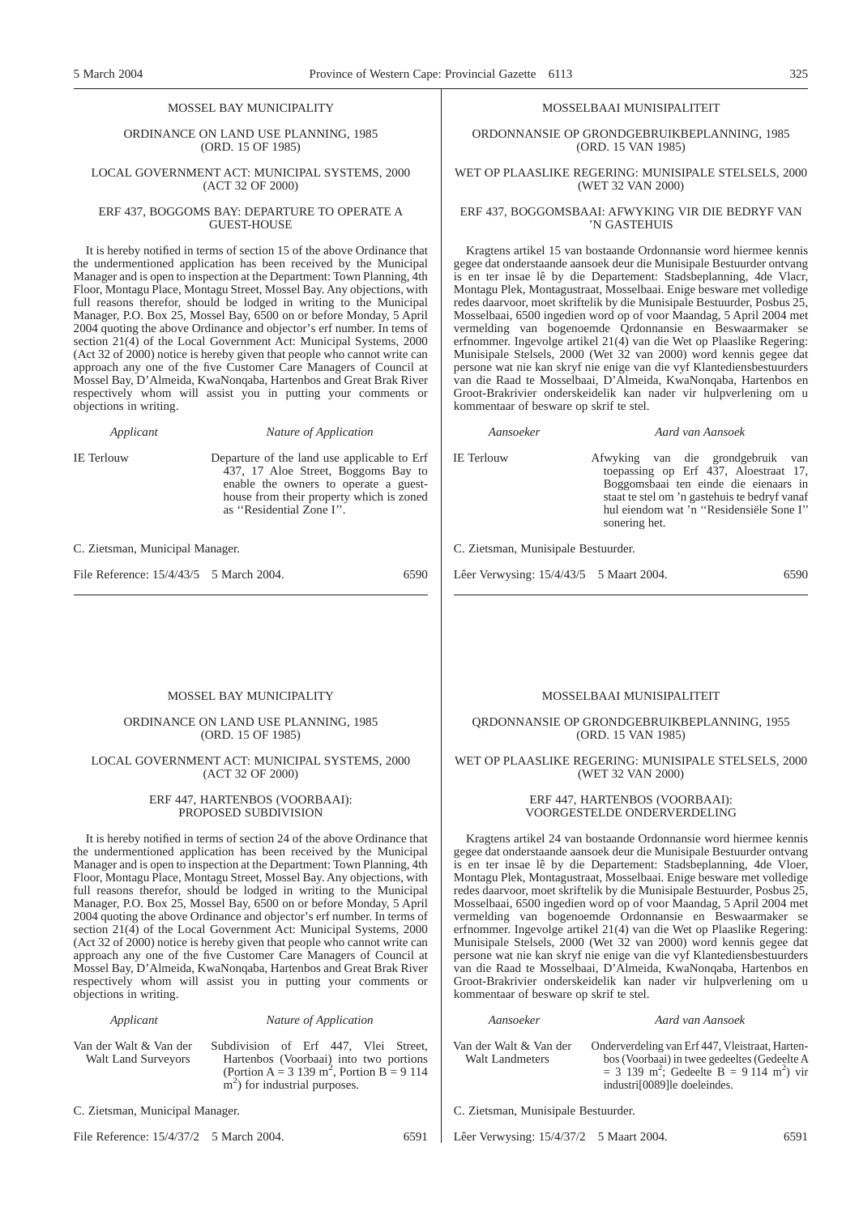#### MOSSEL BAY MUNICIPALITY

ORDINANCE ON LAND USE PLANNING, 1985 (ORD. 15 OF 1985)

#### LOCAL GOVERNMENT ACT: MUNICIPAL SYSTEMS, 2000 (ACT 32 OF 2000)

#### ERF 437, BOGGOMS BAY: DEPARTURE TO OPERATE A GUEST-HOUSE

It is hereby notified in terms of section 15 of the above Ordinance that the undermentioned application has been received by the Municipal Manager and is open to inspection at the Department: Town Planning, 4th Floor, Montagu Place, Montagu Street, Mossel Bay. Any objections, with full reasons therefor, should be lodged in writing to the Municipal Manager, P.O. Box 25, Mossel Bay, 6500 on or before Monday, 5 April 2004 quoting the above Ordinance and objector's erf number. In tems of section 21(4) of the Local Government Act: Municipal Systems, 2000 (Act 32 of 2000) notice is hereby given that people who cannot write can approach any one of the five Customer Care Managers of Council at Mossel Bay, D'Almeida, KwaNonqaba, Hartenbos and Great Brak River respectively whom will assist you in putting your comments or objections in writing.

*Applicant Nature of Application*

IE Terlouw Departure of the land use applicable to Erf 437, 17 Aloe Street, Boggoms Bay to enable the owners to operate a guesthouse from their property which is zoned as ''Residential Zone I''.

C. Zietsman, Municipal Manager.

File Reference:  $15/4/43/5$  5 March 2004. 6590

#### MOSSELBAAI MUNISIPALITEIT

ORDONNANSIE OP GRONDGEBRUIKBEPLANNING, 1985 (ORD. 15 VAN 1985)

#### WET OP PLAASLIKE REGERING: MUNISIPALE STELSELS, 2000 (WET 32 VAN 2000)

#### ERF 437, BOGGOMSBAAI: AFWYKING VIR DIE BEDRYF VAN 'N GASTEHUIS

Kragtens artikel 15 van bostaande Ordonnansie word hiermee kennis gegee dat onderstaande aansoek deur die Munisipale Bestuurder ontvang is en ter insae lê by die Departement: Stadsbeplanning, 4de Vlacr, Montagu Plek, Montagustraat, Mosselbaai. Enige besware met volledige redes daarvoor, moet skriftelik by die Munisipale Bestuurder, Posbus 25, Mosselbaai, 6500 ingedien word op of voor Maandag, 5 April 2004 met vermelding van bogenoemde Qrdonnansie en Beswaarmaker se erfnommer. Ingevolge artikel 21(4) van die Wet op Plaaslike Regering: Munisipale Stelsels, 2000 (Wet 32 van 2000) word kennis gegee dat persone wat nie kan skryf nie enige van die vyf Klantediensbestuurders van die Raad te Mosselbaai, D'Almeida, KwaNonqaba, Hartenbos en Groot-Brakrivier onderskeidelik kan nader vir hulpverlening om u kommentaar of besware op skrif te stel.

*Aansoeker Aard van Aansoek*

IE Terlouw Afwyking van die grondgebruik van toepassing op Erf 437, Aloestraat 17, Boggomsbaai ten einde die eienaars in staat te stel om 'n gastehuis te bedryf vanaf hul eiendom wat 'n ''Residensiële Sone I'' sonering het.

C. Zietsman, Munisipale Bestuurder.

Lêer Verwysing: 15/4/43/5 5 Maart 2004. 6590

#### MOSSEL BAY MUNICIPALITY

#### ORDINANCE ON LAND USE PLANNING, 1985 (ORD. 15 OF 1985)

#### LOCAL GOVERNMENT ACT: MUNICIPAL SYSTEMS, 2000 (ACT 32 OF 2000)

#### ERF 447, HARTENBOS (VOORBAAI): PROPOSED SUBDIVISION

It is hereby notified in terms of section 24 of the above Ordinance that the undermentioned application has been received by the Municipal Manager and is open to inspection at the Department: Town Planning, 4th Floor, Montagu Place, Montagu Street, Mossel Bay. Any objections, with full reasons therefor, should be lodged in writing to the Municipal Manager, P.O. Box 25, Mossel Bay, 6500 on or before Monday, 5 April 2004 quoting the above Ordinance and objector's erf number. In terms of section 21(4) of the Local Government Act: Municipal Systems, 2000 (Act 32 of 2000) notice is hereby given that people who cannot write can approach any one of the five Customer Care Managers of Council at Mossel Bay, D'Almeida, KwaNonqaba, Hartenbos and Great Brak River respectively whom will assist you in putting your comments or objections in writing.

#### *Applicant Nature of Application*

Van der Walt & Van der Walt Land Surveyors Subdivision of Erf 447, Vlei Street, Hartenbos (Voorbaai) into two portions (Portion A = 3 139 m<sup>2</sup>, Portion B = 9 114 m<sup>2</sup>) for industrial purposes.

C. Zietsman, Municipal Manager.

File Reference:  $15/4/37/2$  5 March 2004. 6591

#### MOSSELBAAI MUNISIPALITEIT

QRDONNANSIE OP GRONDGEBRUIKBEPLANNING, 1955 (ORD. 15 VAN 1985)

WET OP PLAASLIKE REGERING: MUNISIPALE STELSELS, 2000 (WET 32 VAN 2000)

#### ERF 447, HARTENBOS (VOORBAAI): VOORGESTELDE ONDERVERDELING

Kragtens artikel 24 van bostaande Ordonnansie word hiermee kennis gegee dat onderstaande aansoek deur die Munisipale Bestuurder ontvang is en ter insae lê by die Departement: Stadsbeplanning, 4de Vloer, Montagu Plek, Montagustraat, Mosselbaai. Enige besware met volledige redes daarvoor, moet skriftelik by die Munisipale Bestuurder, Posbus 25, Mosselbaai, 6500 ingedien word op of voor Maandag, 5 April 2004 met vermelding van bogenoemde Ordonnansie en Beswaarmaker se erfnommer. Ingevolge artikel 21(4) van die Wet op Plaaslike Regering: Munisipale Stelsels, 2000 (Wet 32 van 2000) word kennis gegee dat persone wat nie kan skryf nie enige van die vyf Klantediensbestuurders van die Raad te Mosselbaai, D'Almeida, KwaNonqaba, Hartenbos en Groot-Brakrivier onderskeidelik kan nader vir hulpverlening om u kommentaar of besware op skrif te stel.

#### *Aansoeker Aard van Aansoek*

Van der Walt & Van der Walt Landmeters

Onderverdeling van Erf 447, Vleistraat, Hartenbos (Voorbaai) in twee gedeeltes (Gedeelte A  $= 3$  139 m<sup>2</sup>; Gedeelte B = 9 114 m<sup>2</sup>) vir industri[0089]le doeleindes.

C. Zietsman, Munisipale Bestuurder.

Lêer Verwysing: 15/4/37/2 5 Maart 2004. 6591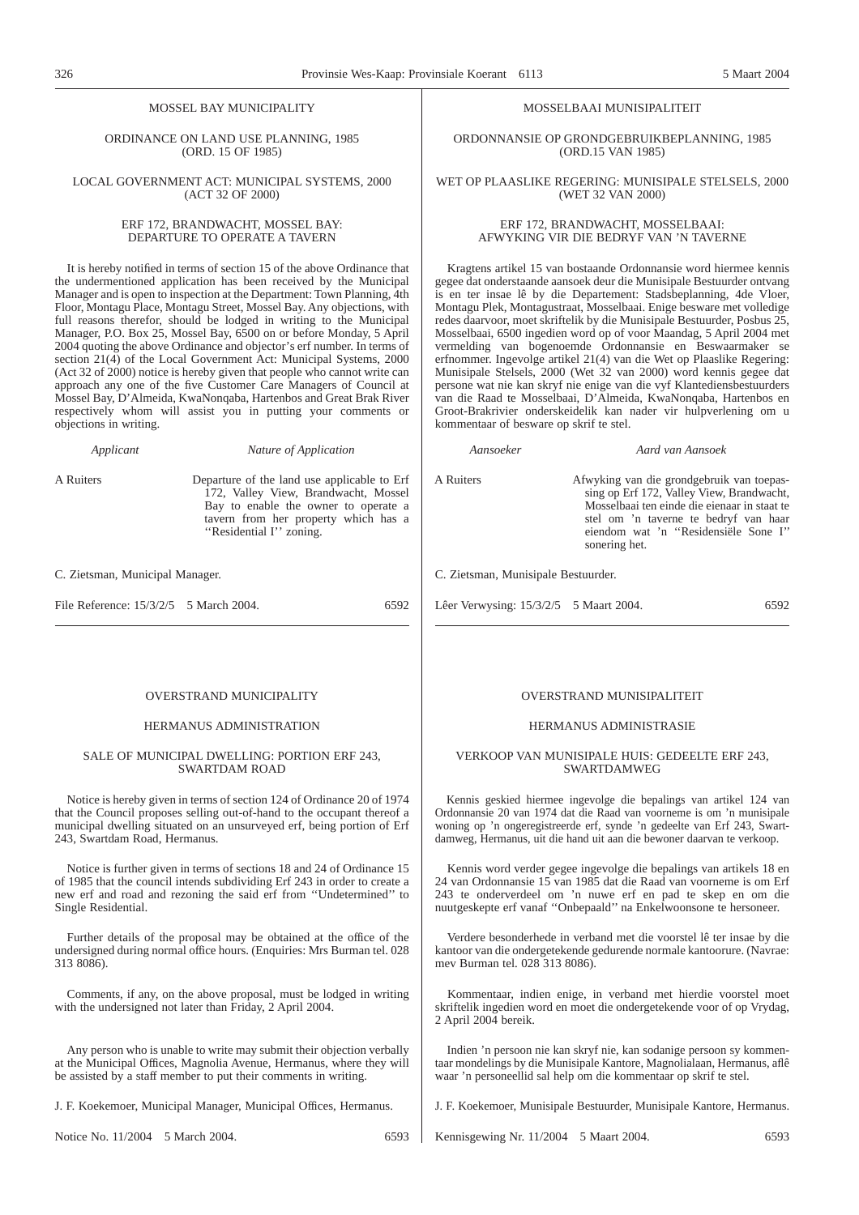#### MOSSEL BAY MUNICIPALITY

ORDINANCE ON LAND USE PLANNING, 1985 (ORD. 15 OF 1985)

#### LOCAL GOVERNMENT ACT: MUNICIPAL SYSTEMS, 2000 (ACT 32 OF 2000)

#### ERF 172, BRANDWACHT, MOSSEL BAY-DEPARTURE TO OPERATE A TAVERN

It is hereby notified in terms of section 15 of the above Ordinance that the undermentioned application has been received by the Municipal Manager and is open to inspection at the Department: Town Planning, 4th Floor, Montagu Place, Montagu Street, Mossel Bay. Any objections, with full reasons therefor, should be lodged in writing to the Municipal Manager, P.O. Box 25, Mossel Bay, 6500 on or before Monday, 5 April 2004 quoting the above Ordinance and objector's erf number. In terms of section 21(4) of the Local Government Act: Municipal Systems, 2000 (Act 32 of 2000) notice is hereby given that people who cannot write can approach any one of the five Customer Care Managers of Council at Mossel Bay, D'Almeida, KwaNonqaba, Hartenbos and Great Brak River respectively whom will assist you in putting your comments or objections in writing.

*Applicant Nature of Application*

A Ruiters Departure of the land use applicable to Erf 172, Valley View, Brandwacht, Mossel Bay to enable the owner to operate a tavern from her property which has a ''Residential I'' zoning.

C. Zietsman, Municipal Manager.

File Reference:  $15/3/2/5$  5 March 2004. 6592

#### OVERSTRAND MUNICIPALITY

#### HERMANUS ADMINISTRATION

#### SALE OF MUNICIPAL DWELLING: PORTION ERF 243, SWARTDAM ROAD

Notice is hereby given in terms of section 124 of Ordinance 20 of 1974 that the Council proposes selling out-of-hand to the occupant thereof a municipal dwelling situated on an unsurveyed erf, being portion of Erf 243, Swartdam Road, Hermanus.

Notice is further given in terms of sections 18 and 24 of Ordinance 15 of 1985 that the council intends subdividing Erf 243 in order to create a new erf and road and rezoning the said erf from ''Undetermined'' to Single Residential.

Further details of the proposal may be obtained at the office of the undersigned during normal office hours. (Enquiries: Mrs Burman tel. 028 313 8086).

Comments, if any, on the above proposal, must be lodged in writing with the undersigned not later than Friday, 2 April 2004.

Any person who is unable to write may submit their objection verbally at the Municipal Offices, Magnolia Avenue, Hermanus, where they will be assisted by a staff member to put their comments in writing.

J. F. Koekemoer, Municipal Manager, Municipal Offices, Hermanus.

Notice No. 11/2004 5 March 2004. 6593

#### MOSSELBAAI MUNISIPALITEIT

ORDONNANSIE OP GRONDGEBRUIKBEPLANNING, 1985 (ORD.15 VAN 1985)

#### WET OP PLAASLIKE REGERING: MUNISIPALE STELSELS, 2000 (WET 32 VAN 2000)

#### ERF 172, BRANDWACHT, MOSSELBAAI: AFWYKING VIR DIE BEDRYF VAN 'N TAVERNE

Kragtens artikel 15 van bostaande Ordonnansie word hiermee kennis gegee dat onderstaande aansoek deur die Munisipale Bestuurder ontvang is en ter insae lê by die Departement: Stadsbeplanning, 4de Vloer, Montagu Plek, Montagustraat, Mosselbaai. Enige besware met volledige redes daarvoor, moet skriftelik by die Munisipale Bestuurder, Posbus 25, Mosselbaai, 6500 ingedien word op of voor Maandag, 5 April 2004 met vermelding van bogenoemde Ordonnansie en Beswaarmaker se erfnommer. Ingevolge artikel 21(4) van die Wet op Plaaslike Regering: Munisipale Stelsels, 2000 (Wet 32 van 2000) word kennis gegee dat persone wat nie kan skryf nie enige van die vyf Klantediensbestuurders van die Raad te Mosselbaai, D'Almeida, KwaNonqaba, Hartenbos en Groot-Brakrivier onderskeidelik kan nader vir hulpverlening om u kommentaar of besware op skrif te stel.

*Aansoeker Aard van Aansoek*

A Ruiters Afwyking van die grondgebruik van toepassing op Erf 172, Valley View, Brandwacht, Mosselbaai ten einde die eienaar in staat te stel om 'n taverne te bedryf van haar eiendom wat 'n ''Residensiële Sone I'' sonering het.

C. Zietsman, Munisipale Bestuurder.

Lêer Verwysing: 15/3/2/5 5 Maart 2004. 6592

#### OVERSTRAND MUNISIPALITEIT

#### HERMANUS ADMINISTRASIE

#### VERKOOP VAN MUNISIPALE HUIS: GEDEELTE ERF 243, SWARTDAMWEG

Kennis geskied hiermee ingevolge die bepalings van artikel 124 van Ordonnansie 20 van 1974 dat die Raad van voorneme is om 'n munisipale woning op 'n ongeregistreerde erf, synde 'n gedeelte van Erf 243, Swartdamweg, Hermanus, uit die hand uit aan die bewoner daarvan te verkoop.

Kennis word verder gegee ingevolge die bepalings van artikels 18 en 24 van Ordonnansie 15 van 1985 dat die Raad van voorneme is om Erf 243 te onderverdeel om 'n nuwe erf en pad te skep en om die nuutgeskepte erf vanaf ''Onbepaald'' na Enkelwoonsone te hersoneer.

Verdere besonderhede in verband met die voorstel lê ter insae by die kantoor van die ondergetekende gedurende normale kantoorure. (Navrae: mev Burman tel. 028 313 8086).

Kommentaar, indien enige, in verband met hierdie voorstel moet skriftelik ingedien word en moet die ondergetekende voor of op Vrydag, 2 April 2004 bereik.

Indien 'n persoon nie kan skryf nie, kan sodanige persoon sy kommentaar mondelings by die Munisipale Kantore, Magnolialaan, Hermanus, aflê waar 'n personeellid sal help om die kommentaar op skrif te stel.

J. F. Koekemoer, Munisipale Bestuurder, Munisipale Kantore, Hermanus.

Kennisgewing Nr. 11/2004 5 Maart 2004. 6593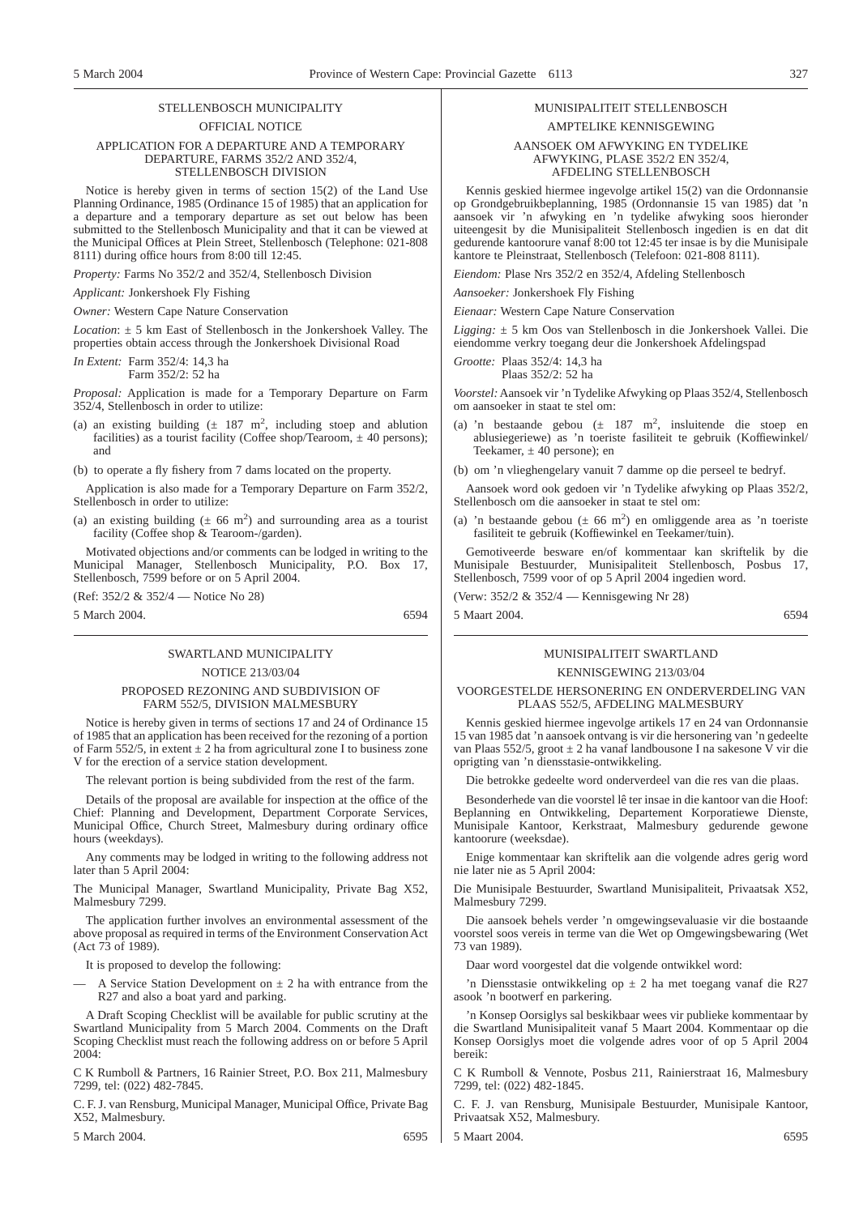#### STELLENBOSCH MUNICIPALITY OFFICIAL NOTICE

#### APPLICATION FOR A DEPARTURE AND A TEMPORARY DEPARTURE, FARMS 352/2 AND 352/4, STELLENBOSCH DIVISION

Notice is hereby given in terms of section 15(2) of the Land Use Planning Ordinance, 1985 (Ordinance 15 of 1985) that an application for a departure and a temporary departure as set out below has been submitted to the Stellenbosch Municipality and that it can be viewed at the Municipal Offices at Plein Street, Stellenbosch (Telephone: 021-808 8111) during office hours from 8:00 till 12:45.

*Property:* Farms No 352/2 and 352/4, Stellenbosch Division

*Applicant:* Jonkershoek Fly Fishing

*Owner:* Western Cape Nature Conservation

*Location*: ± 5 km East of Stellenbosch in the Jonkershoek Valley. The properties obtain access through the Jonkershoek Divisional Road

*In Extent:* Farm 352/4: 14,3 ha Farm 352/2: 52 ha

*Proposal:* Application is made for a Temporary Departure on Farm

352/4, Stellenbosch in order to utilize:

(a) an existing building  $(\pm 187 \text{ m}^2, \text{ including stop and ablution})$ facilities) as a tourist facility (Coffee shop/Tearoom,  $\pm$  40 persons); and

(b) to operate a fly fishery from 7 dams located on the property.

Application is also made for a Temporary Departure on Farm 352/2, Stellenbosch in order to utilize:

(a) an existing building  $(\pm 66 \text{ m}^2)$  and surrounding area as a tourist facility (Coffee shop & Tearoom-/garden).

Motivated objections and/or comments can be lodged in writing to the Municipal Manager, Stellenbosch Municipality, P.O. Box 17, Stellenbosch, 7599 before or on 5 April 2004.

(Ref: 352/2 & 352/4 — Notice No 28)

5 March 2004. 6594

### SWARTLAND MUNICIPALITY

#### NOTICE 213/03/04

#### PROPOSED REZONING AND SUBDIVISION OF FARM 552/5, DIVISION MALMESBURY

Notice is hereby given in terms of sections 17 and 24 of Ordinance 15 of 1985 that an application has been received for the rezoning of a portion of Farm 552/5, in extent  $\pm 2$  ha from agricultural zone I to business zone V for the erection of a service station development.

The relevant portion is being subdivided from the rest of the farm.

Details of the proposal are available for inspection at the office of the Chief: Planning and Development, Department Corporate Services, Municipal Office, Church Street, Malmesbury during ordinary office hours (weekdays).

Any comments may be lodged in writing to the following address not later than 5 April 2004:

The Municipal Manager, Swartland Municipality, Private Bag X52, Malmesbury 7299.

The application further involves an environmental assessment of the above proposal as required in terms of the Environment Conservation Act (Act 73 of 1989).

It is proposed to develop the following:

A Service Station Development on  $\pm 2$  ha with entrance from the R27 and also a boat yard and parking.

A Draft Scoping Checklist will be available for public scrutiny at the Swartland Municipality from 5 March 2004. Comments on the Draft Scoping Checklist must reach the following address on or before 5 April  $2004$ 

C K Rumboll & Partners, 16 Rainier Street, P.O. Box 211, Malmesbury 7299, tel: (022) 482-7845.

C. F. J. van Rensburg, Municipal Manager, Municipal Office, Private Bag X52, Malmesbury.

5 March 2004. 6595

#### MUNISIPALITEIT STELLENBOSCH AMPTELIKE KENNISGEWING

AANSOEK OM AFWYKING EN TYDELIKE AFWYKING, PLASE 352/2 EN 352/4, AFDELING STELLENBOSCH

Kennis geskied hiermee ingevolge artikel 15(2) van die Ordonnansie op Grondgebruikbeplanning, 1985 (Ordonnansie 15 van 1985) dat 'n aansoek vir 'n afwyking en 'n tydelike afwyking soos hieronder uiteengesit by die Munisipaliteit Stellenbosch ingedien is en dat dit gedurende kantoorure vanaf 8:00 tot 12:45 ter insae is by die Munisipale kantore te Pleinstraat, Stellenbosch (Telefoon: 021-808 8111).

*Eiendom:* Plase Nrs 352/2 en 352/4, Afdeling Stellenbosch

*Aansoeker:* Jonkershoek Fly Fishing

*Eienaar:* Western Cape Nature Conservation

*Ligging:* ± 5 km Oos van Stellenbosch in die Jonkershoek Vallei. Die eiendomme verkry toegang deur die Jonkershoek Afdelingspad

*Grootte:* Plaas 352/4: 14,3 ha Plaas 352/2: 52 ha

*Voorstel:*Aansoek vir 'n Tydelike Afwyking op Plaas 352/4, Stellenbosch om aansoeker in staat te stel om:

- (a) 'n bestaande gebou  $(\pm 187 \text{ m}^2, \text{ insluitende die stop en})$ ablusiegeriewe) as 'n toeriste fasiliteit te gebruik (Koffiewinkel/ Teekamer,  $\pm$  40 persone); en
- (b) om 'n vlieghengelary vanuit 7 damme op die perseel te bedryf.

Aansoek word ook gedoen vir 'n Tydelike afwyking op Plaas 352/2, Stellenbosch om die aansoeker in staat te stel om:

(a) 'n bestaande gebou ( $\pm$  66 m<sup>2</sup>) en omliggende area as 'n toeriste fasiliteit te gebruik (Koffiewinkel en Teekamer/tuin).

Gemotiveerde besware en/of kommentaar kan skriftelik by die Munisipale Bestuurder, Munisipaliteit Stellenbosch, Posbus 17, Stellenbosch, 7599 voor of op 5 April 2004 ingedien word.

(Verw: 352/2 & 352/4 — Kennisgewing Nr 28)

5 Maart 2004. 6594

### MUNISIPALITEIT SWARTLAND

#### KENNISGEWING 213/03/04

#### VOORGESTELDE HERSONERING EN ONDERVERDELING VAN PLAAS 552/5, AFDELING MALMESBURY

Kennis geskied hiermee ingevolge artikels 17 en 24 van Ordonnansie 15 van 1985 dat 'n aansoek ontvang is vir die hersonering van 'n gedeelte van Plaas 552/5, groot  $\pm 2$  ha vanaf landbousone I na sakesone  $\breve{V}$  vir die oprigting van 'n diensstasie-ontwikkeling.

Die betrokke gedeelte word onderverdeel van die res van die plaas.

Besonderhede van die voorstel lê ter insae in die kantoor van die Hoof: Beplanning en Ontwikkeling, Departement Korporatiewe Dienste, Munisipale Kantoor, Kerkstraat, Malmesbury gedurende gewone kantoorure (weeksdae).

Enige kommentaar kan skriftelik aan die volgende adres gerig word nie later nie as 5 April 2004:

Die Munisipale Bestuurder, Swartland Munisipaliteit, Privaatsak X52, Malmesbury 7299.

Die aansoek behels verder 'n omgewingsevaluasie vir die bostaande voorstel soos vereis in terme van die Wet op Omgewingsbewaring (Wet 73 van 1989).

Daar word voorgestel dat die volgende ontwikkel word:

'n Diensstasie ontwikkeling op  $\pm$  2 ha met toegang vanaf die R27 asook 'n bootwerf en parkering.

'n Konsep Oorsiglys sal beskikbaar wees vir publieke kommentaar by die Swartland Munisipaliteit vanaf 5 Maart 2004. Kommentaar op die Konsep Oorsiglys moet die volgende adres voor of op 5 April 2004 bereik:

C K Rumboll & Vennote, Posbus 211, Rainierstraat 16, Malmesbury 7299, tel: (022) 482-1845.

C. F. J. van Rensburg, Munisipale Bestuurder, Munisipale Kantoor, Privaatsak X52, Malmesbury.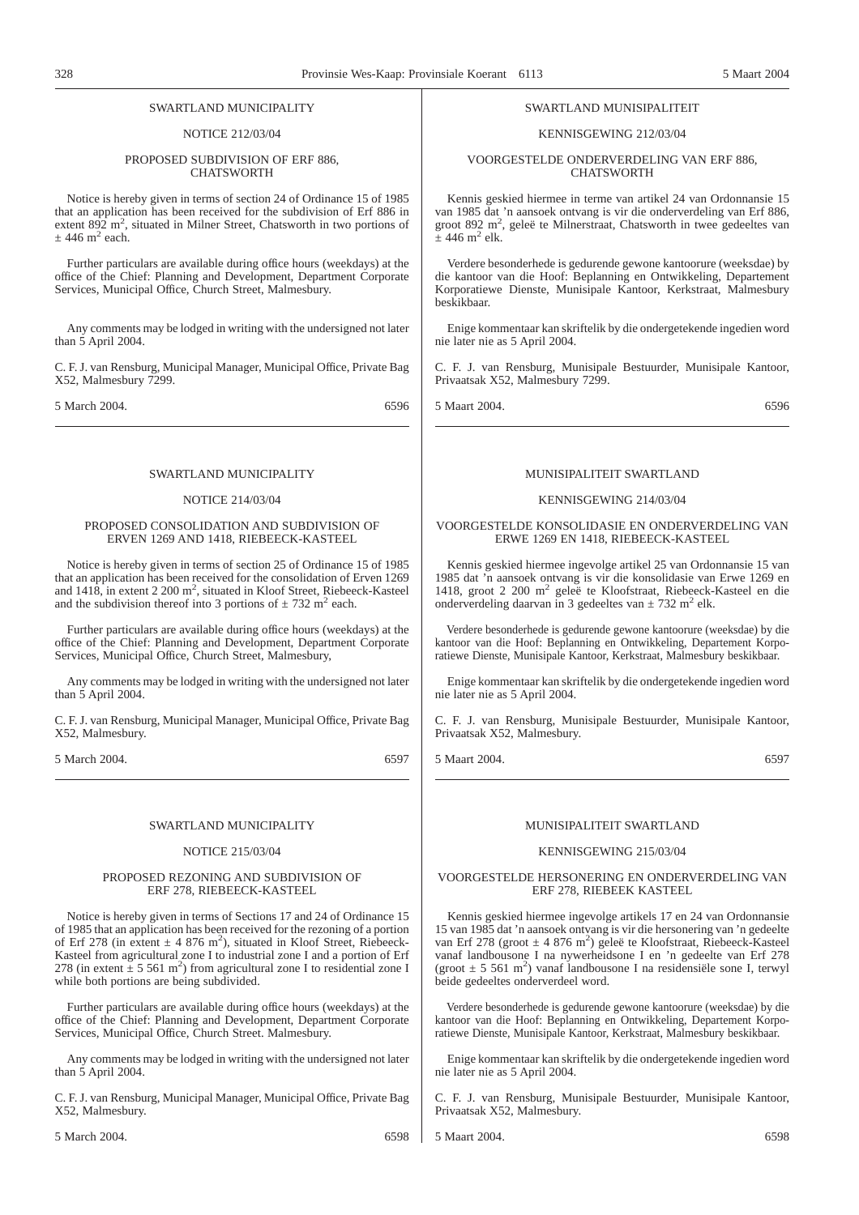#### SWARTLAND MUNICIPALITY

#### NOTICE 212/03/04

#### PROPOSED SUBDIVISION OF ERF 886 **CHATSWORTH**

Notice is hereby given in terms of section 24 of Ordinance 15 of 1985 that an application has been received for the subdivision of Erf 886 in extent  $892 \text{ m}^2$ , situated in Milner Street, Chatsworth in two portions of  $\pm$  446 m<sup>2</sup> each.

Further particulars are available during office hours (weekdays) at the office of the Chief: Planning and Development, Department Corporate Services, Municipal Office, Church Street, Malmesbury.

Any comments may be lodged in writing with the undersigned not later than 5 April 2004.

C. F. J. van Rensburg, Municipal Manager, Municipal Office, Private Bag X52, Malmesbury 7299.

5 March 2004. 6596

#### SWARTLAND MUNICIPALITY

#### NOTICE 214/03/04

#### PROPOSED CONSOLIDATION AND SUBDIVISION OF ERVEN 1269 AND 1418, RIEBEECK-KASTEEL

Notice is hereby given in terms of section 25 of Ordinance 15 of 1985 that an application has been received for the consolidation of Erven 1269 and  $1418$ , in extent 2 200 m<sup>2</sup>, situated in Kloof Street, Riebeeck-Kasteel and the subdivision thereof into 3 portions of  $\pm$  732 m<sup>2</sup> each.

Further particulars are available during office hours (weekdays) at the office of the Chief: Planning and Development, Department Corporate Services, Municipal Office, Church Street, Malmesbury,

Any comments may be lodged in writing with the undersigned not later than 5 April 2004.

C. F. J. van Rensburg, Municipal Manager, Municipal Office, Private Bag X52, Malmesbury.

5 March 2004. 6597

#### SWARTLAND MUNICIPALITY

#### NOTICE 215/03/04

#### PROPOSED REZONING AND SUBDIVISION OF ERF 278, RIEBEECK-KASTEEL

Notice is hereby given in terms of Sections 17 and 24 of Ordinance 15 of 1985 that an application has been received for the rezoning of a portion of Erf 278 (in extent  $\pm$  4 876 m<sup>2</sup>), situated in Kloof Street, Riebeeck-Kasteel from agricultural zone I to industrial zone I and a portion of Erf 278 (in extent  $\pm$  5 561 m<sup>2</sup>) from agricultural zone I to residential zone I while both portions are being subdivided.

Further particulars are available during office hours (weekdays) at the office of the Chief: Planning and Development, Department Corporate Services, Municipal Office, Church Street. Malmesbury.

Any comments may be lodged in writing with the undersigned not later than 5 April 2004.

C. F. J. van Rensburg, Municipal Manager, Municipal Office, Private Bag X52, Malmesbury.

#### SWARTLAND MUNISIPALITEIT

#### KENNISGEWING 212/03/04

VOORGESTELDE ONDERVERDELING VAN ERF 886, CHATSWORTH

Kennis geskied hiermee in terme van artikel 24 van Ordonnansie 15 van 1985 dat 'n aansoek ontvang is vir die onderverdeling van Erf 886, groot 892 m<sup>2</sup>, geleë te Milnerstraat, Chatsworth in twee gedeeltes van  $\pm$  446 m<sup>2</sup> elk.

Verdere besonderhede is gedurende gewone kantoorure (weeksdae) by die kantoor van die Hoof: Beplanning en Ontwikkeling, Departement Korporatiewe Dienste, Munisipale Kantoor, Kerkstraat, Malmesbury beskikbaar.

Enige kommentaar kan skriftelik by die ondergetekende ingedien word nie later nie as 5 April 2004.

C. F. J. van Rensburg, Munisipale Bestuurder, Munisipale Kantoor, Privaatsak X52, Malmesbury 7299.

5 Maart 2004. 6596

#### MUNISIPALITEIT SWARTLAND

#### KENNISGEWING 214/03/04

#### VOORGESTELDE KONSOLIDASIE EN ONDERVERDELING VAN ERWE 1269 EN 1418, RIEBEECK-KASTEEL

Kennis geskied hiermee ingevolge artikel 25 van Ordonnansie 15 van 1985 dat 'n aansoek ontvang is vir die konsolidasie van Erwe 1269 en 1418, groot 2 200 m<sup>2</sup> geleë te Kloofstraat, Riebeeck-Kasteel en die onderverdeling daarvan in 3 gedeeltes van  $\pm$  732 m<sup>2</sup> elk.

Verdere besonderhede is gedurende gewone kantoorure (weeksdae) by die kantoor van die Hoof: Beplanning en Ontwikkeling, Departement Korporatiewe Dienste, Munisipale Kantoor, Kerkstraat, Malmesbury beskikbaar.

Enige kommentaar kan skriftelik by die ondergetekende ingedien word nie later nie as 5 April 2004.

C. F. J. van Rensburg, Munisipale Bestuurder, Munisipale Kantoor, Privaatsak X52, Malmesbury.

5 Maart 2004. 6597

#### MUNISIPALITEIT SWARTLAND

#### KENNISGEWING 215/03/04

#### VOORGESTELDE HERSONERING EN ONDERVERDELING VAN ERF 278, RIEBEEK KASTEEL

Kennis geskied hiermee ingevolge artikels 17 en 24 van Ordonnansie 15 van 1985 dat 'n aansoek ontvang is vir die hersonering van 'n gedeelte van Erf 278 (groot  $\pm$  4 876 m<sup>2</sup>) geleë te Kloofstraat, Riebeeck-Kasteel vanaf landbousone I na nywerheidsone I en 'n gedeelte van Erf 278 (groot  $\pm$  5 561 m<sup>2</sup>) vanaf landbousone I na residensiële sone I, terwyl beide gedeeltes onderverdeel word.

Verdere besonderhede is gedurende gewone kantoorure (weeksdae) by die kantoor van die Hoof: Beplanning en Ontwikkeling, Departement Korporatiewe Dienste, Munisipale Kantoor, Kerkstraat, Malmesbury beskikbaar.

Enige kommentaar kan skriftelik by die ondergetekende ingedien word nie later nie as 5 April 2004.

C. F. J. van Rensburg, Munisipale Bestuurder, Munisipale Kantoor, Privaatsak X52, Malmesbury.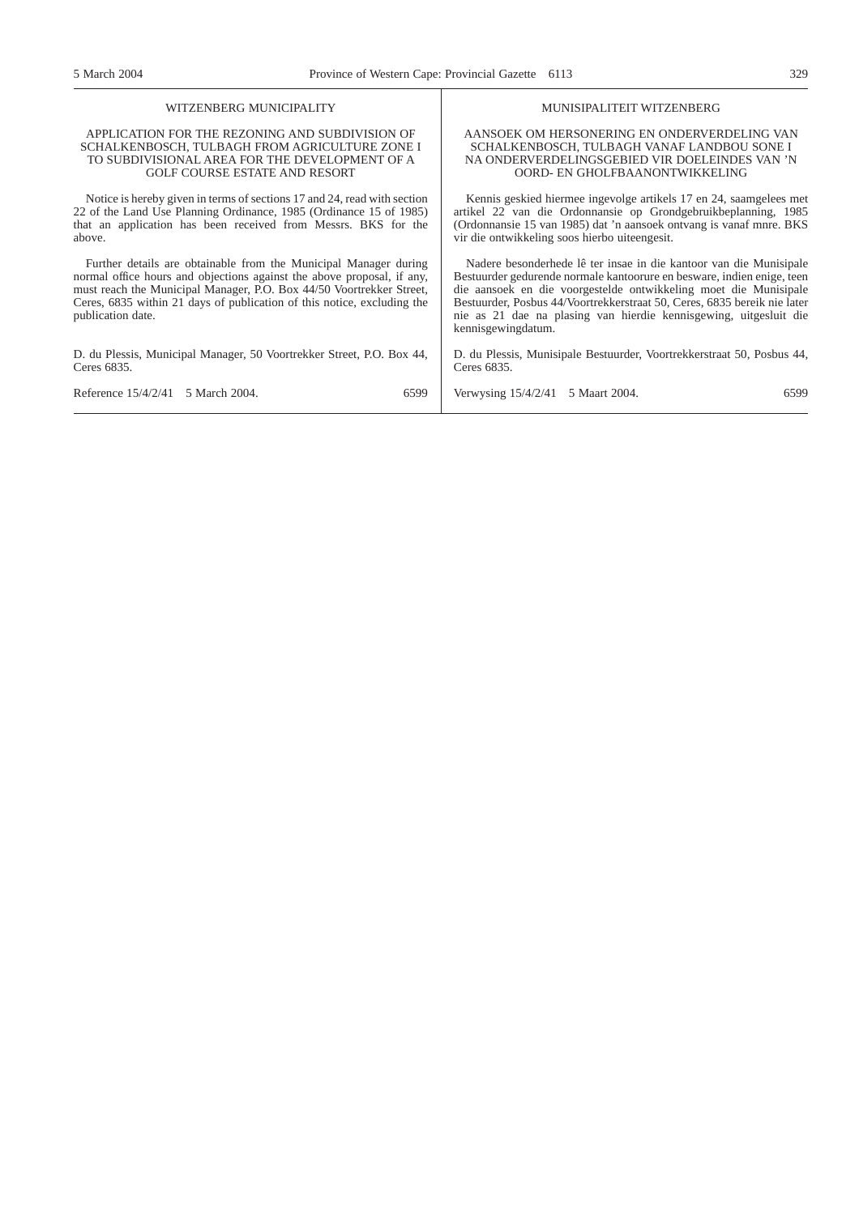## WITZENBERG MUNICIPALITY

#### APPLICATION FOR THE REZONING AND SUBDIVISION OF SCHALKENBOSCH, TULBAGH FROM AGRICULTURE ZONE I TO SUBDIVISIONAL AREA FOR THE DEVELOPMENT OF A GOLF COURSE ESTATE AND RESORT

Notice is hereby given in terms of sections 17 and 24, read with section 22 of the Land Use Planning Ordinance, 1985 (Ordinance 15 of 1985) that an application has been received from Messrs. BKS for the above.

Further details are obtainable from the Municipal Manager during normal office hours and objections against the above proposal, if any, must reach the Municipal Manager, P.O. Box 44/50 Voortrekker Street, Ceres, 6835 within 21 days of publication of this notice, excluding the publication date.

D. du Plessis, Municipal Manager, 50 Voortrekker Street, P.O. Box 44, Ceres 6835.

#### MUNISIPALITEIT WITZENBERG

AANSOEK OM HERSONERING EN ONDERVERDELING VAN SCHALKENBOSCH, TULBAGH VANAF LANDBOU SONE I NA ONDERVERDELINGSGEBIED VIR DOELEINDES VAN 'N OORD- EN GHOLFBAANONTWIKKELING

Kennis geskied hiermee ingevolge artikels 17 en 24, saamgelees met artikel 22 van die Ordonnansie op Grondgebruikbeplanning, 1985 (Ordonnansie 15 van 1985) dat 'n aansoek ontvang is vanaf mnre. BKS vir die ontwikkeling soos hierbo uiteengesit.

Nadere besonderhede lê ter insae in die kantoor van die Munisipale Bestuurder gedurende normale kantoorure en besware, indien enige, teen die aansoek en die voorgestelde ontwikkeling moet die Munisipale Bestuurder, Posbus 44/Voortrekkerstraat 50, Ceres, 6835 bereik nie later nie as 21 dae na plasing van hierdie kennisgewing, uitgesluit die kennisgewingdatum.

D. du Plessis, Munisipale Bestuurder, Voortrekkerstraat 50, Posbus 44, Ceres 6835.

| Reference 15/4/2/41 5 March 2004. | 6599 | Verwysing 15/4/2/41 5 Maart 2004. | 6599 |
|-----------------------------------|------|-----------------------------------|------|
|                                   |      |                                   |      |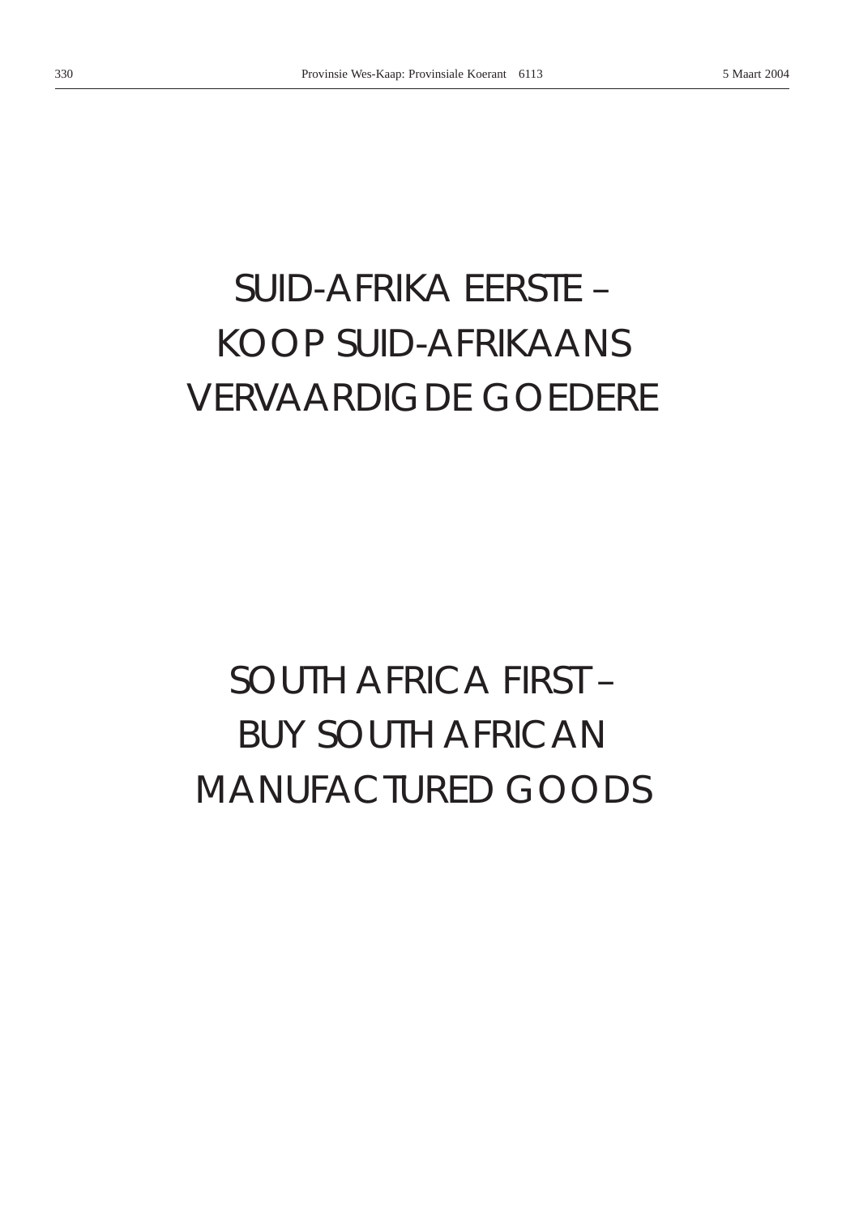# *SUID-AFRIKA EERSTE –* KOOP SUID-AFRIKAANS VERVAARDIGDE GOEDERE

# *SOUTH AFRICA FIRST –* BUY SOUTH AFRICAN MANUFACTURED GOODS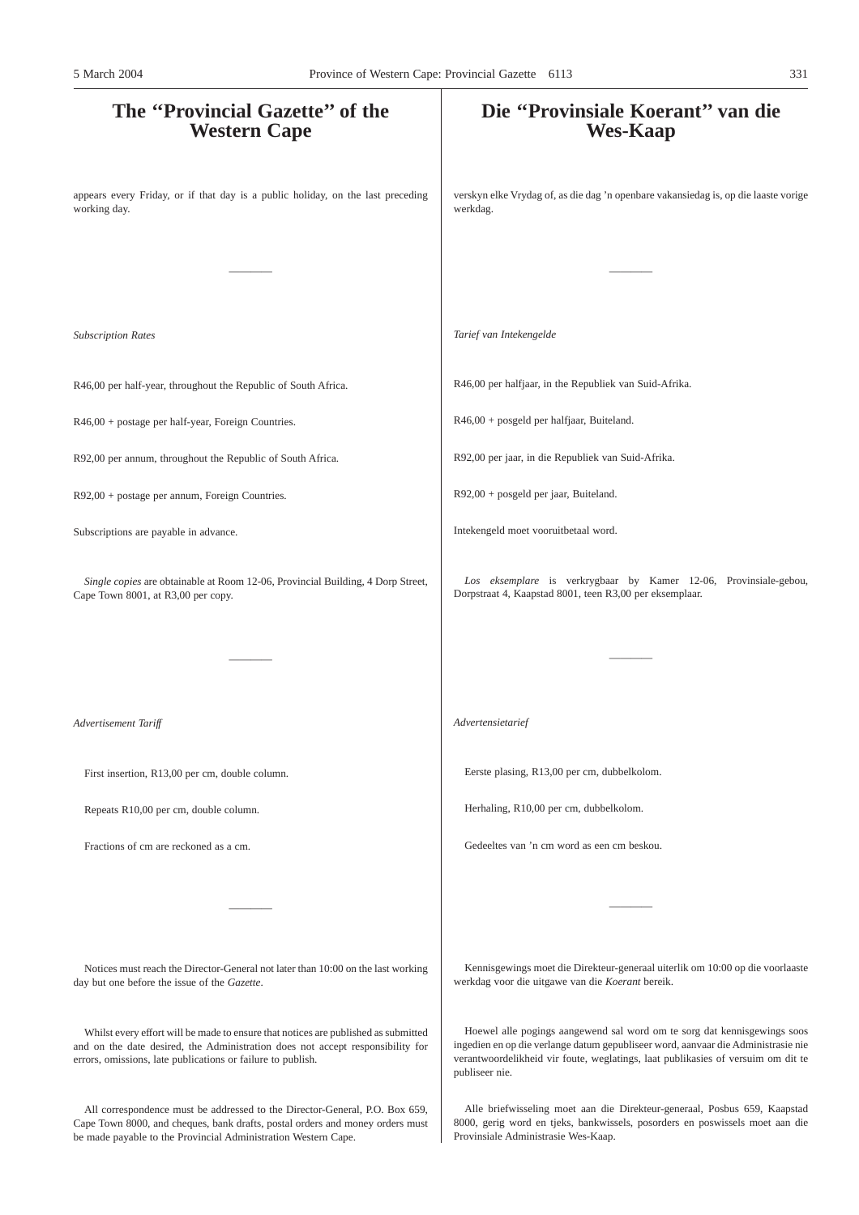# **The ''Provincial Gazette'' of the Western Cape** appears every Friday, or if that day is a public holiday, on the last preceding working day. ———— *Subscription Rates* R46,00 per half-year, throughout the Republic of South Africa. R46,00 + postage per half-year, Foreign Countries. R92,00 per annum, throughout the Republic of South Africa. R92,00 + postage per annum, Foreign Countries. Subscriptions are payable in advance. *Single copies* are obtainable at Room 12-06, Provincial Building, 4 Dorp Street, Cape Town 8001, at R3,00 per copy. ———— *Advertisement Tariff* First insertion, R13,00 per cm, double column. Repeats R10,00 per cm, double column. Fractions of cm are reckoned as a cm. ———— Notices must reach the Director-General not later than 10:00 on the last working day but one before the issue of the *Gazette*. Whilst every effort will be made to ensure that notices are published as submitted **Die ''Provinsiale Koerant'' van die Wes-Kaap** verskyn elke Vrydag of, as die dag 'n openbare vakansiedag is, op die laaste vorige werkdag. ———— *Tarief van Intekengelde* R46,00 per halfjaar, in the Republiek van Suid-Afrika. R46,00 + posgeld per halfjaar, Buiteland. R92,00 per jaar, in die Republiek van Suid-Afrika. R92,00 + posgeld per jaar, Buiteland. Intekengeld moet vooruitbetaal word. *Los eksemplare* is verkrygbaar by Kamer 12-06, Provinsiale-gebou, Dorpstraat 4, Kaapstad 8001, teen R3,00 per eksemplaar. ———— *Advertensietarief* Eerste plasing, R13,00 per cm, dubbelkolom. Herhaling, R10,00 per cm, dubbelkolom. Gedeeltes van 'n cm word as een cm beskou. ———— Kennisgewings moet die Direkteur-generaal uiterlik om 10:00 op die voorlaaste werkdag voor die uitgawe van die *Koerant* bereik. Hoewel alle pogings aangewend sal word om te sorg dat kennisgewings soos 5 March 2004 Province of Western Cape: Provincial Gazette 6113 331

publiseer nie.

and on the date desired, the Administration does not accept responsibility for errors, omissions, late publications or failure to publish.

All correspondence must be addressed to the Director-General, P.O. Box 659, Cape Town 8000, and cheques, bank drafts, postal orders and money orders must be made payable to the Provincial Administration Western Cape.

Alle briefwisseling moet aan die Direkteur-generaal, Posbus 659, Kaapstad 8000, gerig word en tjeks, bankwissels, posorders en poswissels moet aan die Provinsiale Administrasie Wes-Kaap.

ingedien en op die verlange datum gepubliseer word, aanvaar die Administrasie nie verantwoordelikheid vir foute, weglatings, laat publikasies of versuim om dit te